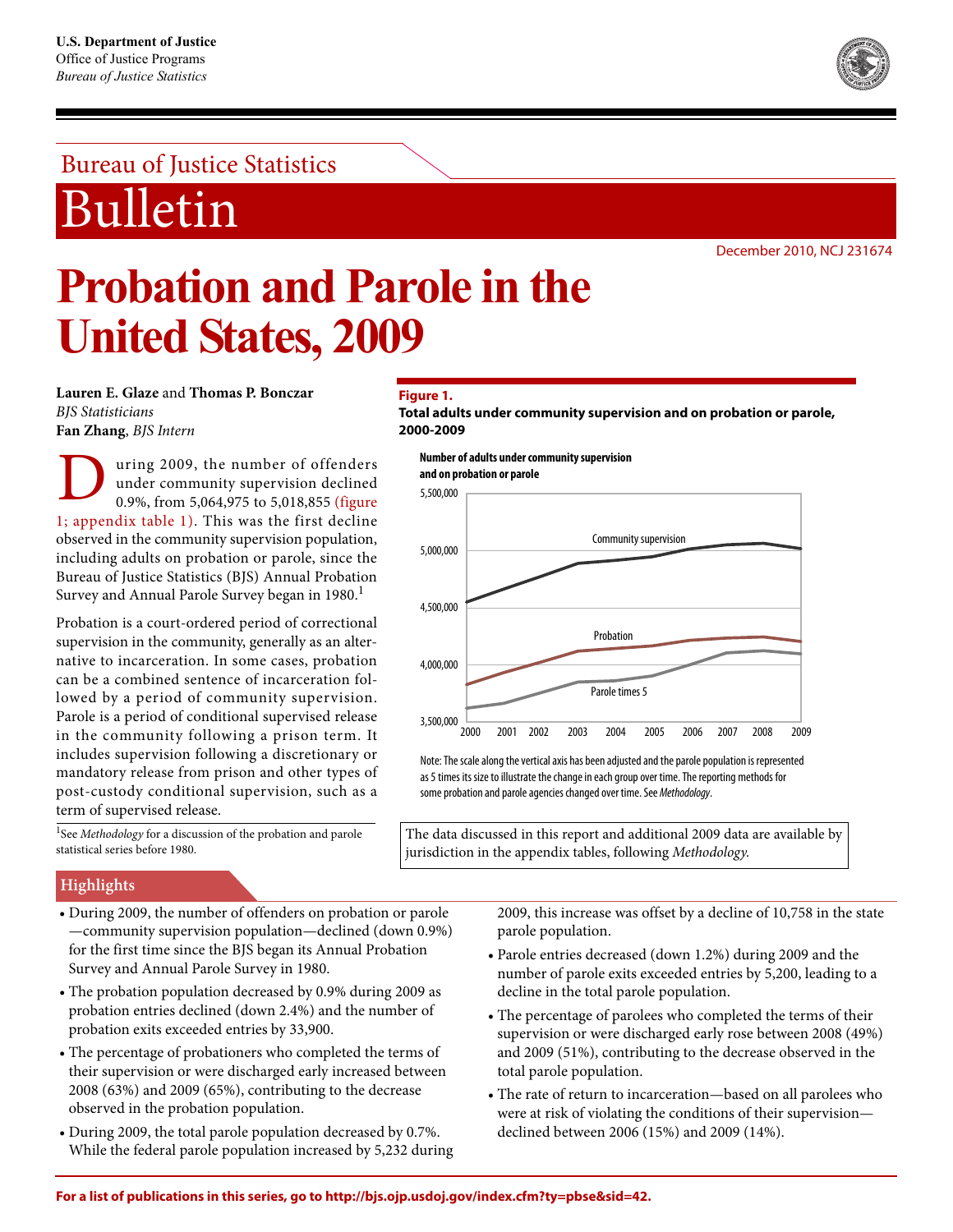## Bureau of Justice Statistics

## Bulletin

December 2010, NCJ 231674

# **Probation and Parole in the United States, 2009**

**Lauren E. Glaze** and **Thomas P. Bonczar** *BJS Statisticians* **Fan Zhang**, *BJS Intern*

uring 2009, the number of offenders under community supervision declined 0.9%, from 5,064,975 to 5,018,855 (figure 1; appendix table 1). This was the first decline observed in the community supervision population, including adults on probation or parole, since the Bureau of Justice Statistics (BJS) Annual Probation Survey and Annual Parole Survey began in 1980.<sup>1</sup> D

Probation is a court-ordered period of correctional supervision in the community, generally as an alternative to incarceration. In some cases, probation can be a combined sentence of incarceration followed by a period of community supervision. Parole is a period of conditional supervised release in the community following a prison term. It includes supervision following a discretionary or mandatory release from prison and other types of post-custody conditional supervision, such as a term of supervised release.

#### <sup>1</sup>See *Methodology* for a discussion of the probation and parole statistical series before 1980.

## **Figure 1.**

**Total adults under community supervision and on probation or parole, 2000-2009**

**Number of adults under community supervision and on probation or parole**





Note: The scale along the vertical axis has been adjusted and the parole population is represented as 5 times its size to illustrate the change in each group over time. The reporting methods for some probation and parole agencies changed over time. See Methodology.

The data discussed in this report and additional 2009 data are available by jurisdiction in the appendix tables, following *Methodology*.

## **Highlights**

- During 2009, the number of offenders on probation or parole —community supervision population—declined (down 0.9%) for the first time since the BJS began its Annual Probation Survey and Annual Parole Survey in 1980.
- The probation population decreased by 0.9% during 2009 as probation entries declined (down 2.4%) and the number of probation exits exceeded entries by 33,900.
- The percentage of probationers who completed the terms of their supervision or were discharged early increased between 2008 (63%) and 2009 (65%), contributing to the decrease observed in the probation population.
- During 2009, the total parole population decreased by 0.7%. While the federal parole population increased by 5,232 during

2009, this increase was offset by a decline of 10,758 in the state parole population.

- Parole entries decreased (down 1.2%) during 2009 and the number of parole exits exceeded entries by 5,200, leading to a decline in the total parole population.
- The percentage of parolees who completed the terms of their supervision or were discharged early rose between 2008 (49%) and 2009 (51%), contributing to the decrease observed in the total parole population.
- The rate of return to incarceration—based on all parolees who were at risk of violating the conditions of their supervision declined between 2006 (15%) and 2009 (14%).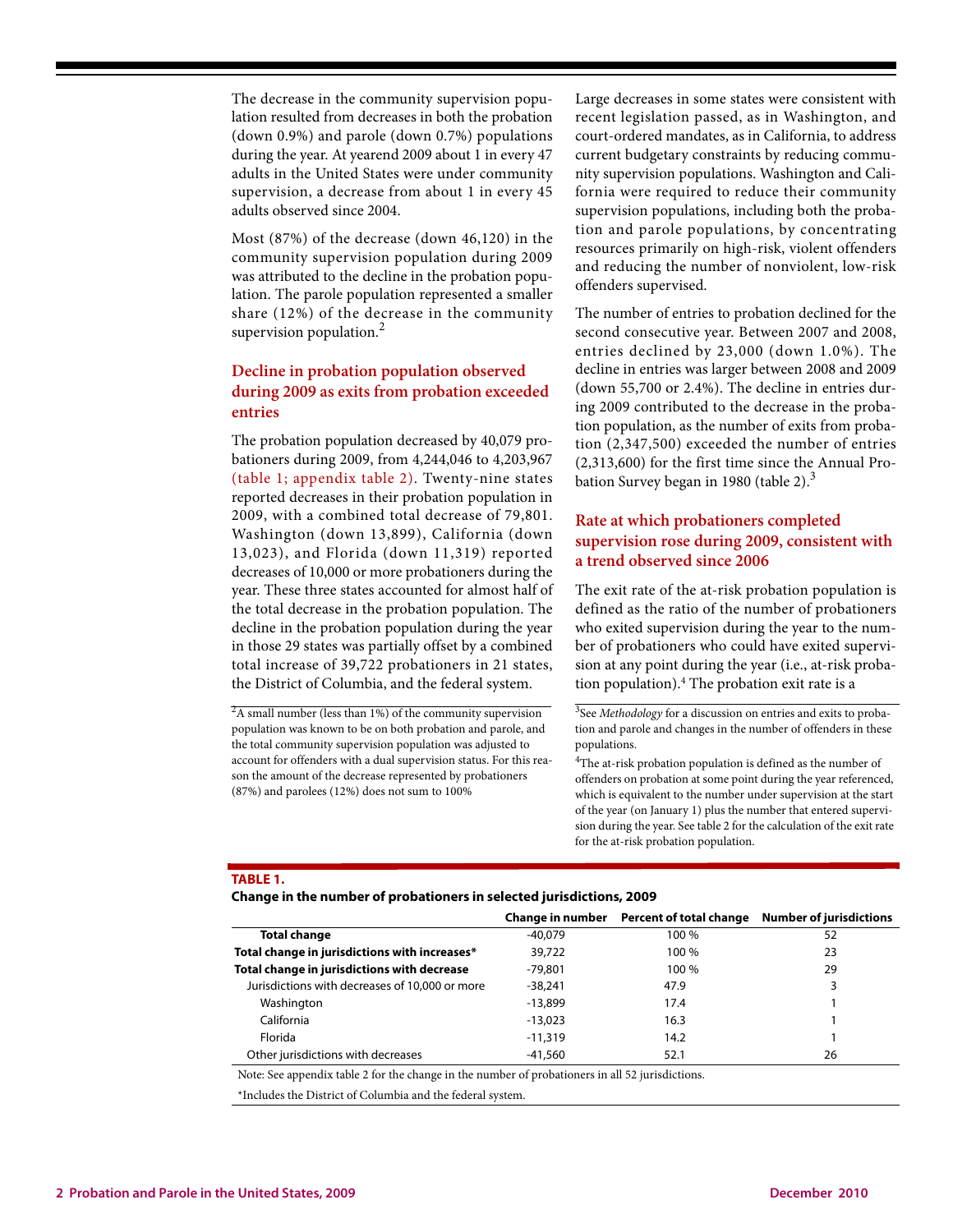The decrease in the community supervision population resulted from decreases in both the probation (down 0.9%) and parole (down 0.7%) populations during the year. At yearend 2009 about 1 in every 47 adults in the United States were under community supervision, a decrease from about 1 in every 45 adults observed since 2004.

Most (87%) of the decrease (down 46,120) in the community supervision population during 2009 was attributed to the decline in the probation population. The parole population represented a smaller share (12%) of the decrease in the community supervision population. $<sup>2</sup>$ </sup>

## **Decline in probation population observed during 2009 as exits from probation exceeded entries**

The probation population decreased by 40,079 probationers during 2009, from 4,244,046 to 4,203,967 (table 1; appendix table 2). Twenty-nine states reported decreases in their probation population in 2009, with a combined total decrease of 79,801. Washington (down 13,899), California (down 13,023), and Florida (down 11,319) reported decreases of 10,000 or more probationers during the year. These three states accounted for almost half of the total decrease in the probation population. The decline in the probation population during the year in those 29 states was partially offset by a combined total increase of 39,722 probationers in 21 states, the District of Columbia, and the federal system.

 $2A$  small number (less than 1%) of the community supervision population was known to be on both probation and parole, and the total community supervision population was adjusted to account for offenders with a dual supervision status. For this reason the amount of the decrease represented by probationers (87%) and parolees (12%) does not sum to 100%

Large decreases in some states were consistent with recent legislation passed, as in Washington, and court-ordered mandates, as in California, to address current budgetary constraints by reducing community supervision populations. Washington and California were required to reduce their community supervision populations, including both the probation and parole populations, by concentrating resources primarily on high-risk, violent offenders and reducing the number of nonviolent, low-risk offenders supervised.

The number of entries to probation declined for the second consecutive year. Between 2007 and 2008, entries declined by 23,000 (down 1.0%). The decline in entries was larger between 2008 and 2009 (down 55,700 or 2.4%). The decline in entries during 2009 contributed to the decrease in the probation population, as the number of exits from probation (2,347,500) exceeded the number of entries (2,313,600) for the first time since the Annual Probation Survey began in 1980 (table 2). $3$ 

## **Rate at which probationers completed supervision rose during 2009, consistent with a trend observed since 2006**

The exit rate of the at-risk probation population is defined as the ratio of the number of probationers who exited supervision during the year to the number of probationers who could have exited supervision at any point during the year (i.e., at-risk probation population).4 The probation exit rate is a

3 See *Methodology* for a discussion on entries and exits to probation and parole and changes in the number of offenders in these populations.

<sup>4</sup>The at-risk probation population is defined as the number of offenders on probation at some point during the year referenced, which is equivalent to the number under supervision at the start of the year (on January 1) plus the number that entered supervision during the year. See table 2 for the calculation of the exit rate for the at-risk probation population.

#### **TABLE 1.**

**Change in the number of probationers in selected jurisdictions, 2009**

|                                                | Change in number |       | Percent of total change Number of jurisdictions |
|------------------------------------------------|------------------|-------|-------------------------------------------------|
| Total change                                   | $-40.079$        | 100 % | 52                                              |
| Total change in jurisdictions with increases*  | 39,722           | 100 % | 23                                              |
| Total change in jurisdictions with decrease    | -79,801          | 100 % | 29                                              |
| Jurisdictions with decreases of 10,000 or more | $-38.241$        | 47.9  | 3                                               |
| Washington                                     | $-13.899$        | 17.4  |                                                 |
| California                                     | $-13.023$        | 16.3  |                                                 |
| Florida                                        | $-11,319$        | 14.2  |                                                 |
| Other jurisdictions with decreases             | -41,560          | 52.1  | 26                                              |

Note: See appendix table 2 for the change in the number of probationers in all 52 jurisdictions.

\*Includes the District of Columbia and the federal system.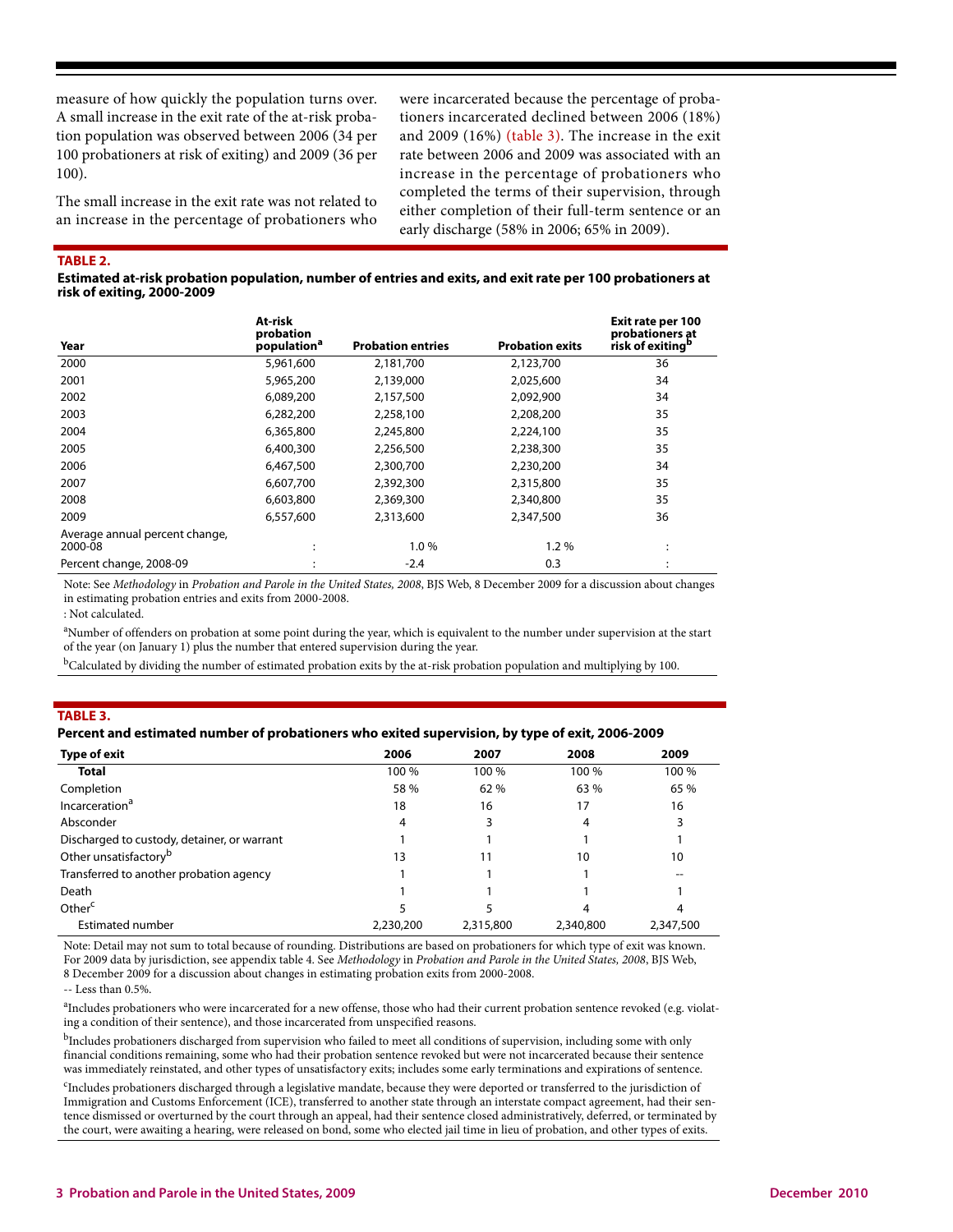measure of how quickly the population turns over. A small increase in the exit rate of the at-risk probation population was observed between 2006 (34 per 100 probationers at risk of exiting) and 2009 (36 per 100).

The small increase in the exit rate was not related to an increase in the percentage of probationers who were incarcerated because the percentage of probationers incarcerated declined between 2006 (18%) and 2009 (16%) (table 3). The increase in the exit rate between 2006 and 2009 was associated with an increase in the percentage of probationers who completed the terms of their supervision, through either completion of their full-term sentence or an early discharge (58% in 2006; 65% in 2009).

**TABLE 2.** 

**Estimated at-risk probation population, number of entries and exits, and exit rate per 100 probationers at risk of exiting, 2000-2009**

| Year                                      | At-risk<br>probation<br>population <sup>a</sup> | <b>Probation entries</b> | <b>Probation exits</b> | Exit rate per 100<br>probationers at<br>risk of exiting <sup>b</sup> |
|-------------------------------------------|-------------------------------------------------|--------------------------|------------------------|----------------------------------------------------------------------|
| 2000                                      | 5,961,600                                       | 2,181,700                | 2,123,700              | 36                                                                   |
| 2001                                      | 5,965,200                                       | 2,139,000                | 2,025,600              | 34                                                                   |
| 2002                                      | 6,089,200                                       | 2,157,500                | 2,092,900              | 34                                                                   |
| 2003                                      | 6,282,200                                       | 2,258,100                | 2,208,200              | 35                                                                   |
| 2004                                      | 6,365,800                                       | 2,245,800                | 2,224,100              | 35                                                                   |
| 2005                                      | 6,400,300                                       | 2,256,500                | 2,238,300              | 35                                                                   |
| 2006                                      | 6,467,500                                       | 2,300,700                | 2,230,200              | 34                                                                   |
| 2007                                      | 6,607,700                                       | 2,392,300                | 2,315,800              | 35                                                                   |
| 2008                                      | 6,603,800                                       | 2,369,300                | 2,340,800              | 35                                                                   |
| 2009                                      | 6,557,600                                       | 2,313,600                | 2,347,500              | 36                                                                   |
| Average annual percent change,<br>2000-08 |                                                 | 1.0%                     | 1.2%                   | ٠<br>$\cdot$                                                         |
| Percent change, 2008-09                   |                                                 | $-2.4$                   | 0.3                    |                                                                      |

Note: See *Methodology* in *Probation and Parole in the United States, 2008*, BJS Web, 8 December 2009 for a discussion about changes in estimating probation entries and exits from 2000-2008.

: Not calculated.

<sup>a</sup>Number of offenders on probation at some point during the year, which is equivalent to the number under supervision at the start of the year (on January 1) plus the number that entered supervision during the year.

 $b$ Calculated by dividing the number of estimated probation exits by the at-risk probation population and multiplying by 100.

#### **TABLE 3.**

#### **Percent and estimated number of probationers who exited supervision, by type of exit, 2006-2009**

| Type of exit                                | 2006      | 2007      | 2008      | 2009      |
|---------------------------------------------|-----------|-----------|-----------|-----------|
| <b>Total</b>                                | 100 %     | 100 %     | 100 %     | 100 %     |
| Completion                                  | 58 %      | 62%       | 63 %      | 65 %      |
| Incarceration <sup>a</sup>                  | 18        | 16        | 17        | 16        |
| Absconder                                   | 4         | 3         | 4         |           |
| Discharged to custody, detainer, or warrant |           |           |           |           |
| Other unsatisfactory <sup>b</sup>           | 13        | 11        | 10        | 10        |
| Transferred to another probation agency     |           |           |           |           |
| Death                                       |           |           |           |           |
| Other <sup>c</sup>                          |           | 5         | 4         | 4         |
| Estimated number                            | 2,230,200 | 2,315,800 | 2,340,800 | 2,347,500 |

Note: Detail may not sum to total because of rounding. Distributions are based on probationers for which type of exit was known. For 2009 data by jurisdiction, see appendix table 4. See *Methodology* in *Probation and Parole in the United States, 2008*, BJS Web, 8 December 2009 for a discussion about changes in estimating probation exits from 2000-2008.

-- Less than 0.5%.

<sup>a</sup>Includes probationers who were incarcerated for a new offense, those who had their current probation sentence revoked (e.g. violating a condition of their sentence), and those incarcerated from unspecified reasons.

 $^{\rm b}$ Includes probationers discharged from supervision who failed to meet all conditions of supervision, including some with only financial conditions remaining, some who had their probation sentence revoked but were not incarcerated because their sentence was immediately reinstated, and other types of unsatisfactory exits; includes some early terminations and expirations of sentence.

<sup>c</sup>Includes probationers discharged through a legislative mandate, because they were deported or transferred to the jurisdiction of Immigration and Customs Enforcement (ICE), transferred to another state through an interstate compact agreement, had their sentence dismissed or overturned by the court through an appeal, had their sentence closed administratively, deferred, or terminated by the court, were awaiting a hearing, were released on bond, some who elected jail time in lieu of probation, and other types of exits.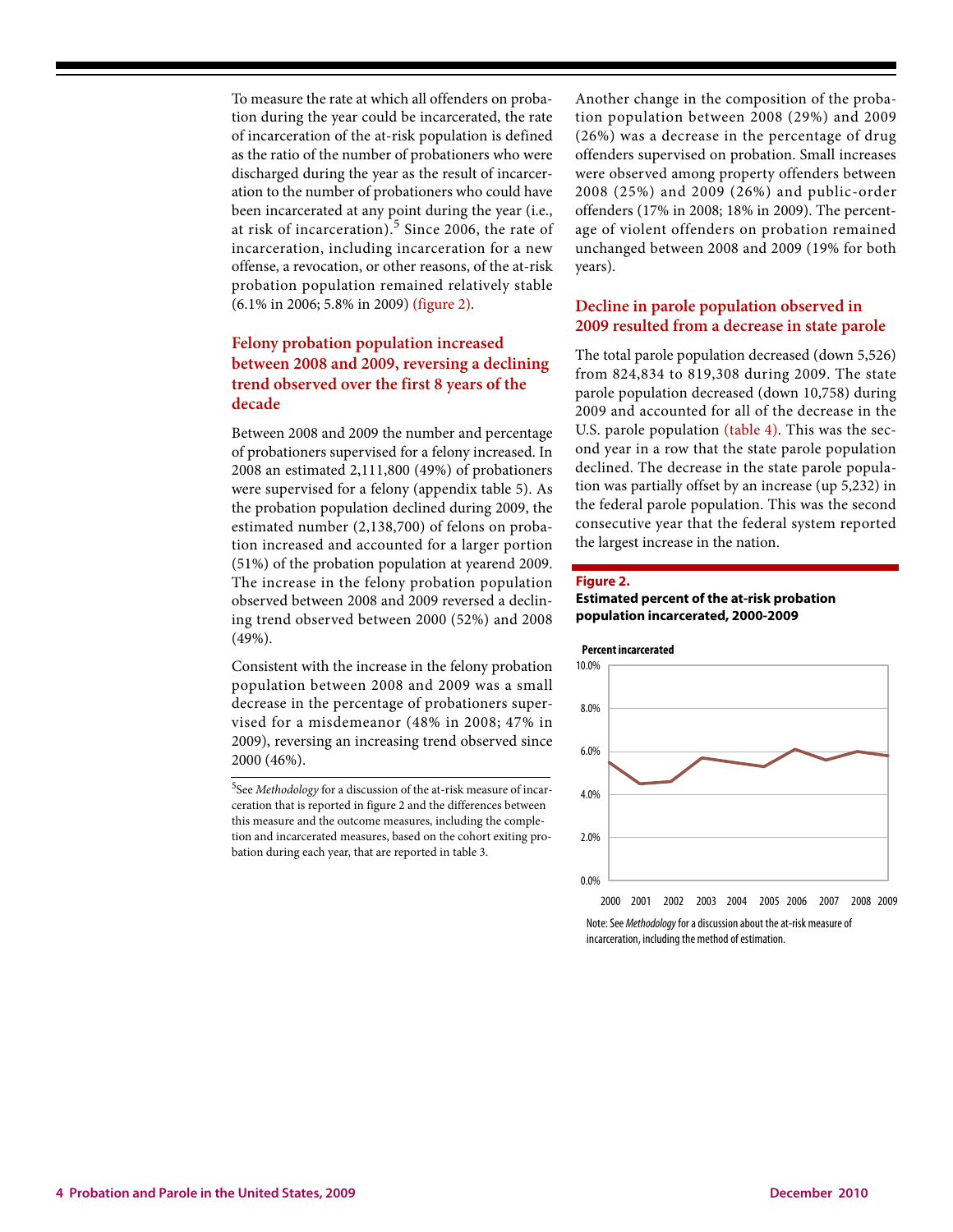To measure the rate at which all offenders on probation during the year could be incarcerated, the rate of incarceration of the at-risk population is defined as the ratio of the number of probationers who were discharged during the year as the result of incarceration to the number of probationers who could have been incarcerated at any point during the year (i.e., at risk of incarceration). $5$  Since 2006, the rate of incarceration, including incarceration for a new offense, a revocation, or other reasons, of the at-risk probation population remained relatively stable (6.1% in 2006; 5.8% in 2009) (figure 2).

## **Felony probation population increased between 2008 and 2009, reversing a declining trend observed over the first 8 years of the decade**

Between 2008 and 2009 the number and percentage of probationers supervised for a felony increased. In 2008 an estimated 2,111,800 (49%) of probationers were supervised for a felony (appendix table 5). As the probation population declined during 2009, the estimated number (2,138,700) of felons on probation increased and accounted for a larger portion (51%) of the probation population at yearend 2009. The increase in the felony probation population observed between 2008 and 2009 reversed a declining trend observed between 2000 (52%) and 2008 (49%).

Consistent with the increase in the felony probation population between 2008 and 2009 was a small decrease in the percentage of probationers supervised for a misdemeanor (48% in 2008; 47% in 2009), reversing an increasing trend observed since 2000 (46%).

Another change in the composition of the probation population between 2008 (29%) and 2009 (26%) was a decrease in the percentage of drug offenders supervised on probation. Small increases were observed among property offenders between 2008 (25%) and 2009 (26%) and public-order offenders (17% in 2008; 18% in 2009). The percentage of violent offenders on probation remained unchanged between 2008 and 2009 (19% for both years).

## **Decline in parole population observed in 2009 resulted from a decrease in state parole**

The total parole population decreased (down 5,526) from 824,834 to 819,308 during 2009. The state parole population decreased (down 10,758) during 2009 and accounted for all of the decrease in the U.S. parole population (table 4). This was the second year in a row that the state parole population declined. The decrease in the state parole population was partially offset by an increase (up 5,232) in the federal parole population. This was the second consecutive year that the federal system reported the largest increase in the nation.

#### **Figure 2.**

#### **Estimated percent of the at-risk probation population incarcerated, 2000-2009**



Note: See Methodology for a discussion about the at-risk measure of incarceration, including the method of estimation.

<sup>5</sup> See *Methodology* for a discussion of the at-risk measure of incarceration that is reported in figure 2 and the differences between this measure and the outcome measures, including the completion and incarcerated measures, based on the cohort exiting probation during each year, that are reported in table 3.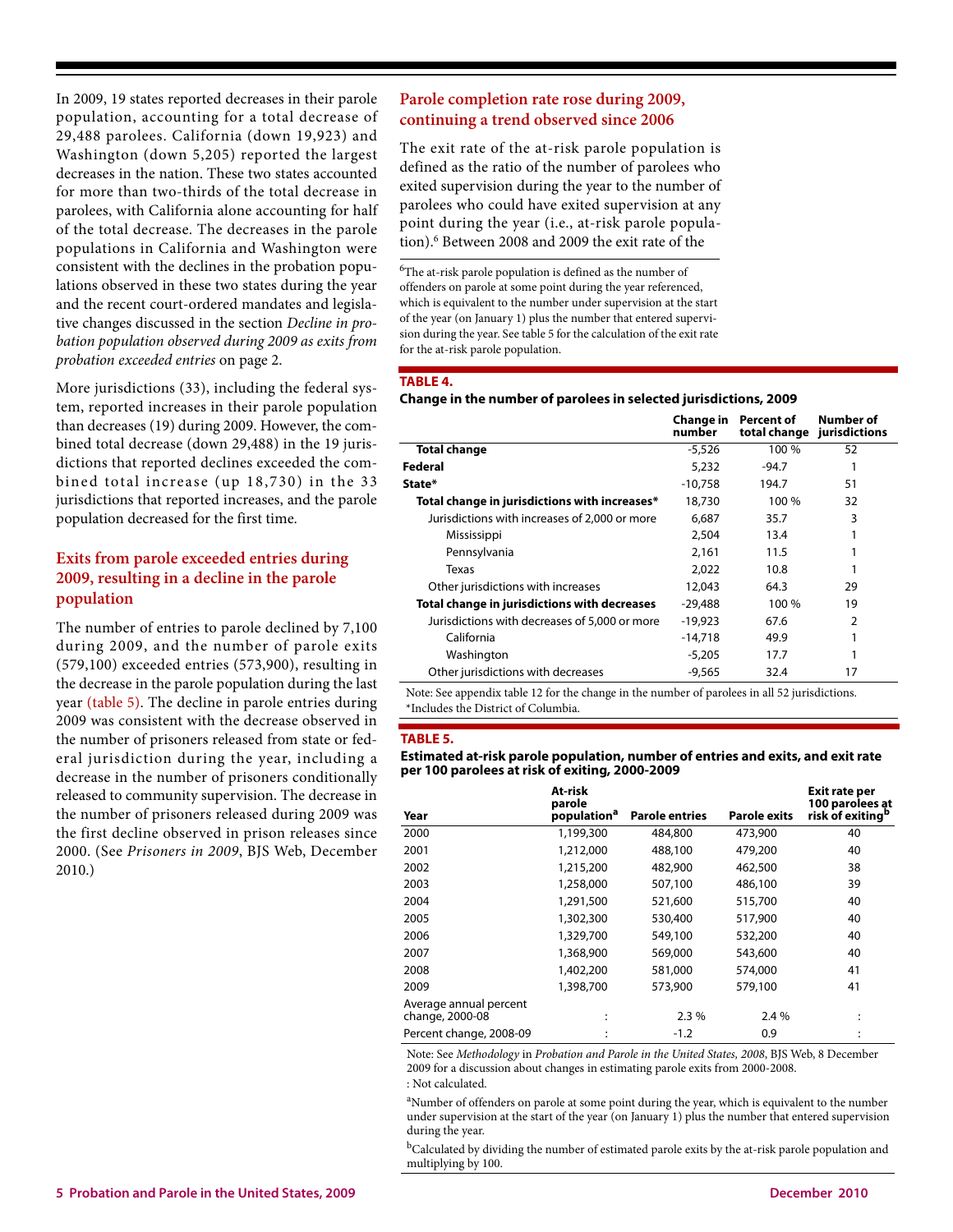In 2009, 19 states reported decreases in their parole population, accounting for a total decrease of 29,488 parolees. California (down 19,923) and Washington (down 5,205) reported the largest decreases in the nation. These two states accounted for more than two-thirds of the total decrease in parolees, with California alone accounting for half of the total decrease. The decreases in the parole populations in California and Washington were consistent with the declines in the probation populations observed in these two states during the year and the recent court-ordered mandates and legislative changes discussed in the section *Decline in probation population observed during 2009 as exits from probation exceeded entries* on page 2.

More jurisdictions (33), including the federal system, reported increases in their parole population than decreases (19) during 2009. However, the combined total decrease (down 29,488) in the 19 jurisdictions that reported declines exceeded the combined total increase (up 18,730) in the 33 jurisdictions that reported increases, and the parole population decreased for the first time.

## **Exits from parole exceeded entries during 2009, resulting in a decline in the parole population**

The number of entries to parole declined by 7,100 during 2009, and the number of parole exits (579,100) exceeded entries (573,900), resulting in the decrease in the parole population during the last year (table 5). The decline in parole entries during 2009 was consistent with the decrease observed in the number of prisoners released from state or federal jurisdiction during the year, including a decrease in the number of prisoners conditionally released to community supervision. The decrease in the number of prisoners released during 2009 was the first decline observed in prison releases since 2000. (See *Prisoners in 2009*, BJS Web, December 2010.)

## **Parole completion rate rose during 2009, continuing a trend observed since 2006**

The exit rate of the at-risk parole population is defined as the ratio of the number of parolees who exited supervision during the year to the number of parolees who could have exited supervision at any point during the year (i.e., at-risk parole population).6 Between 2008 and 2009 the exit rate of the

6 The at-risk parole population is defined as the number of offenders on parole at some point during the year referenced, which is equivalent to the number under supervision at the start of the year (on January 1) plus the number that entered supervision during the year. See table 5 for the calculation of the exit rate for the at-risk parole population.

#### **TABLE 4.**

#### **Change in the number of parolees in selected jurisdictions, 2009**

|                                               | Change in<br>number | Percent of<br>total change | Number of<br>jurisdictions |
|-----------------------------------------------|---------------------|----------------------------|----------------------------|
| <b>Total change</b>                           | $-5,526$            | 100 %                      | 52                         |
| Federal                                       | 5,232               | $-94.7$                    |                            |
| State*                                        | $-10.758$           | 194.7                      | 51                         |
| Total change in jurisdictions with increases* | 18,730              | 100 %                      | 32                         |
| Jurisdictions with increases of 2,000 or more | 6,687               | 35.7                       | 3                          |
| Mississippi                                   | 2,504               | 13.4                       |                            |
| Pennsylvania                                  | 2.161               | 11.5                       |                            |
| Texas                                         | 2,022               | 10.8                       |                            |
| Other jurisdictions with increases            | 12,043              | 64.3                       | 29                         |
| Total change in jurisdictions with decreases  | -29,488             | 100 %                      | 19                         |
| Jurisdictions with decreases of 5,000 or more | $-19.923$           | 67.6                       | 2                          |
| California                                    | $-14.718$           | 49.9                       | 1                          |
| Washington                                    | $-5,205$            | 17.7                       | 1                          |
| Other jurisdictions with decreases            | $-9,565$            | 32.4                       | 17                         |

Note: See appendix table 12 for the change in the number of parolees in all 52 jurisdictions. \*Includes the District of Columbia.

#### **TABLE 5.**

#### **Estimated at-risk parole population, number of entries and exits, and exit rate per 100 parolees at risk of exiting, 2000-2009**

|                                           | At-risk<br>parole       |                       |                     | <b>Exit rate per</b><br>100 parolees at |
|-------------------------------------------|-------------------------|-----------------------|---------------------|-----------------------------------------|
| Year                                      | population <sup>a</sup> | <b>Parole entries</b> | <b>Parole exits</b> | risk of exiting <sup>b</sup>            |
| 2000                                      | 1,199,300               | 484,800               | 473,900             | 40                                      |
| 2001                                      | 1,212,000               | 488,100               | 479,200             | 40                                      |
| 2002                                      | 1,215,200               | 482,900               | 462,500             | 38                                      |
| 2003                                      | 1,258,000               | 507,100               | 486,100             | 39                                      |
| 2004                                      | 1,291,500               | 521,600               | 515,700             | 40                                      |
| 2005                                      | 1,302,300               | 530,400               | 517,900             | 40                                      |
| 2006                                      | 1,329,700               | 549,100               | 532,200             | 40                                      |
| 2007                                      | 1,368,900               | 569,000               | 543,600             | 40                                      |
| 2008                                      | 1,402,200               | 581,000               | 574,000             | 41                                      |
| 2009                                      | 1,398,700               | 573,900               | 579,100             | 41                                      |
| Average annual percent<br>change, 2000-08 | ٠<br>$\cdot$            | 2.3%                  | 2.4 %               | ٠<br>٠                                  |
| Percent change, 2008-09                   | ٠                       | $-1.2$                | 0.9                 | ٠                                       |

Note: See *Methodology* in *Probation and Parole in the United States, 2008*, BJS Web, 8 December 2009 for a discussion about changes in estimating parole exits from 2000-2008. : Not calculated.

<sup>a</sup>Number of offenders on parole at some point during the year, which is equivalent to the number under supervision at the start of the year (on January 1) plus the number that entered supervision during the year.

<sup>b</sup>Calculated by dividing the number of estimated parole exits by the at-risk parole population and multiplying by 100.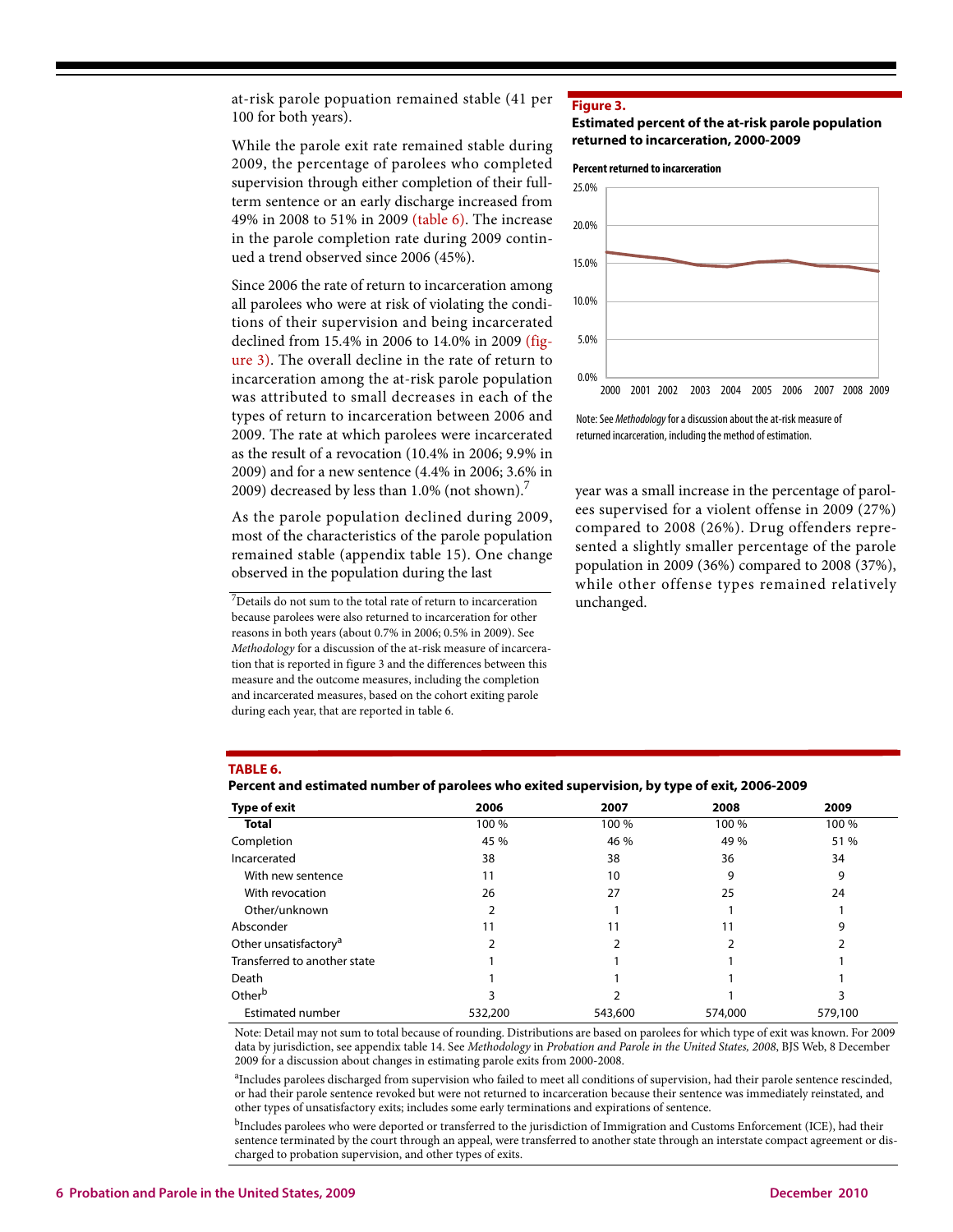at-risk parole popuation remained stable (41 per 100 for both years).

While the parole exit rate remained stable during 2009, the percentage of parolees who completed supervision through either completion of their fullterm sentence or an early discharge increased from 49% in 2008 to 51% in 2009 (table 6). The increase in the parole completion rate during 2009 continued a trend observed since 2006 (45%).

Since 2006 the rate of return to incarceration among all parolees who were at risk of violating the conditions of their supervision and being incarcerated declined from 15.4% in 2006 to 14.0% in 2009 (figure 3). The overall decline in the rate of return to incarceration among the at-risk parole population was attributed to small decreases in each of the types of return to incarceration between 2006 and 2009. The rate at which parolees were incarcerated as the result of a revocation (10.4% in 2006; 9.9% in 2009) and for a new sentence (4.4% in 2006; 3.6% in 2009) decreased by less than  $1.0\%$  (not shown).<sup>7</sup>

As the parole population declined during 2009, most of the characteristics of the parole population remained stable (appendix table 15). One change observed in the population during the last

 $7$ Details do not sum to the total rate of return to incarceration because parolees were also returned to incarceration for other reasons in both years (about 0.7% in 2006; 0.5% in 2009). See *Methodology* for a discussion of the at-risk measure of incarceration that is reported in figure 3 and the differences between this measure and the outcome measures, including the completion and incarcerated measures, based on the cohort exiting parole during each year, that are reported in table 6.

#### **Figure 3.**

#### **Estimated percent of the at-risk parole population returned to incarceration, 2000-2009**

#### **Percent returned to incarceration**



Note: See Methodology for a discussion about the at-risk measure of returned incarceration, including the method of estimation.

year was a small increase in the percentage of parolees supervised for a violent offense in 2009 (27%) compared to 2008 (26%). Drug offenders represented a slightly smaller percentage of the parole population in 2009 (36%) compared to 2008 (37%), while other offense types remained relatively unchanged.

#### **TABLE 6.**

|                                   | Percent and estimated number of parolees who exited supervision, by type of exit, 2000-2009 |       |       |       |  |  |  |  |  |  |  |
|-----------------------------------|---------------------------------------------------------------------------------------------|-------|-------|-------|--|--|--|--|--|--|--|
| Type of exit                      | 2006                                                                                        | 2007  | 2008  | 2009  |  |  |  |  |  |  |  |
| Total                             | 100 %                                                                                       | 100 % | 100 % | 100 % |  |  |  |  |  |  |  |
| Completion                        | 45 %                                                                                        | 46 %  | 49 %  | 51 %  |  |  |  |  |  |  |  |
| Incarcerated                      | 38                                                                                          | 38    | 36    | 34    |  |  |  |  |  |  |  |
| With new sentence                 |                                                                                             | 10    | 9     | 9     |  |  |  |  |  |  |  |
| With revocation                   | 26                                                                                          | 27    | 25    | 24    |  |  |  |  |  |  |  |
| Other/unknown                     |                                                                                             |       |       |       |  |  |  |  |  |  |  |
| Absconder                         | 11                                                                                          | 11    |       | 9     |  |  |  |  |  |  |  |
| Other unsatisfactory <sup>a</sup> |                                                                                             |       |       |       |  |  |  |  |  |  |  |
| Transferred to another state      |                                                                                             |       |       |       |  |  |  |  |  |  |  |
| Death                             |                                                                                             |       |       |       |  |  |  |  |  |  |  |
| Other <sup>b</sup>                |                                                                                             |       |       |       |  |  |  |  |  |  |  |
|                                   |                                                                                             |       |       |       |  |  |  |  |  |  |  |

**Percent and estimated number of parolees who exited supervision, by type of exit, 2006-2009**

Note: Detail may not sum to total because of rounding. Distributions are based on parolees for which type of exit was known. For 2009 data by jurisdiction, see appendix table 14. See *Methodology* in *Probation and Parole in the United States, 2008*, BJS Web, 8 December 2009 for a discussion about changes in estimating parole exits from 2000-2008.

Estimated number **532,200** 543,600 579,100 579,100

<sup>a</sup>Includes parolees discharged from supervision who failed to meet all conditions of supervision, had their parole sentence rescinded, or had their parole sentence revoked but were not returned to incarceration because their sentence was immediately reinstated, and other types of unsatisfactory exits; includes some early terminations and expirations of sentence.

<sup>b</sup>Includes parolees who were deported or transferred to the jurisdiction of Immigration and Customs Enforcement (ICE), had their sentence terminated by the court through an appeal, were transferred to another state through an interstate compact agreement or discharged to probation supervision, and other types of exits.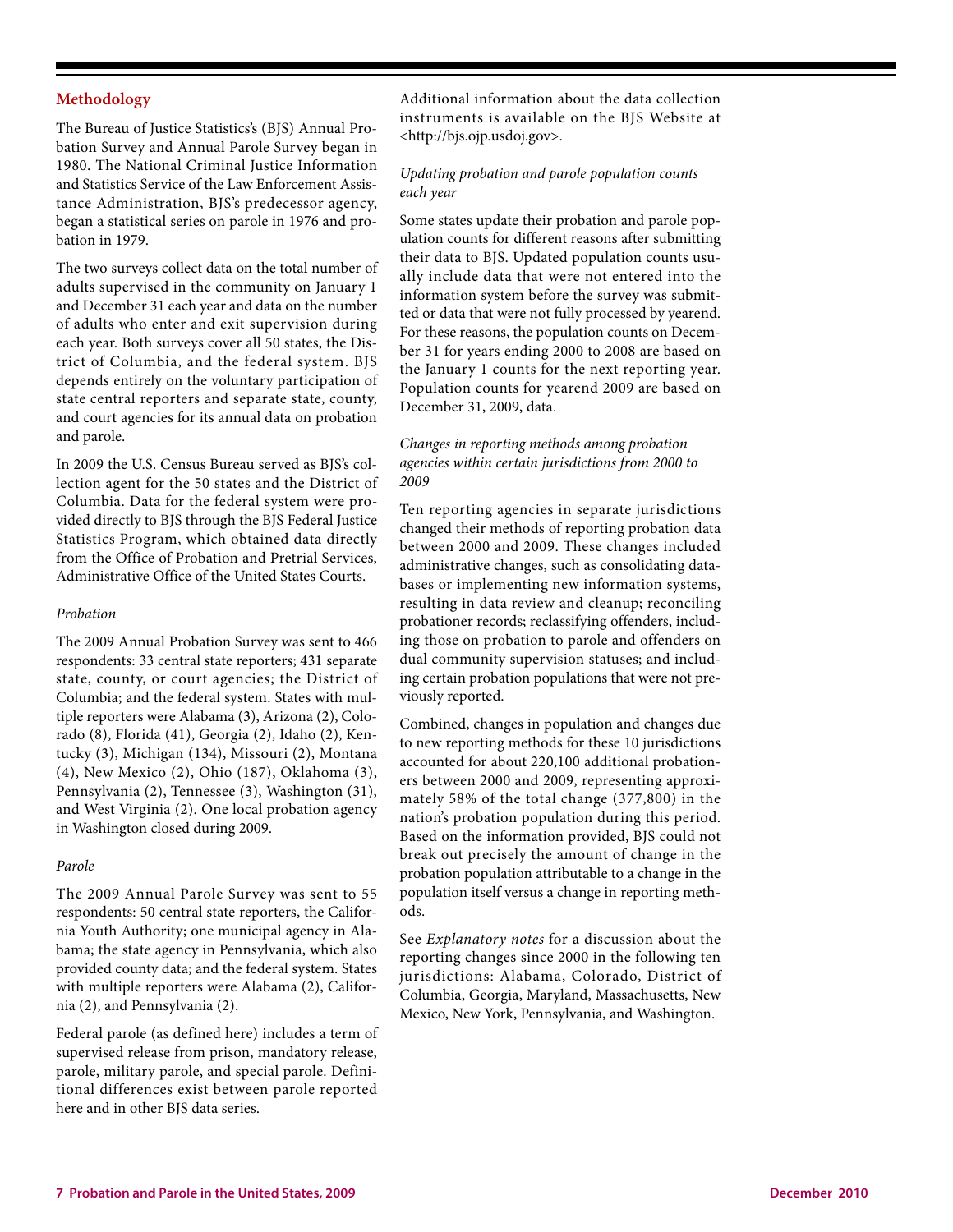## **Methodology**

The Bureau of Justice Statistics's (BJS) Annual Probation Survey and Annual Parole Survey began in 1980. The National Criminal Justice Information and Statistics Service of the Law Enforcement Assistance Administration, BJS's predecessor agency, began a statistical series on parole in 1976 and probation in 1979.

The two surveys collect data on the total number of adults supervised in the community on January 1 and December 31 each year and data on the number of adults who enter and exit supervision during each year. Both surveys cover all 50 states, the District of Columbia, and the federal system. BJS depends entirely on the voluntary participation of state central reporters and separate state, county, and court agencies for its annual data on probation and parole.

In 2009 the U.S. Census Bureau served as BJS's collection agent for the 50 states and the District of Columbia. Data for the federal system were provided directly to BJS through the BJS Federal Justice Statistics Program, which obtained data directly from the Office of Probation and Pretrial Services, Administrative Office of the United States Courts.

### *Probation*

The 2009 Annual Probation Survey was sent to 466 respondents: 33 central state reporters; 431 separate state, county, or court agencies; the District of Columbia; and the federal system. States with multiple reporters were Alabama (3), Arizona (2), Colorado (8), Florida (41), Georgia (2), Idaho (2), Kentucky (3), Michigan (134), Missouri (2), Montana (4), New Mexico (2), Ohio (187), Oklahoma (3), Pennsylvania (2), Tennessee (3), Washington (31), and West Virginia (2). One local probation agency in Washington closed during 2009.

#### *Parole*

The 2009 Annual Parole Survey was sent to 55 respondents: 50 central state reporters, the California Youth Authority; one municipal agency in Alabama; the state agency in Pennsylvania, which also provided county data; and the federal system. States with multiple reporters were Alabama (2), California (2), and Pennsylvania (2).

Federal parole (as defined here) includes a term of supervised release from prison, mandatory release, parole, military parole, and special parole. Definitional differences exist between parole reported here and in other BJS data series.

Additional information about the data collection instruments is available on the BJS Website at <http://bjs.ojp.usdoj.gov>.

## *Updating probation and parole population counts each year*

Some states update their probation and parole population counts for different reasons after submitting their data to BJS. Updated population counts usually include data that were not entered into the information system before the survey was submitted or data that were not fully processed by yearend. For these reasons, the population counts on December 31 for years ending 2000 to 2008 are based on the January 1 counts for the next reporting year. Population counts for yearend 2009 are based on December 31, 2009, data.

## *Changes in reporting methods among probation agencies within certain jurisdictions from 2000 to 2009*

Ten reporting agencies in separate jurisdictions changed their methods of reporting probation data between 2000 and 2009. These changes included administrative changes, such as consolidating databases or implementing new information systems, resulting in data review and cleanup; reconciling probationer records; reclassifying offenders, including those on probation to parole and offenders on dual community supervision statuses; and including certain probation populations that were not previously reported.

Combined, changes in population and changes due to new reporting methods for these 10 jurisdictions accounted for about 220,100 additional probationers between 2000 and 2009, representing approximately 58% of the total change (377,800) in the nation's probation population during this period. Based on the information provided, BJS could not break out precisely the amount of change in the probation population attributable to a change in the population itself versus a change in reporting methods.

See *Explanatory notes* for a discussion about the reporting changes since 2000 in the following ten jurisdictions: Alabama, Colorado, District of Columbia, Georgia, Maryland, Massachusetts, New Mexico, New York, Pennsylvania, and Washington.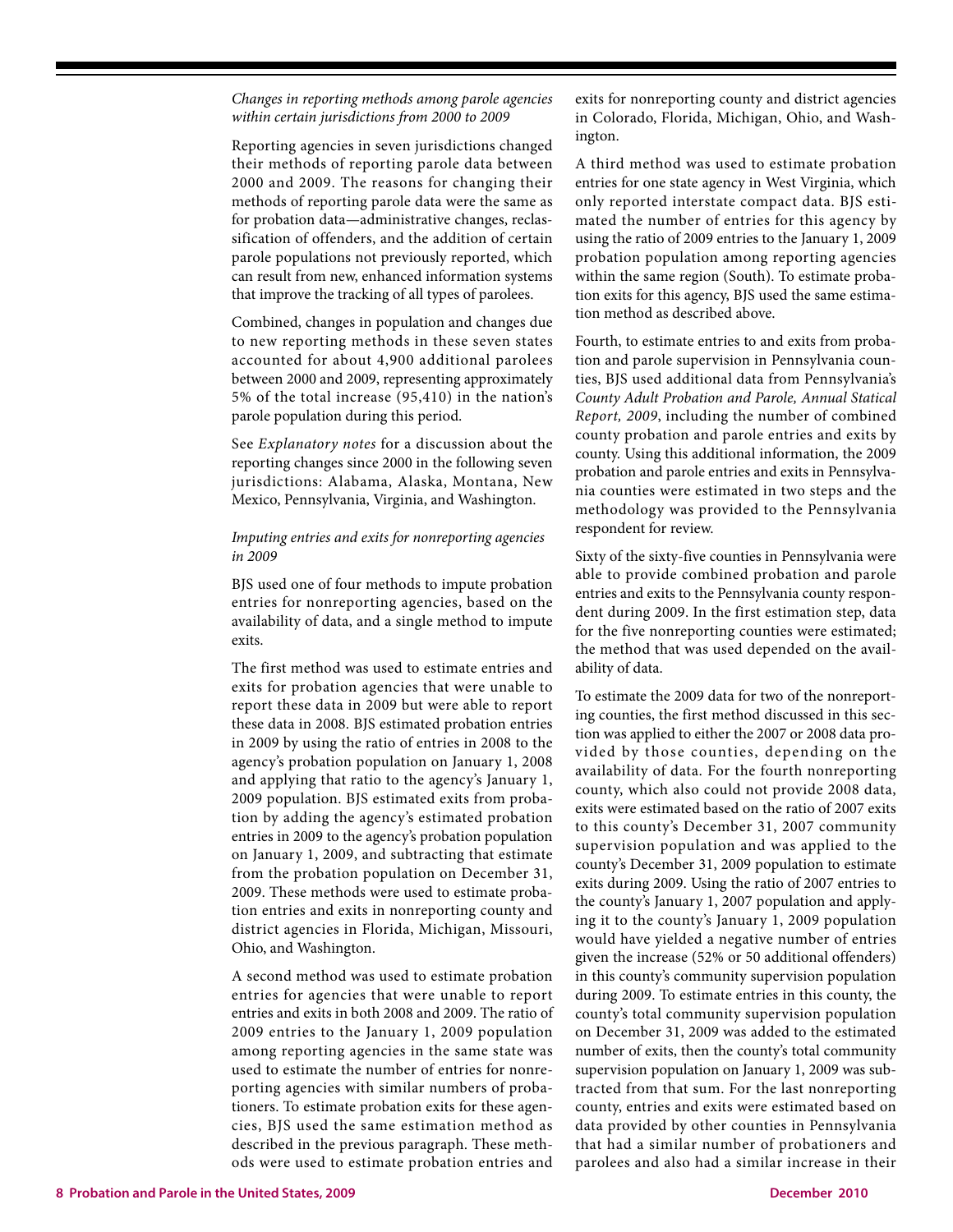## *Changes in reporting methods among parole agencies within certain jurisdictions from 2000 to 2009*

Reporting agencies in seven jurisdictions changed their methods of reporting parole data between 2000 and 2009. The reasons for changing their methods of reporting parole data were the same as for probation data—administrative changes, reclassification of offenders, and the addition of certain parole populations not previously reported, which can result from new, enhanced information systems that improve the tracking of all types of parolees.

Combined, changes in population and changes due to new reporting methods in these seven states accounted for about 4,900 additional parolees between 2000 and 2009, representing approximately 5% of the total increase (95,410) in the nation's parole population during this period.

See *Explanatory notes* for a discussion about the reporting changes since 2000 in the following seven jurisdictions: Alabama, Alaska, Montana, New Mexico, Pennsylvania, Virginia, and Washington.

## *Imputing entries and exits for nonreporting agencies in 2009*

BJS used one of four methods to impute probation entries for nonreporting agencies, based on the availability of data, and a single method to impute exits.

The first method was used to estimate entries and exits for probation agencies that were unable to report these data in 2009 but were able to report these data in 2008. BJS estimated probation entries in 2009 by using the ratio of entries in 2008 to the agency's probation population on January 1, 2008 and applying that ratio to the agency's January 1, 2009 population. BJS estimated exits from probation by adding the agency's estimated probation entries in 2009 to the agency's probation population on January 1, 2009, and subtracting that estimate from the probation population on December 31, 2009. These methods were used to estimate probation entries and exits in nonreporting county and district agencies in Florida, Michigan, Missouri, Ohio, and Washington.

A second method was used to estimate probation entries for agencies that were unable to report entries and exits in both 2008 and 2009. The ratio of 2009 entries to the January 1, 2009 population among reporting agencies in the same state was used to estimate the number of entries for nonreporting agencies with similar numbers of probationers. To estimate probation exits for these agencies, BJS used the same estimation method as described in the previous paragraph. These methods were used to estimate probation entries and

exits for nonreporting county and district agencies in Colorado, Florida, Michigan, Ohio, and Washington.

A third method was used to estimate probation entries for one state agency in West Virginia, which only reported interstate compact data. BJS estimated the number of entries for this agency by using the ratio of 2009 entries to the January 1, 2009 probation population among reporting agencies within the same region (South). To estimate probation exits for this agency, BJS used the same estimation method as described above.

Fourth, to estimate entries to and exits from probation and parole supervision in Pennsylvania counties, BJS used additional data from Pennsylvania's *County Adult Probation and Parole, Annual Statical Report, 2009*, including the number of combined county probation and parole entries and exits by county. Using this additional information, the 2009 probation and parole entries and exits in Pennsylvania counties were estimated in two steps and the methodology was provided to the Pennsylvania respondent for review.

Sixty of the sixty-five counties in Pennsylvania were able to provide combined probation and parole entries and exits to the Pennsylvania county respondent during 2009. In the first estimation step, data for the five nonreporting counties were estimated; the method that was used depended on the availability of data.

To estimate the 2009 data for two of the nonreporting counties, the first method discussed in this section was applied to either the 2007 or 2008 data provided by those counties, depending on the availability of data. For the fourth nonreporting county, which also could not provide 2008 data, exits were estimated based on the ratio of 2007 exits to this county's December 31, 2007 community supervision population and was applied to the county's December 31, 2009 population to estimate exits during 2009. Using the ratio of 2007 entries to the county's January 1, 2007 population and applying it to the county's January 1, 2009 population would have yielded a negative number of entries given the increase (52% or 50 additional offenders) in this county's community supervision population during 2009. To estimate entries in this county, the county's total community supervision population on December 31, 2009 was added to the estimated number of exits, then the county's total community supervision population on January 1, 2009 was subtracted from that sum. For the last nonreporting county, entries and exits were estimated based on data provided by other counties in Pennsylvania that had a similar number of probationers and parolees and also had a similar increase in their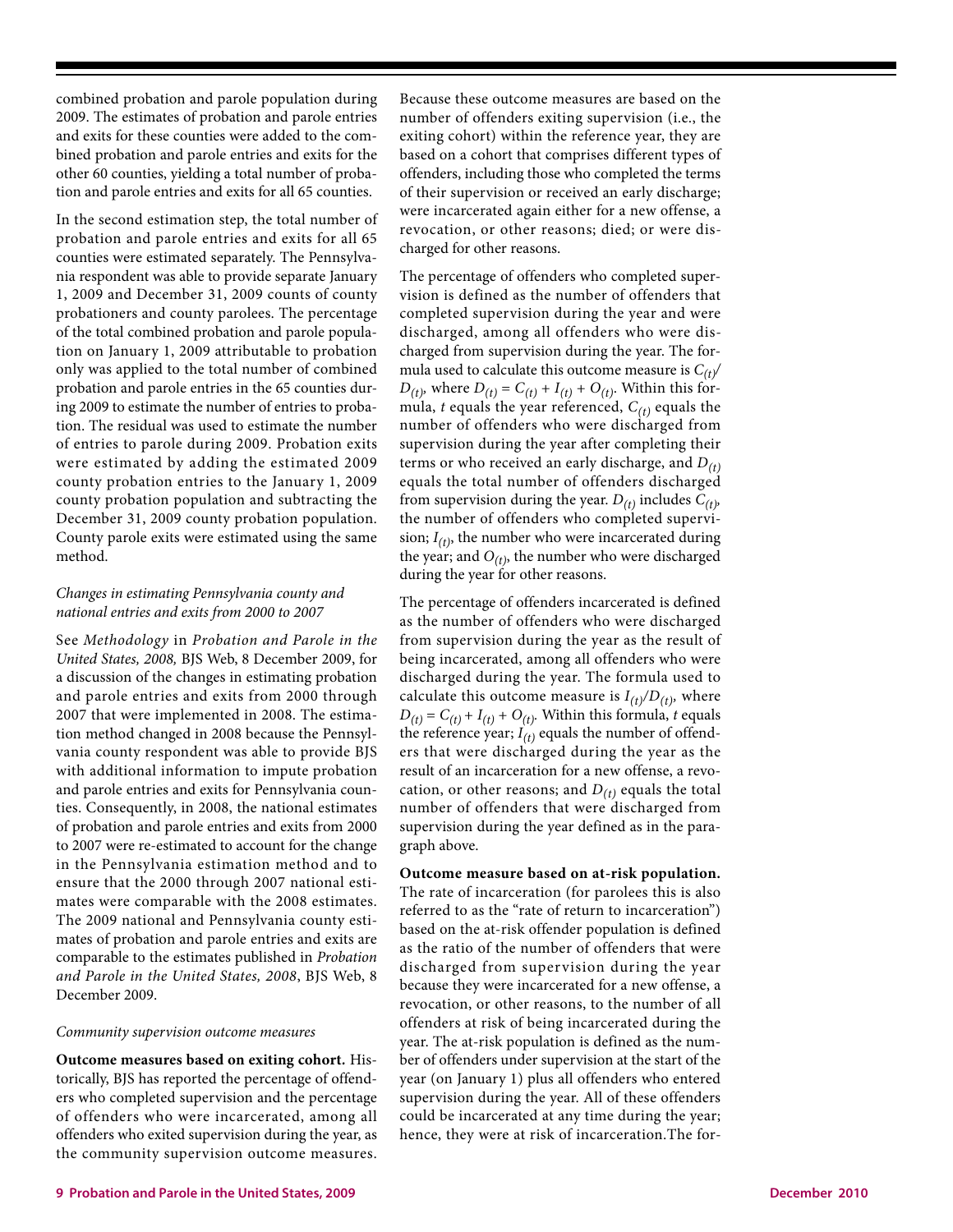combined probation and parole population during 2009. The estimates of probation and parole entries and exits for these counties were added to the combined probation and parole entries and exits for the other 60 counties, yielding a total number of probation and parole entries and exits for all 65 counties.

In the second estimation step, the total number of probation and parole entries and exits for all 65 counties were estimated separately. The Pennsylvania respondent was able to provide separate January 1, 2009 and December 31, 2009 counts of county probationers and county parolees. The percentage of the total combined probation and parole population on January 1, 2009 attributable to probation only was applied to the total number of combined probation and parole entries in the 65 counties during 2009 to estimate the number of entries to probation. The residual was used to estimate the number of entries to parole during 2009. Probation exits were estimated by adding the estimated 2009 county probation entries to the January 1, 2009 county probation population and subtracting the December 31, 2009 county probation population. County parole exits were estimated using the same method.

## *Changes in estimating Pennsylvania county and national entries and exits from 2000 to 2007*

See *Methodology* in *Probation and Parole in the United States, 2008,* BJS Web, 8 December 2009, for a discussion of the changes in estimating probation and parole entries and exits from 2000 through 2007 that were implemented in 2008. The estimation method changed in 2008 because the Pennsylvania county respondent was able to provide BJS with additional information to impute probation and parole entries and exits for Pennsylvania counties. Consequently, in 2008, the national estimates of probation and parole entries and exits from 2000 to 2007 were re-estimated to account for the change in the Pennsylvania estimation method and to ensure that the 2000 through 2007 national estimates were comparable with the 2008 estimates. The 2009 national and Pennsylvania county estimates of probation and parole entries and exits are comparable to the estimates published in *Probation and Parole in the United States, 2008*, BJS Web, 8 December 2009.

#### *Community supervision outcome measures*

**Outcome measures based on exiting cohort***.* Historically, BJS has reported the percentage of offenders who completed supervision and the percentage of offenders who were incarcerated, among all offenders who exited supervision during the year, as the community supervision outcome measures.

Because these outcome measures are based on the number of offenders exiting supervision (i.e., the exiting cohort) within the reference year, they are based on a cohort that comprises different types of offenders, including those who completed the terms of their supervision or received an early discharge; were incarcerated again either for a new offense, a revocation, or other reasons; died; or were discharged for other reasons.

The percentage of offenders who completed supervision is defined as the number of offenders that completed supervision during the year and were discharged, among all offenders who were discharged from supervision during the year. The formula used to calculate this outcome measure is  $C_{(t)}$ / *D*<sub>(t)</sub>, where *D*<sub>(t)</sub> = *C*<sub>(t)</sub> + *I*<sub>(t)</sub> + *O*<sub>(t)</sub>. Within this formula, *t* equals the year referenced, *C(t)* equals the number of offenders who were discharged from supervision during the year after completing their terms or who received an early discharge, and *D(t)* equals the total number of offenders discharged from supervision during the year.  $D_{(t)}$  includes  $C_{(t)}$ , the number of offenders who completed supervision;  $I_{(t)}$ , the number who were incarcerated during the year; and  $O_{(t)}$ , the number who were discharged during the year for other reasons.

The percentage of offenders incarcerated is defined as the number of offenders who were discharged from supervision during the year as the result of being incarcerated, among all offenders who were discharged during the year. The formula used to calculate this outcome measure is  $I_{(t)}/D_{(t)}$ , where  $D_{(t)} = C_{(t)} + I_{(t)} + O_{(t)}$ . Within this formula, *t* equals the reference year;  $I_{(t)}$  equals the number of offenders that were discharged during the year as the result of an incarceration for a new offense, a revocation, or other reasons; and  $D_{(t)}$  equals the total number of offenders that were discharged from supervision during the year defined as in the paragraph above.

**Outcome measure based on at-risk population.** The rate of incarceration (for parolees this is also referred to as the "rate of return to incarceration") based on the at-risk offender population is defined as the ratio of the number of offenders that were discharged from supervision during the year because they were incarcerated for a new offense, a revocation, or other reasons, to the number of all offenders at risk of being incarcerated during the year. The at-risk population is defined as the number of offenders under supervision at the start of the year (on January 1) plus all offenders who entered supervision during the year. All of these offenders could be incarcerated at any time during the year; hence, they were at risk of incarceration.The for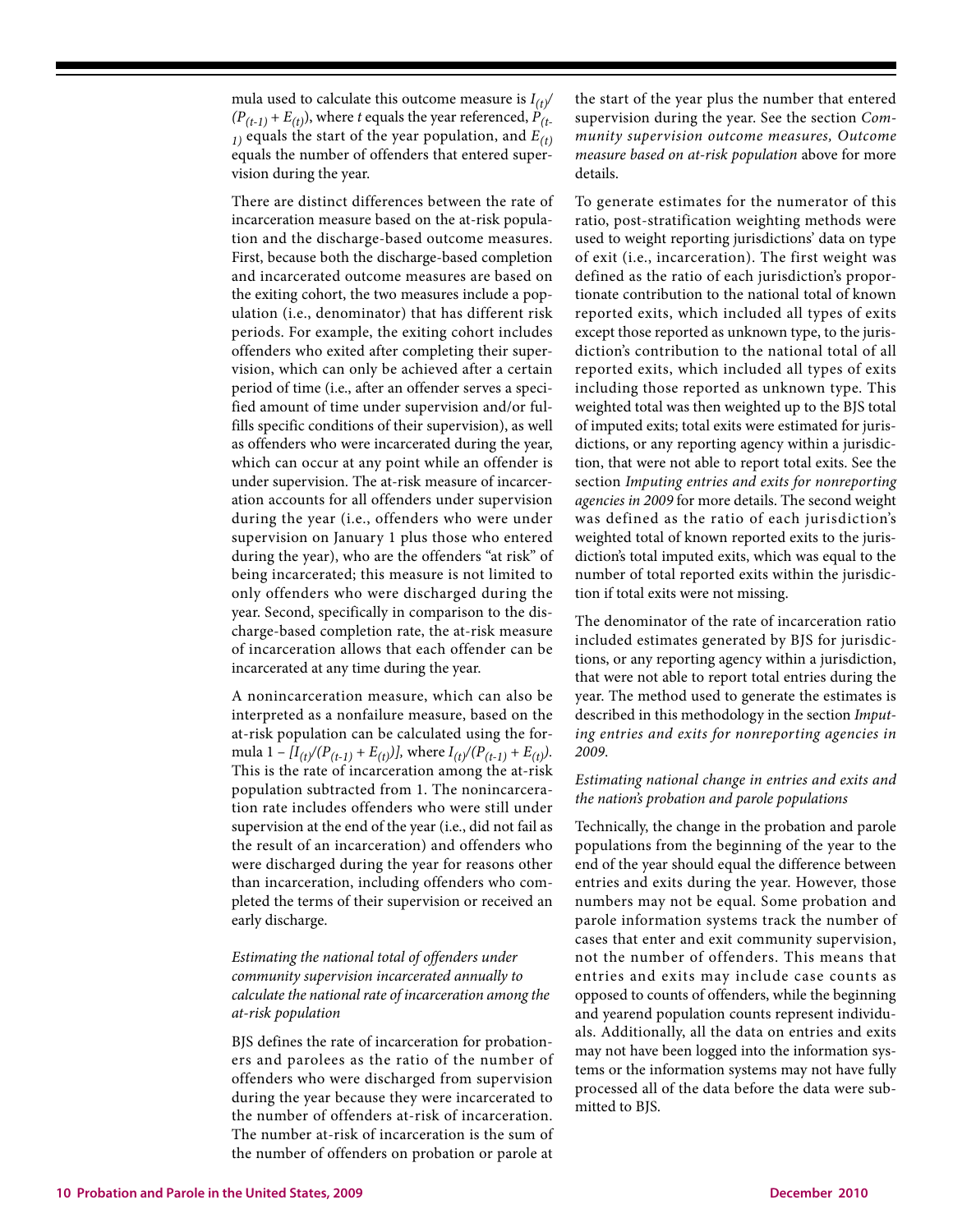mula used to calculate this outcome measure is  $I_{(t)}$ /  $(P_{(t-1)} + E_{(t)})$ , where *t* equals the year referenced,  $P_{(t-1)}$  $I_1$ ) equals the start of the year population, and  $E(t)$ equals the number of offenders that entered supervision during the year.

There are distinct differences between the rate of incarceration measure based on the at-risk population and the discharge-based outcome measures. First, because both the discharge-based completion and incarcerated outcome measures are based on the exiting cohort, the two measures include a population (i.e., denominator) that has different risk periods. For example, the exiting cohort includes offenders who exited after completing their supervision, which can only be achieved after a certain period of time (i.e., after an offender serves a specified amount of time under supervision and/or fulfills specific conditions of their supervision), as well as offenders who were incarcerated during the year, which can occur at any point while an offender is under supervision. The at-risk measure of incarceration accounts for all offenders under supervision during the year (i.e., offenders who were under supervision on January 1 plus those who entered during the year), who are the offenders "at risk" of being incarcerated; this measure is not limited to only offenders who were discharged during the year. Second, specifically in comparison to the discharge-based completion rate, the at-risk measure of incarceration allows that each offender can be incarcerated at any time during the year.

A nonincarceration measure, which can also be interpreted as a nonfailure measure, based on the at-risk population can be calculated using the formula  $1 - [I_{(t)}/(P_{(t-1)} + E_{(t)})]$ , where  $I_{(t)}/(P_{(t-1)} + E_{(t)})$ . This is the rate of incarceration among the at-risk population subtracted from 1. The nonincarceration rate includes offenders who were still under supervision at the end of the year (i.e., did not fail as the result of an incarceration) and offenders who were discharged during the year for reasons other than incarceration, including offenders who completed the terms of their supervision or received an early discharge.

## *Estimating the national total of offenders under community supervision incarcerated annually to calculate the national rate of incarceration among the at-risk population*

BJS defines the rate of incarceration for probationers and parolees as the ratio of the number of offenders who were discharged from supervision during the year because they were incarcerated to the number of offenders at-risk of incarceration. The number at-risk of incarceration is the sum of the number of offenders on probation or parole at

the start of the year plus the number that entered supervision during the year. See the section *Community supervision outcome measures, Outcome measure based on at-risk population* above for more details.

To generate estimates for the numerator of this ratio, post-stratification weighting methods were used to weight reporting jurisdictions' data on type of exit (i.e., incarceration). The first weight was defined as the ratio of each jurisdiction's proportionate contribution to the national total of known reported exits, which included all types of exits except those reported as unknown type, to the jurisdiction's contribution to the national total of all reported exits, which included all types of exits including those reported as unknown type. This weighted total was then weighted up to the BJS total of imputed exits; total exits were estimated for jurisdictions, or any reporting agency within a jurisdiction, that were not able to report total exits. See the section *Imputing entries and exits for nonreporting agencies in 2009* for more details. The second weight was defined as the ratio of each jurisdiction's weighted total of known reported exits to the jurisdiction's total imputed exits, which was equal to the number of total reported exits within the jurisdiction if total exits were not missing.

The denominator of the rate of incarceration ratio included estimates generated by BJS for jurisdictions, or any reporting agency within a jurisdiction, that were not able to report total entries during the year. The method used to generate the estimates is described in this methodology in the section *Imputing entries and exits for nonreporting agencies in 2009*.

## *Estimating national change in entries and exits and the nation's probation and parole populations*

Technically, the change in the probation and parole populations from the beginning of the year to the end of the year should equal the difference between entries and exits during the year. However, those numbers may not be equal. Some probation and parole information systems track the number of cases that enter and exit community supervision, not the number of offenders. This means that entries and exits may include case counts as opposed to counts of offenders, while the beginning and yearend population counts represent individuals. Additionally, all the data on entries and exits may not have been logged into the information systems or the information systems may not have fully processed all of the data before the data were submitted to BJS.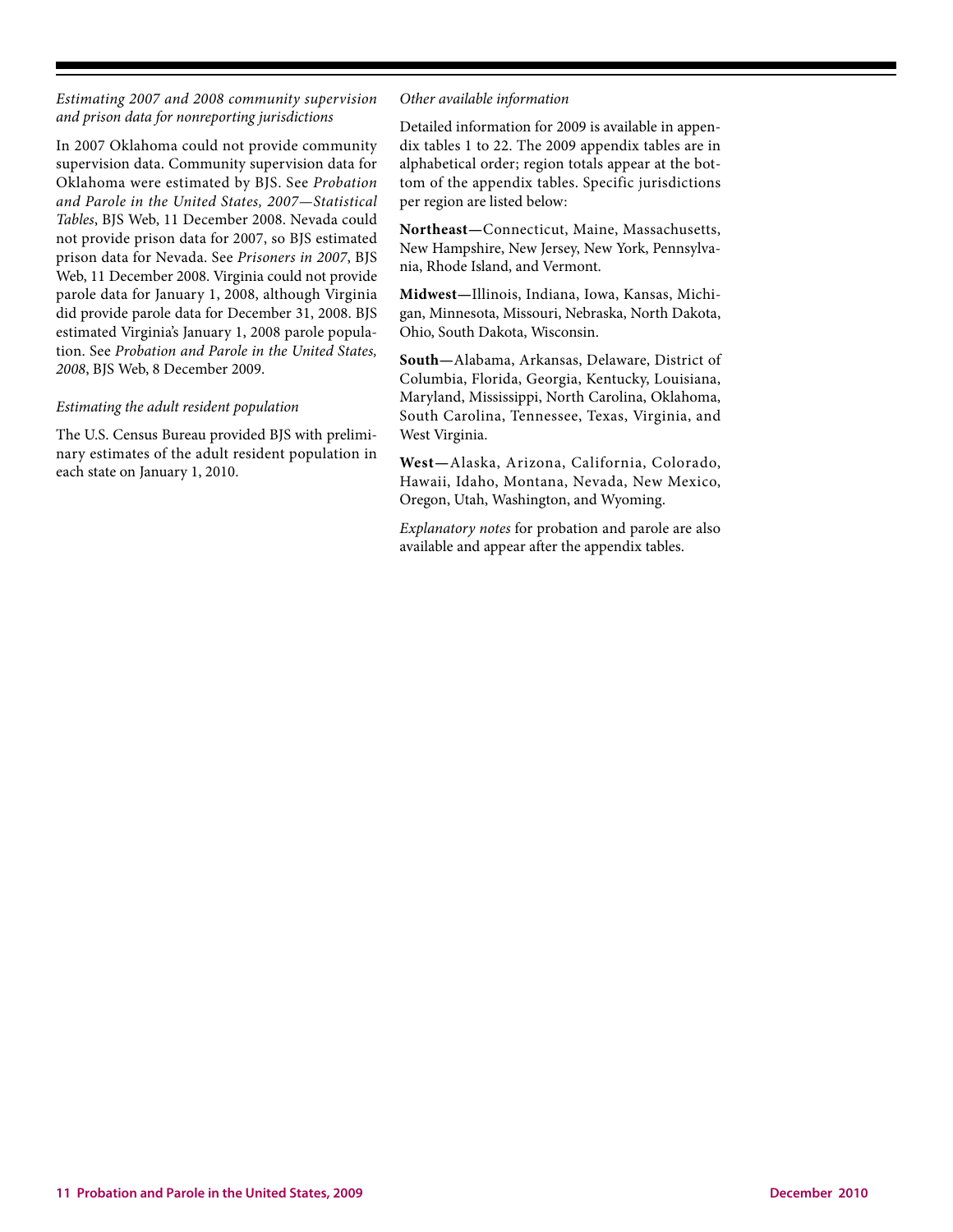*Estimating 2007 and 2008 community supervision and prison data for nonreporting jurisdictions* 

In 2007 Oklahoma could not provide community supervision data. Community supervision data for Oklahoma were estimated by BJS. See *Probation and Parole in the United States, 2007—Statistical Tables*, BJS Web, 11 December 2008. Nevada could not provide prison data for 2007, so BJS estimated prison data for Nevada. See *Prisoners in 2007*, BJS Web, 11 December 2008. Virginia could not provide parole data for January 1, 2008, although Virginia did provide parole data for December 31, 2008. BJS estimated Virginia's January 1, 2008 parole population. See *Probation and Parole in the United States, 2008*, BJS Web, 8 December 2009.

## *Estimating the adult resident population*

The U.S. Census Bureau provided BJS with preliminary estimates of the adult resident population in each state on January 1, 2010.

#### *Other available information*

Detailed information for 2009 is available in appendix tables 1 to 22. The 2009 appendix tables are in alphabetical order; region totals appear at the bottom of the appendix tables. Specific jurisdictions per region are listed below:

**Northeast—**Connecticut, Maine, Massachusetts, New Hampshire, New Jersey, New York, Pennsylvania, Rhode Island, and Vermont.

**Midwest—**Illinois, Indiana, Iowa, Kansas, Michigan, Minnesota, Missouri, Nebraska, North Dakota, Ohio, South Dakota, Wisconsin.

**South—**Alabama, Arkansas, Delaware, District of Columbia, Florida, Georgia, Kentucky, Louisiana, Maryland, Mississippi, North Carolina, Oklahoma, South Carolina, Tennessee, Texas, Virginia, and West Virginia.

**West—**Alaska, Arizona, California, Colorado, Hawaii, Idaho, Montana, Nevada, New Mexico, Oregon, Utah, Washington, and Wyoming.

*Explanatory notes* for probation and parole are also available and appear after the appendix tables.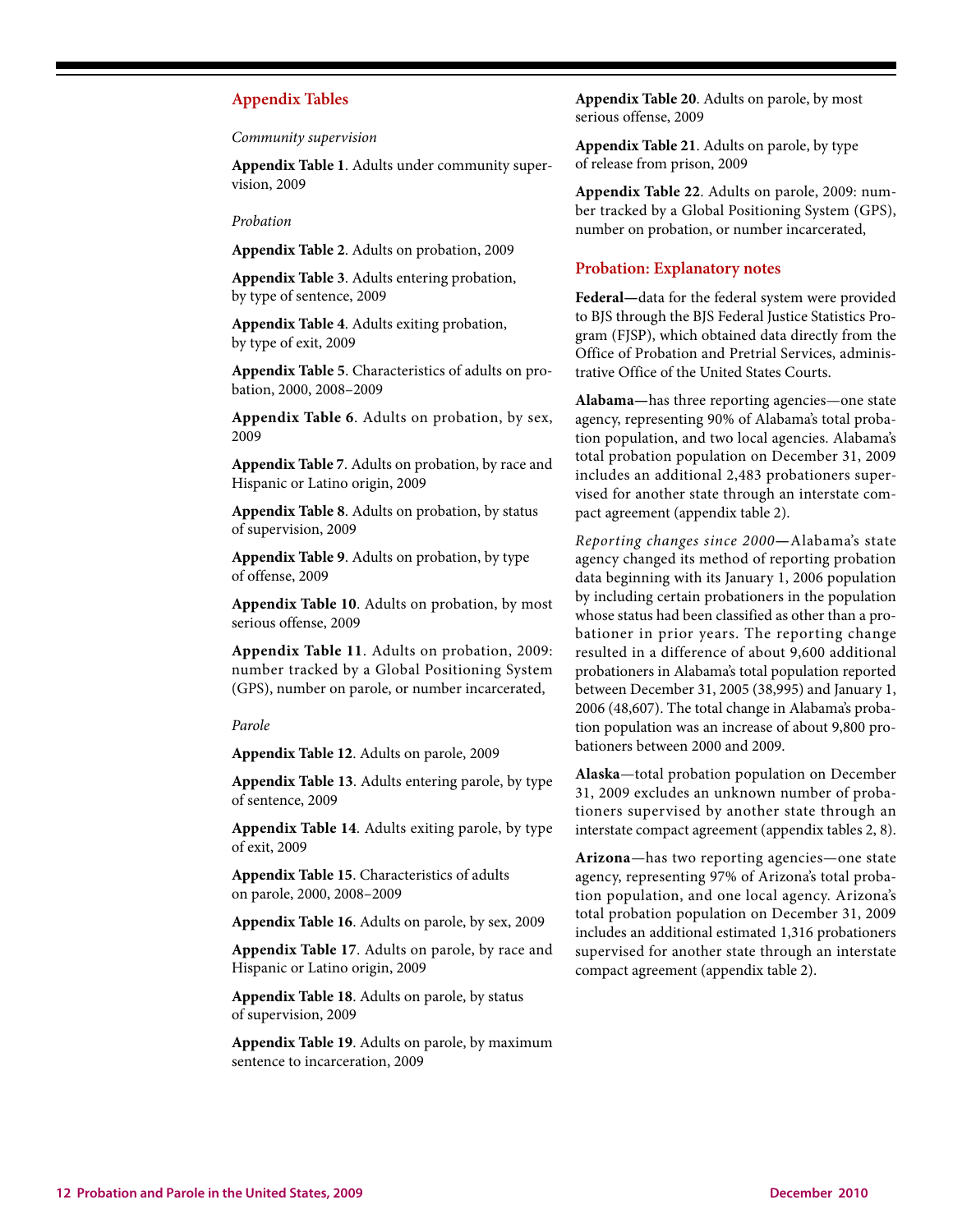### **Appendix Tables**

*Community supervision*

**Appendix Table 1**. Adults under community supervision, 2009

#### *Probation*

**Appendix Table 2**. Adults on probation, 2009

**Appendix Table 3**. Adults entering probation, by type of sentence, 2009

**Appendix Table 4**. Adults exiting probation, by type of exit, 2009

**Appendix Table 5**. Characteristics of adults on probation, 2000, 2008–2009

**Appendix Table 6**. Adults on probation, by sex, 2009

**Appendix Table 7**. Adults on probation, by race and Hispanic or Latino origin, 2009

**Appendix Table 8**. Adults on probation, by status of supervision, 2009

**Appendix Table 9**. Adults on probation, by type of offense, 2009

**Appendix Table 10**. Adults on probation, by most serious offense, 2009

**Appendix Table 11**. Adults on probation, 2009: number tracked by a Global Positioning System (GPS), number on parole, or number incarcerated,

#### *Parole*

**Appendix Table 12**. Adults on parole, 2009

**Appendix Table 13**. Adults entering parole, by type of sentence, 2009

**Appendix Table 14**. Adults exiting parole, by type of exit, 2009

**Appendix Table 15**. Characteristics of adults on parole, 2000, 2008–2009

**Appendix Table 16**. Adults on parole, by sex, 2009

**Appendix Table 17**. Adults on parole, by race and Hispanic or Latino origin, 2009

**Appendix Table 18**. Adults on parole, by status of supervision, 2009

**Appendix Table 19**. Adults on parole, by maximum sentence to incarceration, 2009

**Appendix Table 20**. Adults on parole, by most serious offense, 2009

**Appendix Table 21**. Adults on parole, by type of release from prison, 2009

**Appendix Table 22**. Adults on parole, 2009: number tracked by a Global Positioning System (GPS), number on probation, or number incarcerated,

#### **Probation: Explanatory notes**

**Federal—**data for the federal system were provided to BJS through the BJS Federal Justice Statistics Program (FJSP), which obtained data directly from the Office of Probation and Pretrial Services, administrative Office of the United States Courts.

**Alabama—**has three reporting agencies—one state agency, representing 90% of Alabama's total probation population, and two local agencies. Alabama's total probation population on December 31, 2009 includes an additional 2,483 probationers supervised for another state through an interstate compact agreement (appendix table 2).

*Reporting changes since 2000***—**Alabama's state agency changed its method of reporting probation data beginning with its January 1, 2006 population by including certain probationers in the population whose status had been classified as other than a probationer in prior years. The reporting change resulted in a difference of about 9,600 additional probationers in Alabama's total population reported between December 31, 2005 (38,995) and January 1, 2006 (48,607). The total change in Alabama's probation population was an increase of about 9,800 probationers between 2000 and 2009.

**Alaska**—total probation population on December 31, 2009 excludes an unknown number of probationers supervised by another state through an interstate compact agreement (appendix tables 2, 8).

**Arizona**—has two reporting agencies—one state agency, representing 97% of Arizona's total probation population, and one local agency. Arizona's total probation population on December 31, 2009 includes an additional estimated 1,316 probationers supervised for another state through an interstate compact agreement (appendix table 2).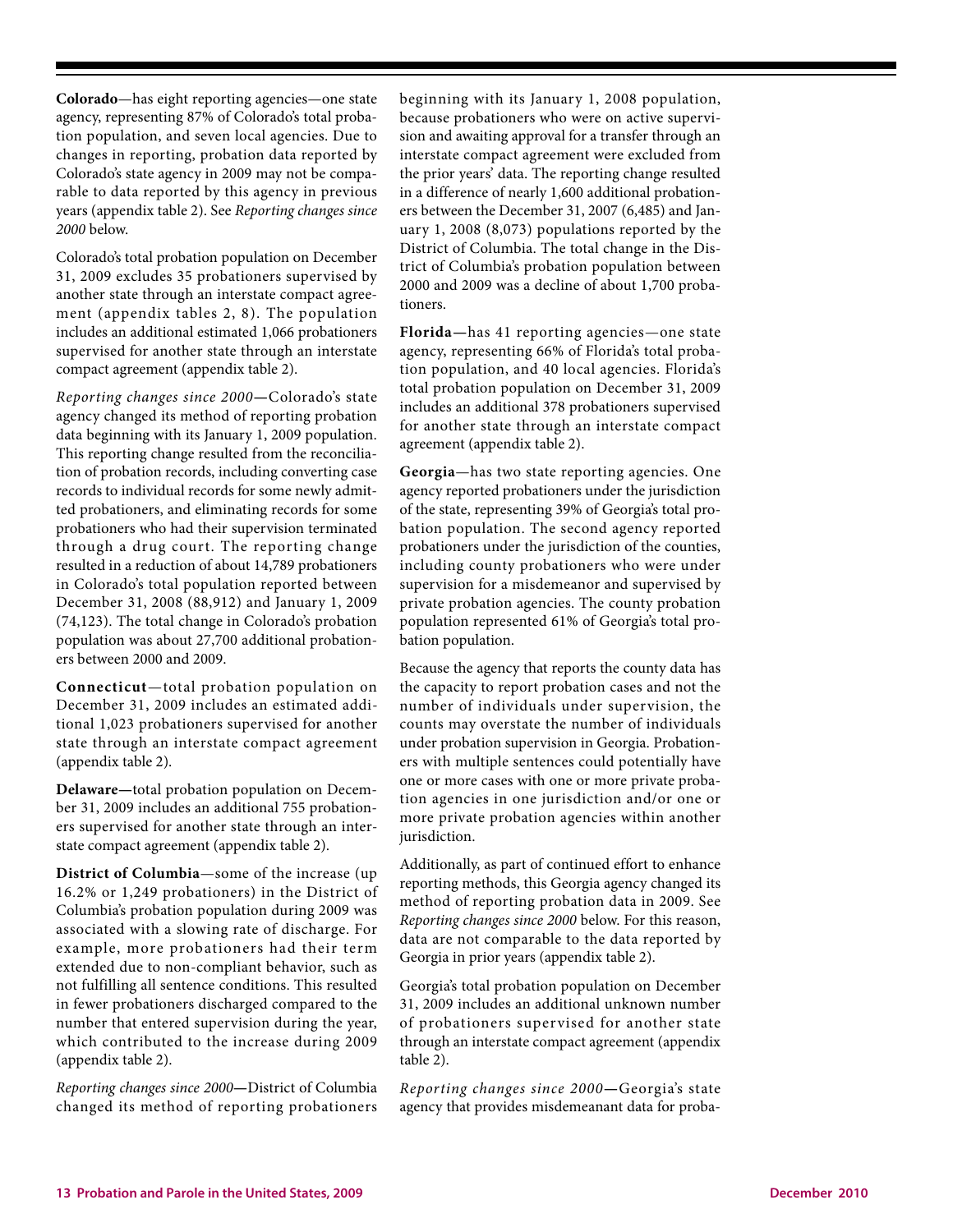**Colorado**—has eight reporting agencies—one state agency, representing 87% of Colorado's total probation population, and seven local agencies. Due to changes in reporting, probation data reported by Colorado's state agency in 2009 may not be comparable to data reported by this agency in previous years (appendix table 2). See *Reporting changes since 2000* below.

Colorado's total probation population on December 31, 2009 excludes 35 probationers supervised by another state through an interstate compact agreement (appendix tables 2, 8). The population includes an additional estimated 1,066 probationers supervised for another state through an interstate compact agreement (appendix table 2).

*Reporting changes since 2000***—**Colorado's state agency changed its method of reporting probation data beginning with its January 1, 2009 population. This reporting change resulted from the reconciliation of probation records, including converting case records to individual records for some newly admitted probationers, and eliminating records for some probationers who had their supervision terminated through a drug court. The reporting change resulted in a reduction of about 14,789 probationers in Colorado's total population reported between December 31, 2008 (88,912) and January 1, 2009 (74,123). The total change in Colorado's probation population was about 27,700 additional probationers between 2000 and 2009.

**Connecticut**—total probation population on December 31, 2009 includes an estimated additional 1,023 probationers supervised for another state through an interstate compact agreement (appendix table 2).

**Delaware—**total probation population on December 31, 2009 includes an additional 755 probationers supervised for another state through an interstate compact agreement (appendix table 2).

**District of Columbia**—some of the increase (up 16.2% or 1,249 probationers) in the District of Columbia's probation population during 2009 was associated with a slowing rate of discharge. For example, more probationers had their term extended due to non-compliant behavior, such as not fulfilling all sentence conditions. This resulted in fewer probationers discharged compared to the number that entered supervision during the year, which contributed to the increase during 2009 (appendix table 2).

*Reporting changes since 2000***—**District of Columbia changed its method of reporting probationers beginning with its January 1, 2008 population, because probationers who were on active supervision and awaiting approval for a transfer through an interstate compact agreement were excluded from the prior years' data. The reporting change resulted in a difference of nearly 1,600 additional probationers between the December 31, 2007 (6,485) and January 1, 2008 (8,073) populations reported by the District of Columbia. The total change in the District of Columbia's probation population between 2000 and 2009 was a decline of about 1,700 probationers.

**Florida—**has 41 reporting agencies—one state agency, representing 66% of Florida's total probation population, and 40 local agencies. Florida's total probation population on December 31, 2009 includes an additional 378 probationers supervised for another state through an interstate compact agreement (appendix table 2).

**Georgia**—has two state reporting agencies. One agency reported probationers under the jurisdiction of the state, representing 39% of Georgia's total probation population. The second agency reported probationers under the jurisdiction of the counties, including county probationers who were under supervision for a misdemeanor and supervised by private probation agencies. The county probation population represented 61% of Georgia's total probation population.

Because the agency that reports the county data has the capacity to report probation cases and not the number of individuals under supervision, the counts may overstate the number of individuals under probation supervision in Georgia. Probationers with multiple sentences could potentially have one or more cases with one or more private probation agencies in one jurisdiction and/or one or more private probation agencies within another jurisdiction.

Additionally, as part of continued effort to enhance reporting methods, this Georgia agency changed its method of reporting probation data in 2009. See *Reporting changes since 2000* below. For this reason, data are not comparable to the data reported by Georgia in prior years (appendix table 2).

Georgia's total probation population on December 31, 2009 includes an additional unknown number of probationers supervised for another state through an interstate compact agreement (appendix table 2).

*Reporting changes since 2000***—**Georgia's state agency that provides misdemeanant data for proba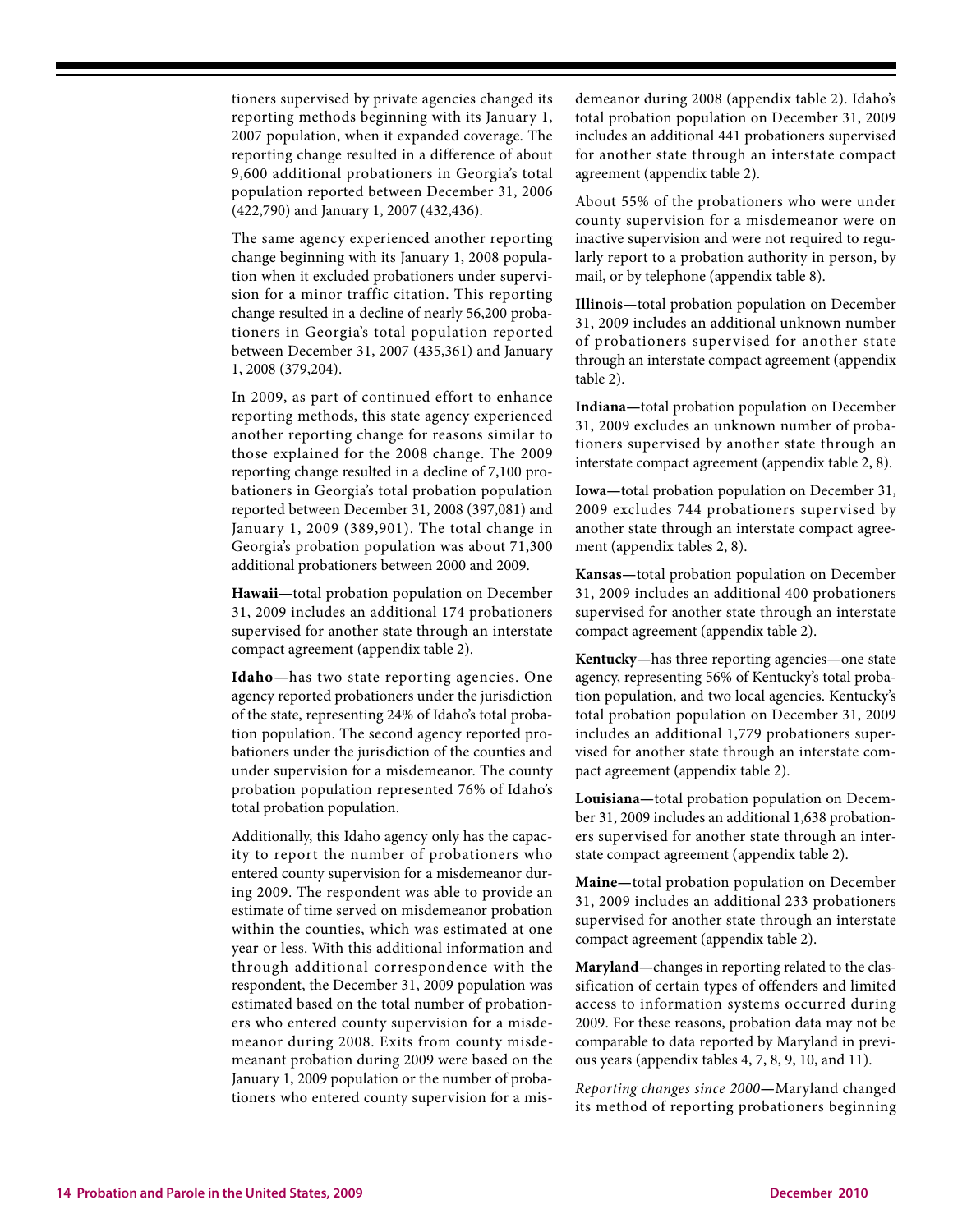tioners supervised by private agencies changed its reporting methods beginning with its January 1, 2007 population, when it expanded coverage. The reporting change resulted in a difference of about 9,600 additional probationers in Georgia's total population reported between December 31, 2006 (422,790) and January 1, 2007 (432,436).

The same agency experienced another reporting change beginning with its January 1, 2008 population when it excluded probationers under supervision for a minor traffic citation. This reporting change resulted in a decline of nearly 56,200 probationers in Georgia's total population reported between December 31, 2007 (435,361) and January 1, 2008 (379,204).

In 2009, as part of continued effort to enhance reporting methods, this state agency experienced another reporting change for reasons similar to those explained for the 2008 change. The 2009 reporting change resulted in a decline of 7,100 probationers in Georgia's total probation population reported between December 31, 2008 (397,081) and January 1, 2009 (389,901). The total change in Georgia's probation population was about 71,300 additional probationers between 2000 and 2009.

**Hawaii—**total probation population on December 31, 2009 includes an additional 174 probationers supervised for another state through an interstate compact agreement (appendix table 2).

**Idaho—**has two state reporting agencies. One agency reported probationers under the jurisdiction of the state, representing 24% of Idaho's total probation population. The second agency reported probationers under the jurisdiction of the counties and under supervision for a misdemeanor. The county probation population represented 76% of Idaho's total probation population.

Additionally, this Idaho agency only has the capacity to report the number of probationers who entered county supervision for a misdemeanor during 2009. The respondent was able to provide an estimate of time served on misdemeanor probation within the counties, which was estimated at one year or less. With this additional information and through additional correspondence with the respondent, the December 31, 2009 population was estimated based on the total number of probationers who entered county supervision for a misdemeanor during 2008. Exits from county misdemeanant probation during 2009 were based on the January 1, 2009 population or the number of probationers who entered county supervision for a misdemeanor during 2008 (appendix table 2). Idaho's total probation population on December 31, 2009 includes an additional 441 probationers supervised for another state through an interstate compact agreement (appendix table 2).

About 55% of the probationers who were under county supervision for a misdemeanor were on inactive supervision and were not required to regularly report to a probation authority in person, by mail, or by telephone (appendix table 8).

**Illinois—**total probation population on December 31, 2009 includes an additional unknown number of probationers supervised for another state through an interstate compact agreement (appendix table 2).

**Indiana—**total probation population on December 31, 2009 excludes an unknown number of probationers supervised by another state through an interstate compact agreement (appendix table 2, 8).

**Iowa—**total probation population on December 31, 2009 excludes 744 probationers supervised by another state through an interstate compact agreement (appendix tables 2, 8).

**Kansas—**total probation population on December 31, 2009 includes an additional 400 probationers supervised for another state through an interstate compact agreement (appendix table 2).

**Kentucky—**has three reporting agencies—one state agency, representing 56% of Kentucky's total probation population, and two local agencies. Kentucky's total probation population on December 31, 2009 includes an additional 1,779 probationers supervised for another state through an interstate compact agreement (appendix table 2).

**Louisiana—**total probation population on December 31, 2009 includes an additional 1,638 probationers supervised for another state through an interstate compact agreement (appendix table 2).

**Maine—**total probation population on December 31, 2009 includes an additional 233 probationers supervised for another state through an interstate compact agreement (appendix table 2).

**Maryland—**changes in reporting related to the classification of certain types of offenders and limited access to information systems occurred during 2009. For these reasons, probation data may not be comparable to data reported by Maryland in previous years (appendix tables 4, 7, 8, 9, 10, and 11).

*Reporting changes since 2000***—**Maryland changed its method of reporting probationers beginning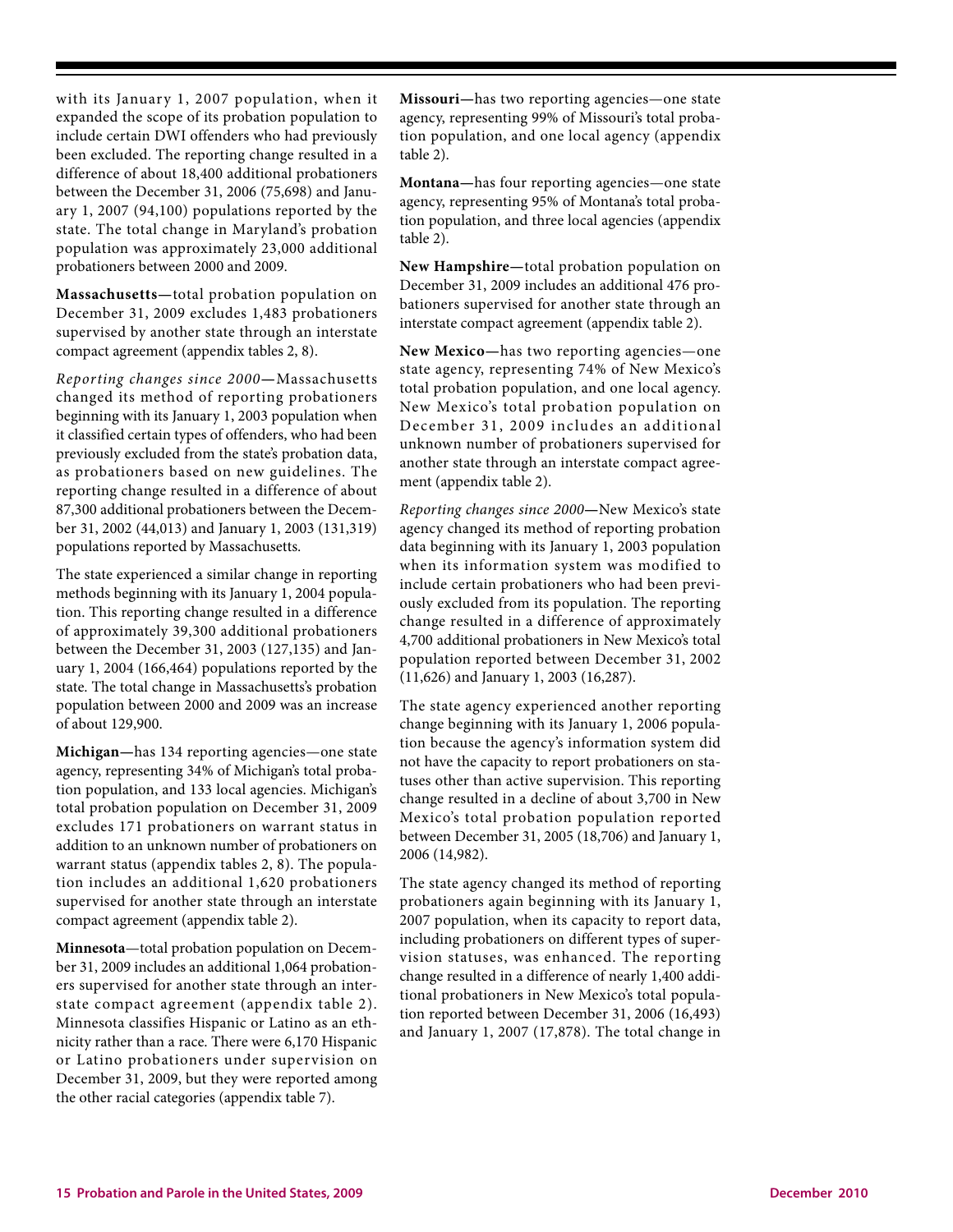with its January 1, 2007 population, when it expanded the scope of its probation population to include certain DWI offenders who had previously been excluded. The reporting change resulted in a difference of about 18,400 additional probationers between the December 31, 2006 (75,698) and January 1, 2007 (94,100) populations reported by the state. The total change in Maryland's probation population was approximately 23,000 additional probationers between 2000 and 2009.

**Massachusetts—**total probation population on December 31, 2009 excludes 1,483 probationers supervised by another state through an interstate compact agreement (appendix tables 2, 8).

*Reporting changes since 2000***—**Massachusetts changed its method of reporting probationers beginning with its January 1, 2003 population when it classified certain types of offenders, who had been previously excluded from the state's probation data, as probationers based on new guidelines. The reporting change resulted in a difference of about 87,300 additional probationers between the December 31, 2002 (44,013) and January 1, 2003 (131,319) populations reported by Massachusetts.

The state experienced a similar change in reporting methods beginning with its January 1, 2004 population. This reporting change resulted in a difference of approximately 39,300 additional probationers between the December 31, 2003 (127,135) and January 1, 2004 (166,464) populations reported by the state. The total change in Massachusetts's probation population between 2000 and 2009 was an increase of about 129,900.

**Michigan—**has 134 reporting agencies—one state agency, representing 34% of Michigan's total probation population, and 133 local agencies. Michigan's total probation population on December 31, 2009 excludes 171 probationers on warrant status in addition to an unknown number of probationers on warrant status (appendix tables 2, 8). The population includes an additional 1,620 probationers supervised for another state through an interstate compact agreement (appendix table 2).

**Minnesota**—total probation population on December 31, 2009 includes an additional 1,064 probationers supervised for another state through an interstate compact agreement (appendix table 2). Minnesota classifies Hispanic or Latino as an ethnicity rather than a race. There were 6,170 Hispanic or Latino probationers under supervision on December 31, 2009, but they were reported among the other racial categories (appendix table 7).

**Missouri—**has two reporting agencies—one state agency, representing 99% of Missouri's total probation population, and one local agency (appendix table 2).

**Montana—**has four reporting agencies—one state agency, representing 95% of Montana's total probation population, and three local agencies (appendix table 2).

**New Hampshire—**total probation population on December 31, 2009 includes an additional 476 probationers supervised for another state through an interstate compact agreement (appendix table 2).

**New Mexico—**has two reporting agencies—one state agency, representing 74% of New Mexico's total probation population, and one local agency. New Mexico's total probation population on December 31, 2009 includes an additional unknown number of probationers supervised for another state through an interstate compact agreement (appendix table 2).

*Reporting changes since 2000***—**New Mexico's state agency changed its method of reporting probation data beginning with its January 1, 2003 population when its information system was modified to include certain probationers who had been previously excluded from its population. The reporting change resulted in a difference of approximately 4,700 additional probationers in New Mexico's total population reported between December 31, 2002 (11,626) and January 1, 2003 (16,287).

The state agency experienced another reporting change beginning with its January 1, 2006 population because the agency's information system did not have the capacity to report probationers on statuses other than active supervision. This reporting change resulted in a decline of about 3,700 in New Mexico's total probation population reported between December 31, 2005 (18,706) and January 1, 2006 (14,982).

The state agency changed its method of reporting probationers again beginning with its January 1, 2007 population, when its capacity to report data, including probationers on different types of supervision statuses, was enhanced. The reporting change resulted in a difference of nearly 1,400 additional probationers in New Mexico's total population reported between December 31, 2006 (16,493) and January 1, 2007 (17,878). The total change in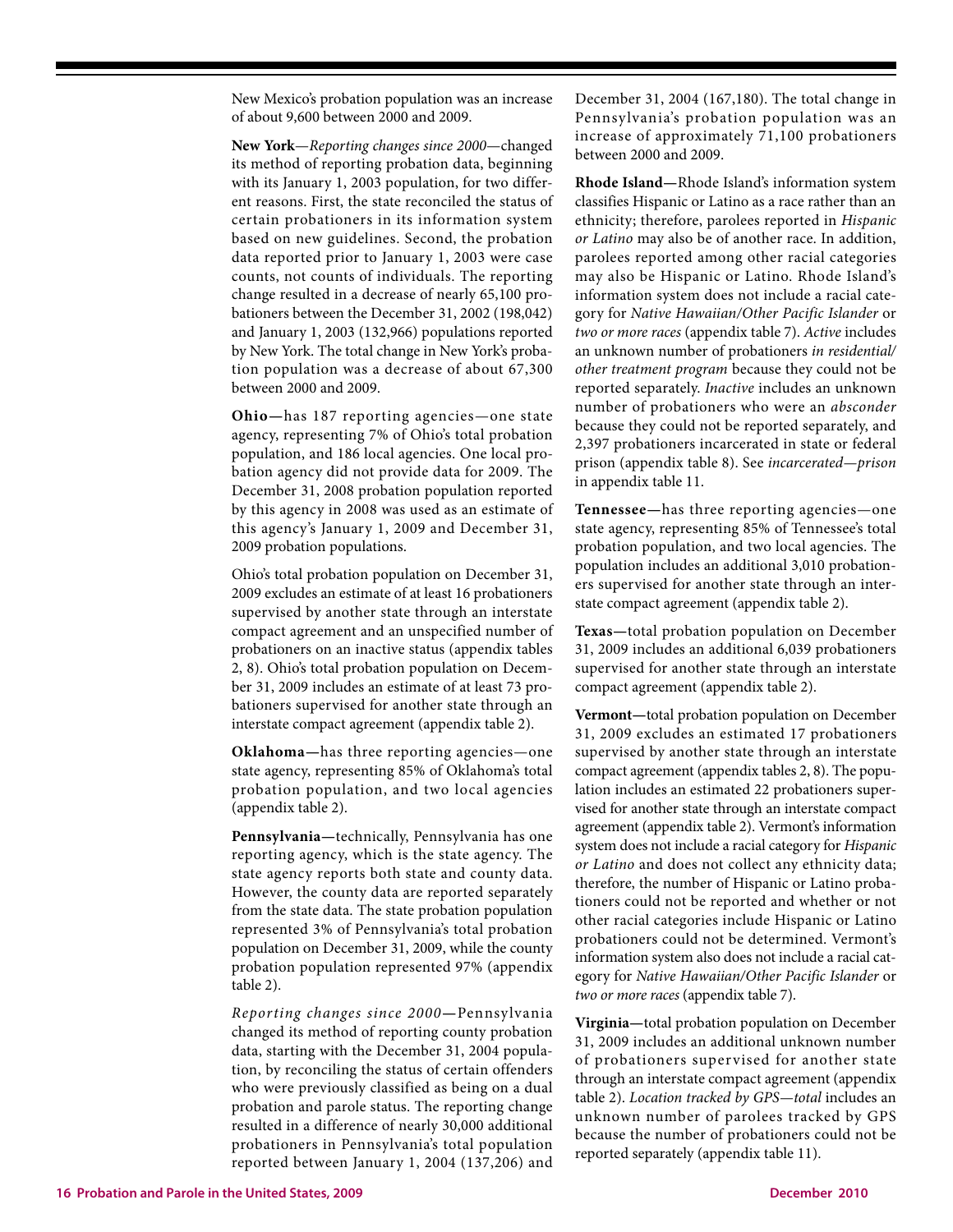New Mexico's probation population was an increase of about 9,600 between 2000 and 2009.

**New York**—*Reporting changes since 2000*—changed its method of reporting probation data, beginning with its January 1, 2003 population, for two different reasons. First, the state reconciled the status of certain probationers in its information system based on new guidelines. Second, the probation data reported prior to January 1, 2003 were case counts, not counts of individuals. The reporting change resulted in a decrease of nearly 65,100 probationers between the December 31, 2002 (198,042) and January 1, 2003 (132,966) populations reported by New York. The total change in New York's probation population was a decrease of about 67,300 between 2000 and 2009.

**Ohio—**has 187 reporting agencies—one state agency, representing 7% of Ohio's total probation population, and 186 local agencies. One local probation agency did not provide data for 2009. The December 31, 2008 probation population reported by this agency in 2008 was used as an estimate of this agency's January 1, 2009 and December 31, 2009 probation populations.

Ohio's total probation population on December 31, 2009 excludes an estimate of at least 16 probationers supervised by another state through an interstate compact agreement and an unspecified number of probationers on an inactive status (appendix tables 2, 8). Ohio's total probation population on December 31, 2009 includes an estimate of at least 73 probationers supervised for another state through an interstate compact agreement (appendix table 2).

**Oklahoma—**has three reporting agencies—one state agency, representing 85% of Oklahoma's total probation population, and two local agencies (appendix table 2).

**Pennsylvania—**technically, Pennsylvania has one reporting agency, which is the state agency. The state agency reports both state and county data. However, the county data are reported separately from the state data. The state probation population represented 3% of Pennsylvania's total probation population on December 31, 2009, while the county probation population represented 97% (appendix table 2).

*Reporting changes since 2000***—**Pennsylvania changed its method of reporting county probation data, starting with the December 31, 2004 population, by reconciling the status of certain offenders who were previously classified as being on a dual probation and parole status. The reporting change resulted in a difference of nearly 30,000 additional probationers in Pennsylvania's total population reported between January 1, 2004 (137,206) and

December 31, 2004 (167,180). The total change in Pennsylvania's probation population was an increase of approximately 71,100 probationers between 2000 and 2009.

**Rhode Island—**Rhode Island's information system classifies Hispanic or Latino as a race rather than an ethnicity; therefore, parolees reported in *Hispanic or Latino* may also be of another race. In addition, parolees reported among other racial categories may also be Hispanic or Latino. Rhode Island's information system does not include a racial category for *Native Hawaiian/Other Pacific Islander* or *two or more races* (appendix table 7). *Active* includes an unknown number of probationers *in residential/ other treatment program* because they could not be reported separately. *Inactive* includes an unknown number of probationers who were an *absconder* because they could not be reported separately, and 2,397 probationers incarcerated in state or federal prison (appendix table 8). See *incarcerated—prison* in appendix table 11.

**Tennessee—**has three reporting agencies—one state agency, representing 85% of Tennessee's total probation population, and two local agencies. The population includes an additional 3,010 probationers supervised for another state through an interstate compact agreement (appendix table 2).

**Texas—**total probation population on December 31, 2009 includes an additional 6,039 probationers supervised for another state through an interstate compact agreement (appendix table 2).

**Vermont—**total probation population on December 31, 2009 excludes an estimated 17 probationers supervised by another state through an interstate compact agreement (appendix tables 2, 8). The population includes an estimated 22 probationers supervised for another state through an interstate compact agreement (appendix table 2). Vermont's information system does not include a racial category for *Hispanic or Latino* and does not collect any ethnicity data; therefore, the number of Hispanic or Latino probationers could not be reported and whether or not other racial categories include Hispanic or Latino probationers could not be determined. Vermont's information system also does not include a racial category for *Native Hawaiian/Other Pacific Islander* or *two or more races* (appendix table 7).

**Virginia—**total probation population on December 31, 2009 includes an additional unknown number of probationers supervised for another state through an interstate compact agreement (appendix table 2). *Location tracked by GPS—total* includes an unknown number of parolees tracked by GPS because the number of probationers could not be reported separately (appendix table 11).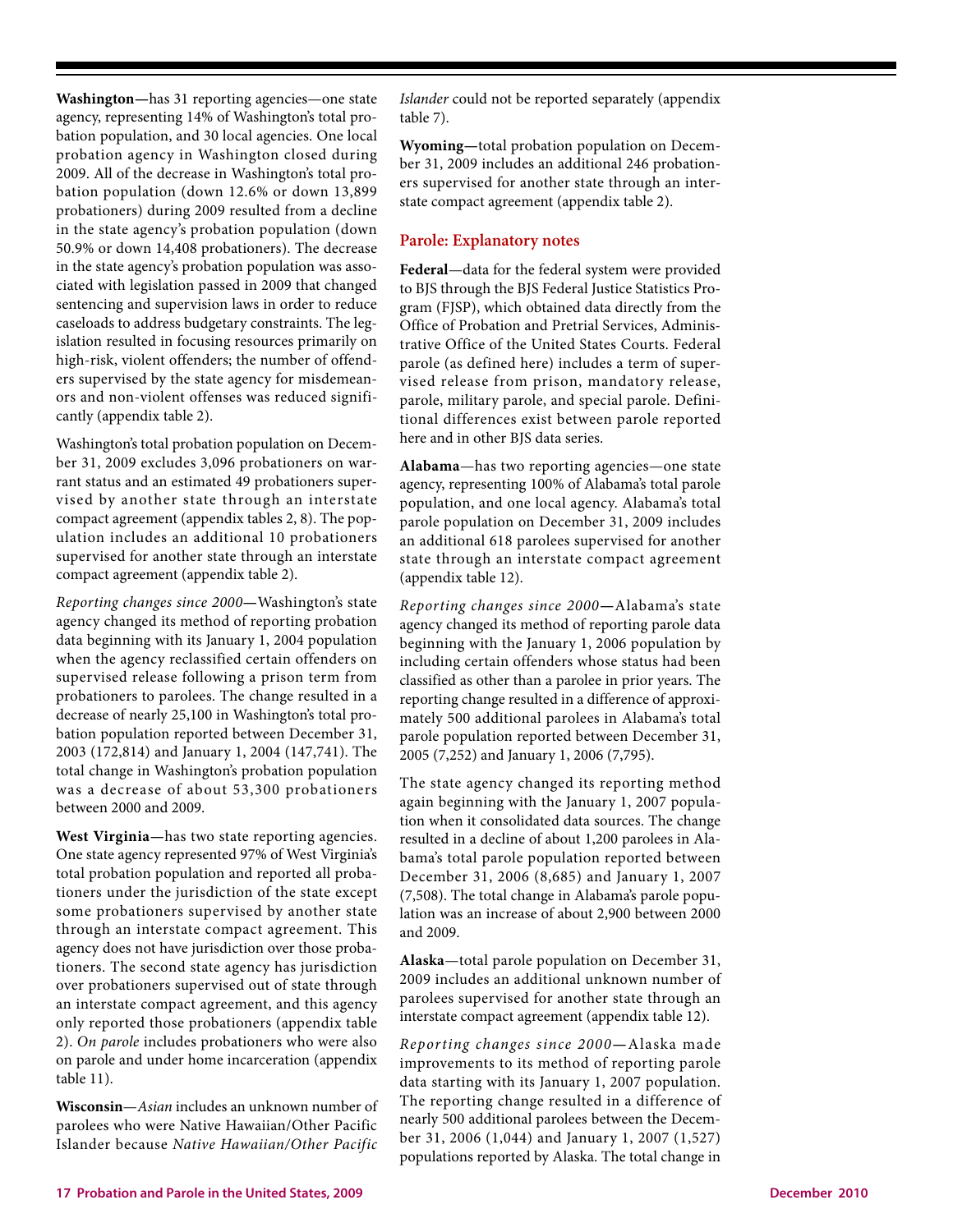**Washington—**has 31 reporting agencies—one state agency, representing 14% of Washington's total probation population, and 30 local agencies. One local probation agency in Washington closed during 2009. All of the decrease in Washington's total probation population (down 12.6% or down 13,899 probationers) during 2009 resulted from a decline in the state agency's probation population (down 50.9% or down 14,408 probationers). The decrease in the state agency's probation population was associated with legislation passed in 2009 that changed sentencing and supervision laws in order to reduce caseloads to address budgetary constraints. The legislation resulted in focusing resources primarily on high-risk, violent offenders; the number of offenders supervised by the state agency for misdemeanors and non-violent offenses was reduced significantly (appendix table 2).

Washington's total probation population on December 31, 2009 excludes 3,096 probationers on warrant status and an estimated 49 probationers supervised by another state through an interstate compact agreement (appendix tables 2, 8). The population includes an additional 10 probationers supervised for another state through an interstate compact agreement (appendix table 2).

*Reporting changes since 2000***—**Washington's state agency changed its method of reporting probation data beginning with its January 1, 2004 population when the agency reclassified certain offenders on supervised release following a prison term from probationers to parolees. The change resulted in a decrease of nearly 25,100 in Washington's total probation population reported between December 31, 2003 (172,814) and January 1, 2004 (147,741). The total change in Washington's probation population was a decrease of about 53,300 probationers between 2000 and 2009.

**West Virginia—**has two state reporting agencies. One state agency represented 97% of West Virginia's total probation population and reported all probationers under the jurisdiction of the state except some probationers supervised by another state through an interstate compact agreement. This agency does not have jurisdiction over those probationers. The second state agency has jurisdiction over probationers supervised out of state through an interstate compact agreement, and this agency only reported those probationers (appendix table 2). *On parole* includes probationers who were also on parole and under home incarceration (appendix table 11).

**Wisconsin**—*Asian* includes an unknown number of parolees who were Native Hawaiian/Other Pacific Islander because *Native Hawaiian/Other Pacific* *Islander* could not be reported separately (appendix table 7).

**Wyoming—**total probation population on December 31, 2009 includes an additional 246 probationers supervised for another state through an interstate compact agreement (appendix table 2).

## **Parole: Explanatory notes**

**Federal**—data for the federal system were provided to BJS through the BJS Federal Justice Statistics Program (FJSP), which obtained data directly from the Office of Probation and Pretrial Services, Administrative Office of the United States Courts. Federal parole (as defined here) includes a term of supervised release from prison, mandatory release, parole, military parole, and special parole. Definitional differences exist between parole reported here and in other BJS data series.

**Alabama**—has two reporting agencies—one state agency, representing 100% of Alabama's total parole population, and one local agency. Alabama's total parole population on December 31, 2009 includes an additional 618 parolees supervised for another state through an interstate compact agreement (appendix table 12).

*Reporting changes since 2000***—**Alabama's state agency changed its method of reporting parole data beginning with the January 1, 2006 population by including certain offenders whose status had been classified as other than a parolee in prior years. The reporting change resulted in a difference of approximately 500 additional parolees in Alabama's total parole population reported between December 31, 2005 (7,252) and January 1, 2006 (7,795).

The state agency changed its reporting method again beginning with the January 1, 2007 population when it consolidated data sources. The change resulted in a decline of about 1,200 parolees in Alabama's total parole population reported between December 31, 2006 (8,685) and January 1, 2007 (7,508). The total change in Alabama's parole population was an increase of about 2,900 between 2000 and 2009.

**Alaska**—total parole population on December 31, 2009 includes an additional unknown number of parolees supervised for another state through an interstate compact agreement (appendix table 12).

*Reporting changes since 2000***—**Alaska made improvements to its method of reporting parole data starting with its January 1, 2007 population. The reporting change resulted in a difference of nearly 500 additional parolees between the December 31, 2006 (1,044) and January 1, 2007 (1,527) populations reported by Alaska. The total change in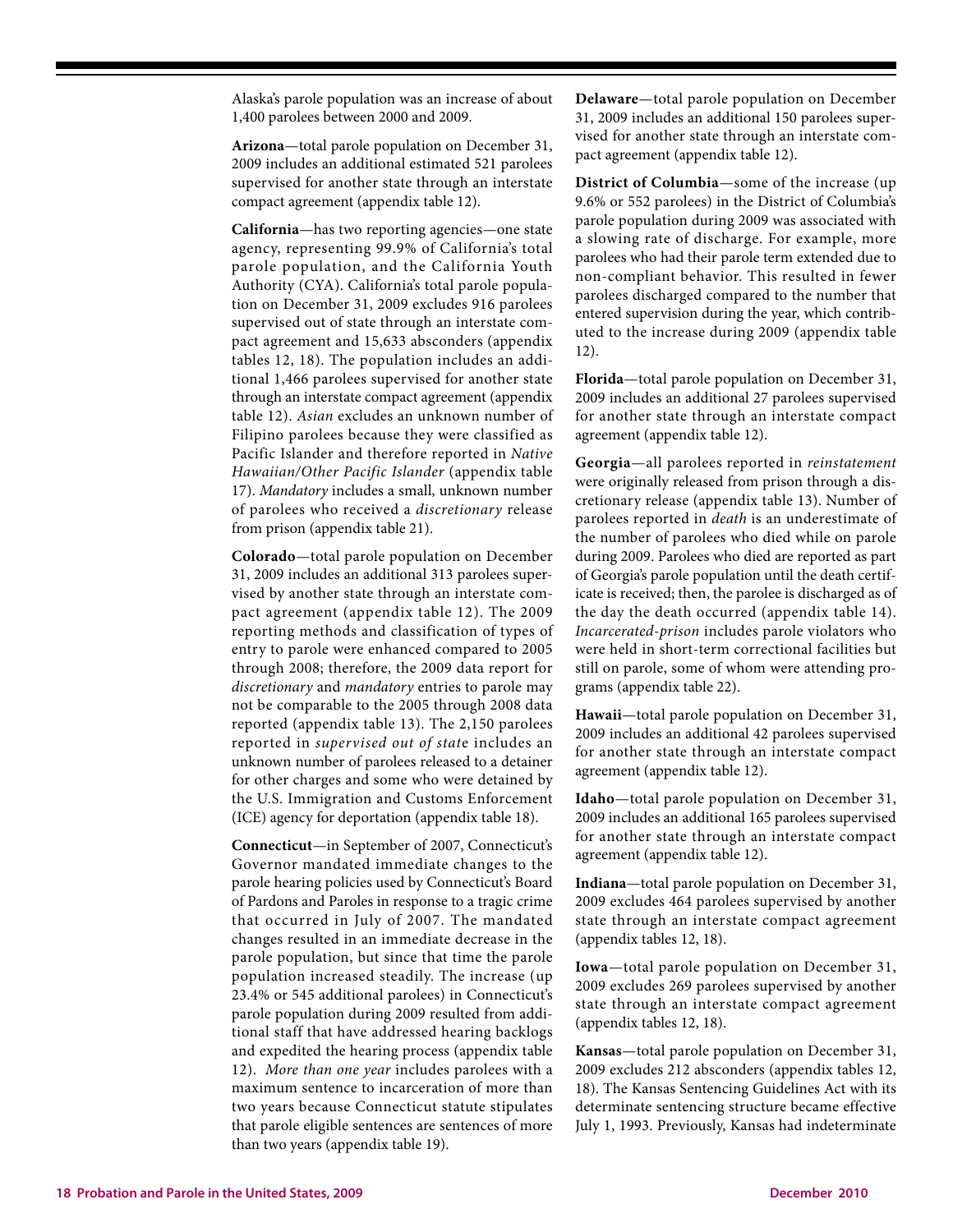Alaska's parole population was an increase of about 1,400 parolees between 2000 and 2009.

**Arizona**—total parole population on December 31, 2009 includes an additional estimated 521 parolees supervised for another state through an interstate compact agreement (appendix table 12).

**California**—has two reporting agencies—one state agency, representing 99.9% of California's total parole population, and the California Youth Authority (CYA). California's total parole population on December 31, 2009 excludes 916 parolees supervised out of state through an interstate compact agreement and 15,633 absconders (appendix tables 12, 18). The population includes an additional 1,466 parolees supervised for another state through an interstate compact agreement (appendix table 12). *Asian* excludes an unknown number of Filipino parolees because they were classified as Pacific Islander and therefore reported in *Native Hawaiian/Other Pacific Islander* (appendix table 17). *Mandatory* includes a small, unknown number of parolees who received a *discretionary* release from prison (appendix table 21).

**Colorado**—total parole population on December 31, 2009 includes an additional 313 parolees supervised by another state through an interstate compact agreement (appendix table 12). The 2009 reporting methods and classification of types of entry to parole were enhanced compared to 2005 through 2008; therefore, the 2009 data report for *discretionary* and *mandatory* entries to parole may not be comparable to the 2005 through 2008 data reported (appendix table 13). The 2,150 parolees reported in *supervised out of stat*e includes an unknown number of parolees released to a detainer for other charges and some who were detained by the U.S. Immigration and Customs Enforcement (ICE) agency for deportation (appendix table 18).

**Connecticut**—in September of 2007, Connecticut's Governor mandated immediate changes to the parole hearing policies used by Connecticut's Board of Pardons and Paroles in response to a tragic crime that occurred in July of 2007. The mandated changes resulted in an immediate decrease in the parole population, but since that time the parole population increased steadily. The increase (up 23.4% or 545 additional parolees) in Connecticut's parole population during 2009 resulted from additional staff that have addressed hearing backlogs and expedited the hearing process (appendix table 12). *More than one year* includes parolees with a maximum sentence to incarceration of more than two years because Connecticut statute stipulates that parole eligible sentences are sentences of more than two years (appendix table 19).

**Delaware**—total parole population on December 31, 2009 includes an additional 150 parolees supervised for another state through an interstate compact agreement (appendix table 12).

**District of Columbia**—some of the increase (up 9.6% or 552 parolees) in the District of Columbia's parole population during 2009 was associated with a slowing rate of discharge. For example, more parolees who had their parole term extended due to non-compliant behavior. This resulted in fewer parolees discharged compared to the number that entered supervision during the year, which contributed to the increase during 2009 (appendix table 12).

**Florida**—total parole population on December 31, 2009 includes an additional 27 parolees supervised for another state through an interstate compact agreement (appendix table 12).

**Georgia**—all parolees reported in *reinstatement* were originally released from prison through a discretionary release (appendix table 13). Number of parolees reported in *death* is an underestimate of the number of parolees who died while on parole during 2009. Parolees who died are reported as part of Georgia's parole population until the death certificate is received; then, the parolee is discharged as of the day the death occurred (appendix table 14). *Incarcerated-prison* includes parole violators who were held in short-term correctional facilities but still on parole, some of whom were attending programs (appendix table 22).

**Hawaii**—total parole population on December 31, 2009 includes an additional 42 parolees supervised for another state through an interstate compact agreement (appendix table 12).

**Idaho**—total parole population on December 31, 2009 includes an additional 165 parolees supervised for another state through an interstate compact agreement (appendix table 12).

**Indiana**—total parole population on December 31, 2009 excludes 464 parolees supervised by another state through an interstate compact agreement (appendix tables 12, 18).

**Iowa**—total parole population on December 31, 2009 excludes 269 parolees supervised by another state through an interstate compact agreement (appendix tables 12, 18).

**Kansas**—total parole population on December 31, 2009 excludes 212 absconders (appendix tables 12, 18). The Kansas Sentencing Guidelines Act with its determinate sentencing structure became effective July 1, 1993. Previously, Kansas had indeterminate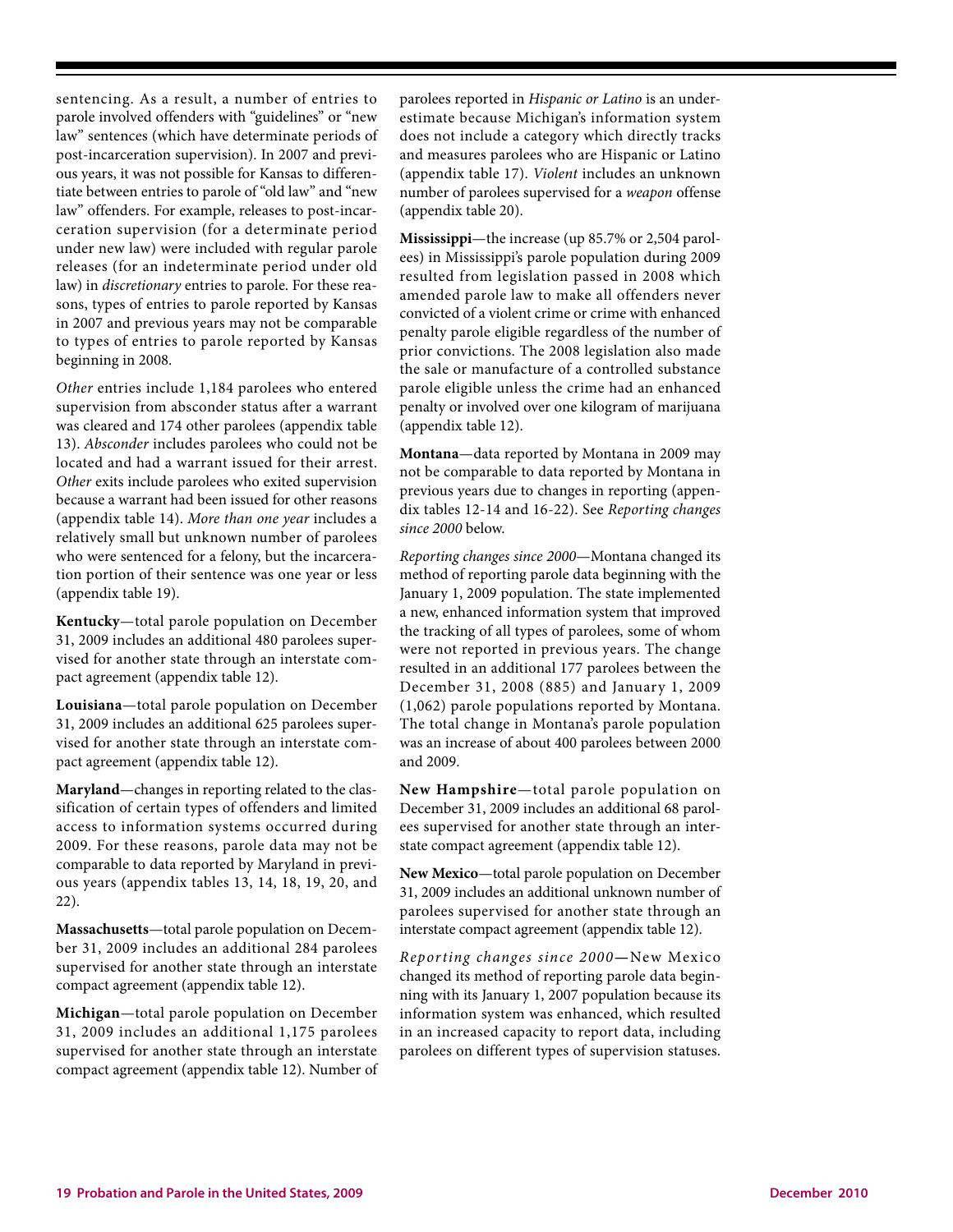sentencing. As a result, a number of entries to parole involved offenders with "guidelines" or "new law" sentences (which have determinate periods of post-incarceration supervision). In 2007 and previous years, it was not possible for Kansas to differentiate between entries to parole of "old law" and "new law" offenders. For example, releases to post-incarceration supervision (for a determinate period under new law) were included with regular parole releases (for an indeterminate period under old law) in *discretionary* entries to parole. For these reasons, types of entries to parole reported by Kansas in 2007 and previous years may not be comparable to types of entries to parole reported by Kansas beginning in 2008.

*Other* entries include 1,184 parolees who entered supervision from absconder status after a warrant was cleared and 174 other parolees (appendix table 13). *Absconder* includes parolees who could not be located and had a warrant issued for their arrest. *Other* exits include parolees who exited supervision because a warrant had been issued for other reasons (appendix table 14). *More than one year* includes a relatively small but unknown number of parolees who were sentenced for a felony, but the incarceration portion of their sentence was one year or less (appendix table 19).

**Kentucky**—total parole population on December 31, 2009 includes an additional 480 parolees supervised for another state through an interstate compact agreement (appendix table 12).

**Louisiana**—total parole population on December 31, 2009 includes an additional 625 parolees supervised for another state through an interstate compact agreement (appendix table 12).

**Maryland**—changes in reporting related to the classification of certain types of offenders and limited access to information systems occurred during 2009. For these reasons, parole data may not be comparable to data reported by Maryland in previous years (appendix tables 13, 14, 18, 19, 20, and 22).

**Massachusetts**—total parole population on December 31, 2009 includes an additional 284 parolees supervised for another state through an interstate compact agreement (appendix table 12).

**Michigan**—total parole population on December 31, 2009 includes an additional 1,175 parolees supervised for another state through an interstate compact agreement (appendix table 12). Number of parolees reported in *Hispanic or Latino* is an underestimate because Michigan's information system does not include a category which directly tracks and measures parolees who are Hispanic or Latino (appendix table 17). *Violent* includes an unknown number of parolees supervised for a *weapon* offense (appendix table 20).

**Mississippi**—the increase (up 85.7% or 2,504 parolees) in Mississippi's parole population during 2009 resulted from legislation passed in 2008 which amended parole law to make all offenders never convicted of a violent crime or crime with enhanced penalty parole eligible regardless of the number of prior convictions. The 2008 legislation also made the sale or manufacture of a controlled substance parole eligible unless the crime had an enhanced penalty or involved over one kilogram of marijuana (appendix table 12).

**Montana**—data reported by Montana in 2009 may not be comparable to data reported by Montana in previous years due to changes in reporting (appendix tables 12-14 and 16-22). See *Reporting changes since 2000* below.

*Reporting changes since 2000*—Montana changed its method of reporting parole data beginning with the January 1, 2009 population. The state implemented a new, enhanced information system that improved the tracking of all types of parolees, some of whom were not reported in previous years. The change resulted in an additional 177 parolees between the December 31, 2008 (885) and January 1, 2009 (1,062) parole populations reported by Montana. The total change in Montana's parole population was an increase of about 400 parolees between 2000 and 2009.

**New Hampshire**—total parole population on December 31, 2009 includes an additional 68 parolees supervised for another state through an interstate compact agreement (appendix table 12).

**New Mexico**—total parole population on December 31, 2009 includes an additional unknown number of parolees supervised for another state through an interstate compact agreement (appendix table 12).

*Reporting changes since 2000***—**New Mexico changed its method of reporting parole data beginning with its January 1, 2007 population because its information system was enhanced, which resulted in an increased capacity to report data, including parolees on different types of supervision statuses.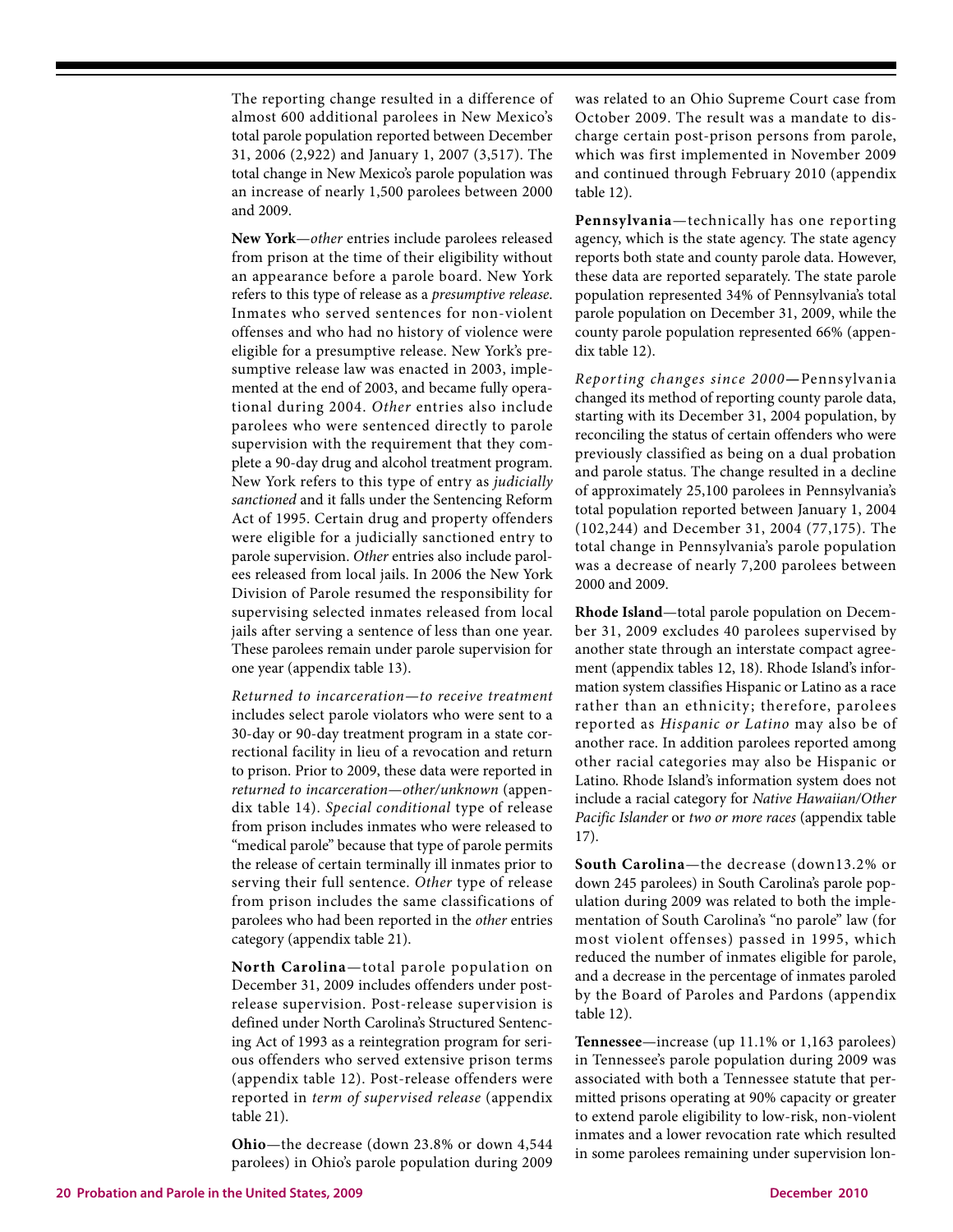The reporting change resulted in a difference of almost 600 additional parolees in New Mexico's total parole population reported between December 31, 2006 (2,922) and January 1, 2007 (3,517). The total change in New Mexico's parole population was an increase of nearly 1,500 parolees between 2000 and 2009.

**New York**—*other* entries include parolees released from prison at the time of their eligibility without an appearance before a parole board. New York refers to this type of release as a *presumptive release*. Inmates who served sentences for non-violent offenses and who had no history of violence were eligible for a presumptive release. New York's presumptive release law was enacted in 2003, implemented at the end of 2003, and became fully operational during 2004. *Other* entries also include parolees who were sentenced directly to parole supervision with the requirement that they complete a 90-day drug and alcohol treatment program. New York refers to this type of entry as *judicially sanctioned* and it falls under the Sentencing Reform Act of 1995. Certain drug and property offenders were eligible for a judicially sanctioned entry to parole supervision. *Other* entries also include parolees released from local jails. In 2006 the New York Division of Parole resumed the responsibility for supervising selected inmates released from local jails after serving a sentence of less than one year. These parolees remain under parole supervision for one year (appendix table 13).

*Returned to incarceration—to receive treatment* includes select parole violators who were sent to a 30-day or 90-day treatment program in a state correctional facility in lieu of a revocation and return to prison. Prior to 2009, these data were reported in *returned to incarceration—other/unknown* (appendix table 14). *Special conditional* type of release from prison includes inmates who were released to "medical parole" because that type of parole permits the release of certain terminally ill inmates prior to serving their full sentence. *Other* type of release from prison includes the same classifications of parolees who had been reported in the *other* entries category (appendix table 21).

**North Carolina**—total parole population on December 31, 2009 includes offenders under postrelease supervision. Post-release supervision is defined under North Carolina's Structured Sentencing Act of 1993 as a reintegration program for serious offenders who served extensive prison terms (appendix table 12). Post-release offenders were reported in *term of supervised release* (appendix table 21).

**Ohio**—the decrease (down 23.8% or down 4,544 parolees) in Ohio's parole population during 2009 was related to an Ohio Supreme Court case from October 2009. The result was a mandate to discharge certain post-prison persons from parole, which was first implemented in November 2009 and continued through February 2010 (appendix table 12).

**Pennsylvania**—technically has one reporting agency, which is the state agency. The state agency reports both state and county parole data. However, these data are reported separately. The state parole population represented 34% of Pennsylvania's total parole population on December 31, 2009, while the county parole population represented 66% (appendix table 12).

*Reporting changes since 2000***—**Pennsylvania changed its method of reporting county parole data, starting with its December 31, 2004 population, by reconciling the status of certain offenders who were previously classified as being on a dual probation and parole status. The change resulted in a decline of approximately 25,100 parolees in Pennsylvania's total population reported between January 1, 2004 (102,244) and December 31, 2004 (77,175). The total change in Pennsylvania's parole population was a decrease of nearly 7,200 parolees between 2000 and 2009.

**Rhode Island**—total parole population on December 31, 2009 excludes 40 parolees supervised by another state through an interstate compact agreement (appendix tables 12, 18). Rhode Island's information system classifies Hispanic or Latino as a race rather than an ethnicity; therefore, parolees reported as *Hispanic or Latino* may also be of another race. In addition parolees reported among other racial categories may also be Hispanic or Latino. Rhode Island's information system does not include a racial category for *Native Hawaiian/Other Pacific Islander* or *two or more races* (appendix table 17).

**South Carolina**—the decrease (down13.2% or down 245 parolees) in South Carolina's parole population during 2009 was related to both the implementation of South Carolina's "no parole" law (for most violent offenses) passed in 1995, which reduced the number of inmates eligible for parole, and a decrease in the percentage of inmates paroled by the Board of Paroles and Pardons (appendix table 12).

**Tennessee**—increase (up 11.1% or 1,163 parolees) in Tennessee's parole population during 2009 was associated with both a Tennessee statute that permitted prisons operating at 90% capacity or greater to extend parole eligibility to low-risk, non-violent inmates and a lower revocation rate which resulted in some parolees remaining under supervision lon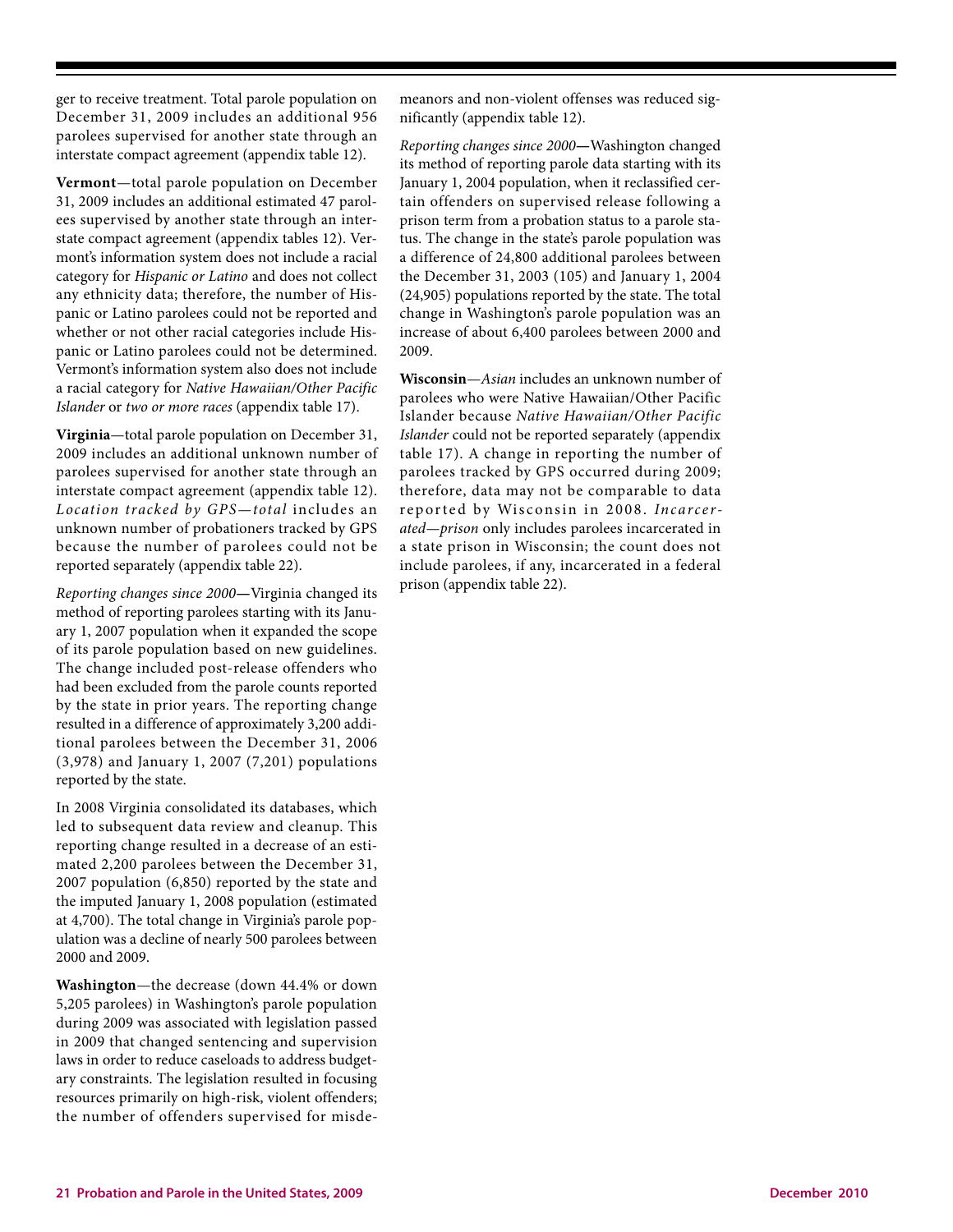ger to receive treatment. Total parole population on December 31, 2009 includes an additional 956 parolees supervised for another state through an interstate compact agreement (appendix table 12).

**Vermont**—total parole population on December 31, 2009 includes an additional estimated 47 parolees supervised by another state through an interstate compact agreement (appendix tables 12). Vermont's information system does not include a racial category for *Hispanic or Latino* and does not collect any ethnicity data; therefore, the number of Hispanic or Latino parolees could not be reported and whether or not other racial categories include Hispanic or Latino parolees could not be determined. Vermont's information system also does not include a racial category for *Native Hawaiian/Other Pacific Islander* or *two or more races* (appendix table 17).

**Virginia**—total parole population on December 31, 2009 includes an additional unknown number of parolees supervised for another state through an interstate compact agreement (appendix table 12). *Location tracked by GPS—total* includes an unknown number of probationers tracked by GPS because the number of parolees could not be reported separately (appendix table 22).

*Reporting changes since 2000***—**Virginia changed its method of reporting parolees starting with its January 1, 2007 population when it expanded the scope of its parole population based on new guidelines. The change included post-release offenders who had been excluded from the parole counts reported by the state in prior years. The reporting change resulted in a difference of approximately 3,200 additional parolees between the December 31, 2006 (3,978) and January 1, 2007 (7,201) populations reported by the state.

In 2008 Virginia consolidated its databases, which led to subsequent data review and cleanup. This reporting change resulted in a decrease of an estimated 2,200 parolees between the December 31, 2007 population (6,850) reported by the state and the imputed January 1, 2008 population (estimated at 4,700). The total change in Virginia's parole population was a decline of nearly 500 parolees between 2000 and 2009.

**Washington**—the decrease (down 44.4% or down 5,205 parolees) in Washington's parole population during 2009 was associated with legislation passed in 2009 that changed sentencing and supervision laws in order to reduce caseloads to address budgetary constraints. The legislation resulted in focusing resources primarily on high-risk, violent offenders; the number of offenders supervised for misdemeanors and non-violent offenses was reduced significantly (appendix table 12).

*Reporting changes since 2000***—**Washington changed its method of reporting parole data starting with its January 1, 2004 population, when it reclassified certain offenders on supervised release following a prison term from a probation status to a parole status. The change in the state's parole population was a difference of 24,800 additional parolees between the December 31, 2003 (105) and January 1, 2004 (24,905) populations reported by the state. The total change in Washington's parole population was an increase of about 6,400 parolees between 2000 and 2009.

**Wisconsin**—*Asian* includes an unknown number of parolees who were Native Hawaiian/Other Pacific Islander because *Native Hawaiian/Other Pacific Islander* could not be reported separately (appendix table 17). A change in reporting the number of parolees tracked by GPS occurred during 2009; therefore, data may not be comparable to data reported by Wisconsin in 2008. *Incarcerated—prison* only includes parolees incarcerated in a state prison in Wisconsin; the count does not include parolees, if any, incarcerated in a federal prison (appendix table 22).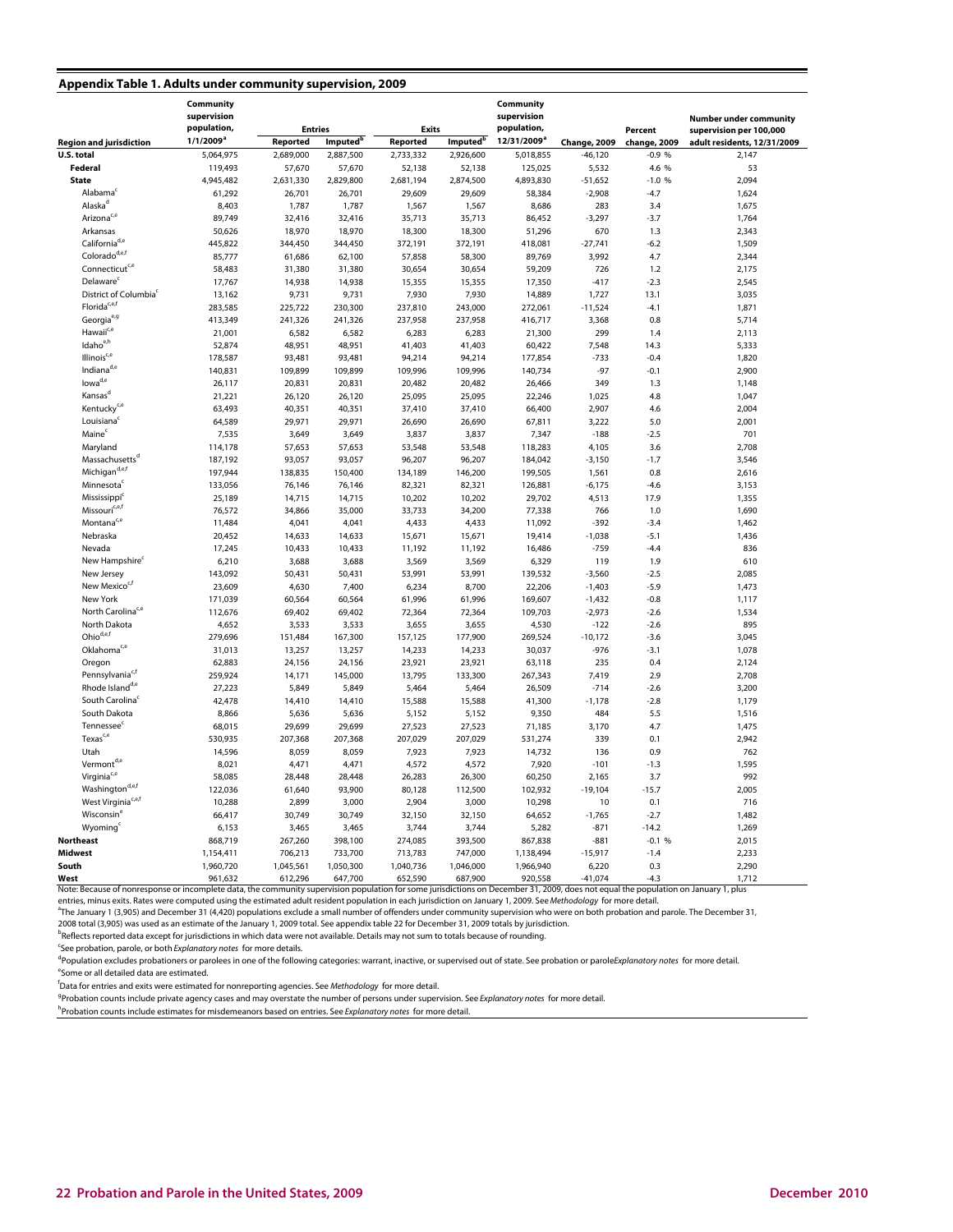#### **Appendix Table 1. Adults under community supervision, 2009**

|                                   | Community<br>supervision<br>population,<br><b>Entries</b><br><b>Exits</b> |           | Community<br>supervision<br>population, |                   | Percent              | <b>Number under community</b><br>supervision per 100,000 |              |              |                             |  |
|-----------------------------------|---------------------------------------------------------------------------|-----------|-----------------------------------------|-------------------|----------------------|----------------------------------------------------------|--------------|--------------|-----------------------------|--|
| <b>Region and jurisdiction</b>    | $1/1/2009^a$                                                              | Reported  | Imputed <sup>t</sup>                    | Reported          | Imputed <sup>b</sup> | 12/31/2009 <sup>ª</sup>                                  | Change, 2009 | change, 2009 | adult residents, 12/31/2009 |  |
| U.S. total                        | 5,064,975                                                                 | 2,689,000 | 2,887,500                               | 2,733,332         | 2,926,600            | 5,018,855                                                | $-46,120$    | $-0.9%$      | 2,147                       |  |
| Federal                           |                                                                           | 57,670    |                                         |                   |                      |                                                          |              | 4.6 %        |                             |  |
|                                   | 119,493                                                                   |           | 57,670                                  | 52,138            | 52,138               | 125,025                                                  | 5,532        |              | 53                          |  |
| <b>State</b>                      | 4,945,482                                                                 | 2,631,330 | 2,829,800                               | 2,681,194         | 2,874,500            | 4,893,830                                                | $-51,652$    | $-1.0%$      | 2,094                       |  |
| Alabama                           | 61,292                                                                    | 26,701    | 26,701                                  | 29,609            | 29,609               | 58,384                                                   | $-2,908$     | $-4.7$       | 1,624                       |  |
| Alaska <sup>d</sup>               | 8,403                                                                     | 1,787     | 1,787                                   | 1,567             | 1,567                | 8,686                                                    | 283          | 3.4          | 1,675                       |  |
| Arizona <sup>c,e</sup>            | 89,749                                                                    | 32,416    | 32,416                                  | 35,713            | 35,713               | 86,452<br>$-3,297$                                       |              | $-3.7$       | 1,764                       |  |
| Arkansas                          | 50,626                                                                    | 18,970    | 18,970                                  | 18,300            | 18,300               | 51,296                                                   | 670          | 1.3          | 2,343                       |  |
| California <sup>d,e</sup>         | 445,822                                                                   | 344,450   | 344,450                                 | 372,191           | 372,191              | 418,081                                                  | $-27,741$    | $-6.2$       | 1,509                       |  |
| Colorado <sup>d,e,t</sup>         | 85,777                                                                    | 61,686    | 62,100                                  | 57,858            | 58,300               | 89,769                                                   | 3,992        | 4.7          | 2,344                       |  |
| Connecticut <sup>c,e</sup>        | 58,483                                                                    | 31,380    | 31,380                                  | 30,654            | 30,654               | 59,209                                                   | 726          | 1.2          | 2,175                       |  |
| Delaware <sup>c</sup>             | 17,767                                                                    | 14,938    | 14,938                                  | 15,355            | 15,355               | 17,350                                                   | $-417$       | $-2.3$       | 2,545                       |  |
| District of Columbia <sup>c</sup> | 13,162                                                                    | 9,731     | 9,731                                   | 7,930             | 7,930                | 14,889                                                   | 1,727        | 13.1         | 3,035                       |  |
| Florida <sup>c,e,f</sup>          | 283,585                                                                   | 225,722   | 230,300                                 | 237,810           | 243,000              | 272,061                                                  | $-11,524$    | $-4.1$       | 1,871                       |  |
| Georgia <sup>e,g</sup>            | 413,349                                                                   | 241,326   | 241,326                                 | 237,958           | 237,958              | 416,717                                                  | 3,368        | 0.8          | 5,714                       |  |
| Hawaii <sup>c,e</sup>             | 21,001                                                                    | 6,582     | 6,582                                   | 6,283             | 6,283                | 21,300                                                   | 299          | 1.4          | 2,113                       |  |
| Idaho <sup>e,h</sup>              | 52,874                                                                    | 48,951    | 48,951                                  | 41,403            | 41,403               | 60,422                                                   | 7,548        | 14.3         | 5,333                       |  |
| Illinois <sup>c,e</sup>           | 178,587                                                                   | 93,481    | 93,481                                  | 94,214            | 94,214               | 177,854                                                  | $-733$       | $-0.4$       | 1,820                       |  |
| Indianad,e                        | 140,831                                                                   | 109,899   | 109,899                                 | 109,996           | 109,996              | 140,734                                                  | $-97$        | $-0.1$       | 2,900                       |  |
| lowa <sup>d,e</sup>               | 26,117                                                                    | 20,831    | 20,831                                  | 20,482            | 20,482               | 26,466                                                   | 349          | 1.3          | 1,148                       |  |
| Kansas <sup>d</sup>               |                                                                           |           | 26,120                                  |                   |                      |                                                          |              | 4.8          |                             |  |
| Kentucky <sup>c,e</sup>           | 21,221                                                                    | 26,120    |                                         | 25,095            | 25,095               | 22,246                                                   | 1,025        |              | 1,047                       |  |
|                                   | 63,493                                                                    | 40,351    | 40,351                                  | 37,410            | 37,410               | 66,400                                                   | 2,907        | 4.6          | 2,004                       |  |
| Louisiana                         | 64,589                                                                    | 29,971    | 29,971                                  | 26,690            | 26,690               | 67,811                                                   | 3,222        | 5.0          | 2,001                       |  |
| Maine <sup>c</sup>                | 7,535                                                                     | 3,649     | 3,649                                   | 3,837             | 3,837                | 7,347                                                    | $-188$       | $-2.5$       | 701                         |  |
| Maryland                          | 114,178                                                                   | 57,653    | 57,653                                  | 53,548            | 53,548               | 118,283                                                  | 4,105        | 3.6          | 2,708                       |  |
| Massachusetts <sup>d</sup>        | 187,192                                                                   | 93,057    | 93,057                                  | 96,207            | 96,207               | 184,042                                                  | $-3,150$     | $-1.7$       | 3,546                       |  |
| Michigan <sup>d,e,f</sup>         | 197,944                                                                   | 138,835   | 150,400                                 | 134,189           | 146,200              | 199,505                                                  | 1,561        | 0.8          | 2,616                       |  |
| Minnesota                         | 133,056                                                                   | 76,146    | 76,146                                  | 82,321            | 82,321               | 126,881                                                  | $-6,175$     | $-4.6$       | 3,153                       |  |
| Mississippi <sup>c</sup>          | 25,189                                                                    | 14,715    | 14,715                                  | 10,202            | 10,202               | 29,702                                                   | 4,513        | 17.9         | 1,355                       |  |
| Missouri <sup>c,e,f</sup>         | 76,572                                                                    | 34,866    | 35,000                                  | 33,733            | 34,200               | 77,338                                                   | 766          | 1.0          | 1,690                       |  |
| Montana <sup>c,e</sup>            | 11,484                                                                    | 4,041     | 4,041                                   | 4,433             | 4,433                | 11,092                                                   | $-392$       | $-3.4$       | 1,462                       |  |
| Nebraska                          | 20,452                                                                    | 14,633    | 14,633                                  | 15,671            | 15,671               | 19,414                                                   | $-1,038$     | $-5.1$       | 1,436                       |  |
| Nevada                            | 17,245                                                                    | 10,433    | 10,433                                  | 11,192            | 11,192               | 16,486                                                   | $-759$       | $-4.4$       | 836                         |  |
| New Hampshire <sup>®</sup>        | 6,210                                                                     | 3,688     | 3,688                                   | 3,569             | 3,569                | 6,329                                                    | 119          | 1.9          | 610                         |  |
| New Jersey                        | 143,092                                                                   | 50,431    | 50,431                                  | 53,991            | 53,991               | 139,532                                                  | $-3,560$     | $-2.5$       | 2,085                       |  |
| New Mexico <sup>c,f</sup>         | 23,609                                                                    | 4,630     | 7,400                                   | 6,234             | 8,700                | 22,206                                                   | $-1,403$     | $-5.9$       | 1,473                       |  |
| New York                          | 171,039                                                                   | 60,564    | 60,564                                  | 61,996            | 61,996               | 169,607                                                  | $-1,432$     | $-0.8$       | 1,117                       |  |
| North Carolina <sup>c,e</sup>     | 112,676                                                                   | 69,402    | 69,402                                  | 72,364            | 72,364               | 109,703                                                  | $-2,973$     | $-2.6$       | 1,534                       |  |
| North Dakota                      | 4,652                                                                     | 3,533     | 3,533                                   | 3,655             | 3,655                | 4,530                                                    | $-122$       | $-2.6$       | 895                         |  |
| Ohiod,e,f                         | 279,696                                                                   | 151,484   | 167,300                                 | 157,125           | 177,900              | 269,524                                                  | $-10,172$    | $-3.6$       | 3,045                       |  |
| Oklahoma <sup>c,e</sup>           | 31,013                                                                    | 13,257    | 13,257                                  | 14,233            | 14,233               | 30,037                                                   | $-976$       | $-3.1$       | 1,078                       |  |
| Oregon                            | 62,883                                                                    | 24,156    | 24,156                                  | 23,921            | 23,921               | 63,118                                                   | 235          | 0.4          | 2,124                       |  |
| Pennsylvania <sup>c,f</sup>       | 259,924                                                                   | 14,171    | 145,000                                 | 13,795            | 133,300              | 267,343                                                  | 7,419        | 2.9          | 2,708                       |  |
| Rhode Island <sup>d,e</sup>       | 27,223                                                                    | 5,849     | 5,849                                   | 5,464             | 5,464                | 26,509                                                   | $-714$       | $-2.6$       | 3,200                       |  |
| South Carolina <sup>c</sup>       | 42,478                                                                    | 14,410    | 14,410                                  | 15,588            | 15,588               | 41,300                                                   | $-1,178$     | $-2.8$       | 1,179                       |  |
| South Dakota                      | 8,866                                                                     | 5,636     | 5,636                                   | 5,152             | 5,152                | 9,350                                                    | 484          | 5.5          | 1,516                       |  |
| Tennessee <sup>c</sup>            | 68,015                                                                    | 29,699    | 29,699                                  |                   | 27,523               | 71,185                                                   |              | 4.7          |                             |  |
| $T$ exas <sup>c,6</sup>           | 530,935                                                                   | 207,368   | 207,368                                 | 27,523<br>207,029 | 207,029              |                                                          | 3,170        | 0.1          | 1,475<br>2,942              |  |
|                                   |                                                                           |           |                                         |                   |                      | 531,274                                                  | 339          |              |                             |  |
| Utah                              | 14,596                                                                    | 8,059     | 8,059                                   | 7,923             | 7,923                | 14,732                                                   | 136          | 0.9          | 762                         |  |
| Vermont <sup>d,e</sup>            | 8,021                                                                     | 4,471     | 4,471                                   | 4,572             | 4,572                | 7,920                                                    | $-101$       | $-1.3$       | 1,595                       |  |
| Virginia <sup>c,e</sup>           | 58,085                                                                    | 28,448    | 28,448                                  | 26,283            | 26,300               | 60,250                                                   | 2,165        | 3.7          | 992                         |  |
| Washington <sup>d,e,f</sup>       | 122,036                                                                   | 61,640    | 93,900                                  | 80,128            | 112,500              | 102,932                                                  | $-19,104$    | $-15.7$      | 2,005                       |  |
| West Virginia <sup>c,e,f</sup>    | 10,288                                                                    | 2,899     | 3,000                                   | 2,904             | 3,000                | 10,298                                                   | 10           | 0.1          | 716                         |  |
| Wisconsin <sup>e</sup>            | 66,417                                                                    | 30,749    | 30,749                                  | 32,150            | 32,150               | 64,652                                                   | $-1,765$     | $-2.7$       | 1,482                       |  |
| Wyoming                           | 6,153                                                                     | 3,465     | 3,465                                   | 3,744             | 3,744                | 5,282                                                    | $-871$       | $-14.2$      | 1,269                       |  |
| <b>Northeast</b>                  | 868,719                                                                   | 267,260   | 398,100                                 | 274,085           | 393,500              | 867,838                                                  | $-881$       | $-0.1%$      | 2,015                       |  |
| <b>Midwest</b>                    | 1,154,411                                                                 | 706,213   | 733,700                                 | 713,783           | 747,000              | 1,138,494                                                | $-15,917$    | $-1.4$       | 2,233                       |  |
| South                             | 1,960,720                                                                 | 1,045,561 | 1,050,300                               | 1,040,736         | 1,046,000            | 1,966,940                                                | 6,220        | 0.3          | 2,290                       |  |
| West                              | 961,632                                                                   | 612,296   | 647,700                                 | 652,590           | 687,900              | 920,558                                                  | $-41,074$    | $-4.3$       | 1,712                       |  |

Note: Because of nonresponse or incomplete data, the community supervision population for some jurisdictions on December 31, 2009, does not equal the population on January 1, plus<br>entries, minus exits. Rates were computed

<sup>a</sup>The January 1 (3,905) and December 31 (4,420) populations exclude a small number of offenders under community supervision who were on both probation and parole. The December 31, 2008 total (3,905) was used as an estimate of the January 1, 2009 total. See appendix table 22 for December 31, 2009 totals by jurisdiction.

<sup>b</sup>Reflects reported data except for jurisdictions in which data were not available. Details may not sum to totals because of rounding.

<sup>c</sup>See probation, parole, or both Explanatory notes for more details.

<sup>d</sup>Population excludes probationers or parolees in one of the following categories: warrant, inactive, or supervised out of state. See probation or parole*Explanatory notes for more detail.* 

e Some or all detailed data are estimated.

i<br>Data for entries and exits were estimated for nonreporting agencies. See *Methodology* for more detail.<br><sup>g</sup>Probation counts include private agency cases and may overstate the number of norsons under super

<sup>9</sup>Probation counts include private agency cases and may overstate the number of persons under supervision. See Explanatory notes for more detail.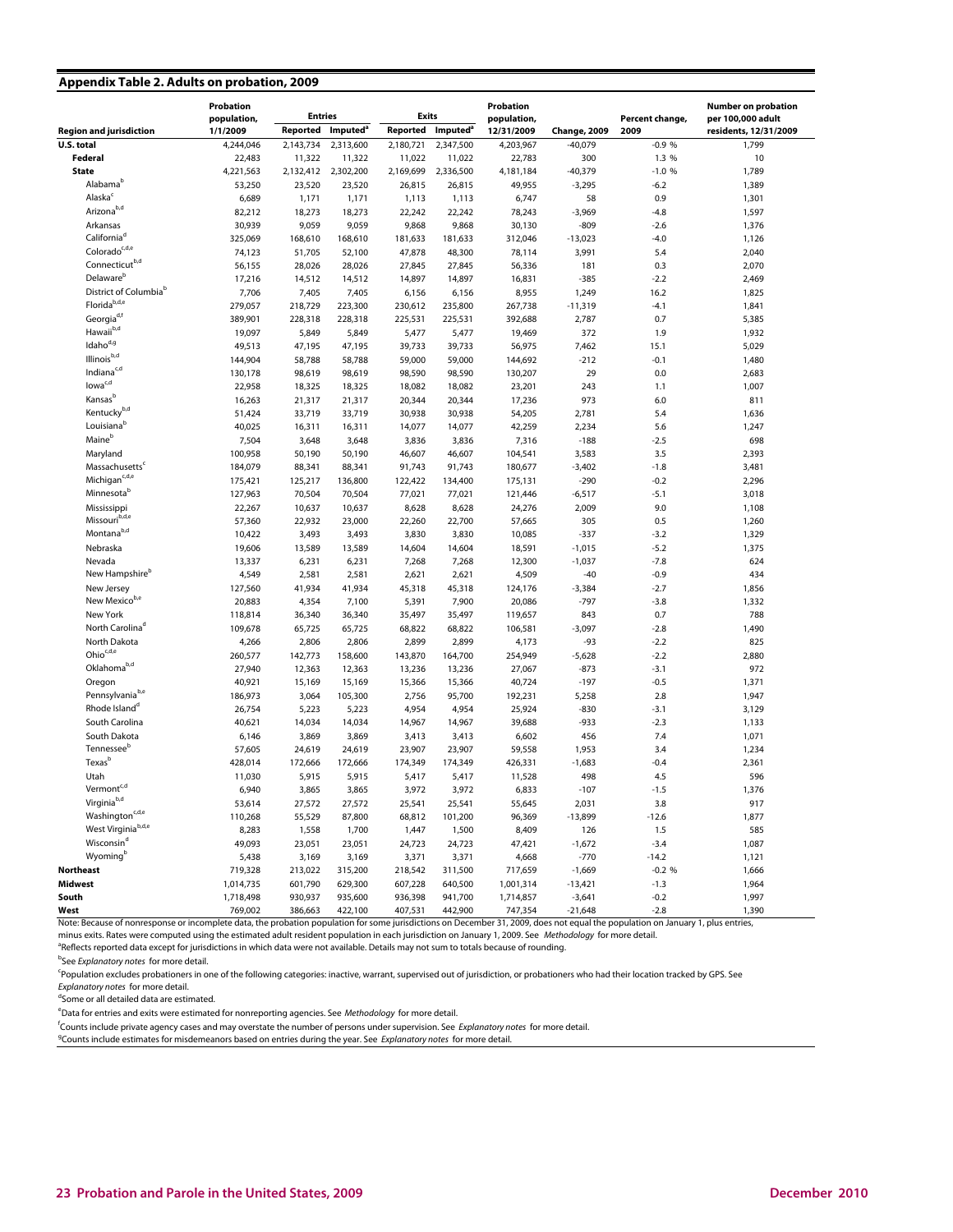#### **Appendix Table 2. Adults on probation, 2009**

|                                                          | Probation         |                  | Probation                   |                   |                             | <b>Number on probation</b> |                    |                  |                       |  |
|----------------------------------------------------------|-------------------|------------------|-----------------------------|-------------------|-----------------------------|----------------------------|--------------------|------------------|-----------------------|--|
|                                                          | population,       | <b>Entries</b>   |                             | <b>Exits</b>      |                             | population,                |                    | Percent change,  | per 100,000 adult     |  |
| <b>Region and jurisdiction</b>                           | 1/1/2009          | Reported         | <b>Imputed</b> <sup>a</sup> | Reported          | <b>Imputed</b> <sup>a</sup> | 12/31/2009                 | Change, 2009       | 2009             | residents, 12/31/2009 |  |
| U.S. total                                               | 4,244,046         | 2,143,734        | 2,313,600                   | 2,180,721         | 2,347,500                   | 4,203,967                  | $-40,079$          | $-0.9%$          | 1,799                 |  |
| Federal                                                  | 22,483            | 11,322           | 11,322                      | 11,022            | 11,022                      | 22,783                     | 300                | 1.3 %            | 10                    |  |
| <b>State</b><br>Alabama <sup>b</sup>                     | 4,221,563         |                  | 2,132,412 2,302,200         | 2,169,699         | 2,336,500                   | 4,181,184                  | $-40,379$          | $-1.0%$          | 1,789<br>1,389        |  |
| Alaska <sup>c</sup>                                      | 53,250            | 23,520           | 23,520                      | 26,815            | 26,815                      | 49,955                     | $-3,295$           | $-6.2$           |                       |  |
| Arizona <sup>b,d</sup>                                   | 6,689             | 1,171            | 1,171                       | 1,113             | 1,113                       | 6,747                      | 58                 | 0.9              | 1,301                 |  |
| Arkansas                                                 | 82,212<br>30,939  | 18,273           | 18,273                      | 22,242<br>9,868   | 22,242<br>9,868             | 78,243                     | $-3,969$           | $-4.8$           | 1,597                 |  |
| California <sup>d</sup>                                  | 325,069           | 9,059            | 9,059                       |                   |                             | 30,130                     | $-809$             | $-2.6$<br>$-4.0$ | 1,376                 |  |
| Colorado <sup>c,d,e</sup>                                | 74,123            | 168,610          | 168,610                     | 181,633<br>47,878 | 181,633                     | 312,046                    | $-13,023$<br>3,991 | 5.4              | 1,126                 |  |
| Connecticutb,d                                           |                   | 51,705<br>28,026 | 52,100<br>28,026            | 27,845            | 48,300                      | 78,114                     | 181                | 0.3              | 2,040                 |  |
| Delaware <sup>b</sup>                                    | 56,155<br>17,216  | 14,512           | 14,512                      | 14,897            | 27,845<br>14,897            | 56,336<br>16,831           | $-385$             | $-2.2$           | 2,070<br>2,469        |  |
| District of Columbia <sup>b</sup>                        | 7,706             | 7,405            | 7,405                       | 6,156             | 6,156                       | 8,955                      | 1,249              | 16.2             | 1,825                 |  |
| Florida <sup>b,d,e</sup>                                 | 279,057           | 218,729          | 223,300                     | 230,612           | 235,800                     | 267,738                    | $-11,319$          | $-4.1$           | 1,841                 |  |
| Georgia <sup>d,f</sup>                                   | 389,901           | 228,318          | 228,318                     | 225,531           | 225,531                     | 392,688                    | 2,787              | 0.7              | 5,385                 |  |
| Hawaii <sup>b,d</sup>                                    | 19,097            | 5,849            | 5,849                       | 5,477             | 5,477                       | 19,469                     | 372                | 1.9              | 1,932                 |  |
| Idaho <sup>d,g</sup>                                     | 49,513            | 47,195           | 47,195                      | 39,733            | 39,733                      | 56,975                     | 7,462              | 15.1             | 5,029                 |  |
| Illinois <sup>b,d</sup>                                  | 144,904           | 58,788           | 58,788                      | 59,000            | 59,000                      | 144,692                    | $-212$             | $-0.1$           | 1,480                 |  |
| Indiana <sup>c,d</sup>                                   | 130,178           | 98,619           | 98,619                      | 98,590            | 98,590                      | 130,207                    | 29                 | 0.0              | 2,683                 |  |
| lowa <sup>c,d</sup>                                      | 22,958            | 18,325           | 18,325                      | 18,082            | 18,082                      | 23,201                     | 243                | 1.1              | 1,007                 |  |
| Kansas <sup>b</sup>                                      | 16,263            | 21,317           | 21,317                      | 20,344            | 20,344                      | 17,236                     | 973                | 6.0              | 811                   |  |
| Kentucky <sup>b,d</sup>                                  | 51,424            | 33,719           | 33,719                      | 30,938            | 30,938                      | 54,205                     | 2,781              | 5.4              | 1,636                 |  |
| Louisiana <sup>b</sup>                                   | 40,025            | 16,311           | 16,311                      | 14,077            | 14,077                      | 42,259                     | 2,234              | 5.6              | 1,247                 |  |
| Maine <sup>b</sup>                                       | 7,504             | 3,648            | 3,648                       | 3,836             | 3,836                       | 7,316                      | $-188$             | $-2.5$           | 698                   |  |
| Maryland                                                 | 100,958           | 50,190           | 50,190                      | 46,607            | 46,607                      | 104,541                    | 3,583              | 3.5              | 2,393                 |  |
| Massachusetts <sup>c</sup>                               | 184,079           | 88,341           | 88,341                      | 91,743            | 91,743                      | 180,677                    | $-3,402$           | $-1.8$           | 3,481                 |  |
| Michigan <sup>c,d,e</sup>                                | 175,421           | 125,217          | 136,800                     | 122,422           | 134,400                     | 175,131                    | $-290$             | $-0.2$           | 2,296                 |  |
| Minnesotab                                               | 127,963           | 70,504           | 70,504                      | 77,021            | 77,021                      | 121,446                    | $-6,517$           | $-5.1$           | 3,018                 |  |
| Mississippi                                              | 22,267            | 10,637           | 10,637                      | 8,628             | 8,628                       | 24,276                     | 2,009              | 9.0              | 1,108                 |  |
| Missouri <sup>b,d,e</sup>                                | 57,360            | 22,932           | 23,000                      | 22,260            | 22,700                      | 57,665                     | 305                | 0.5              | 1,260                 |  |
| Montana <sup>b,d</sup>                                   | 10,422            | 3,493            | 3,493                       | 3,830             | 3,830                       | 10,085                     | $-337$             | $-3.2$           | 1,329                 |  |
| Nebraska                                                 | 19,606            | 13,589           | 13,589                      | 14,604            | 14,604                      | 18,591                     | $-1,015$           | $-5.2$           | 1,375                 |  |
| Nevada                                                   | 13,337            | 6,231            | 6,231                       | 7,268             | 7,268                       | 12,300                     | $-1,037$           | $-7.8$           | 624                   |  |
| New Hampshire <sup>b</sup>                               | 4,549             | 2,581            | 2,581                       | 2,621             | 2,621                       | 4,509                      | $-40$              | $-0.9$           | 434                   |  |
| New Jersey                                               | 127,560           | 41,934           | 41,934                      | 45,318            | 45,318                      | 124,176                    | $-3,384$           | $-2.7$           | 1,856                 |  |
| New Mexicob,e                                            | 20,883            | 4,354            | 7,100                       | 5,391             | 7,900                       | 20,086                     | $-797$             | $-3.8$           | 1,332                 |  |
| New York                                                 | 118,814           | 36,340           | 36,340                      | 35,497            | 35,497                      | 119,657                    | 843                | 0.7              | 788                   |  |
| North Carolina <sup>d</sup>                              | 109,678           | 65,725           | 65,725                      | 68,822            | 68,822                      | 106,581                    | $-3,097$           | $-2.8$           | 1,490                 |  |
| North Dakota                                             | 4,266             | 2,806            | 2,806                       | 2,899             | 2,899                       | 4,173                      | $-93$              | $-2.2$           | 825                   |  |
| Ohio <sup>c,d,e</sup>                                    | 260,577           | 142,773          | 158,600                     | 143,870           | 164,700                     | 254,949                    | $-5,628$           | $-2.2$           | 2,880                 |  |
| Oklahoma <sup>b,d</sup>                                  | 27,940            | 12,363           | 12,363                      | 13,236            | 13,236                      | 27,067                     | $-873$             | $-3.1$           | 972                   |  |
| Oregon<br>Pennsylvania <sup>b,e</sup>                    | 40,921            | 15,169           | 15,169                      | 15,366            | 15,366                      | 40,724                     | $-197$             | $-0.5$           | 1,371                 |  |
| Rhode Island <sup>d</sup>                                | 186,973<br>26,754 | 3,064<br>5,223   | 105,300<br>5,223            | 2,756<br>4,954    | 95,700<br>4,954             | 192,231<br>25,924          | 5,258<br>$-830$    | 2.8<br>$-3.1$    | 1,947<br>3,129        |  |
| South Carolina                                           | 40,621            | 14,034           | 14,034                      | 14,967            | 14,967                      | 39,688                     | -933               | $-2.3$           | 1,133                 |  |
| South Dakota                                             | 6,146             | 3,869            | 3,869                       | 3,413             | 3,413                       | 6,602                      | 456                | 7.4              | 1,071                 |  |
| Tennessee <sup>b</sup>                                   | 57,605            | 24,619           | 24,619                      | 23,907            | 23,907                      | 59,558                     | 1,953              | 3.4              | 1,234                 |  |
| Texas <sup>b</sup>                                       | 428,014           | 172,666          | 172,666                     | 174,349           | 174,349                     | 426,331                    | $-1,683$           | $-0.4$           | 2,361                 |  |
| Utah                                                     | 11,030            | 5,915            | 5,915                       | 5,417             | 5,417                       | 11,528                     | 498                | 4.5              | 596                   |  |
| Vermont <sup>c,d</sup>                                   | 6,940             | 3,865            | 3,865                       | 3,972             | 3,972                       | 6,833                      | $-107$             | $-1.5$           | 1,376                 |  |
| Virginia <sup>b,d</sup>                                  | 53,614            | 27,572           | 27,572                      | 25,541            | 25,541                      | 55,645                     | 2,031              | 3.8              | 917                   |  |
| $\mathsf{Washington}^{\mathsf{c},\mathsf{d},\mathsf{e}}$ | 110,268           | 55,529           | 87,800                      | 68,812            | 101,200                     | 96,369                     | $-13,899$          | $-12.6$          | 1,877                 |  |
| West Virginia <sup>b,d,e</sup>                           | 8,283             | 1,558            | 1,700                       | 1,447             | 1,500                       | 8,409                      | 126                | 1.5              | 585                   |  |
| Wisconsin <sup>d</sup>                                   | 49,093            | 23,051           | 23,051                      | 24,723            | 24,723                      | 47,421                     | $-1,672$           | $-3.4$           | 1,087                 |  |
| Wyomingb                                                 | 5,438             | 3,169            | 3,169                       | 3,371             | 3,371                       | 4,668                      | $-770$             | $-14.2$          | 1,121                 |  |
| Northeast                                                | 719,328           | 213,022          | 315,200                     | 218,542           | 311,500                     | 717,659                    | $-1,669$           | $-0.2 %$         | 1,666                 |  |
| Midwest                                                  | 1,014,735         | 601,790          | 629,300                     | 607,228           | 640,500                     | 1,001,314                  | $-13,421$          | $-1.3$           | 1,964                 |  |
| South                                                    | 1,718,498         | 930,937          | 935,600                     | 936,398           | 941,700                     | 1,714,857                  | $-3,641$           | $-0.2$           | 1,997                 |  |
| West                                                     | 769,002           | 386,663          | 422,100                     | 407,531           | 442,900                     | 747,354                    | $-21,648$          | $-2.8$           | 1,390                 |  |

Note: Because of nonresponse or incomplete data, the probation population for some jurisdictions on December 31, 2009, does not equal the population on January 1, plus entries,

minus exits. Rates were computed using the estimated adult resident population in each jurisdiction on January 1, 2009. See Methodology for more detail.

<sup>a</sup>Reflects reported data except for jurisdictions in which data were not available. Details may not sum to totals because of rounding.

<sup>b</sup>See Explanatory notes for more detail.

c Population excludes probationers in one of the following categories: inactive, warrant, supervised out of jurisdiction, or probationers who had their location tracked by GPS. See

Explanatory notes for more detail.

d Some or all detailed data are estimated.

<sup>e</sup>Data for entries and exits were estimated for nonreporting agencies. See Methodology for more detail.

<sup>9</sup>Counts include estimates for misdemeanors based on entries during the year. See Explanatory notes for more detail. <sup>f</sup>Counts include private agency cases and may overstate the number of persons under supervision. See *Explanatory notes for more detail*.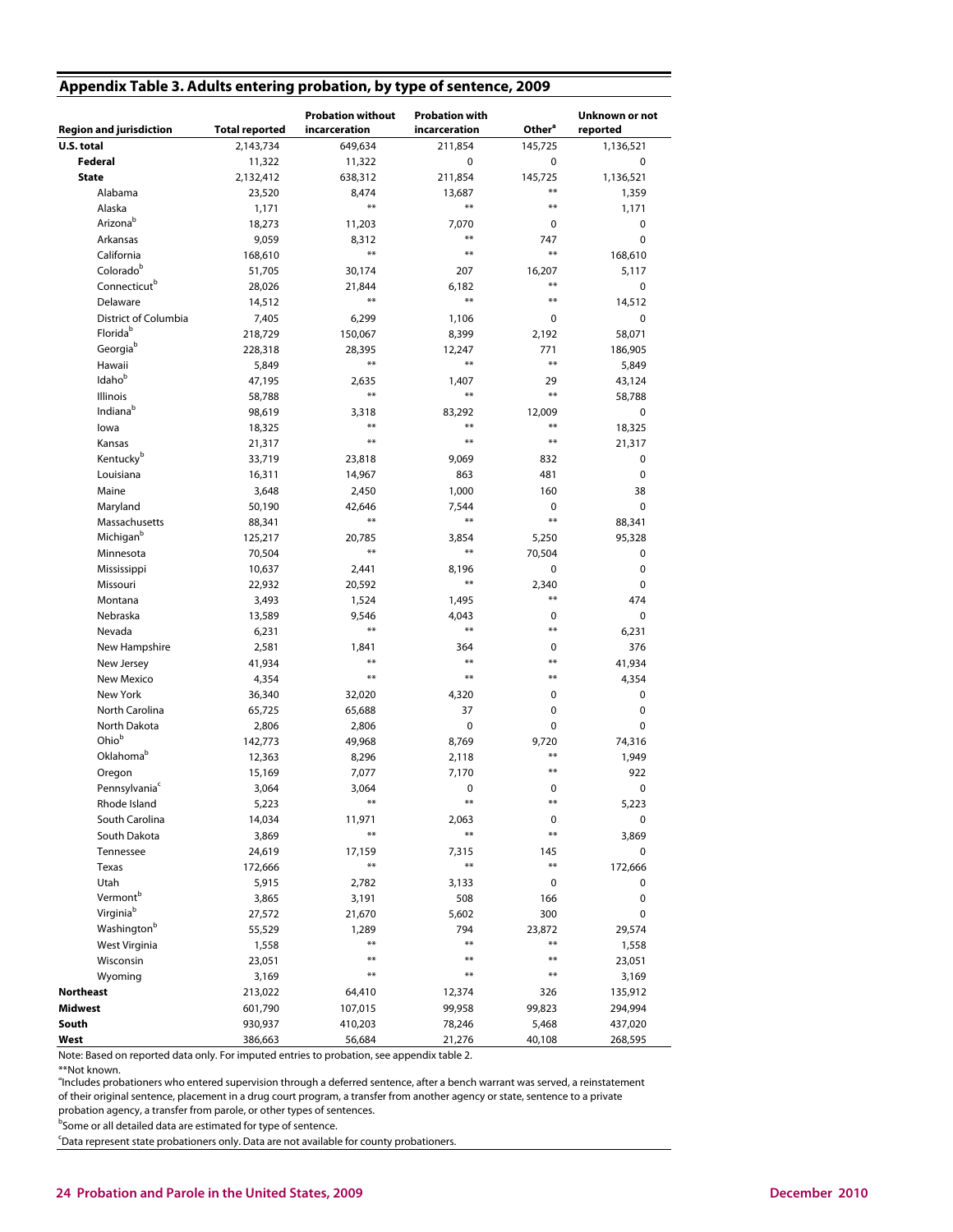| Appendix Table 3. Adults entering probation, by type of sentence, 2009 |  |  |
|------------------------------------------------------------------------|--|--|
|                                                                        |  |  |

|                                |                       | <b>Probation without</b> | <b>Probation with</b>  |                    | Unknown or not |
|--------------------------------|-----------------------|--------------------------|------------------------|--------------------|----------------|
| <b>Region and jurisdiction</b> | <b>Total reported</b> | incarceration            | incarceration          | Other <sup>a</sup> | reported       |
| U.S. total                     | 2,143,734             | 649,634                  | 211,854                | 145,725            | 1,136,521      |
| Federal                        | 11,322                | 11,322                   | 0                      | $\mathbf 0$        | 0              |
| <b>State</b>                   | 2,132,412             | 638,312                  | 211,854                | 145,725            | 1,136,521      |
| Alabama                        | 23,520                | 8,474                    | 13,687                 | $***$              | 1,359          |
| Alaska                         | 1,171                 | $***$                    | $***$                  | $***$              | 1,171          |
| Arizonab                       | 18,273                | 11,203                   | 7,070                  | 0                  | 0              |
| Arkansas                       | 9,059                 | 8,312                    | $***$                  | 747                | 0              |
| California                     | 168,610               | $***$                    | $***$                  | $***$              | 168,610        |
| Colorado <sup>b</sup>          | 51,705                | 30,174                   | 207                    | 16,207             | 5,117          |
| Connecticut <sup>b</sup>       | 28,026                | 21,844                   | 6,182                  | $***$              | 0              |
| Delaware                       | 14,512                | $***$                    | $**$                   | $**$               | 14,512         |
| District of Columbia           | 7,405                 | 6,299                    | 1,106                  | 0                  | 0              |
| Florida <sup>b</sup>           | 218,729               | 150,067                  | 8,399                  | 2,192              | 58,071         |
| Georgiab                       | 228,318               | 28,395                   | 12,247                 | 771                | 186,905        |
| Hawaii                         | 5,849                 | $***$                    | $***$                  | $***$              | 5,849          |
| Idaho <sup>b</sup>             | 47,195                | 2,635                    | 1,407                  | 29                 | 43,124         |
| <b>Illinois</b>                | 58,788                | $***$                    | $***$                  | $***$              | 58,788         |
| Indiana <sup>b</sup>           | 98,619                | 3,318                    | 83,292                 | 12,009             | 0              |
| lowa                           | 18,325                | $***$                    | $***$                  | $***$              | 18,325         |
| Kansas                         | 21,317                | $***$                    | $***$                  | $***$              | 21,317         |
| Kentucky <sup>b</sup>          | 33,719                | 23,818                   | 9,069                  | 832                | 0              |
| Louisiana                      | 16,311                | 14,967                   | 863                    | 481                | 0              |
| Maine                          | 3,648                 | 2,450                    | 1,000                  | 160                | 38             |
| Maryland                       | 50,190                | 42,646                   | 7,544                  | 0                  | 0              |
| Massachusetts                  | 88,341                | $***$                    | $***$                  | $***$              | 88,341         |
| Michigan <sup>b</sup>          | 125,217               | 20,785                   | 3,854                  | 5,250              | 95,328         |
| Minnesota                      | 70,504                | $***$                    | $**$                   | 70,504             | 0              |
| Mississippi                    | 10,637                | 2,441                    | 8,196                  | 0                  | 0              |
| Missouri                       | 22,932                | 20,592                   | $***$                  | 2,340              | 0              |
| Montana                        | 3,493                 | 1,524                    | 1,495                  | $***$              | 474            |
| Nebraska                       | 13,589                | 9,546                    | 4,043                  | 0                  | 0              |
| Nevada                         | 6,231                 | $***$                    | $\pmb{\ast}\pmb{\ast}$ | $***$              | 6,231          |
| New Hampshire                  | 2,581                 | 1,841                    | 364                    | 0                  | 376            |
| New Jersey                     | 41,934                | $***$                    | $***$                  | $***$              | 41,934         |
| New Mexico                     | 4,354                 | $***$                    | $***$                  | $***$              | 4,354          |
| New York                       | 36,340                | 32,020                   | 4,320                  | 0                  | 0              |
| North Carolina                 | 65,725                | 65,688                   | 37                     | 0                  | 0              |
| North Dakota                   | 2,806                 | 2,806                    | 0                      | 0                  | 0              |
| Ohio <sup>b</sup>              | 142,773               | 49,968                   | 8,769                  | 9,720              | 74,316         |
| Oklahomab                      | 12,363                | 8,296                    | 2,118                  | $***$              | 1,949          |
| Oregon                         | 15,169                | 7,077                    | 7,170                  | $***$              | 922            |
| Pennsylvania <sup>c</sup>      | 3,064                 | 3,064                    | 0                      | 0                  | 0              |
| Rhode Island                   | 5,223                 |                          | $***$                  | $\ast\ast$         | 5,223          |
| South Carolina                 | 14,034                | 11,971                   | 2,063                  | 0                  | 0              |
| South Dakota                   | 3,869                 | $\ast\ast$               | $\pmb{\ast}\pmb{\ast}$ | $***$              | 3,869          |
| Tennessee                      | 24,619                | 17,159                   | 7,315                  | 145                | 0              |
| Texas                          | 172,666               | $***$                    | $**$                   | $***$              | 172,666        |
| Utah                           | 5,915                 | 2,782                    | 3,133                  | 0                  | 0              |
| Vermont <sup>b</sup>           | 3,865                 | 3,191                    | 508                    | 166                | 0              |
| Virginia <sup>b</sup>          | 27,572                | 21,670                   | 5,602                  | 300                | 0              |
| Washington <sup>b</sup>        | 55,529                | 1,289                    | 794                    | 23,872             | 29,574         |
| West Virginia                  | 1,558                 | $***$                    | $***$                  | $***$              | 1,558          |
| Wisconsin                      | 23,051                | $***$                    | $***$                  | $***$              | 23,051         |
| Wyoming                        | 3,169                 | $***$                    | $***$                  | $***$              | 3,169          |
| <b>Northeast</b>               | 213,022               | 64,410                   | 12,374                 | 326                | 135,912        |
| <b>Midwest</b>                 | 601,790               | 107,015                  | 99,958                 | 99,823             | 294,994        |
| South                          | 930,937               | 410,203                  | 78,246                 | 5,468              | 437,020        |
| West                           | 386,663               | 56,684                   | 21,276                 | 40,108             | 268,595        |

Note: Based on reported data only. For imputed entries to probation, see appendix table 2.

\*\*Not known.

a Includes probationers who entered supervision through a deferred sentence, after a bench warrant was served, a reinstatement of their original sentence, placement in a drug court program, a transfer from another agency or state, sentence to a private probation agency, a transfer from parole, or other types of sentences.

<sup>b</sup>Some or all detailed data are estimated for type of sentence.

<sup>c</sup>Data represent state probationers only. Data are not available for county probationers.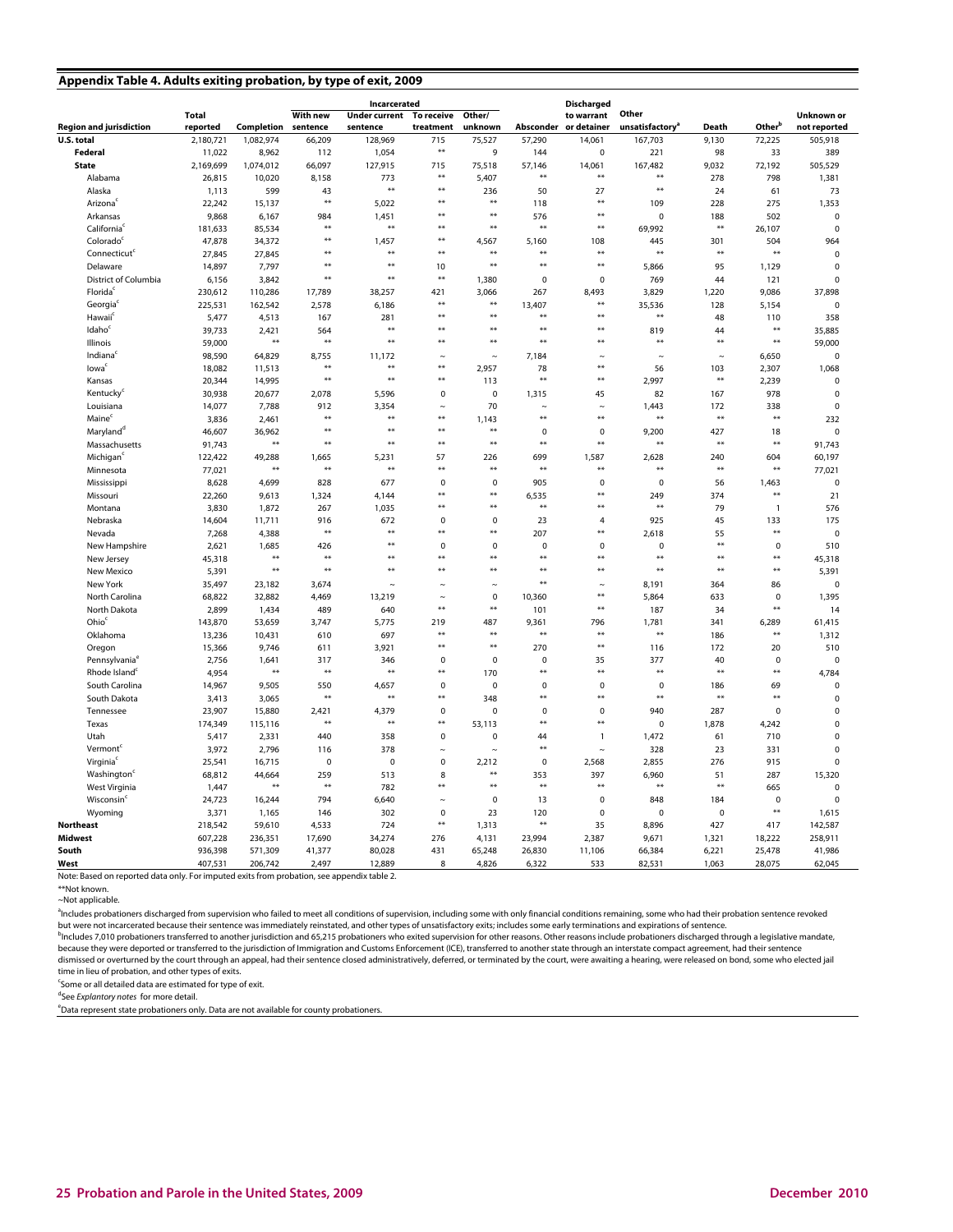#### **Appendix Table 4. Adults exiting probation, by type of exit, 2009**

|                                |              |            |                 | Incarcerated         |             |             |             | <b>Discharged</b>     |                             |            |                    |              |
|--------------------------------|--------------|------------|-----------------|----------------------|-------------|-------------|-------------|-----------------------|-----------------------------|------------|--------------------|--------------|
|                                | <b>Total</b> |            | <b>With new</b> | <b>Under current</b> | To receive  | Other/      |             | to warrant            | Other                       |            |                    | Unknown or   |
| <b>Region and jurisdiction</b> | reported     | Completion | sentence        | sentence             | treatment   | unknown     |             | Absconder or detainer | unsatisfactory <sup>a</sup> | Death      | Other <sup>b</sup> | not reported |
| U.S. total                     | 2,180,721    | 1,082,974  | 66,209          | 128,969              | 715         | 75,527      | 57,290      | 14,061                | 167,703                     | 9,130      | 72,225             | 505,918      |
| Federal                        | 11,022       | 8,962      | 112             | 1,054                | $\ast\ast$  | 9           | 144         | $\pmb{0}$             | 221                         | 98         | 33                 | 389          |
| <b>State</b>                   | 2,169,699    | 1,074,012  | 66,097          | 127,915              | 715         | 75,518      | 57,146      | 14,061                | 167,482                     | 9,032      | 72,192             | 505,529      |
| Alabama                        | 26,815       | 10,020     | 8,158           | 773                  | $**$        | 5,407       | $*$         | $**$                  | $**$                        | 278        | 798                | 1,381        |
| Alaska                         | 1,113        | 599        | 43              | $**$                 | $**$        | 236         | 50          | 27                    | $**$                        | 24         | 61                 | 73           |
| Arizona <sup>®</sup>           | 22,242       | 15,137     | **              | 5,022                | **          | **          | 118         | $**$                  | 109                         | 228        | 275                | 1,353        |
| Arkansas                       | 9,868        | 6,167      | 984             | 1,451                | $**$        | **          | 576         | **                    | $\mathbf 0$                 | 188        | 502                | $\mathbf 0$  |
| California                     | 181,633      | 85,534     | **              | **                   | **          | $**$        | $*$         | $**$                  | 69,992                      | $*$        | 26,107             | $\mathbf 0$  |
| Colorado                       | 47,878       | 34,372     | $**$            | 1,457                | **          | 4,567       | 5,160       | 108                   | 445                         | 301        | 504                | 964          |
| Connecticut <sup>c</sup>       | 27,845       | 27,845     | $*$             | **                   | $**$        | $**$        | $**$        | **                    | $**$                        | $*$        | **                 | $\mathbf 0$  |
| Delaware                       | 14,897       | 7,797      | $*$             | *)                   | 10          | $**$        | $**$        | $**$                  | 5,866                       | 95         | 1,129              | $\mathbf 0$  |
| District of Columbia           | 6,156        | 3,842      | $**$            | **                   | $**$        | 1,380       | $\mathbf 0$ | $\pmb{0}$             | 769                         | 44         | 121                | $\mathbf 0$  |
| Florida                        | 230,612      | 110,286    | 17,789          | 38,257               | 421         | 3,066       | 267         | 8,493                 | 3,829                       | 1,220      | 9,086              | 37,898       |
| Georgia                        | 225,531      | 162,542    | 2,578           | 6,186                | $**$        | **          | 13,407      | $***$                 | 35,536                      | 128        | 5,154              | $\mathbf 0$  |
| Hawaii <sup>c</sup>            | 5,477        | 4,513      | 167             | 281                  | $**$        | $**$        | $*$         | $**$                  | **                          | 48         | 110                | 358          |
| Idaho <sup>c</sup>             | 39,733       | 2,421      | 564             | **                   | $**$        | $**$        | $*$         | $**$                  | 819                         | 44         | $**$               | 35,885       |
| Illinois                       | 59,000       | $**$       | **              | **                   | $**$        | $**$        | $*$         | $**$                  | $**$                        | $**$       | $**$               | 59,000       |
| Indiana                        | 98,590       | 64,829     | 8,755           | 11,172               | $\sim$      | $\sim$      | 7,184       | $\sim$                | $\sim$                      | $\sim$     | 6,650              | $\mathbf 0$  |
| lowa                           | 18,082       | 11,513     | $**$            | **                   | $\ddot{x}$  | 2,957       | 78          | **                    | 56                          | 103        | 2,307              | 1,068        |
| Kansas                         | 20,344       | 14,995     | $*$             | $**$                 | $*$         | 113         | $^{*+}$     | $*$                   | 2,997                       | $*$        | 2,239              | $\mathbf 0$  |
| Kentucky <sup>c</sup>          | 30,938       | 20,677     | 2,078           | 5,596                | 0           | $\pmb{0}$   | 1,315       | 45                    | 82                          | 167        | 978                | $\mathbf 0$  |
| Louisiana                      | 14,077       | 7,788      | 912             | 3,354                | $\sim$      | 70          | $\sim$      | $\sim$                | 1,443                       | 172        | 338                | $\mathbf 0$  |
| Maine                          | 3,836        | 2,461      | $*$             | **                   | **          | 1,143       | $**$        | $**$                  | $**$                        | $\ast\ast$ | **                 | 232          |
| Maryland <sup>d</sup>          | 46,607       | 36,962     | $**$            | **                   | $**$        | $**$        | $\mathbf 0$ | $\mathbf 0$           | 9,200                       | 427        | 18                 | $\mathbf 0$  |
| Massachusetts                  | 91,743       | **         | $**$            | $**$                 | $*$         | $*$         | $4-4$       | $*$                   | $**$                        | $**$       | $**$               | 91,743       |
| Michigan <sup>®</sup>          | 122,422      | 49,288     | 1,665           | 5,231                | 57          | 226         | 699         | 1,587                 | 2,628                       | 240        | 604                | 60,197       |
| Minnesota                      | 77,021       | **         | **              | **                   | $*$         | $*$         | $*$         | $*$                   | **                          | $***$      | $**$               | 77,021       |
| Mississippi                    | 8,628        | 4,699      | 828             | 677                  | $\mathbf 0$ | $\mathbf 0$ | 905         | $\pmb{0}$             | $\pmb{0}$                   | 56         | 1,463              | $\mathbf 0$  |
| Missouri                       | 22,260       | 9,613      | 1,324           | 4,144                | $**$        | **          | 6,535       | $**$                  | 249                         | 374        | $**$               | 21           |
| Montana                        | 3,830        | 1,872      | 267             | 1,035                | **          | **          | $*$         | **                    | **                          | 79         | $\overline{1}$     | 576          |
| Nebraska                       | 14,604       | 11,711     | 916             | 672                  | $\pmb{0}$   | $\pmb{0}$   | 23          | 4                     | 925                         | 45         | 133                | 175          |
| Nevada                         | 7,268        | 4,388      | $**$            | **                   | **          | $**$        | 207         | $**$                  | 2,618                       | 55         | $**$               | $\mathbf 0$  |
| New Hampshire                  | 2,621        | 1,685      | 426             | **                   | $\pmb{0}$   | $\pmb{0}$   | $\pmb{0}$   | $\pmb{0}$             | $\pmb{0}$                   | $*$        | $\pmb{0}$          | 510          |
| New Jersey                     | 45,318       | **         | $**$            | **                   | **          | ××          | $* *$       | $***$                 | $**$                        | ××         | **                 | 45,318       |
| New Mexico                     | 5,391        | 44         | **              | ¥¥                   | $**$        | $**$        | $4-8$       | ××                    | **                          | $**$       | $**$               | 5,391        |
| New York                       | 35,497       | 23,182     | 3,674           | $\sim$               | $\sim$      | $\sim$      | $*$         | $\sim$                | 8,191                       | 364        | 86                 | $\mathbf 0$  |
| North Carolina                 | 68,822       | 32,882     | 4,469           | 13,219               | $\sim$      | $\mathbf 0$ | 10.360      | $**$                  | 5,864                       | 633        | $\mathbf 0$        | 1,395        |
| North Dakota                   | 2,899        | 1.434      | 489             | 640                  | $**$        | $**$        | 101         | $*$                   | 187                         | 34         | $**$               | 14           |
| Ohio                           | 143,870      | 53,659     | 3,747           | 5,775                | 219         | 487         | 9,361       | 796                   | 1,781                       | 341        | 6,289              | 61,415       |
| Oklahoma                       | 13,236       | 10,431     | 610             | 697                  | **          | $**$        | $*$         | $**$                  | **                          | 186        | $**$               | 1,312        |
| Oregon                         | 15,366       | 9,746      | 611             | 3,921                | $**$        | **          | 270         | $\ast\ast$            | 116                         | 172        | 20                 | 510          |
| Pennsylvania <sup>®</sup>      | 2,756        | 1,641      | 317             | 346                  | $\mathbf 0$ | $\pmb{0}$   | $\mathbf 0$ | 35                    | 377                         | 40         | $\pmb{0}$          | $\mathbf 0$  |
| Rhode Island <sup>c</sup>      | 4,954        | **         | **              | **                   | **          | 170         | **          | **                    | $**$                        | $*$        | **                 | 4,784        |
| South Carolina                 | 14,967       | 9,505      | 550             | 4,657                | $\mathbf 0$ | $\pmb{0}$   | $\mathbf 0$ | $\mathbf 0$           | $\pmb{0}$                   | 186        | 69                 | $\mathbf 0$  |
| South Dakota                   | 3,413        | 3,065      | $**$            | **                   | **          | 348         | **          | $**$                  | **                          | $*$        | **                 | $\mathbf 0$  |
| Tennessee                      | 23,907       | 15,880     | 2,421           | 4,379                | $\pmb{0}$   | $\Omega$    | $\pmb{0}$   | $\pmb{0}$             | 940                         | 287        | $\mathbf 0$        | $\mathbf 0$  |
| Texas                          | 174,349      | 115,116    | **              | $**$                 | $***$       | 53,113      | $* *$       | $**$                  | 0                           | 1,878      | 4,242              | $\mathbf 0$  |
| Utah                           | 5,417        | 2,331      | 440             | 358                  | $\mathbf 0$ | 0           | 44          | $\mathbf{1}$          | 1,472                       | 61         | 710                | $\Omega$     |
| Vermont <sup>c</sup>           | 3,972        | 2,796      | 116             | 378                  | $\sim$      | $\sim$      | $*$         | $\sim$                | 328                         | 23         | 331                | $\Omega$     |
| Virginia                       | 25,541       | 16,715     | $\mathbf 0$     | $\mathbf 0$          | $\pmb{0}$   | 2,212       | $\mathbf 0$ | 2,568                 | 2,855                       | 276        | 915                | $\Omega$     |
| Washington <sup>c</sup>        | 68,812       | 44,664     | 259             | 513                  | 8           | **          | 353         | 397                   | 6,960                       | 51         | 287                | 15,320       |
| West Virginia                  | 1,447        | **         | $**$            | 782                  | **          | $**$        | $*$         | $**$                  | $**$                        | $*$        | 665                | $\mathbf 0$  |
| Wisconsin <sup>c</sup>         | 24,723       | 16,244     | 794             | 6,640                | $\sim$      | $\pmb{0}$   | 13          | $\pmb{0}$             | 848                         | 184        | $\pmb{0}$          | $\mathbf 0$  |
| Wyoming                        | 3,371        | 1,165      | 146             | 302                  | 0           | 23          | 120         | $\pmb{0}$             | $\mathbf 0$                 | $\pmb{0}$  | $**$               | 1,615        |
| <b>Northeast</b>               | 218,542      | 59,610     | 4,533           | 724                  | $**$        | 1,313       | $*$         | 35                    | 8,896                       | 427        | 417                | 142,587      |
| <b>Midwest</b>                 | 607,228      | 236,351    | 17,690          | 34,274               | 276         | 4,131       | 23,994      | 2,387                 | 9,671                       | 1,321      | 18,222             | 258,911      |
| South                          | 936,398      | 571,309    | 41,377          | 80,028               | 431         | 65,248      | 26,830      | 11,106                | 66,384                      | 6,221      | 25,478             | 41,986       |
| West                           | 407,531      | 206,742    | 2.497           | 12.889               | 8           | 4.826       | 6.322       | 533                   | 82,531                      | 1,063      | 28.075             | 62.045       |

Note: Based on reported data only. For imputed exits from probation, see appendix table 2.

~Not applicable. \*\*Not known.

<sup>b</sup>includes 7,010 probationers transferred to another jurisdiction and 65,215 probationers who exited supervision for other reasons. Other reasons include probationers discharged through a legislative mandate, <sup>a</sup>ncludes probationers discharged from supervision who failed to meet all conditions of supervision, including some with only financial conditions remaining, some who had their probation sentence revoked but were not incarcerated because their sentence was immediately reinstated, and other types of unsatisfactory exits; includes some early terminations and expirations of sentence.

because they were deported or transferred to the jurisdiction of Immigration and Customs Enforcement (ICE), transferred to another state through an interstate compact agreement, had their sentence dismissed or overturned by the court through an appeal, had their sentence closed administratively, deferred, or terminated by the court, were awaiting a hearing, were released on bond, some who elected jail time in lieu of probation, and other types of exits.

<sup>c</sup>Some or all detailed data are estimated for type of exit.

<sup>d</sup>See Explantory notes for more detail.

<sup>e</sup>Data represent state probationers only. Data are not available for county probationers.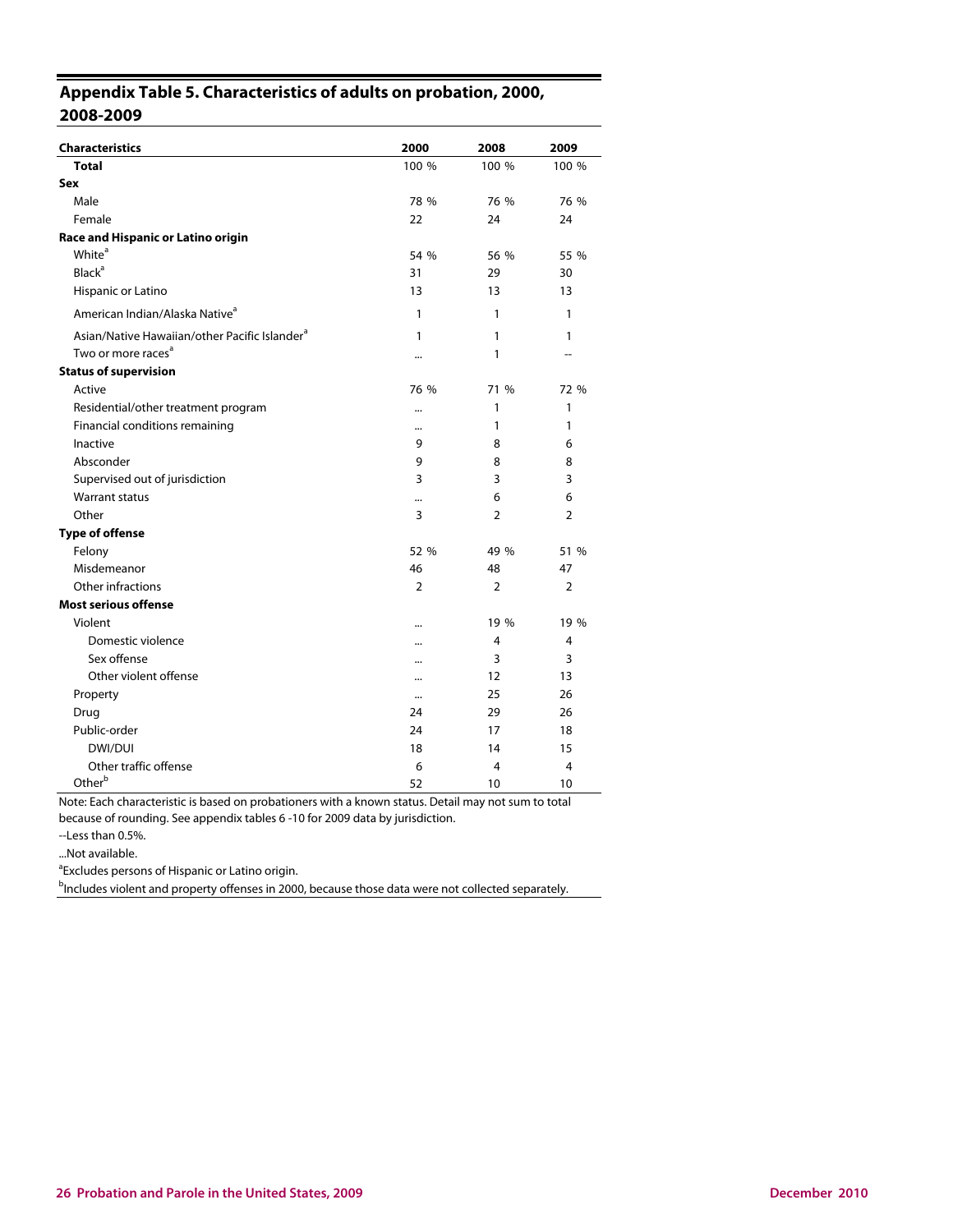## **Appendix Table 5. Characteristics of adults on probation, 2000, 2008-2009**

| <b>Characteristics</b>                                    | 2000      | 2008           | 2009           |
|-----------------------------------------------------------|-----------|----------------|----------------|
| <b>Total</b>                                              | 100 %     | 100 %          | 100 %          |
| Sex                                                       |           |                |                |
| Male                                                      | 78 %      | 76 %           | 76 %           |
| Female                                                    | 22        | 24             | 24             |
| Race and Hispanic or Latino origin                        |           |                |                |
| White <sup>a</sup>                                        | 54 %      | 56 %           | 55 %           |
| <b>Black</b> <sup>a</sup>                                 | 31        | 29             | 30             |
| Hispanic or Latino                                        | 13        | 13             | 13             |
| American Indian/Alaska Native <sup>a</sup>                | 1         | 1              | 1              |
| Asian/Native Hawaiian/other Pacific Islander <sup>a</sup> | 1         | 1              | 1              |
| Two or more races <sup>a</sup>                            |           | 1              |                |
| <b>Status of supervision</b>                              |           |                |                |
| Active                                                    | 76 %      | 71 %           | 72 %           |
| Residential/other treatment program                       | $\ddotsc$ | 1              | 1              |
| Financial conditions remaining                            | $\ddotsc$ | 1              | 1              |
| Inactive                                                  | 9         | 8              | 6              |
| Absconder                                                 | 9         | 8              | 8              |
| Supervised out of jurisdiction                            | 3         | 3              | 3              |
| <b>Warrant status</b>                                     |           | 6              | 6              |
| Other                                                     | 3         | $\overline{2}$ | $\overline{2}$ |
| <b>Type of offense</b>                                    |           |                |                |
| Felony                                                    | 52 %      | 49 %           | 51 %           |
| Misdemeanor                                               | 46        | 48             | 47             |
| Other infractions                                         | 2         | 2              | 2              |
| <b>Most serious offense</b>                               |           |                |                |
| Violent                                                   |           | 19 %           | 19 %           |
| Domestic violence                                         |           | 4              | 4              |
| Sex offense                                               |           | 3              | 3              |
| Other violent offense                                     |           | 12             | 13             |
| Property                                                  | $\ddotsc$ | 25             | 26             |
| Drug                                                      | 24        | 29             | 26             |
| Public-order                                              | 24        | 17             | 18             |
| DWI/DUI                                                   | 18        | 14             | 15             |
| Other traffic offense                                     | 6         | 4              | 4              |
| Otherb                                                    | 52        | 10             | 10             |

Note: Each characteristic is based on probationers with a known status. Detail may not sum to total because of rounding. See appendix tables 6 -10 for 2009 data by jurisdiction.

--Less than 0.5%.

...Not available.

<sup>a</sup> Excludes persons of Hispanic or Latino origin.

<sup>b</sup>Includes violent and property offenses in 2000, because those data were not collected separately.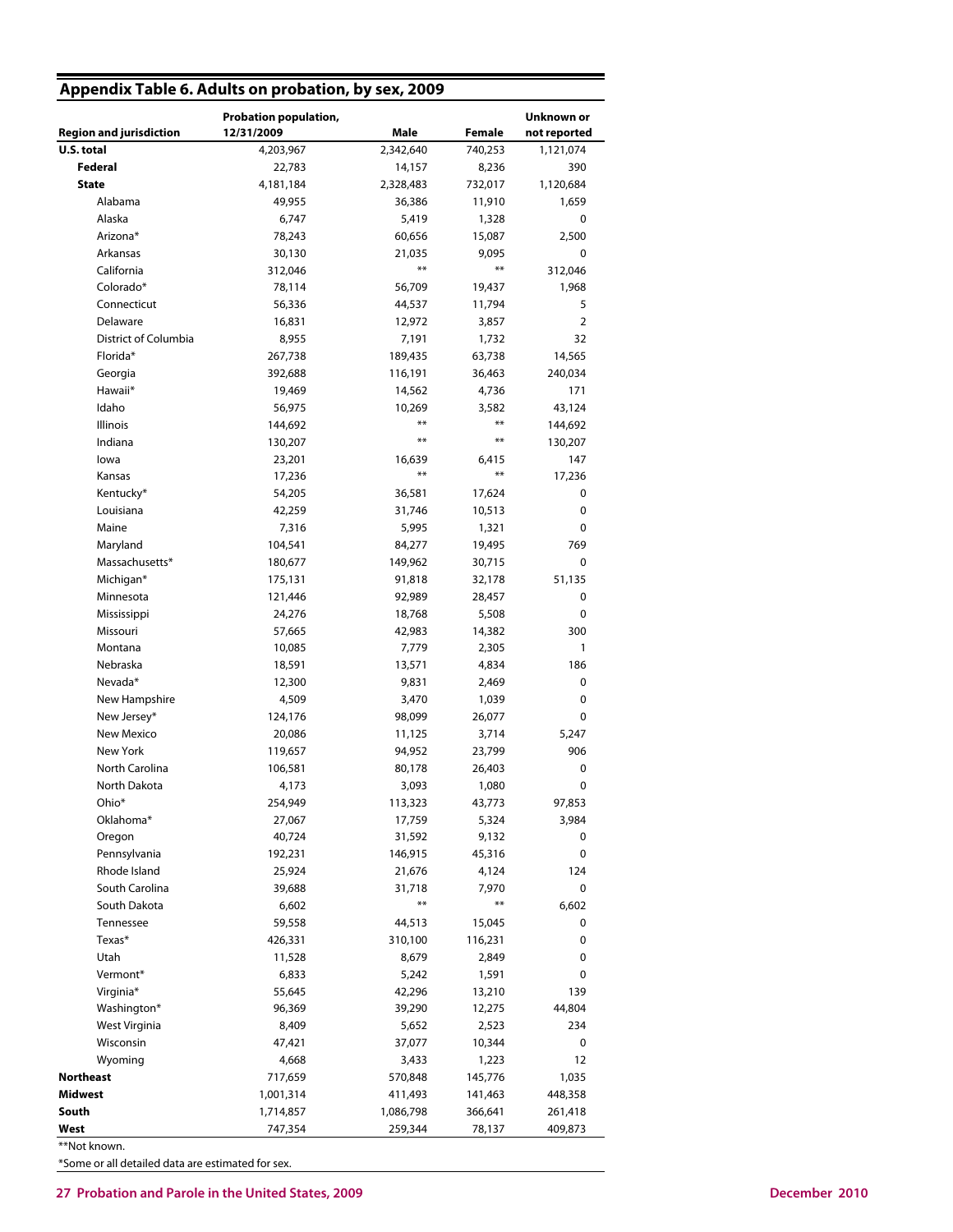| Appendix Table 6. Adults on probation, by sex, 2009 |                                     |                 |             |                            |
|-----------------------------------------------------|-------------------------------------|-----------------|-------------|----------------------------|
| <b>Region and jurisdiction</b>                      | Probation population,<br>12/31/2009 | Male            | Female      | Unknown or<br>not reported |
| U.S. total                                          | 4,203,967                           | 2,342,640       | 740,253     | 1,121,074                  |
| Federal                                             | 22,783                              | 14,157          | 8,236       | 390                        |
| <b>State</b>                                        | 4,181,184                           | 2,328,483       | 732,017     | 1,120,684                  |
| Alabama                                             | 49,955                              | 36,386          | 11,910      | 1,659                      |
| Alaska                                              | 6,747                               | 5,419           | 1,328       | 0                          |
| Arizona*                                            |                                     |                 |             |                            |
|                                                     | 78,243                              | 60,656          | 15,087      | 2,500                      |
| Arkansas                                            | 30,130                              | 21,035<br>$***$ | 9,095<br>** | 0                          |
| California                                          | 312,046                             |                 |             | 312,046                    |
| Colorado*                                           | 78,114                              | 56,709          | 19,437      | 1,968                      |
| Connecticut                                         | 56,336                              | 44,537          | 11,794      | 5                          |
| Delaware                                            | 16,831                              | 12,972          | 3,857       | $\overline{2}$             |
| District of Columbia                                | 8,955                               | 7,191           | 1,732       | 32                         |
| Florida*                                            | 267,738                             | 189,435         | 63,738      | 14,565                     |
| Georgia                                             | 392,688                             | 116,191         | 36,463      | 240,034                    |
| Hawaii*                                             | 19,469                              | 14,562          | 4,736       | 171                        |
| Idaho                                               | 56,975                              | 10,269          | 3,582       | 43,124                     |
| Illinois                                            | 144,692                             | $***$           | **          | 144,692                    |
| Indiana                                             | 130,207                             | $***$           | $**$        | 130,207                    |
| lowa                                                | 23,201                              | 16,639          | 6,415       | 147                        |
| Kansas                                              | 17,236                              | $***$           | $***$       | 17,236                     |
| Kentucky*                                           | 54,205                              | 36,581          | 17,624      | 0                          |
| Louisiana                                           | 42,259                              | 31,746          | 10,513      | 0                          |
| Maine                                               | 7,316                               | 5,995           | 1,321       | 0                          |
|                                                     |                                     |                 |             | 769                        |
| Maryland                                            | 104,541                             | 84,277          | 19,495      |                            |
| Massachusetts*                                      | 180,677                             | 149,962         | 30,715      | 0                          |
| Michigan*                                           | 175,131                             | 91,818          | 32,178      | 51,135                     |
| Minnesota                                           | 121,446                             | 92,989          | 28,457      | 0                          |
| Mississippi                                         | 24,276                              | 18,768          | 5,508       | 0                          |
| Missouri                                            | 57,665                              | 42,983          | 14,382      | 300                        |
| Montana                                             | 10,085                              | 7,779           | 2,305       | 1                          |
| Nebraska                                            | 18,591                              | 13,571          | 4,834       | 186                        |
| Nevada*                                             | 12,300                              | 9,831           | 2,469       | 0                          |
| New Hampshire                                       | 4,509                               | 3,470           | 1,039       | 0                          |
| New Jersey*                                         | 124,176                             | 98,099          | 26,077      | 0                          |
| New Mexico                                          | 20,086                              | 11,125          | 3,714       | 5,247                      |
| <b>New York</b>                                     | 119,657                             | 94,952          | 23,799      | 906                        |
| North Carolina                                      | 106,581                             | 80,178          | 26,403      | 0                          |
| North Dakota                                        | 4,173                               | 3,093           | 1,080       | 0                          |
| Ohio*                                               | 254,949                             | 113,323         | 43,773      | 97,853                     |
| Oklahoma*                                           | 27,067                              | 17,759          | 5,324       | 3,984                      |
| Oregon                                              | 40,724                              | 31,592          | 9,132       | 0                          |
| Pennsylvania                                        | 192,231                             | 146,915         | 45,316      | 0                          |
| Rhode Island                                        | 25,924                              | 21,676          | 4,124       | 124                        |
| South Carolina                                      | 39,688                              | 31,718          | 7,970       | 0                          |
| South Dakota                                        | 6,602                               | $***$           | $***$       | 6,602                      |
| Tennessee                                           |                                     |                 |             | 0                          |
|                                                     | 59,558                              | 44,513          | 15,045      |                            |
| Texas*                                              | 426,331                             | 310,100         | 116,231     | 0                          |
| Utah                                                | 11,528                              | 8,679           | 2,849       | 0                          |
| Vermont*                                            | 6,833                               | 5,242           | 1,591       | 0                          |
| Virginia*                                           | 55,645                              | 42,296          | 13,210      | 139                        |
| Washington*                                         | 96,369                              | 39,290          | 12,275      | 44,804                     |
| West Virginia                                       | 8,409                               | 5,652           | 2,523       | 234                        |
| Wisconsin                                           | 47,421                              | 37,077          | 10,344      | 0                          |
| Wyoming                                             | 4,668                               | 3,433           | 1,223       | 12                         |
| <b>Northeast</b>                                    | 717,659                             | 570,848         | 145,776     | 1,035                      |
| <b>Midwest</b>                                      | 1,001,314                           | 411,493         | 141,463     | 448,358                    |
| South                                               | 1,714,857                           | 1,086,798       | 366,641     | 261,418                    |
| West                                                | 747,354                             | 259,344         | 78,137      | 409,873                    |

\*\*Not known.

\*Some or all detailed data are estimated for sex.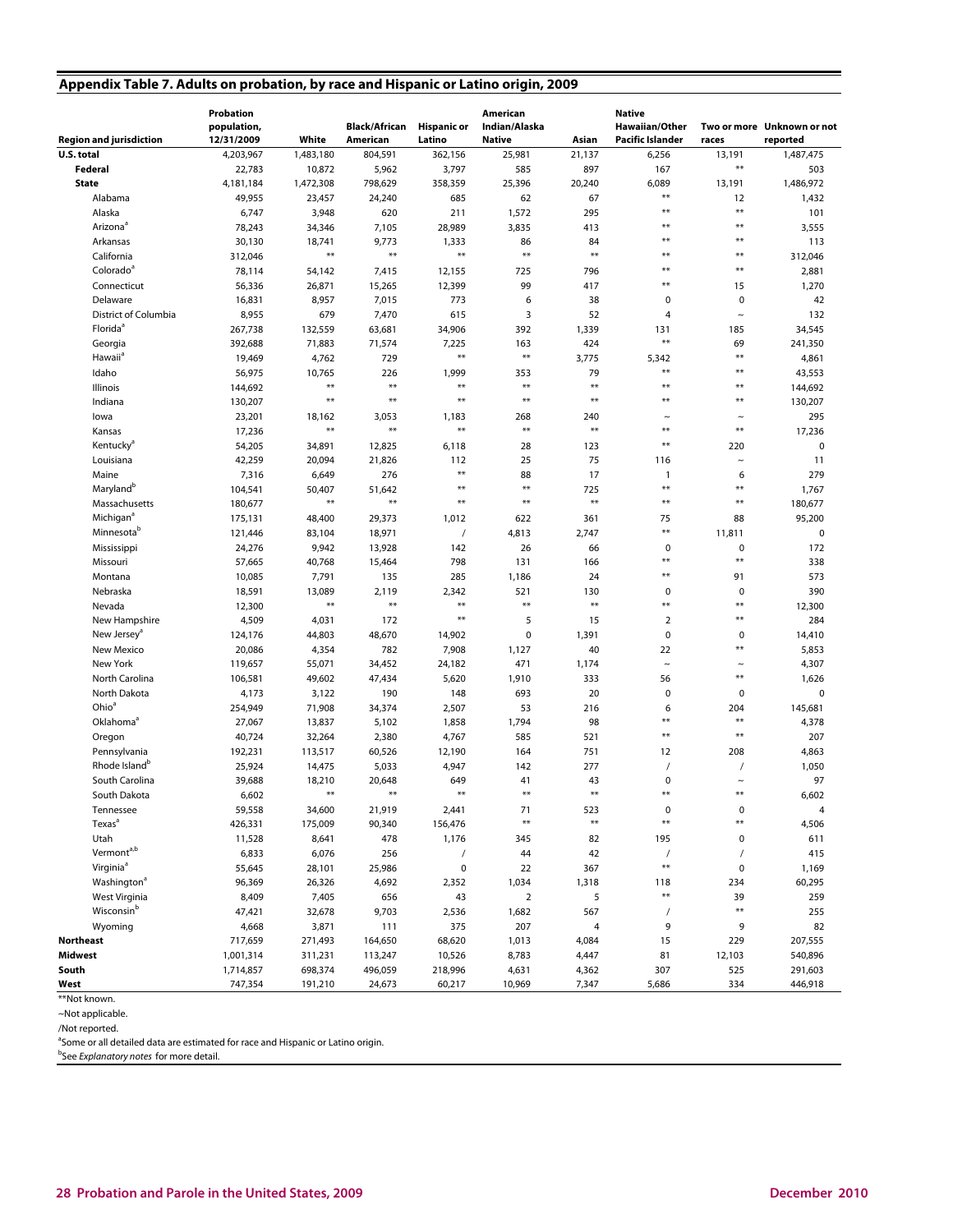## **Appendix Table 7. Adults on probation, by race and Hispanic or Latino origin, 2009**

| <b>Region and jurisdiction</b>                  | Probation<br>population,<br>12/31/2009 | White           | <b>Black/African</b><br><b>American</b> | <b>Hispanic or</b><br>Latino | American<br>Indian/Alaska<br><b>Native</b> | Asian                         | <b>Native</b><br>Hawaiian/Other<br>Pacific Islander | races              | Two or more Unknown or not<br>reported |
|-------------------------------------------------|----------------------------------------|-----------------|-----------------------------------------|------------------------------|--------------------------------------------|-------------------------------|-----------------------------------------------------|--------------------|----------------------------------------|
| U.S. total                                      | 4,203,967                              | 1,483,180       | 804,591                                 | 362,156                      | 25,981                                     | 21,137                        | 6,256                                               | 13,191             | 1,487,475                              |
| Federal                                         | 22,783                                 | 10,872          | 5,962                                   | 3,797                        | 585                                        | 897                           | 167                                                 | **                 | 503                                    |
| <b>State</b>                                    | 4,181,184                              | 1,472,308       | 798,629                                 | 358,359                      | 25,396                                     | 20,240                        | 6,089                                               | 13,191             | 1,486,972                              |
| Alabama                                         | 49,955                                 | 23,457          | 24,240                                  | 685                          | 62                                         | 67                            | **                                                  | 12                 | 1,432                                  |
| Alaska                                          | 6,747                                  | 3,948           | 620                                     | 211                          | 1,572                                      | 295                           | $***$                                               | $**$               | 101                                    |
| Arizona <sup>®</sup>                            | 78,243                                 | 34,346          | 7,105                                   | 28,989                       | 3,835                                      | 413                           | **                                                  | $**$               | 3,555                                  |
| Arkansas                                        | 30,130                                 | 18,741          | 9,773                                   | 1,333                        | 86                                         | 84                            | **                                                  | **                 | 113                                    |
| California                                      | 312,046                                | **              | $***$                                   | $**$                         | $***$                                      | $***$                         | **                                                  | $**$               | 312,046                                |
| Colorado <sup>ª</sup>                           |                                        |                 |                                         |                              |                                            |                               | **                                                  | $**$               |                                        |
|                                                 | 78,114                                 | 54,142          | 7,415                                   | 12,155                       | 725<br>99                                  | 796<br>417                    | **                                                  | 15                 | 2,881                                  |
| Connecticut<br>Delaware                         | 56,336                                 | 26,871          | 15,265                                  | 12,399<br>773                |                                            | 38                            | 0                                                   | 0                  | 1,270<br>42                            |
| <b>District of Columbia</b>                     | 16,831                                 | 8,957<br>679    | 7,015                                   | 615                          | 6<br>3                                     | 52                            |                                                     |                    | 132                                    |
| Florida <sup>ª</sup>                            | 8,955                                  |                 | 7,470                                   |                              |                                            |                               | 4                                                   | $\thicksim$        |                                        |
|                                                 | 267,738                                | 132,559         | 63,681                                  | 34,906                       | 392                                        | 1,339                         | 131<br>$**$                                         | 185                | 34,545                                 |
| Georgia<br>Hawaii <sup>a</sup>                  | 392,688<br>19,469                      | 71,883<br>4,762 | 71,574<br>729                           | 7,225<br>$\ast\ast$          | 163<br>$\ast\ast$                          | 424<br>3,775                  | 5,342                                               | 69<br>$**$         | 241,350                                |
| Idaho                                           |                                        |                 | 226                                     | 1,999                        | 353                                        | 79                            | $**$                                                | $**$               | 4,861                                  |
|                                                 | 56,975                                 | 10,765<br>**    | $***$                                   | $**$                         | $***$                                      | $***$                         | **                                                  | $**$               | 43,553                                 |
| Illinois                                        | 144,692                                | **              | $***$                                   | $**$                         | $***$                                      | $***$                         | **                                                  | **                 | 144,692                                |
| Indiana                                         | 130,207                                |                 |                                         |                              |                                            |                               |                                                     |                    | 130,207                                |
| lowa                                            | 23,201                                 | 18,162<br>**    | 3,053<br>$***$                          | 1,183<br>$**$                | 268<br>$**$                                | 240<br>$**$                   | $\sim$<br>**                                        | $\sim$<br>**       | 295                                    |
| Kansas                                          | 17,236                                 |                 |                                         |                              |                                            |                               | $***$                                               |                    | 17,236                                 |
| Kentucky <sup>a</sup>                           | 54,205                                 | 34,891          | 12,825                                  | 6,118                        | 28                                         | 123                           |                                                     | 220                | $\pmb{0}$                              |
| Louisiana                                       | 42,259                                 | 20,094          | 21,826                                  | 112<br>$**$                  | 25                                         | 75                            | 116                                                 | $\sim$             | 11                                     |
| Maine                                           | 7,316                                  | 6,649           | 276                                     | **                           | 88<br>$\ast\ast$                           | 17                            | 1<br>$**$                                           | 6<br>$**$          | 279                                    |
| Maryland <sup>b</sup>                           | 104,541                                | 50,407<br>**    | 51,642<br>$***$                         | **                           | $***$                                      | 725<br>$***$                  | **                                                  | **                 | 1,767                                  |
| Massachusetts                                   | 180,677                                |                 |                                         |                              |                                            |                               |                                                     |                    | 180,677                                |
| Michigan <sup>a</sup><br>Minnesota <sup>b</sup> | 175,131                                | 48,400          | 29,373                                  | 1,012                        | 622                                        | 361                           | 75<br>$**$                                          | 88                 | 95,200                                 |
|                                                 | 121,446                                | 83,104          | 18,971                                  |                              | 4,813                                      | 2,747                         |                                                     | 11,811             | $\pmb{0}$                              |
| Mississippi                                     | 24,276                                 | 9,942           | 13,928                                  | 142                          | 26                                         | 66                            | 0<br>**                                             | 0<br>$**$          | 172                                    |
| Missouri                                        | 57,665                                 | 40,768          | 15,464                                  | 798                          | 131                                        | 166                           | $***$                                               |                    | 338                                    |
| Montana                                         | 10,085                                 | 7,791           | 135                                     | 285                          | 1,186                                      | 24                            |                                                     | 91                 | 573                                    |
| Nebraska                                        | 18,591                                 | 13,089<br>**    | 2,119<br>$***$                          | 2,342<br>**                  | 521<br>$\ast\ast$                          | 130<br>$**$                   | 0<br>**                                             | 0<br>**            | 390                                    |
| Nevada                                          | 12,300                                 |                 |                                         | **                           |                                            |                               |                                                     | **                 | 12,300                                 |
| New Hampshire                                   | 4,509                                  | 4,031           | 172                                     |                              | 5                                          | 15                            | $\overline{2}$                                      |                    | 284                                    |
| New Jersey <sup>ª</sup>                         | 124,176                                | 44,803          | 48,670                                  | 14,902                       | 0                                          | 1,391                         | $\mathbf 0$                                         | 0<br>$**$          | 14,410                                 |
| New Mexico                                      | 20,086                                 | 4,354           | 782                                     | 7,908                        | 1,127                                      | 40                            | 22                                                  |                    | 5,853                                  |
| New York                                        | 119,657                                | 55,071          | 34,452                                  | 24,182                       | 471                                        | 1,174                         | $\tilde{}$                                          | $\sim$<br>**       | 4,307                                  |
| North Carolina                                  | 106,581                                | 49,602          | 47,434                                  | 5,620                        | 1,910                                      | 333                           | 56                                                  |                    | 1,626                                  |
| North Dakota<br>Ohio <sup>a</sup>               | 4,173                                  | 3,122           | 190                                     | 148                          | 693                                        | 20                            | 0                                                   | 0                  | $\pmb{0}$                              |
|                                                 | 254,949                                | 71,908          | 34,374                                  | 2,507                        | 53                                         | 216                           | 6<br>**                                             | 204<br>**          | 145,681                                |
| Oklahoma <sup>ª</sup>                           | 27,067                                 | 13,837          | 5,102                                   | 1,858                        | 1,794                                      | 98                            | **                                                  | $**$               | 4,378                                  |
| Oregon                                          | 40,724                                 | 32,264          | 2,380                                   | 4,767                        | 585                                        | 521                           |                                                     |                    | 207                                    |
| Pennsylvania<br>Rhode Island <sup>b</sup>       | 192,231                                | 113,517         | 60,526                                  | 12,190                       | 164                                        | 751                           | 12                                                  | 208                | 4,863                                  |
|                                                 | 25,924                                 | 14,475          | 5,033                                   | 4,947                        | 142                                        | 277                           | 0                                                   |                    | 1,050<br>97                            |
| South Carolina                                  | 39,688                                 | 18,210<br>**    | 20,648<br>$**$                          | 649<br>$**$                  | 41<br>$**$                                 | 43<br>$**$                    | **                                                  | $\tilde{}$<br>$**$ |                                        |
| South Dakota                                    | 6,602                                  |                 |                                         |                              |                                            |                               |                                                     |                    | 6,602                                  |
| Tennessee<br>Texas <sup>a</sup>                 | 59,558                                 | 34,600          | 21,919                                  | 2,441                        | 71<br>$**$                                 | 523<br>$\pmb{\ast}\pmb{\ast}$ | $\pmb{0}$<br>$**$                                   | $\pmb{0}$<br>**    | 4                                      |
|                                                 | 426,331                                | 175,009         | 90,340                                  | 156,476                      |                                            |                               |                                                     |                    | 4,506                                  |
| Utah<br>Vermont <sup>a,b</sup>                  | 11,528                                 | 8,641           | 478                                     | 1,176                        | 345                                        | 82                            | 195                                                 | 0                  | 611                                    |
| Virginia <sup>ª</sup>                           | 6,833                                  | 6,076           | 256                                     | $\prime$                     | 44                                         | 42                            | $\overline{1}$<br>$**$                              |                    | 415                                    |
| Washington <sup>a</sup>                         | 55,645                                 | 28,101          | 25,986                                  | $\pmb{0}$                    | 22                                         | 367                           |                                                     | $\mathbf 0$        | 1,169                                  |
|                                                 | 96,369                                 | 26,326          | 4,692                                   | 2,352                        | 1,034                                      | 1,318                         | 118<br>$***$                                        | 234                | 60,295                                 |
| West Virginia<br>Wisconsin <sup>b</sup>         | 8,409                                  | 7,405           | 656                                     | 43                           | $\mathbf 2$                                | 5                             |                                                     | 39<br>$***$        | 259                                    |
|                                                 | 47,421                                 | 32,678          | 9,703                                   | 2,536                        | 1,682                                      | 567                           | $\prime$                                            |                    | 255                                    |
| Wyoming                                         | 4,668                                  | 3,871           | 111                                     | 375                          | 207                                        | 4                             | 9                                                   | 9                  | 82                                     |
| <b>Northeast</b>                                | 717,659                                | 271,493         | 164,650                                 | 68,620                       | 1,013                                      | 4,084                         | 15                                                  | 229                | 207,555                                |
| Midwest                                         | 1,001,314                              | 311,231         | 113,247                                 | 10,526                       | 8,783                                      | 4,447                         | 81                                                  | 12,103             | 540,896                                |
| South                                           | 1,714,857                              | 698,374         | 496,059                                 | 218,996                      | 4,631                                      | 4,362                         | 307                                                 | 525                | 291,603                                |
| West                                            | 747,354                                | 191,210         | 24,673                                  | 60,217                       | 10,969                                     | 7,347                         | 5,686                                               | 334                | 446,918                                |

<sup>\*\*</sup>Not known.

~Not applicable.

/Not reported.

<sup>a</sup>Some or all detailed data are estimated for race and Hispanic or Latino origin.

<sup>b</sup>See Explanatory notes for more detail.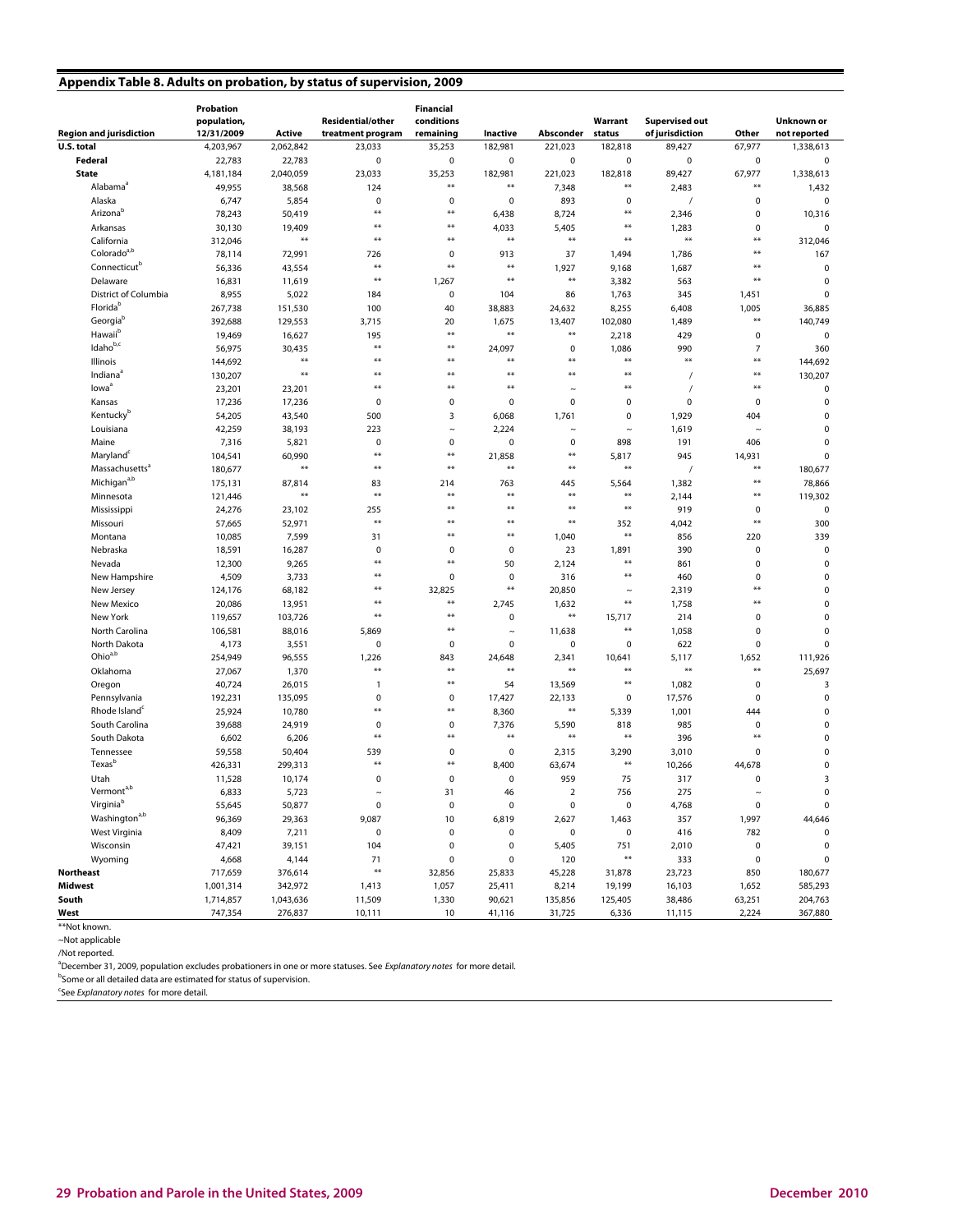## **Appendix Table 8. Adults on probation, by status of supervision, 2009**

| <b>Region and jurisdiction</b>   | Probation<br>population,<br>12/31/2009 | Active    | <b>Residential/other</b><br>treatment program | Financial<br>conditions<br>remaining | Inactive     | Absconder      | Warrant<br>status | <b>Supervised out</b><br>of jurisdiction | Other          | Unknown or<br>not reported |
|----------------------------------|----------------------------------------|-----------|-----------------------------------------------|--------------------------------------|--------------|----------------|-------------------|------------------------------------------|----------------|----------------------------|
| U.S. total                       | 4,203,967                              | 2,062,842 | 23,033                                        | 35,253                               | 182,981      | 221,023        | 182,818           | 89,427                                   | 67,977         | 1,338,613                  |
| <b>Federal</b>                   | 22,783                                 | 22,783    | $\mathsf 0$                                   | $\mathbf 0$                          | 0            | $\pmb{0}$      | $\pmb{0}$         | 0                                        | $\pmb{0}$      | $\mathsf 0$                |
| <b>State</b>                     | 4,181,184                              | 2,040,059 | 23,033                                        | 35,253                               | 182,981      | 221,023        | 182,818           | 89,427                                   | 67,977         | 1,338,613                  |
| Alabama <sup>a</sup>             | 49,955                                 | 38,568    | 124                                           | **                                   | $\ast\ast$   | 7,348          | $***$             | 2,483                                    | **             | 1,432                      |
| Alaska                           | 6,747                                  | 5,854     | $\mathbf 0$                                   | $\mathbf 0$                          | $\pmb{0}$    | 893            | 0                 | $\prime$                                 | $\pmb{0}$      | $\mathbf 0$                |
| Arizona <sup>b</sup>             | 78,243                                 | 50,419    | $**$                                          | **                                   | 6,438        | 8,724          | $**$              | 2,346                                    | 0              | 10,316                     |
| Arkansas                         | 30,130                                 | 19,409    | $**$                                          | $***$                                | 4,033        | 5,405          | $**$              | 1,283                                    | $\pmb{0}$      | $\pmb{0}$                  |
| California                       | 312,046                                | $***$     | $**$                                          | **                                   | $\star\star$ | $**$           | $**$              | $***$                                    | **             | 312,046                    |
| Colorado <sup>a,b</sup>          | 78,114                                 | 72,991    | 726                                           | $\mathbf 0$                          | 913          | 37             | 1,494             | 1,786                                    | $***$          | 167                        |
| Connecticut <sup>b</sup>         | 56,336                                 | 43,554    | $**$                                          | $***$                                | $**$         | 1,927          | 9,168             | 1,687                                    | $**$           | $\mathsf 0$                |
| Delaware                         | 16,831                                 | 11,619    | $**$                                          | 1,267                                | $\star\star$ | $**$           | 3,382             | 563                                      | $***$          | $\pmb{0}$                  |
| District of Columbia             | 8,955                                  | 5,022     | 184                                           | $\mathbf 0$                          | 104          | 86             | 1,763             | 345                                      | 1,451          | $\pmb{0}$                  |
| Floridab                         | 267,738                                | 151,530   | 100                                           | 40                                   | 38,883       | 24,632         | 8,255             | 6,408                                    | 1,005          | 36,885                     |
| Georgiab                         | 392,688                                | 129,553   | 3,715                                         | 20                                   | 1,675        | 13,407         | 102,080           | 1,489                                    | $\star\star$   | 140,749                    |
| Hawaii <sup>b</sup>              | 19,469                                 | 16,627    | 195                                           | $***$                                | $\ast\ast$   | $**$           | 2,218             | 429                                      | $\mathsf 0$    | $\mathsf 0$                |
| Idaho <sup>b,c</sup>             | 56,975                                 | 30,435    | $**$                                          | $***$                                | 24,097       | 0              | 1,086             | 990                                      | $\overline{7}$ | 360                        |
|                                  |                                        | $***$     | $***$                                         | **                                   | $***$        | $**$           | $**$              | $***$                                    | $***$          |                            |
| Illinois<br>Indiana <sup>®</sup> | 144,692                                | $***$     | $**$                                          | $***$                                | $**$         | $**$           | $**$              |                                          | $\star\star$   | 144,692                    |
| lowa <sup>a</sup>                | 130,207                                |           | $**$                                          | **                                   | $**$         |                | $**$              | 1                                        | $***$          | 130,207                    |
|                                  | 23,201                                 | 23,201    |                                               |                                      |              | $\sim$         |                   | $\prime$                                 |                | $\mathsf 0$                |
| Kansas                           | 17,236                                 | 17,236    | $\mathbf 0$                                   | $\mathbf 0$                          | $\pmb{0}$    | 0              | $\pmb{0}$         | $\mathbf 0$                              | $\pmb{0}$      | $\pmb{0}$                  |
| Kentucky <sup>b</sup>            | 54,205                                 | 43,540    | 500                                           | 3                                    | 6,068        | 1,761          | 0                 | 1,929                                    | 404            | 0                          |
| Louisiana                        | 42,259                                 | 38,193    | 223                                           | $\sim$                               | 2,224        | $\tilde{}$     | $\tilde{}$        | 1,619                                    | $\tilde{}$     | 0                          |
| Maine                            | 7,316                                  | 5,821     | $\pmb{0}$                                     | $\mathbf 0$                          | $\pmb{0}$    | 0              | 898               | 191                                      | 406            | 0                          |
| Maryland <sup>c</sup>            | 104,541                                | 60,990    | $**$                                          | $***$                                | 21,858       | $**$           | 5,817             | 945                                      | 14,931         | 0                          |
| Massachusetts <sup>a</sup>       | 180,677                                | $***$     | $**$                                          | $***$                                | $**$         | $**$           | $**$              | $\prime$                                 | $***$          | 180,677                    |
| Michigan <sup>a,b</sup>          | 175,131                                | 87,814    | 83                                            | 214                                  | 763          | 445            | 5,564             | 1,382                                    | $***$          | 78,866                     |
| Minnesota                        | 121,446                                | $***$     | $**$                                          | $***$                                | $**$         | $**$           | $**$              | 2,144                                    | $***$          | 119,302                    |
| Mississippi                      | 24,276                                 | 23,102    | 255                                           | **                                   | $**$         | $**$           | $**$              | 919                                      | $\mathsf 0$    | $\mathbf 0$                |
| Missouri                         | 57,665                                 | 52,971    | $**$                                          | **                                   | $**$         | $**$           | 352               | 4,042                                    | $***$          | 300                        |
| Montana                          | 10,085                                 | 7,599     | 31                                            | **                                   | **           | 1,040          | $***$             | 856                                      | 220            | 339                        |
| Nebraska                         | 18,591                                 | 16,287    | $\mathbf 0$                                   | $\mathbf 0$                          | 0            | 23             | 1,891             | 390                                      | 0              | $\pmb{0}$                  |
| Nevada                           | 12,300                                 | 9,265     | $**$                                          | **                                   | 50           | 2,124          | $**$              | 861                                      | $\pmb{0}$      | $\pmb{0}$                  |
| New Hampshire                    | 4,509                                  | 3,733     | ₩                                             | 0                                    | $\pmb{0}$    | 316            | $**$              | 460                                      | $\pmb{0}$      | 0                          |
| New Jersey                       | 124,176                                | 68,182    | $***$                                         | 32,825                               | $\ast\ast$   | 20,850         | $\tilde{}$        | 2,319                                    | **             | $\pmb{0}$                  |
| <b>New Mexico</b>                | 20,086                                 | 13,951    | $**$                                          | $**$                                 | 2,745        | 1,632          | $***$             | 1,758                                    | **             | 0                          |
| New York                         | 119,657                                | 103,726   | $**$                                          | $***$                                | $\mathsf 0$  | $**$           | 15,717            | 214                                      | $\pmb{0}$      | 0                          |
| North Carolina                   | 106,581                                | 88,016    | 5,869                                         | **                                   | $\tilde{}$   | 11,638         | $***$             | 1,058                                    | $\pmb{0}$      | $\pmb{0}$                  |
| North Dakota                     | 4,173                                  | 3,551     | $\mathsf 0$                                   | $\mathbf 0$                          | $\mathsf 0$  | $\pmb{0}$      | $\pmb{0}$         | 622                                      | $\mathbf 0$    | $\pmb{0}$                  |
| Ohio <sup>a,b</sup>              | 254,949                                | 96,555    | 1,226                                         | 843                                  | 24,648       | 2,341          | 10,641            | 5,117                                    | 1,652          | 111,926                    |
| Oklahoma                         | 27,067                                 | 1,370     | $**$                                          | $***$                                | $**$         | $**$           | $**$              | $***$                                    | $***$          | 25,697                     |
| Oregon                           | 40,724                                 | 26,015    | $\mathbf{1}$                                  | $***$                                | 54           | 13,569         | $**$              | 1,082                                    | $\mathsf 0$    | 3                          |
| Pennsylvania                     | 192,231                                | 135,095   | $\mathbf 0$                                   | $\mathsf 0$                          | 17,427       | 22,133         | 0                 | 17,576                                   | $\mathbf 0$    | $\pmb{0}$                  |
| Rhode Island <sup>c</sup>        | 25,924                                 | 10,780    | $**$                                          | $***$                                | 8,360        | $**$           | 5,339             | 1,001                                    | 444            | 0                          |
| South Carolina                   | 39,688                                 | 24,919    | $\mathbf 0$                                   | 0                                    | 7,376        | 5,590          | 818               | 985                                      | $\pmb{0}$      | $\pmb{0}$                  |
| South Dakota                     | 6,602                                  | 6,206     | $**$                                          | **                                   | $**$         | $**$           | $**$              | 396                                      | $**$           | 0                          |
| Tennessee                        | 59,558                                 | 50,404    | 539                                           | $\mathbf 0$                          | $\pmb{0}$    | 2,315          | 3,290             | 3,010                                    | $\mathbf 0$    | 0                          |
| Texas <sup>b</sup>               | 426,331                                | 299,313   | $**$                                          | $***$                                | 8,400        | 63,674         | $**$              | 10,266                                   | 44,678         | 0                          |
| Utah                             | 11,528                                 | 10,174    | 0                                             | 0                                    | 0            | 959            | 75                | 317                                      | $\pmb{0}$      | 3                          |
| Vermont <sup>a,b</sup>           | 6,833                                  | 5,723     |                                               | 31                                   | 46           | $\overline{2}$ | 756               | 275                                      | $\tilde{ }$    | 0                          |
| Virginia <sup>b</sup>            | 55,645                                 | 50,877    | $\pmb{0}$                                     | $\pmb{0}$                            | $\pmb{0}$    | $\pmb{0}$      | $\pmb{0}$         | 4,768                                    | $\pmb{0}$      | $\pmb{0}$                  |
| Washington <sup>a,b</sup>        | 96,369                                 | 29,363    | 9,087                                         | $10\,$                               | 6,819        | 2,627          | 1,463             | 357                                      | 1,997          | 44,646                     |
| West Virginia                    | 8,409                                  | 7,211     | $\pmb{0}$                                     | $\pmb{0}$                            | $\pmb{0}$    | 0              | $\pmb{0}$         | 416                                      | 782            | $\pmb{0}$                  |
| Wisconsin                        | 47,421                                 | 39,151    | 104                                           | 0                                    | 0            | 5,405          | 751               | 2,010                                    | $\pmb{0}$      | $\pmb{0}$                  |
| Wyoming                          | 4,668                                  | 4,144     | 71                                            | 0                                    | $\pmb{0}$    | 120            | $**$              | 333                                      | $\pmb{0}$      | 0                          |
| <b>Northeast</b>                 | 717,659                                | 376,614   | $***$                                         | 32,856                               | 25,833       | 45,228         | 31,878            | 23,723                                   | 850            | 180,677                    |
| Midwest                          | 1,001,314                              | 342,972   | 1,413                                         | 1,057                                | 25,411       | 8,214          | 19,199            | 16,103                                   | 1,652          | 585,293                    |
| South                            | 1,714,857                              | 1,043,636 | 11,509                                        | 1,330                                | 90,621       | 135,856        | 125,405           | 38,486                                   | 63,251         | 204,763                    |
| West                             | 747,354                                | 276,837   | 10,111                                        | 10                                   | 41,116       | 31,725         | 6,336             | 11,115                                   | 2,224          | 367,880                    |

\*\*Not known. ~Not applicable

/Not reported.

<sup>a</sup>December 31, 2009, population excludes probationers in one or more statuses. See Explanatory notes for more detail.

**b**Some or all detailed data are estimated for status of supervision.

<sup>c</sup>See Explanatory notes for more detail.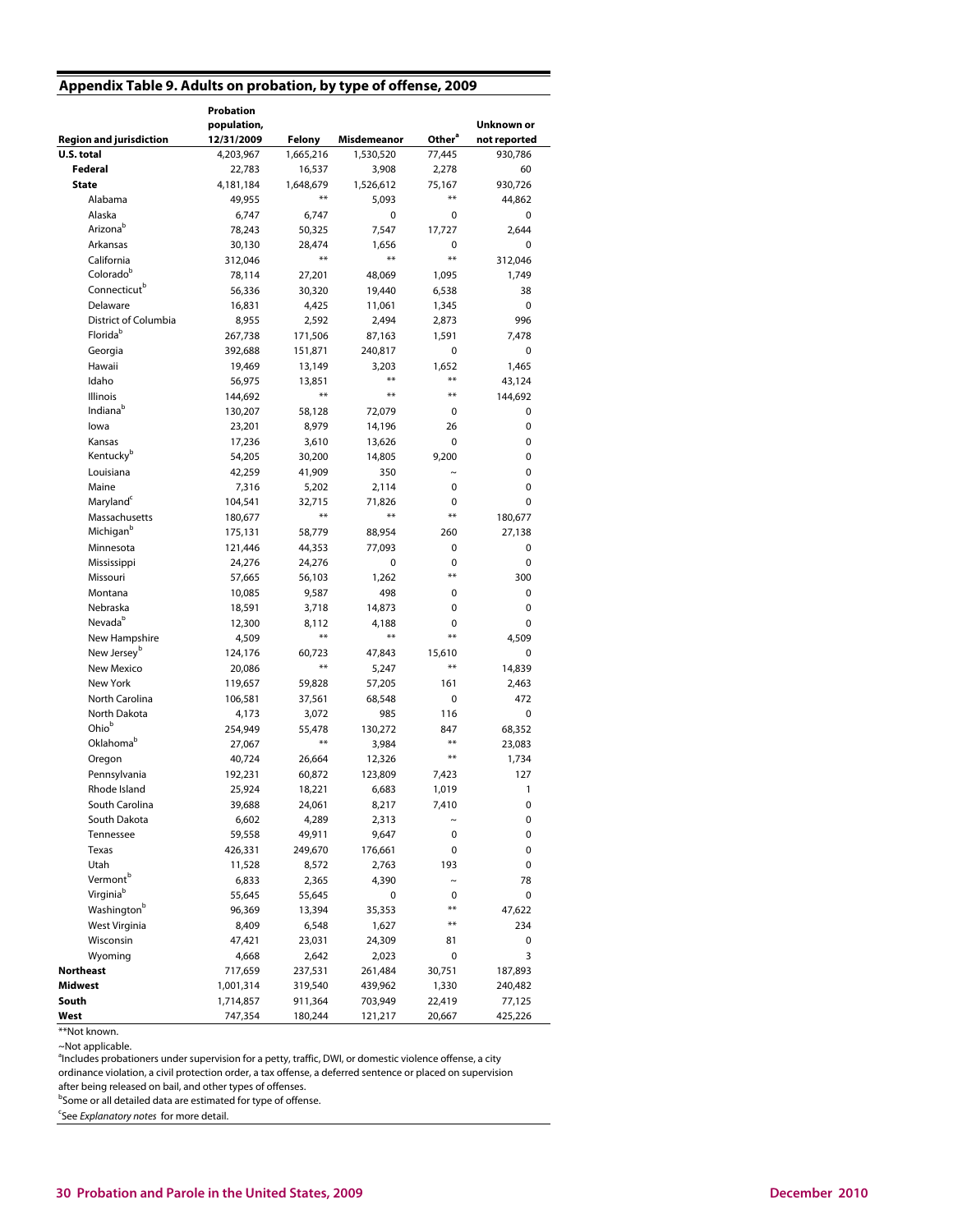## **Appendix Table 9. Adults on probation, by type of offense, 2009**

|                                         | <b>Probation</b><br>population, |                    |                  |                    | Unknown or   |
|-----------------------------------------|---------------------------------|--------------------|------------------|--------------------|--------------|
| <b>Region and jurisdiction</b>          | 12/31/2009                      | Felony             | Misdemeanor      | Other <sup>a</sup> | not reported |
| U.S. total                              | 4,203,967                       | 1,665,216          | 1,530,520        | 77,445             | 930,786      |
| Federal                                 | 22,783                          | 16,537             | 3,908            | 2,278              | 60           |
| <b>State</b>                            | 4,181,184                       | 1,648,679<br>$***$ | 1,526,612        | 75,167<br>$***$    | 930,726      |
| Alabama                                 | 49,955                          |                    | 5,093            |                    | 44,862       |
| Alaska<br>Arizona <sup>b</sup>          | 6,747                           | 6,747              | 0                | 0                  | 0            |
|                                         | 78,243                          | 50,325             | 7,547            | 17,727             | 2,644        |
| Arkansas<br>California                  | 30,130                          | 28,474<br>$***$    | 1,656<br>$***$   | 0<br>$***$         | 0            |
| Colorado <sup>b</sup>                   | 312,046                         |                    |                  |                    | 312,046      |
| Connecticut <sup>b</sup>                | 78,114                          | 27,201             | 48,069           | 1,095              | 1,749        |
| Delaware                                | 56,336                          | 30,320             | 19,440           | 6,538              | 38           |
| District of Columbia                    | 16,831                          | 4,425              | 11,061           | 1,345              | 0            |
| Florida <sup>b</sup>                    | 8,955                           | 2,592              | 2,494            | 2,873              | 996          |
|                                         | 267,738                         | 171,506            | 87,163           | 1,591              | 7,478        |
| Georgia                                 | 392,688                         | 151,871            | 240,817          | 0                  | 0            |
| Hawaii<br>Idaho                         | 19,469                          | 13,149             | 3,203<br>**      | 1,652<br>$***$     | 1,465        |
|                                         | 56,975                          | 13,851<br>$***$    | **               | **                 | 43,124       |
| <b>Illinois</b><br>Indiana <sup>b</sup> | 144,692                         |                    |                  |                    | 144,692      |
|                                         | 130,207                         | 58,128             | 72,079           | 0                  | 0            |
| lowa                                    | 23,201                          | 8,979              | 14,196           | 26                 | 0            |
| Kansas<br>Kentucky <sup>b</sup>         | 17,236                          | 3,610              | 13,626           | 0<br>9,200         | 0<br>0       |
| Louisiana                               | 54,205<br>42,259                | 30,200             | 14,805           | $\tilde{ }$        | 0            |
| Maine                                   |                                 | 41,909             | 350              | 0                  | 0            |
| Maryland <sup>c</sup>                   | 7,316                           | 5,202              | 2,114            | 0                  | 0            |
| Massachusetts                           | 104,541<br>180,677              | 32,715<br>$***$    | 71,826<br>$***$  | $***$              |              |
| Michigan <sup>b</sup>                   |                                 |                    |                  | 260                | 180,677      |
| Minnesota                               | 175,131                         | 58,779<br>44,353   | 88,954<br>77,093 | 0                  | 27,138<br>0  |
| Mississippi                             | 121,446<br>24,276               | 24,276             | 0                | 0                  | 0            |
| Missouri                                | 57,665                          | 56,103             | 1,262            | $***$              | 300          |
| Montana                                 | 10,085                          | 9,587              | 498              | 0                  | 0            |
| Nebraska                                | 18,591                          | 3,718              | 14,873           | 0                  | 0            |
| Nevada <sup>b</sup>                     | 12,300                          | 8,112              | 4,188            | 0                  | 0            |
| New Hampshire                           | 4,509                           | $***$              | **               | $***$              | 4,509        |
| New Jersey <sup>b</sup>                 | 124,176                         | 60,723             | 47,843           | 15,610             | 0            |
| New Mexico                              | 20,086                          | $***$              | 5,247            | $***$              | 14,839       |
| New York                                | 119,657                         | 59,828             | 57,205           | 161                | 2,463        |
| North Carolina                          | 106,581                         | 37,561             | 68,548           | 0                  | 472          |
| North Dakota                            | 4,173                           | 3,072              | 985              | 116                | 0            |
| Ohiob                                   | 254,949                         | 55,478             | 130,272          | 847                | 68,352       |
| Oklahoma <sup>b</sup>                   | 27,067                          | $***$              | 3,984            | $***$              | 23,083       |
| Oregon                                  | 40,724                          | 26,664             | 12,326           | **                 | 1,734        |
| Pennsylvania                            | 192,231                         | 60,872             | 123,809          | 7,423              | 127          |
| Rhode Island                            | 25,924                          | 18,221             | 6,683            | 1,019              | $\mathbf{1}$ |
| South Carolina                          | 39,688                          | 24,061             | 8,217            | 7,410              | 0            |
| South Dakota                            | 6,602                           | 4,289              | 2,313            | $\thicksim$        | 0            |
| Tennessee                               | 59,558                          | 49,911             | 9,647            | 0                  | 0            |
| Texas                                   | 426,331                         | 249,670            | 176,661          | 0                  | 0            |
| Utah                                    | 11,528                          | 8,572              | 2,763            | 193                | 0            |
| Vermont <sup>b</sup>                    | 6,833                           | 2,365              | 4,390            | $\sim$             | 78           |
| Virginiab                               | 55,645                          | 55,645             | 0                | 0                  | 0            |
| Washington <sup>b</sup>                 | 96,369                          | 13,394             | 35,353           | $***$              | 47,622       |
| West Virginia                           | 8,409                           | 6,548              | 1,627            | $***$              | 234          |
| Wisconsin                               | 47,421                          | 23,031             | 24,309           | 81                 | 0            |
| Wyoming                                 | 4,668                           | 2,642              | 2,023            | 0                  | 3            |
| <b>Northeast</b>                        | 717,659                         | 237,531            | 261,484          | 30,751             | 187,893      |
| Midwest                                 | 1,001,314                       | 319,540            | 439,962          | 1,330              | 240,482      |
| South                                   | 1,714,857                       | 911,364            | 703,949          | 22,419             | 77,125       |
| West                                    | 747,354                         | 180,244            | 121,217          | 20,667             | 425,226      |

<sup>\*\*</sup>Not known.

~Not applicable.

<sup>4</sup>Includes probationers under supervision for a petty, traffic, DWI, or domestic violence offense, a city

ordinance violation, a civil protection order, a tax offense, a deferred sentence or placed on supervision

after being released on bail, and other types of offenses.

<sup>b</sup>Some or all detailed data are estimated for type of offense.

<sup>c</sup>See Explanatory notes for more detail.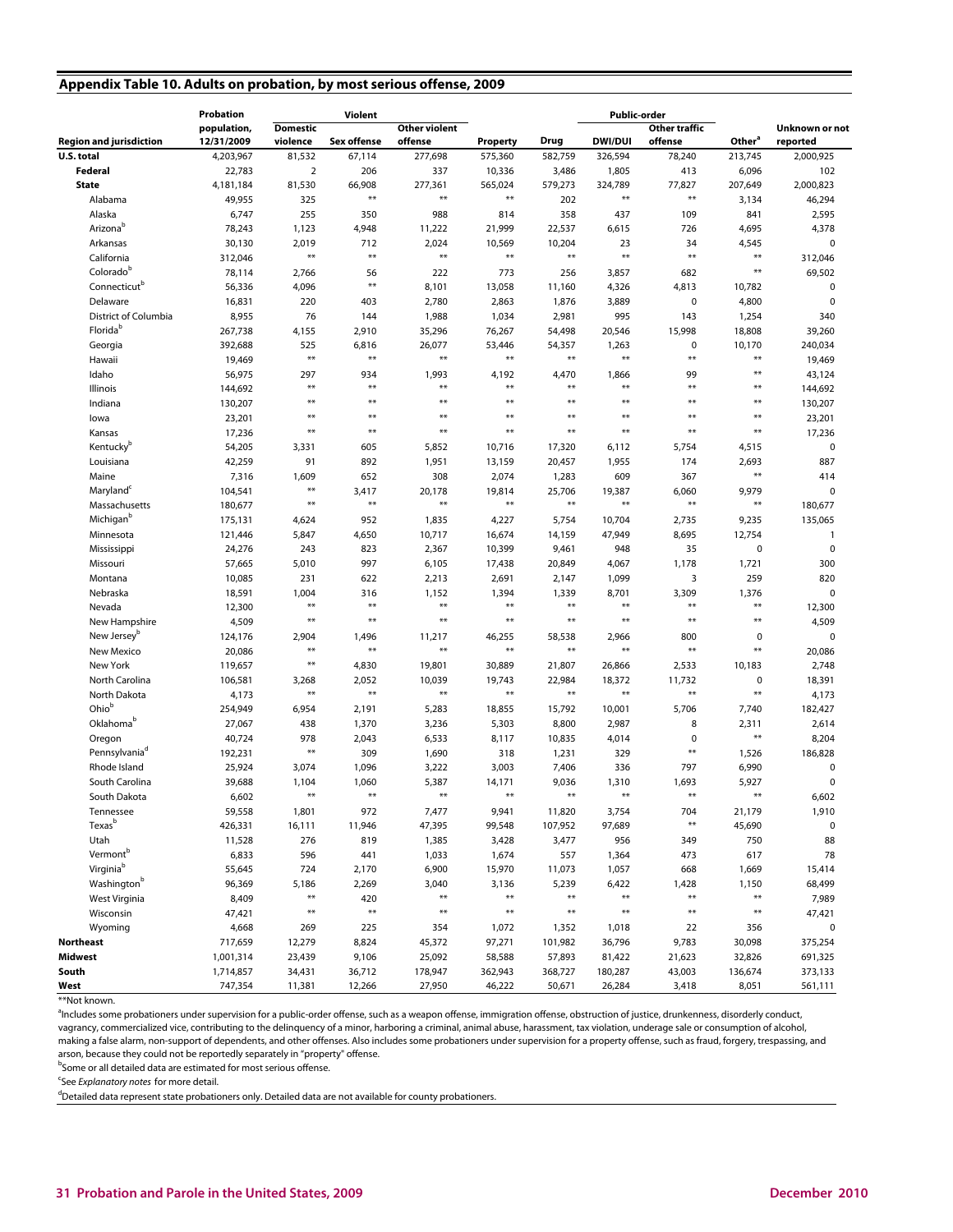## **Appendix Table 10. Adults on probation, by most serious offense, 2009**

|                                | Probation   |                 | Violent            |                      |                       |         | <b>Public-order</b>   |                        |                    |                       |
|--------------------------------|-------------|-----------------|--------------------|----------------------|-----------------------|---------|-----------------------|------------------------|--------------------|-----------------------|
|                                | population, | <b>Domestic</b> |                    | <b>Other violent</b> |                       |         |                       | Other traffic          |                    | <b>Unknown or not</b> |
| <b>Region and jurisdiction</b> | 12/31/2009  | violence        | <b>Sex offense</b> | offense              | Property              | Drug    | <b>DWI/DUI</b>        | offense                | Other <sup>a</sup> | reported              |
| U.S. total                     | 4,203,967   | 81,532          | 67,114             | 277,698              | 575,360               | 582.759 | 326,594               | 78,240                 | 213,745            | 2,000,925             |
| Federal                        | 22,783      | $\overline{2}$  | 206                | 337                  | 10,336                | 3,486   | 1,805                 | 413                    | 6,096              | 102                   |
| <b>State</b>                   | 4,181,184   | 81,530          | 66,908<br>$**$     | 277,361<br>$**$      | 565,024<br>$\bf{***}$ | 579,273 | 324,789<br>$\ast\ast$ | 77,827<br>$***$        | 207,649            | 2,000,823             |
| Alabama                        | 49,955      | 325             |                    |                      |                       | 202     |                       |                        | 3,134              | 46,294                |
| Alaska                         | 6,747       | 255             | 350                | 988                  | 814                   | 358     | 437                   | 109                    | 841                | 2,595                 |
| Arizona <sup>b</sup>           | 78,243      | 1,123           | 4,948              | 11,222               | 21,999                | 22,537  | 6,615                 | 726                    | 4,695              | 4,378                 |
| Arkansas                       | 30,130      | 2,019           | 712                | 2,024                | 10,569                | 10,204  | 23                    | 34<br>$\ast\ast$       | 4,545              | 0                     |
| California                     | 312,046     | $**$            | $**$               | $**$                 | $**$                  | $**$    | $**$                  |                        | $**$               | 312,046               |
| Colorado <sup>b</sup>          | 78,114      | 2,766           | 56                 | 222                  | 773                   | 256     | 3,857                 | 682                    | $**$               | 69,502                |
| Connecticut <sup>b</sup>       | 56,336      | 4,096           | $**$               | 8,101                | 13,058                | 11,160  | 4,326                 | 4,813                  | 10,782             | 0                     |
| Delaware                       | 16,831      | 220             | 403                | 2,780                | 2,863                 | 1,876   | 3,889                 | 0                      | 4,800              | 0                     |
| District of Columbia           | 8,955       | 76              | 144                | 1,988                | 1,034                 | 2,981   | 995                   | 143                    | 1,254              | 340                   |
| Florida <sup>b</sup>           | 267,738     | 4,155           | 2,910              | 35,296               | 76,267                | 54,498  | 20,546                | 15,998                 | 18,808             | 39,260                |
| Georgia                        | 392,688     | 525             | 6,816<br>$**$      | 26,077               | 53,446                | 54,357  | 1,263<br>$**$         | 0<br>$\ast\ast$        | 10,170             | 240,034               |
| Hawaii                         | 19,469      | $**$            |                    | $**$                 | $**$                  | $**$    |                       |                        | $**$               | 19,469                |
| Idaho                          | 56,975      | 297             | 934                | 1,993                | 4,192                 | 4,470   | 1,866                 | 99                     | $***$              | 43,124                |
| Illinois                       | 144,692     | $**$            | $**$               | $**$                 | $**$                  | $**$    | $***$                 | $***$                  | $**$               | 144,692               |
| Indiana                        | 130,207     | $**$            | $**$               | $**$                 | $**$                  | $**$    | $***$                 | $***$                  | $**$               | 130,207               |
| lowa                           | 23,201      | $**$            | $**$               | $**$                 | $**$                  | $**$    | $**$                  | **                     | $**$               | 23,201                |
| Kansas                         | 17,236      | $**$            | $**$               | $**$                 | $**$                  | $**$    | $***$                 | $**$                   | $**$               | 17,236                |
| Kentucky <sup>b</sup>          | 54,205      | 3,331           | 605                | 5,852                | 10,716                | 17,320  | 6,112                 | 5,754                  | 4,515              | 0                     |
| Louisiana                      | 42,259      | 91              | 892                | 1,951                | 13,159                | 20,457  | 1,955                 | 174                    | 2,693              | 887                   |
| Maine                          | 7,316       | 1,609           | 652                | 308                  | 2,074                 | 1,283   | 609                   | 367                    | $**$               | 414                   |
| Maryland <sup>c</sup>          | 104,541     | $**$            | 3,417              | 20,178               | 19,814                | 25,706  | 19,387                | 6,060                  | 9,979              | 0                     |
| Massachusetts                  | 180,677     | $**$            | $**$               | $**$                 | $**$                  | $**$    | $\ast\ast$            | $\ast\ast$             | $**$               | 180,677               |
| Michigan <sup>b</sup>          | 175,131     | 4,624           | 952                | 1,835                | 4,227                 | 5,754   | 10,704                | 2,735                  | 9,235              | 135,065               |
| Minnesota                      | 121,446     | 5,847           | 4,650              | 10,717               | 16,674                | 14,159  | 47,949                | 8,695                  | 12,754             | 1                     |
| Mississippi                    | 24,276      | 243             | 823                | 2,367                | 10,399                | 9,461   | 948                   | 35                     | $\pmb{0}$          | 0                     |
| Missouri                       | 57,665      | 5,010           | 997                | 6,105                | 17,438                | 20,849  | 4,067                 | 1,178                  | 1,721              | 300                   |
| Montana                        | 10,085      | 231             | 622                | 2,213                | 2,691                 | 2,147   | 1,099                 | 3                      | 259                | 820                   |
| Nebraska                       | 18,591      | 1,004           | 316                | 1,152                | 1,394                 | 1,339   | 8,701                 | 3,309                  | 1,376              | $\mathbf 0$           |
| Nevada                         | 12,300      | $**$            | $**$               | $**$                 | $**$                  | $**$    | $**$                  | $**$                   | $**$               | 12,300                |
| New Hampshire                  | 4,509       | $**$            | $**$               | $***$                | $**$                  | $**$    | $**$                  | $***$                  | $***$              | 4,509                 |
| New Jersey <sup>b</sup>        | 124,176     | 2,904           | 1,496              | 11,217               | 46,255                | 58,538  | 2,966                 | 800                    | $\mathbf 0$        | 0                     |
| New Mexico                     | 20,086      | $**$            | $**$               | $**$                 | $**$                  | $**$    | $***$                 | $***$                  | $***$              | 20,086                |
| New York                       | 119,657     | $**$            | 4,830              | 19,801               | 30,889                | 21,807  | 26,866                | 2,533                  | 10,183             | 2,748                 |
| North Carolina                 | 106,581     | 3,268           | 2,052              | 10,039               | 19,743                | 22,984  | 18,372                | 11,732                 | $\mathbf 0$        | 18,391                |
| North Dakota                   | 4,173       | $**$            | $**$               | $**$                 | $**$                  | $**$    | $\ast\ast$            | $\ast\ast$             | $**$               | 4,173                 |
| Ohio <sup>b</sup>              | 254,949     | 6,954           | 2,191              | 5,283                | 18,855                | 15,792  | 10,001                | 5,706                  | 7,740              | 182,427               |
| Oklahoma <sup>b</sup>          | 27,067      | 438             | 1,370              | 3,236                | 5,303                 | 8,800   | 2,987                 | 8                      | 2,311              | 2,614                 |
| Oregon                         | 40,724      | 978             | 2,043              | 6,533                | 8,117                 | 10,835  | 4,014                 | 0                      | $**$               | 8,204                 |
| Pennsylvania <sup>d</sup>      | 192,231     | $**$            | 309                | 1,690                | 318                   | 1,231   | 329                   | $\ast\ast$             | 1,526              | 186,828               |
| Rhode Island                   | 25,924      | 3,074           | 1,096              | 3,222                | 3,003                 | 7,406   | 336                   | 797                    | 6,990              | 0                     |
| South Carolina                 | 39,688      | 1,104           | 1,060              | 5,387                | 14,171                | 9,036   | 1,310                 | 1,693                  | 5,927              | 0                     |
| South Dakota                   | 6,602       | $**$            | $**$               | $***$                | $**$                  | $**$    | $***$                 | $**$                   | $**$               | 6,602                 |
| Tennessee                      | 59,558      | 1,801           | 972                | 7,477                | 9,941                 | 11,820  | 3,754                 | 704                    | 21,179             | 1,910                 |
| Texas <sup>b</sup>             | 426,331     | 16,111          | 11,946             | 47,395               | 99,548                | 107,952 | 97,689                | $***$                  | 45,690             | 0                     |
| Utah                           | 11,528      | 276             | 819                | 1,385                | 3,428                 | 3,477   | 956                   | 349                    | 750                | 88                    |
| Vermont <sup>b</sup>           | 6,833       | 596             | 441                | 1,033                | 1,674                 | 557     | 1,364                 | 473                    | 617                | 78                    |
| Virginiab                      | 55,645      | 724             | 2,170              | 6,900                | 15,970                | 11,073  | 1,057                 | 668                    | 1,669              | 15,414                |
| Washington <sup>b</sup>        | 96,369      | 5,186           | 2,269              | 3,040                | 3,136                 | 5,239   | 6,422                 | 1,428                  | 1,150              | 68,499                |
| West Virginia                  | 8,409       | $***$           | 420                | $***$                | $\ast\ast$            | $**$    | $\ast\ast$            | $\pmb{\ast}\pmb{\ast}$ | $***$              | 7,989                 |
| Wisconsin                      | 47,421      | $***$           | $**$               | $**$                 | $**$                  | $**$    | $**$                  | $\ast\ast$             | $***$              | 47,421                |
| Wyoming                        | 4,668       | 269             | 225                | 354                  | 1,072                 | 1,352   | 1,018                 | 22                     | 356                | 0                     |
| <b>Northeast</b>               | 717,659     | 12,279          | 8,824              | 45,372               | 97,271                | 101,982 | 36,796                | 9,783                  | 30,098             | 375,254               |
| <b>Midwest</b>                 | 1,001,314   | 23,439          | 9,106              | 25,092               | 58,588                | 57,893  | 81,422                | 21,623                 | 32,826             | 691,325               |
| South                          | 1,714,857   | 34,431          | 36,712             | 178,947              | 362,943               | 368,727 | 180,287               | 43,003                 | 136,674            | 373,133               |
| West                           | 747,354     | 11,381          | 12,266             | 27,950               | 46,222                | 50,671  | 26,284                | 3,418                  | 8,051              | 561,111               |

<sup>\*\*</sup>Not known.

<sup>a</sup>Includes some probationers under supervision for a public-order offense, such as a weapon offense, immigration offense, obstruction of justice, drunkenness, disorderly conduct, vagrancy, commercialized vice, contributing to the delinquency of a minor, harboring a criminal, animal abuse, harassment, tax violation, underage sale or consumption of alcohol, making a false alarm, non-support of dependents, and other offenses. Also includes some probationers under supervision for a property offense, such as fraud, forgery, trespassing, and arson, because they could not be reportedly separately in "property" offense.

<sup>b</sup>Some or all detailed data are estimated for most serious offense.

<sup>c</sup>See Explanatory notes for more detail.

<sup>d</sup>Detailed data represent state probationers only. Detailed data are not available for county probationers.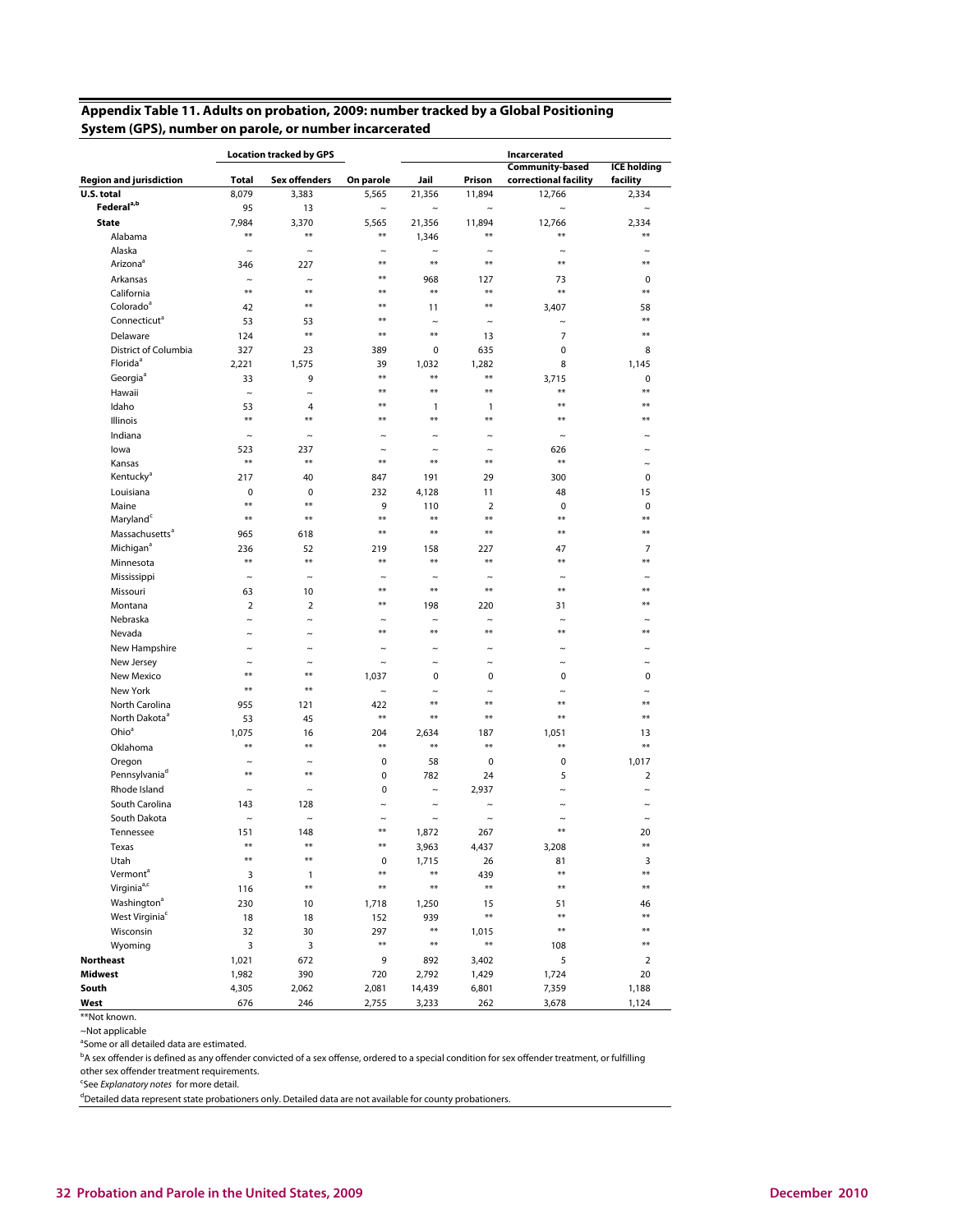## **Appendix Table 11. Adults on probation, 2009: number tracked by a Global Positioning System (GPS), number on parole, or number incarcerated**

|                                                |                       | <b>Location tracked by GPS</b> |                                 |                     |                       | Incarcerated                                    |                                |
|------------------------------------------------|-----------------------|--------------------------------|---------------------------------|---------------------|-----------------------|-------------------------------------------------|--------------------------------|
| <b>Region and jurisdiction</b>                 | Total                 | <b>Sex offenders</b>           | On parole                       | Jail                | Prison                | <b>Community-based</b><br>correctional facility | <b>ICE</b> holding<br>facility |
| U.S. total                                     | 8,079                 | 3.383                          | 5.565                           | 21,356              | 11,894                | 12,766                                          | 2,334                          |
| Federal <sup>a,b</sup>                         | 95                    | 13                             | $\sim$                          | $\tilde{ }$         | $\tilde{\phantom{a}}$ | $\tilde{ }$                                     | $\tilde{ }$                    |
| <b>State</b>                                   | 7,984                 | 3,370                          | 5.565                           | 21,356              | 11.894                | 12,766                                          | 2,334                          |
| Alabama                                        | $**$                  | $***$                          | $***$                           | 1,346               | $***$                 | $**$                                            | $**$                           |
| Alaska                                         | $\tilde{\phantom{a}}$ | $\thicksim$                    | $\sim$                          | $\tilde{ }$         | $\sim$                | $\tilde{ }$                                     |                                |
| Arizona <sup>a</sup>                           | 346                   | 227                            | $**$                            | $**$                | $***$                 | $**$                                            | $**$                           |
| Arkansas                                       | $\tilde{}$            | $\thicksim$                    | $***$                           | 968                 | 127                   | 73                                              | $\mathbf 0$                    |
| California                                     | $**$                  | $**$                           | $**$                            | $**$                | $**$                  | $**$                                            | $**$                           |
| Colorado <sup>a</sup>                          | 42                    | $**$                           | $**$                            | 11                  | $**$                  | 3,407                                           | 58                             |
| Connecticut <sup>a</sup>                       | 53                    | 53                             | $**$                            | $\tilde{ }$         | $\tilde{ }$           | $\sim$                                          | $**$                           |
| Delaware                                       | 124                   | $***$                          | $***$                           | $**$                | 13                    | 7                                               | $**$                           |
| District of Columbia                           | 327                   | 23                             | 389                             | 0                   | 635                   | 0                                               | 8                              |
| Florida <sup>a</sup>                           | 2,221                 | 1,575                          | 39                              | 1,032               | 1,282                 | 8                                               | 1,145                          |
| Georgia <sup>a</sup>                           | 33                    | 9                              | $**$                            | $**$                | $***$                 | 3,715                                           | 0                              |
| Hawaii                                         | $\tilde{ }$           | $\tilde{}$                     | $**$                            | $**$                | $**$                  | $**$                                            | $**$                           |
| Idaho                                          | 53                    | 4                              | $**$                            | 1                   | 1                     | $**$                                            | **                             |
| <b>Illinois</b>                                | $**$                  | $***$                          | $**$                            | $**$                | $**$                  | $**$                                            | **                             |
| Indiana                                        | $\tilde{}$            | $\thicksim$                    | $\sim$                          | $\tilde{}$          | $\tilde{\phantom{a}}$ | $\tilde{}$                                      |                                |
| lowa                                           | 523                   | 237                            | $\tilde{\phantom{a}}$           | $\sim$              | $\tilde{\phantom{a}}$ | 626                                             |                                |
| Kansas                                         | $**$                  | $***$                          | $**$                            | $**$                | $**$                  | $**$                                            | $\tilde{\phantom{a}}$          |
| Kentucky <sup>a</sup>                          | 217                   | 40                             | 847                             | 191                 | 29                    | 300                                             | 0                              |
| Louisiana                                      | $\mathbf 0$           | 0                              | 232                             | 4,128               | 11                    | 48                                              | 15                             |
| Maine                                          | $**$                  | $**$                           | 9                               | 110                 | $\overline{2}$        | $\mathbf 0$                                     | 0                              |
| Maryland                                       | $**$                  | $**$                           | $***$                           | $**$                | $**$                  | $**$                                            | $**$                           |
| Massachusetts <sup>a</sup>                     | 965                   | 618                            | $***$                           | $**$                | $**$                  | $**$                                            | $**$                           |
| Michigan <sup>a</sup>                          | 236                   | 52                             | 219                             | 158                 | 227                   | 47                                              | 7                              |
|                                                | $**$                  | $***$                          | $**$                            | $**$                | $**$                  | **                                              | $**$                           |
| Minnesota<br>Mississippi                       | $\tilde{}$            | $\thicksim$                    | $\tilde{}$                      | $\tilde{ }$         | $\tilde{\phantom{a}}$ | $\tilde{ }$                                     |                                |
|                                                |                       |                                | $**$                            | $**$                | $***$                 | $**$                                            | **                             |
| Missouri                                       | 63<br>$\overline{2}$  | 10<br>$\overline{2}$           | $**$                            |                     |                       |                                                 | **                             |
| Montana<br>Nebraska                            |                       | $\sim$                         |                                 | 198                 | 220<br>$\sim$         | 31<br>$\sim$                                    |                                |
|                                                | $\tilde{ }$           | $\sim$                         | $\tilde{\phantom{a}}$<br>$***$  | $\tilde{ }$<br>$**$ | $**$                  | $**$                                            | **                             |
| Nevada                                         | $\tilde{ }$           |                                |                                 |                     |                       |                                                 |                                |
| New Hampshire                                  | $\tilde{}$            | $\sim$                         | $\tilde{ }$                     | $\tilde{ }$         | $\tilde{ }$           | $\tilde{\phantom{a}}$                           | ∼                              |
| New Jersey                                     | $\sim$<br>$**$        | $\sim$<br>$**$                 | $\tilde{\phantom{a}}$           | $\tilde{ }$         | $\tilde{\phantom{a}}$ | $\tilde{ }$                                     | ∼                              |
| New Mexico                                     | $**$                  | $**$                           | 1,037                           | 0                   | 0                     | $\mathbf 0$                                     | 0                              |
| New York                                       |                       |                                | $\sim$                          | $\sim$<br>$**$      | $\sim$<br>$**$        | $\sim$<br>$**$                                  | $**$                           |
| North Carolina                                 | 955                   | 121                            | 422<br>$***$                    | $**$                | $**$                  | $**$                                            | $**$                           |
| North Dakota <sup>a</sup><br>Ohio <sup>a</sup> | 53                    | 45                             |                                 |                     |                       |                                                 |                                |
|                                                | 1,075<br>$**$         | 16<br>$**$                     | 204<br>$**$                     | 2,634<br>$**$       | 187<br>$**$           | 1,051<br>$**$                                   | 13<br>$**$                     |
| Oklahoma                                       |                       |                                |                                 |                     |                       |                                                 |                                |
| Oregon<br>Pennsylvania <sup>d</sup>            | $\tilde{}$<br>$**$    | $\tilde{\phantom{a}}$<br>$***$ | $\mathbf 0$                     | 58                  | 0                     | 0                                               | 1,017                          |
|                                                |                       |                                | $\mathbf 0$                     | 782                 | 24                    | 5                                               | $\overline{2}$                 |
| Rhode Island<br>South Carolina                 | $\tilde{}$            | $\tilde{}$                     | $\mathbf 0$                     | $\tilde{}$          | 2,937                 | $\tilde{}$                                      | $\tilde{ }$                    |
|                                                | 143                   | 128                            | $\tilde{\phantom{a}}$           | $\tilde{}$          | $\tilde{ }$           | $\tilde{}$                                      |                                |
| South Dakota                                   | $\tilde{}$            | $\sim$                         | $\tilde{ }$<br>$**$             | $\tilde{}$          | $\tilde{\phantom{a}}$ | $\tilde{\phantom{a}}$<br>$**$                   | $\tilde{}$                     |
| Tennessee                                      | 151<br>$***$          | 148<br>$***$                   | $***$                           | 1,872               | 267                   |                                                 | 20<br>$\ddot{x}$               |
| Texas                                          | **                    | $***$                          |                                 | 3,963               | 4,437                 | 3,208                                           |                                |
| Utah                                           |                       |                                | 0                               | 1,715               | 26                    | 81                                              | 3<br>$**$                      |
| Vermont <sup>a</sup>                           | 3                     | $\mathbf{1}$<br>$\ast\ast$     | $***$<br>$\pmb{\ast}\pmb{\ast}$ | **<br>$***$         | 439<br>$***$          | **<br>$**$                                      | $**$                           |
| Virginia <sup>a,c</sup>                        | 116                   |                                |                                 |                     |                       |                                                 |                                |
| Washington <sup>a</sup>                        | 230                   | 10                             | 1,718                           | 1,250               | 15                    | 51                                              | 46                             |
| West Virginia <sup>c</sup>                     | 18                    | 18                             | 152                             | 939                 | $**$                  | $**$                                            | $***$                          |
| Wisconsin                                      | 32                    | 30                             | 297                             | $***$               | 1,015                 | $**$                                            | $**$                           |
| Wyoming                                        | 3                     | 3                              | $**$                            | $\ast\ast$          | $***$                 | 108                                             | $**$                           |
| <b>Northeast</b>                               | 1,021                 | 672                            | 9                               | 892                 | 3,402                 | 5                                               | $\overline{2}$                 |
| <b>Midwest</b>                                 | 1,982                 | 390                            | 720                             | 2,792               | 1,429                 | 1,724                                           | 20                             |
| South                                          | 4,305                 | 2,062                          | 2,081                           | 14,439              | 6,801                 | 7,359                                           | 1,188                          |
| West                                           | 676                   | 246                            | 2,755                           | 3,233               | 262                   | 3,678                                           | 1,124                          |

\*\*Not known.

~Not applicable

<sup>a</sup>Some or all detailed data are estimated.

<sup>b</sup>A sex offender is defined as any offender convicted of a sex offense, ordered to a special condition for sex offender treatment, or fulfilling

other sex offender treatment requirements.

<sup>c</sup>See Explanatory notes for more detail.

<sup>d</sup>Detailed data represent state probationers only. Detailed data are not available for county probationers.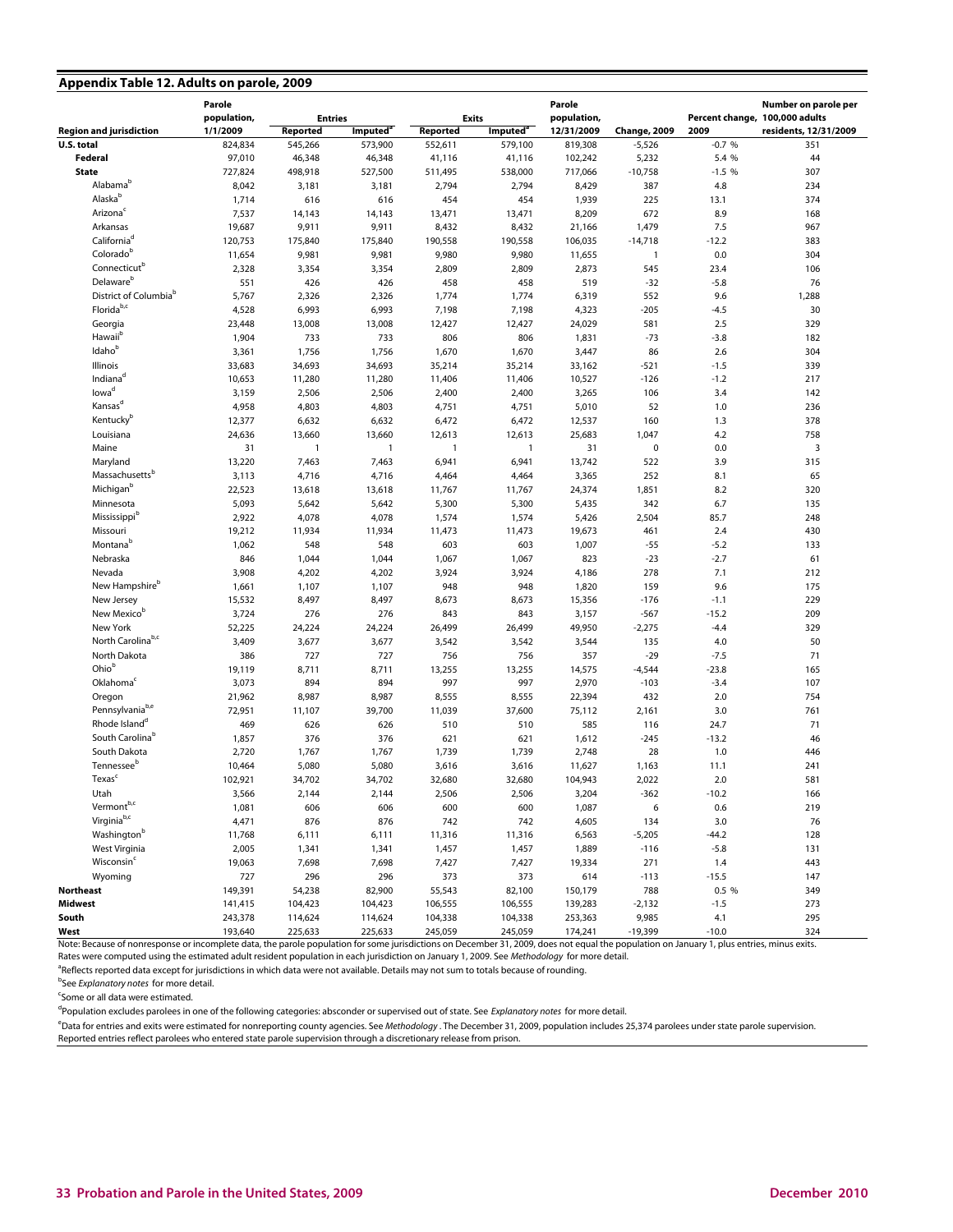|  |  |  | Appendix Table 12. Adults on parole, 2009 |  |
|--|--|--|-------------------------------------------|--|
|--|--|--|-------------------------------------------|--|

| population,<br>population,<br>Percent change, 100,000 adults<br><b>Entries</b><br><b>Exits</b><br>1/1/2009<br>Imputed <sup>®</sup><br>12/31/2009<br>residents, 12/31/2009<br>Reported<br>Imputed <sup>®</sup><br>Reported<br><b>Change, 2009</b><br>2009<br>824,834<br>545,266<br>573,900<br>552,611<br>579,100<br>819,308<br>$-0.7%$<br>351<br>$-5,526$<br>Federal<br>97,010<br>46,348<br>46,348<br>41,116<br>5,232<br>5.4 %<br>44<br>41,116<br>102,242<br><b>State</b><br>727,824<br>498.918<br>527,500<br>538,000<br>717,066<br>$-10,758$<br>$-1.5%$<br>307<br>511,495<br>Alabamab<br>8,042<br>3,181<br>2,794<br>2,794<br>8,429<br>387<br>4.8<br>234<br>3,181<br>Alaskab<br>1,714<br>616<br>616<br>454<br>454<br>1,939<br>225<br>13.1<br>374<br>Arizona <sup>c</sup><br>7,537<br>14,143<br>14,143<br>13,471<br>13,471<br>8,209<br>672<br>8.9<br>168<br>Arkansas<br>19,687<br>9,911<br>9,911<br>8,432<br>8,432<br>1,479<br>7.5<br>967<br>21,166<br>California <sup>d</sup><br>120,753<br>175,840<br>175,840<br>190,558<br>190,558<br>106,035<br>$-14,718$<br>$-12.2$<br>383<br>Colorado <sup>b</sup><br>11,654<br>9,981<br>9,981<br>9,980<br>9,980<br>0.0<br>304<br>11,655<br>$\overline{1}$<br>Connecticut <sup>b</sup><br>2,328<br>3,354<br>3,354<br>2,809<br>2,809<br>2,873<br>545<br>23.4<br>106<br>Delaware <sup>b</sup><br>551<br>426<br>426<br>458<br>76<br>458<br>519<br>$-32$<br>$-5.8$<br>District of Columbia <sup>b</sup><br>5,767<br>2,326<br>2,326<br>1,774<br>1,774<br>552<br>9.6<br>1,288<br>6,319<br>Florida <sup>b,c</sup><br>4,528<br>6,993<br>6,993<br>7,198<br>7,198<br>$-205$<br>$-4.5$<br>30<br>4,323<br>23,448<br>13,008<br>13,008<br>12,427<br>12,427<br>2.5<br>329<br>Georgia<br>24,029<br>581<br>Hawaii <sup>b</sup><br>1,904<br>733<br>733<br>806<br>806<br>1,831<br>$-73$<br>$-3.8$<br>182<br>Idaho <sup>b</sup><br>3,361<br>1,756<br>1,756<br>1,670<br>1,670<br>3,447<br>2.6<br>304<br>86<br>Illinois<br>33,683<br>34,693<br>34,693<br>35,214<br>35,214<br>$-521$<br>$-1.5$<br>339<br>33,162<br>Indiana <sup>d</sup><br>10,653<br>11,280<br>11,280<br>11,406<br>11,406<br>10,527<br>$-1.2$<br>217<br>-126<br>lowa <sup>d</sup><br>3,159<br>2,506<br>2,506<br>2,400<br>2,400<br>3,265<br>106<br>3.4<br>142<br>Kansas <sup>d</sup><br>4,958<br>4,803<br>4,803<br>4,751<br>4,751<br>5,010<br>52<br>1.0<br>236<br>Kentucky <sup>b</sup><br>12,377<br>6,632<br>6,632<br>6,472<br>6,472<br>12,537<br>160<br>1.3<br>378<br>Louisiana<br>24,636<br>13,660<br>13,660<br>12,613<br>12,613<br>25,683<br>1,047<br>4.2<br>758<br>3<br>Maine<br>31<br>$\mathbf 0$<br>$\overline{1}$<br>$\mathbf{1}$<br>$\overline{1}$<br>$\overline{1}$<br>31<br>0.0<br>Maryland<br>13,220<br>7,463<br>3.9<br>315<br>7,463<br>6,941<br>6,941<br>13,742<br>522<br>Massachusetts <sup>b</sup><br>65<br>3,113<br>4,716<br>4,716<br>252<br>8.1<br>4,464<br>4,464<br>3,365<br>Michigan <sup>b</sup><br>22,523<br>13,618<br>24,374<br>8.2<br>320<br>13,618<br>11,767<br>11,767<br>1,851<br>Minnesota<br>5,093<br>5,642<br>5,642<br>5,300<br>342<br>6.7<br>135<br>5,300<br>5,435<br>Mississippi <sup>b</sup><br>2,922<br>4,078<br>4,078<br>1,574<br>1,574<br>5,426<br>2,504<br>85.7<br>248<br>Missouri<br>19,212<br>11,934<br>11,934<br>11,473<br>11,473<br>2.4<br>430<br>19,673<br>461<br>Montanab<br>1,062<br>548<br>548<br>603<br>603<br>1,007<br>$-55$<br>$-5.2$<br>133<br>Nebraska<br>846<br>1,044<br>1,044<br>1,067<br>1,067<br>823<br>$-23$<br>$-2.7$<br>61<br>Nevada<br>3,908<br>4,202<br>4,202<br>3,924<br>3,924<br>278<br>7.1<br>212<br>4,186<br>New Hampshire <sup>b</sup><br>1,661<br>1,107<br>1,107<br>948<br>948<br>1,820<br>159<br>9.6<br>175<br>New Jersey<br>15,532<br>8,497<br>8,497<br>8,673<br>8,673<br>15,356<br>229<br>$-176$<br>$-1.1$<br>New Mexicob<br>3,724<br>276<br>276<br>843<br>843<br>3,157<br>$-15.2$<br>209<br>$-567$<br>New York<br>52,225<br>24,224<br>24,224<br>26,499<br>26,499<br>49,950<br>$-4.4$<br>329<br>$-2,275$<br>North Carolinab,c<br>3,409<br>50<br>3,677<br>3,677<br>3,542<br>3,542<br>3,544<br>135<br>4.0<br>727<br>North Dakota<br>386<br>727<br>756<br>756<br>357<br>$-29$<br>$-7.5$<br>71<br>Ohiob<br>8,711<br>8,711<br>13,255<br>$-23.8$<br>165<br>19,119<br>13,255<br>14,575<br>$-4,544$<br>Oklahoma <sup>c</sup><br>107<br>3,073<br>894<br>894<br>997<br>997<br>2,970<br>$-3.4$<br>$-103$<br>Oregon<br>21,962<br>8,987<br>8,987<br>8,555<br>8,555<br>432<br>2.0<br>754<br>22,394<br>Pennsylvania <sup>b,e</sup><br>72,951<br>11,107<br>39,700<br>11,039<br>37,600<br>75,112<br>3.0<br>761<br>2,161<br>Rhode Island <sup>d</sup><br>469<br>626<br>626<br>510<br>510<br>585<br>24.7<br>71<br>116<br>South Carolina <sup>b</sup><br>1,857<br>376<br>376<br>621<br>621<br>1,612<br>$-245$<br>$-13.2$<br>46<br>South Dakota<br>2,720<br>1,739<br>2,748<br>28<br>1.0<br>446<br>1,767<br>1,767<br>1,739<br>Tennessee <sup>b</sup><br>10,464<br>5,080<br>5,080<br>3,616<br>3,616<br>11,627<br>1,163<br>11.1<br>241<br>Texas <sup>c</sup><br>102,921<br>34,702<br>34,702<br>32,680<br>32,680<br>104,943<br>2,022<br>2.0<br>581<br>Utah<br>3,566<br>2,144<br>2,144<br>2,506<br>2,506<br>3,204<br>-362<br>$-10.2$<br>166<br>Vermont <sup>b,c</sup><br>1,081<br>606<br>606<br>600<br>600<br>6<br>0.6<br>219<br>1,087<br>Virginia <sup>b,c</sup><br>876<br>742<br>4,471<br>876<br>742<br>4,605<br>134<br>3.0<br>76<br>Washington <sup>b</sup><br>11,768<br>11,316<br>11,316<br>$-5,205$<br>128<br>6,111<br>6,111<br>6,563<br>$-44.2$<br>West Virginia<br>2,005<br>1,457<br>1,889<br>$-5.8$<br>131<br>1,341<br>1,341<br>1,457<br>$-116$<br>Wisconsin <sup>c</sup><br>19,063<br>7,698<br>7,698<br>7,427<br>7,427<br>19,334<br>271<br>1.4<br>443<br>Wyoming<br>727<br>296<br>296<br>373<br>373<br>614<br>$-113$<br>$-15.5$<br>147<br>149,391<br>54,238<br>82,900<br>55,543<br>82,100<br>150,179<br>788<br>0.5 %<br>349<br>141,415<br>104,423<br>104,423<br>106,555<br>106,555<br>139,283<br>$-2,132$<br>$-1.5$<br>273<br>243,378<br>114,624<br>114,624<br>104,338<br>104,338<br>253,363<br>9,985<br>4.1<br>295<br>245,059<br>245,059<br>$-19,399$<br>$-10.0$<br>324<br>193,640<br>225,633<br>225,633<br>174,241<br>Note: Require of poprecipance or incomplete data, the parele population for some iuric distinctions on December 21, 2000, does not equal the population on January 1, plus entries minus ovita |                                | Parole |  |  | Parole |  | Number on parole per |
|-----------------------------------------------------------------------------------------------------------------------------------------------------------------------------------------------------------------------------------------------------------------------------------------------------------------------------------------------------------------------------------------------------------------------------------------------------------------------------------------------------------------------------------------------------------------------------------------------------------------------------------------------------------------------------------------------------------------------------------------------------------------------------------------------------------------------------------------------------------------------------------------------------------------------------------------------------------------------------------------------------------------------------------------------------------------------------------------------------------------------------------------------------------------------------------------------------------------------------------------------------------------------------------------------------------------------------------------------------------------------------------------------------------------------------------------------------------------------------------------------------------------------------------------------------------------------------------------------------------------------------------------------------------------------------------------------------------------------------------------------------------------------------------------------------------------------------------------------------------------------------------------------------------------------------------------------------------------------------------------------------------------------------------------------------------------------------------------------------------------------------------------------------------------------------------------------------------------------------------------------------------------------------------------------------------------------------------------------------------------------------------------------------------------------------------------------------------------------------------------------------------------------------------------------------------------------------------------------------------------------------------------------------------------------------------------------------------------------------------------------------------------------------------------------------------------------------------------------------------------------------------------------------------------------------------------------------------------------------------------------------------------------------------------------------------------------------------------------------------------------------------------------------------------------------------------------------------------------------------------------------------------------------------------------------------------------------------------------------------------------------------------------------------------------------------------------------------------------------------------------------------------------------------------------------------------------------------------------------------------------------------------------------------------------------------------------------------------------------------------------------------------------------------------------------------------------------------------------------------------------------------------------------------------------------------------------------------------------------------------------------------------------------------------------------------------------------------------------------------------------------------------------------------------------------------------------------------------------------------------------------------------------------------------------------------------------------------------------------------------------------------------------------------------------------------------------------------------------------------------------------------------------------------------------------------------------------------------------------------------------------------------------------------------------------------------------------------------------------------------------------------------------------------------------------------------------------------------------------------------------------------------------------------------------------------------------------------------------------------------------------------------------------------------------------------------------------------------------------------------------------------------------------------------------------------------------------------------------------------------------------------------------------------------------------------------------------------------------------------------------------------------------------------------------------------------------------------------------------------------------------------------------------------------------------------------------------------------------------------------------------------------------------------------------------------------------------------------------------------------------------------------------------------------------------------------------------------------------------------------------------------------------------------------------------------------------------------------------------------------------------------------------------------------------------------------------------------------------------------------------------------------------------------------------------------------------------------------------------------------------------------------------------------------------------------------------------------------------------|--------------------------------|--------|--|--|--------|--|----------------------|
|                                                                                                                                                                                                                                                                                                                                                                                                                                                                                                                                                                                                                                                                                                                                                                                                                                                                                                                                                                                                                                                                                                                                                                                                                                                                                                                                                                                                                                                                                                                                                                                                                                                                                                                                                                                                                                                                                                                                                                                                                                                                                                                                                                                                                                                                                                                                                                                                                                                                                                                                                                                                                                                                                                                                                                                                                                                                                                                                                                                                                                                                                                                                                                                                                                                                                                                                                                                                                                                                                                                                                                                                                                                                                                                                                                                                                                                                                                                                                                                                                                                                                                                                                                                                                                                                                                                                                                                                                                                                                                                                                                                                                                                                                                                                                                                                                                                                                                                                                                                                                                                                                                                                                                                                                                                                                                                                                                                                                                                                                                                                                                                                                                                                                                                                                                                                                                                                                                                                                                                                                                                                                                                                                                                                                                                                                                                                                     |                                |        |  |  |        |  |                      |
|                                                                                                                                                                                                                                                                                                                                                                                                                                                                                                                                                                                                                                                                                                                                                                                                                                                                                                                                                                                                                                                                                                                                                                                                                                                                                                                                                                                                                                                                                                                                                                                                                                                                                                                                                                                                                                                                                                                                                                                                                                                                                                                                                                                                                                                                                                                                                                                                                                                                                                                                                                                                                                                                                                                                                                                                                                                                                                                                                                                                                                                                                                                                                                                                                                                                                                                                                                                                                                                                                                                                                                                                                                                                                                                                                                                                                                                                                                                                                                                                                                                                                                                                                                                                                                                                                                                                                                                                                                                                                                                                                                                                                                                                                                                                                                                                                                                                                                                                                                                                                                                                                                                                                                                                                                                                                                                                                                                                                                                                                                                                                                                                                                                                                                                                                                                                                                                                                                                                                                                                                                                                                                                                                                                                                                                                                                                                                     | <b>Region and jurisdiction</b> |        |  |  |        |  |                      |
|                                                                                                                                                                                                                                                                                                                                                                                                                                                                                                                                                                                                                                                                                                                                                                                                                                                                                                                                                                                                                                                                                                                                                                                                                                                                                                                                                                                                                                                                                                                                                                                                                                                                                                                                                                                                                                                                                                                                                                                                                                                                                                                                                                                                                                                                                                                                                                                                                                                                                                                                                                                                                                                                                                                                                                                                                                                                                                                                                                                                                                                                                                                                                                                                                                                                                                                                                                                                                                                                                                                                                                                                                                                                                                                                                                                                                                                                                                                                                                                                                                                                                                                                                                                                                                                                                                                                                                                                                                                                                                                                                                                                                                                                                                                                                                                                                                                                                                                                                                                                                                                                                                                                                                                                                                                                                                                                                                                                                                                                                                                                                                                                                                                                                                                                                                                                                                                                                                                                                                                                                                                                                                                                                                                                                                                                                                                                                     | U.S. total                     |        |  |  |        |  |                      |
|                                                                                                                                                                                                                                                                                                                                                                                                                                                                                                                                                                                                                                                                                                                                                                                                                                                                                                                                                                                                                                                                                                                                                                                                                                                                                                                                                                                                                                                                                                                                                                                                                                                                                                                                                                                                                                                                                                                                                                                                                                                                                                                                                                                                                                                                                                                                                                                                                                                                                                                                                                                                                                                                                                                                                                                                                                                                                                                                                                                                                                                                                                                                                                                                                                                                                                                                                                                                                                                                                                                                                                                                                                                                                                                                                                                                                                                                                                                                                                                                                                                                                                                                                                                                                                                                                                                                                                                                                                                                                                                                                                                                                                                                                                                                                                                                                                                                                                                                                                                                                                                                                                                                                                                                                                                                                                                                                                                                                                                                                                                                                                                                                                                                                                                                                                                                                                                                                                                                                                                                                                                                                                                                                                                                                                                                                                                                                     |                                |        |  |  |        |  |                      |
|                                                                                                                                                                                                                                                                                                                                                                                                                                                                                                                                                                                                                                                                                                                                                                                                                                                                                                                                                                                                                                                                                                                                                                                                                                                                                                                                                                                                                                                                                                                                                                                                                                                                                                                                                                                                                                                                                                                                                                                                                                                                                                                                                                                                                                                                                                                                                                                                                                                                                                                                                                                                                                                                                                                                                                                                                                                                                                                                                                                                                                                                                                                                                                                                                                                                                                                                                                                                                                                                                                                                                                                                                                                                                                                                                                                                                                                                                                                                                                                                                                                                                                                                                                                                                                                                                                                                                                                                                                                                                                                                                                                                                                                                                                                                                                                                                                                                                                                                                                                                                                                                                                                                                                                                                                                                                                                                                                                                                                                                                                                                                                                                                                                                                                                                                                                                                                                                                                                                                                                                                                                                                                                                                                                                                                                                                                                                                     |                                |        |  |  |        |  |                      |
|                                                                                                                                                                                                                                                                                                                                                                                                                                                                                                                                                                                                                                                                                                                                                                                                                                                                                                                                                                                                                                                                                                                                                                                                                                                                                                                                                                                                                                                                                                                                                                                                                                                                                                                                                                                                                                                                                                                                                                                                                                                                                                                                                                                                                                                                                                                                                                                                                                                                                                                                                                                                                                                                                                                                                                                                                                                                                                                                                                                                                                                                                                                                                                                                                                                                                                                                                                                                                                                                                                                                                                                                                                                                                                                                                                                                                                                                                                                                                                                                                                                                                                                                                                                                                                                                                                                                                                                                                                                                                                                                                                                                                                                                                                                                                                                                                                                                                                                                                                                                                                                                                                                                                                                                                                                                                                                                                                                                                                                                                                                                                                                                                                                                                                                                                                                                                                                                                                                                                                                                                                                                                                                                                                                                                                                                                                                                                     |                                |        |  |  |        |  |                      |
|                                                                                                                                                                                                                                                                                                                                                                                                                                                                                                                                                                                                                                                                                                                                                                                                                                                                                                                                                                                                                                                                                                                                                                                                                                                                                                                                                                                                                                                                                                                                                                                                                                                                                                                                                                                                                                                                                                                                                                                                                                                                                                                                                                                                                                                                                                                                                                                                                                                                                                                                                                                                                                                                                                                                                                                                                                                                                                                                                                                                                                                                                                                                                                                                                                                                                                                                                                                                                                                                                                                                                                                                                                                                                                                                                                                                                                                                                                                                                                                                                                                                                                                                                                                                                                                                                                                                                                                                                                                                                                                                                                                                                                                                                                                                                                                                                                                                                                                                                                                                                                                                                                                                                                                                                                                                                                                                                                                                                                                                                                                                                                                                                                                                                                                                                                                                                                                                                                                                                                                                                                                                                                                                                                                                                                                                                                                                                     |                                |        |  |  |        |  |                      |
|                                                                                                                                                                                                                                                                                                                                                                                                                                                                                                                                                                                                                                                                                                                                                                                                                                                                                                                                                                                                                                                                                                                                                                                                                                                                                                                                                                                                                                                                                                                                                                                                                                                                                                                                                                                                                                                                                                                                                                                                                                                                                                                                                                                                                                                                                                                                                                                                                                                                                                                                                                                                                                                                                                                                                                                                                                                                                                                                                                                                                                                                                                                                                                                                                                                                                                                                                                                                                                                                                                                                                                                                                                                                                                                                                                                                                                                                                                                                                                                                                                                                                                                                                                                                                                                                                                                                                                                                                                                                                                                                                                                                                                                                                                                                                                                                                                                                                                                                                                                                                                                                                                                                                                                                                                                                                                                                                                                                                                                                                                                                                                                                                                                                                                                                                                                                                                                                                                                                                                                                                                                                                                                                                                                                                                                                                                                                                     |                                |        |  |  |        |  |                      |
|                                                                                                                                                                                                                                                                                                                                                                                                                                                                                                                                                                                                                                                                                                                                                                                                                                                                                                                                                                                                                                                                                                                                                                                                                                                                                                                                                                                                                                                                                                                                                                                                                                                                                                                                                                                                                                                                                                                                                                                                                                                                                                                                                                                                                                                                                                                                                                                                                                                                                                                                                                                                                                                                                                                                                                                                                                                                                                                                                                                                                                                                                                                                                                                                                                                                                                                                                                                                                                                                                                                                                                                                                                                                                                                                                                                                                                                                                                                                                                                                                                                                                                                                                                                                                                                                                                                                                                                                                                                                                                                                                                                                                                                                                                                                                                                                                                                                                                                                                                                                                                                                                                                                                                                                                                                                                                                                                                                                                                                                                                                                                                                                                                                                                                                                                                                                                                                                                                                                                                                                                                                                                                                                                                                                                                                                                                                                                     |                                |        |  |  |        |  |                      |
|                                                                                                                                                                                                                                                                                                                                                                                                                                                                                                                                                                                                                                                                                                                                                                                                                                                                                                                                                                                                                                                                                                                                                                                                                                                                                                                                                                                                                                                                                                                                                                                                                                                                                                                                                                                                                                                                                                                                                                                                                                                                                                                                                                                                                                                                                                                                                                                                                                                                                                                                                                                                                                                                                                                                                                                                                                                                                                                                                                                                                                                                                                                                                                                                                                                                                                                                                                                                                                                                                                                                                                                                                                                                                                                                                                                                                                                                                                                                                                                                                                                                                                                                                                                                                                                                                                                                                                                                                                                                                                                                                                                                                                                                                                                                                                                                                                                                                                                                                                                                                                                                                                                                                                                                                                                                                                                                                                                                                                                                                                                                                                                                                                                                                                                                                                                                                                                                                                                                                                                                                                                                                                                                                                                                                                                                                                                                                     |                                |        |  |  |        |  |                      |
|                                                                                                                                                                                                                                                                                                                                                                                                                                                                                                                                                                                                                                                                                                                                                                                                                                                                                                                                                                                                                                                                                                                                                                                                                                                                                                                                                                                                                                                                                                                                                                                                                                                                                                                                                                                                                                                                                                                                                                                                                                                                                                                                                                                                                                                                                                                                                                                                                                                                                                                                                                                                                                                                                                                                                                                                                                                                                                                                                                                                                                                                                                                                                                                                                                                                                                                                                                                                                                                                                                                                                                                                                                                                                                                                                                                                                                                                                                                                                                                                                                                                                                                                                                                                                                                                                                                                                                                                                                                                                                                                                                                                                                                                                                                                                                                                                                                                                                                                                                                                                                                                                                                                                                                                                                                                                                                                                                                                                                                                                                                                                                                                                                                                                                                                                                                                                                                                                                                                                                                                                                                                                                                                                                                                                                                                                                                                                     |                                |        |  |  |        |  |                      |
|                                                                                                                                                                                                                                                                                                                                                                                                                                                                                                                                                                                                                                                                                                                                                                                                                                                                                                                                                                                                                                                                                                                                                                                                                                                                                                                                                                                                                                                                                                                                                                                                                                                                                                                                                                                                                                                                                                                                                                                                                                                                                                                                                                                                                                                                                                                                                                                                                                                                                                                                                                                                                                                                                                                                                                                                                                                                                                                                                                                                                                                                                                                                                                                                                                                                                                                                                                                                                                                                                                                                                                                                                                                                                                                                                                                                                                                                                                                                                                                                                                                                                                                                                                                                                                                                                                                                                                                                                                                                                                                                                                                                                                                                                                                                                                                                                                                                                                                                                                                                                                                                                                                                                                                                                                                                                                                                                                                                                                                                                                                                                                                                                                                                                                                                                                                                                                                                                                                                                                                                                                                                                                                                                                                                                                                                                                                                                     |                                |        |  |  |        |  |                      |
|                                                                                                                                                                                                                                                                                                                                                                                                                                                                                                                                                                                                                                                                                                                                                                                                                                                                                                                                                                                                                                                                                                                                                                                                                                                                                                                                                                                                                                                                                                                                                                                                                                                                                                                                                                                                                                                                                                                                                                                                                                                                                                                                                                                                                                                                                                                                                                                                                                                                                                                                                                                                                                                                                                                                                                                                                                                                                                                                                                                                                                                                                                                                                                                                                                                                                                                                                                                                                                                                                                                                                                                                                                                                                                                                                                                                                                                                                                                                                                                                                                                                                                                                                                                                                                                                                                                                                                                                                                                                                                                                                                                                                                                                                                                                                                                                                                                                                                                                                                                                                                                                                                                                                                                                                                                                                                                                                                                                                                                                                                                                                                                                                                                                                                                                                                                                                                                                                                                                                                                                                                                                                                                                                                                                                                                                                                                                                     |                                |        |  |  |        |  |                      |
|                                                                                                                                                                                                                                                                                                                                                                                                                                                                                                                                                                                                                                                                                                                                                                                                                                                                                                                                                                                                                                                                                                                                                                                                                                                                                                                                                                                                                                                                                                                                                                                                                                                                                                                                                                                                                                                                                                                                                                                                                                                                                                                                                                                                                                                                                                                                                                                                                                                                                                                                                                                                                                                                                                                                                                                                                                                                                                                                                                                                                                                                                                                                                                                                                                                                                                                                                                                                                                                                                                                                                                                                                                                                                                                                                                                                                                                                                                                                                                                                                                                                                                                                                                                                                                                                                                                                                                                                                                                                                                                                                                                                                                                                                                                                                                                                                                                                                                                                                                                                                                                                                                                                                                                                                                                                                                                                                                                                                                                                                                                                                                                                                                                                                                                                                                                                                                                                                                                                                                                                                                                                                                                                                                                                                                                                                                                                                     |                                |        |  |  |        |  |                      |
|                                                                                                                                                                                                                                                                                                                                                                                                                                                                                                                                                                                                                                                                                                                                                                                                                                                                                                                                                                                                                                                                                                                                                                                                                                                                                                                                                                                                                                                                                                                                                                                                                                                                                                                                                                                                                                                                                                                                                                                                                                                                                                                                                                                                                                                                                                                                                                                                                                                                                                                                                                                                                                                                                                                                                                                                                                                                                                                                                                                                                                                                                                                                                                                                                                                                                                                                                                                                                                                                                                                                                                                                                                                                                                                                                                                                                                                                                                                                                                                                                                                                                                                                                                                                                                                                                                                                                                                                                                                                                                                                                                                                                                                                                                                                                                                                                                                                                                                                                                                                                                                                                                                                                                                                                                                                                                                                                                                                                                                                                                                                                                                                                                                                                                                                                                                                                                                                                                                                                                                                                                                                                                                                                                                                                                                                                                                                                     |                                |        |  |  |        |  |                      |
|                                                                                                                                                                                                                                                                                                                                                                                                                                                                                                                                                                                                                                                                                                                                                                                                                                                                                                                                                                                                                                                                                                                                                                                                                                                                                                                                                                                                                                                                                                                                                                                                                                                                                                                                                                                                                                                                                                                                                                                                                                                                                                                                                                                                                                                                                                                                                                                                                                                                                                                                                                                                                                                                                                                                                                                                                                                                                                                                                                                                                                                                                                                                                                                                                                                                                                                                                                                                                                                                                                                                                                                                                                                                                                                                                                                                                                                                                                                                                                                                                                                                                                                                                                                                                                                                                                                                                                                                                                                                                                                                                                                                                                                                                                                                                                                                                                                                                                                                                                                                                                                                                                                                                                                                                                                                                                                                                                                                                                                                                                                                                                                                                                                                                                                                                                                                                                                                                                                                                                                                                                                                                                                                                                                                                                                                                                                                                     |                                |        |  |  |        |  |                      |
|                                                                                                                                                                                                                                                                                                                                                                                                                                                                                                                                                                                                                                                                                                                                                                                                                                                                                                                                                                                                                                                                                                                                                                                                                                                                                                                                                                                                                                                                                                                                                                                                                                                                                                                                                                                                                                                                                                                                                                                                                                                                                                                                                                                                                                                                                                                                                                                                                                                                                                                                                                                                                                                                                                                                                                                                                                                                                                                                                                                                                                                                                                                                                                                                                                                                                                                                                                                                                                                                                                                                                                                                                                                                                                                                                                                                                                                                                                                                                                                                                                                                                                                                                                                                                                                                                                                                                                                                                                                                                                                                                                                                                                                                                                                                                                                                                                                                                                                                                                                                                                                                                                                                                                                                                                                                                                                                                                                                                                                                                                                                                                                                                                                                                                                                                                                                                                                                                                                                                                                                                                                                                                                                                                                                                                                                                                                                                     |                                |        |  |  |        |  |                      |
|                                                                                                                                                                                                                                                                                                                                                                                                                                                                                                                                                                                                                                                                                                                                                                                                                                                                                                                                                                                                                                                                                                                                                                                                                                                                                                                                                                                                                                                                                                                                                                                                                                                                                                                                                                                                                                                                                                                                                                                                                                                                                                                                                                                                                                                                                                                                                                                                                                                                                                                                                                                                                                                                                                                                                                                                                                                                                                                                                                                                                                                                                                                                                                                                                                                                                                                                                                                                                                                                                                                                                                                                                                                                                                                                                                                                                                                                                                                                                                                                                                                                                                                                                                                                                                                                                                                                                                                                                                                                                                                                                                                                                                                                                                                                                                                                                                                                                                                                                                                                                                                                                                                                                                                                                                                                                                                                                                                                                                                                                                                                                                                                                                                                                                                                                                                                                                                                                                                                                                                                                                                                                                                                                                                                                                                                                                                                                     |                                |        |  |  |        |  |                      |
|                                                                                                                                                                                                                                                                                                                                                                                                                                                                                                                                                                                                                                                                                                                                                                                                                                                                                                                                                                                                                                                                                                                                                                                                                                                                                                                                                                                                                                                                                                                                                                                                                                                                                                                                                                                                                                                                                                                                                                                                                                                                                                                                                                                                                                                                                                                                                                                                                                                                                                                                                                                                                                                                                                                                                                                                                                                                                                                                                                                                                                                                                                                                                                                                                                                                                                                                                                                                                                                                                                                                                                                                                                                                                                                                                                                                                                                                                                                                                                                                                                                                                                                                                                                                                                                                                                                                                                                                                                                                                                                                                                                                                                                                                                                                                                                                                                                                                                                                                                                                                                                                                                                                                                                                                                                                                                                                                                                                                                                                                                                                                                                                                                                                                                                                                                                                                                                                                                                                                                                                                                                                                                                                                                                                                                                                                                                                                     |                                |        |  |  |        |  |                      |
|                                                                                                                                                                                                                                                                                                                                                                                                                                                                                                                                                                                                                                                                                                                                                                                                                                                                                                                                                                                                                                                                                                                                                                                                                                                                                                                                                                                                                                                                                                                                                                                                                                                                                                                                                                                                                                                                                                                                                                                                                                                                                                                                                                                                                                                                                                                                                                                                                                                                                                                                                                                                                                                                                                                                                                                                                                                                                                                                                                                                                                                                                                                                                                                                                                                                                                                                                                                                                                                                                                                                                                                                                                                                                                                                                                                                                                                                                                                                                                                                                                                                                                                                                                                                                                                                                                                                                                                                                                                                                                                                                                                                                                                                                                                                                                                                                                                                                                                                                                                                                                                                                                                                                                                                                                                                                                                                                                                                                                                                                                                                                                                                                                                                                                                                                                                                                                                                                                                                                                                                                                                                                                                                                                                                                                                                                                                                                     |                                |        |  |  |        |  |                      |
|                                                                                                                                                                                                                                                                                                                                                                                                                                                                                                                                                                                                                                                                                                                                                                                                                                                                                                                                                                                                                                                                                                                                                                                                                                                                                                                                                                                                                                                                                                                                                                                                                                                                                                                                                                                                                                                                                                                                                                                                                                                                                                                                                                                                                                                                                                                                                                                                                                                                                                                                                                                                                                                                                                                                                                                                                                                                                                                                                                                                                                                                                                                                                                                                                                                                                                                                                                                                                                                                                                                                                                                                                                                                                                                                                                                                                                                                                                                                                                                                                                                                                                                                                                                                                                                                                                                                                                                                                                                                                                                                                                                                                                                                                                                                                                                                                                                                                                                                                                                                                                                                                                                                                                                                                                                                                                                                                                                                                                                                                                                                                                                                                                                                                                                                                                                                                                                                                                                                                                                                                                                                                                                                                                                                                                                                                                                                                     |                                |        |  |  |        |  |                      |
|                                                                                                                                                                                                                                                                                                                                                                                                                                                                                                                                                                                                                                                                                                                                                                                                                                                                                                                                                                                                                                                                                                                                                                                                                                                                                                                                                                                                                                                                                                                                                                                                                                                                                                                                                                                                                                                                                                                                                                                                                                                                                                                                                                                                                                                                                                                                                                                                                                                                                                                                                                                                                                                                                                                                                                                                                                                                                                                                                                                                                                                                                                                                                                                                                                                                                                                                                                                                                                                                                                                                                                                                                                                                                                                                                                                                                                                                                                                                                                                                                                                                                                                                                                                                                                                                                                                                                                                                                                                                                                                                                                                                                                                                                                                                                                                                                                                                                                                                                                                                                                                                                                                                                                                                                                                                                                                                                                                                                                                                                                                                                                                                                                                                                                                                                                                                                                                                                                                                                                                                                                                                                                                                                                                                                                                                                                                                                     |                                |        |  |  |        |  |                      |
|                                                                                                                                                                                                                                                                                                                                                                                                                                                                                                                                                                                                                                                                                                                                                                                                                                                                                                                                                                                                                                                                                                                                                                                                                                                                                                                                                                                                                                                                                                                                                                                                                                                                                                                                                                                                                                                                                                                                                                                                                                                                                                                                                                                                                                                                                                                                                                                                                                                                                                                                                                                                                                                                                                                                                                                                                                                                                                                                                                                                                                                                                                                                                                                                                                                                                                                                                                                                                                                                                                                                                                                                                                                                                                                                                                                                                                                                                                                                                                                                                                                                                                                                                                                                                                                                                                                                                                                                                                                                                                                                                                                                                                                                                                                                                                                                                                                                                                                                                                                                                                                                                                                                                                                                                                                                                                                                                                                                                                                                                                                                                                                                                                                                                                                                                                                                                                                                                                                                                                                                                                                                                                                                                                                                                                                                                                                                                     |                                |        |  |  |        |  |                      |
|                                                                                                                                                                                                                                                                                                                                                                                                                                                                                                                                                                                                                                                                                                                                                                                                                                                                                                                                                                                                                                                                                                                                                                                                                                                                                                                                                                                                                                                                                                                                                                                                                                                                                                                                                                                                                                                                                                                                                                                                                                                                                                                                                                                                                                                                                                                                                                                                                                                                                                                                                                                                                                                                                                                                                                                                                                                                                                                                                                                                                                                                                                                                                                                                                                                                                                                                                                                                                                                                                                                                                                                                                                                                                                                                                                                                                                                                                                                                                                                                                                                                                                                                                                                                                                                                                                                                                                                                                                                                                                                                                                                                                                                                                                                                                                                                                                                                                                                                                                                                                                                                                                                                                                                                                                                                                                                                                                                                                                                                                                                                                                                                                                                                                                                                                                                                                                                                                                                                                                                                                                                                                                                                                                                                                                                                                                                                                     |                                |        |  |  |        |  |                      |
|                                                                                                                                                                                                                                                                                                                                                                                                                                                                                                                                                                                                                                                                                                                                                                                                                                                                                                                                                                                                                                                                                                                                                                                                                                                                                                                                                                                                                                                                                                                                                                                                                                                                                                                                                                                                                                                                                                                                                                                                                                                                                                                                                                                                                                                                                                                                                                                                                                                                                                                                                                                                                                                                                                                                                                                                                                                                                                                                                                                                                                                                                                                                                                                                                                                                                                                                                                                                                                                                                                                                                                                                                                                                                                                                                                                                                                                                                                                                                                                                                                                                                                                                                                                                                                                                                                                                                                                                                                                                                                                                                                                                                                                                                                                                                                                                                                                                                                                                                                                                                                                                                                                                                                                                                                                                                                                                                                                                                                                                                                                                                                                                                                                                                                                                                                                                                                                                                                                                                                                                                                                                                                                                                                                                                                                                                                                                                     |                                |        |  |  |        |  |                      |
|                                                                                                                                                                                                                                                                                                                                                                                                                                                                                                                                                                                                                                                                                                                                                                                                                                                                                                                                                                                                                                                                                                                                                                                                                                                                                                                                                                                                                                                                                                                                                                                                                                                                                                                                                                                                                                                                                                                                                                                                                                                                                                                                                                                                                                                                                                                                                                                                                                                                                                                                                                                                                                                                                                                                                                                                                                                                                                                                                                                                                                                                                                                                                                                                                                                                                                                                                                                                                                                                                                                                                                                                                                                                                                                                                                                                                                                                                                                                                                                                                                                                                                                                                                                                                                                                                                                                                                                                                                                                                                                                                                                                                                                                                                                                                                                                                                                                                                                                                                                                                                                                                                                                                                                                                                                                                                                                                                                                                                                                                                                                                                                                                                                                                                                                                                                                                                                                                                                                                                                                                                                                                                                                                                                                                                                                                                                                                     |                                |        |  |  |        |  |                      |
|                                                                                                                                                                                                                                                                                                                                                                                                                                                                                                                                                                                                                                                                                                                                                                                                                                                                                                                                                                                                                                                                                                                                                                                                                                                                                                                                                                                                                                                                                                                                                                                                                                                                                                                                                                                                                                                                                                                                                                                                                                                                                                                                                                                                                                                                                                                                                                                                                                                                                                                                                                                                                                                                                                                                                                                                                                                                                                                                                                                                                                                                                                                                                                                                                                                                                                                                                                                                                                                                                                                                                                                                                                                                                                                                                                                                                                                                                                                                                                                                                                                                                                                                                                                                                                                                                                                                                                                                                                                                                                                                                                                                                                                                                                                                                                                                                                                                                                                                                                                                                                                                                                                                                                                                                                                                                                                                                                                                                                                                                                                                                                                                                                                                                                                                                                                                                                                                                                                                                                                                                                                                                                                                                                                                                                                                                                                                                     |                                |        |  |  |        |  |                      |
|                                                                                                                                                                                                                                                                                                                                                                                                                                                                                                                                                                                                                                                                                                                                                                                                                                                                                                                                                                                                                                                                                                                                                                                                                                                                                                                                                                                                                                                                                                                                                                                                                                                                                                                                                                                                                                                                                                                                                                                                                                                                                                                                                                                                                                                                                                                                                                                                                                                                                                                                                                                                                                                                                                                                                                                                                                                                                                                                                                                                                                                                                                                                                                                                                                                                                                                                                                                                                                                                                                                                                                                                                                                                                                                                                                                                                                                                                                                                                                                                                                                                                                                                                                                                                                                                                                                                                                                                                                                                                                                                                                                                                                                                                                                                                                                                                                                                                                                                                                                                                                                                                                                                                                                                                                                                                                                                                                                                                                                                                                                                                                                                                                                                                                                                                                                                                                                                                                                                                                                                                                                                                                                                                                                                                                                                                                                                                     |                                |        |  |  |        |  |                      |
|                                                                                                                                                                                                                                                                                                                                                                                                                                                                                                                                                                                                                                                                                                                                                                                                                                                                                                                                                                                                                                                                                                                                                                                                                                                                                                                                                                                                                                                                                                                                                                                                                                                                                                                                                                                                                                                                                                                                                                                                                                                                                                                                                                                                                                                                                                                                                                                                                                                                                                                                                                                                                                                                                                                                                                                                                                                                                                                                                                                                                                                                                                                                                                                                                                                                                                                                                                                                                                                                                                                                                                                                                                                                                                                                                                                                                                                                                                                                                                                                                                                                                                                                                                                                                                                                                                                                                                                                                                                                                                                                                                                                                                                                                                                                                                                                                                                                                                                                                                                                                                                                                                                                                                                                                                                                                                                                                                                                                                                                                                                                                                                                                                                                                                                                                                                                                                                                                                                                                                                                                                                                                                                                                                                                                                                                                                                                                     |                                |        |  |  |        |  |                      |
|                                                                                                                                                                                                                                                                                                                                                                                                                                                                                                                                                                                                                                                                                                                                                                                                                                                                                                                                                                                                                                                                                                                                                                                                                                                                                                                                                                                                                                                                                                                                                                                                                                                                                                                                                                                                                                                                                                                                                                                                                                                                                                                                                                                                                                                                                                                                                                                                                                                                                                                                                                                                                                                                                                                                                                                                                                                                                                                                                                                                                                                                                                                                                                                                                                                                                                                                                                                                                                                                                                                                                                                                                                                                                                                                                                                                                                                                                                                                                                                                                                                                                                                                                                                                                                                                                                                                                                                                                                                                                                                                                                                                                                                                                                                                                                                                                                                                                                                                                                                                                                                                                                                                                                                                                                                                                                                                                                                                                                                                                                                                                                                                                                                                                                                                                                                                                                                                                                                                                                                                                                                                                                                                                                                                                                                                                                                                                     |                                |        |  |  |        |  |                      |
|                                                                                                                                                                                                                                                                                                                                                                                                                                                                                                                                                                                                                                                                                                                                                                                                                                                                                                                                                                                                                                                                                                                                                                                                                                                                                                                                                                                                                                                                                                                                                                                                                                                                                                                                                                                                                                                                                                                                                                                                                                                                                                                                                                                                                                                                                                                                                                                                                                                                                                                                                                                                                                                                                                                                                                                                                                                                                                                                                                                                                                                                                                                                                                                                                                                                                                                                                                                                                                                                                                                                                                                                                                                                                                                                                                                                                                                                                                                                                                                                                                                                                                                                                                                                                                                                                                                                                                                                                                                                                                                                                                                                                                                                                                                                                                                                                                                                                                                                                                                                                                                                                                                                                                                                                                                                                                                                                                                                                                                                                                                                                                                                                                                                                                                                                                                                                                                                                                                                                                                                                                                                                                                                                                                                                                                                                                                                                     |                                |        |  |  |        |  |                      |
|                                                                                                                                                                                                                                                                                                                                                                                                                                                                                                                                                                                                                                                                                                                                                                                                                                                                                                                                                                                                                                                                                                                                                                                                                                                                                                                                                                                                                                                                                                                                                                                                                                                                                                                                                                                                                                                                                                                                                                                                                                                                                                                                                                                                                                                                                                                                                                                                                                                                                                                                                                                                                                                                                                                                                                                                                                                                                                                                                                                                                                                                                                                                                                                                                                                                                                                                                                                                                                                                                                                                                                                                                                                                                                                                                                                                                                                                                                                                                                                                                                                                                                                                                                                                                                                                                                                                                                                                                                                                                                                                                                                                                                                                                                                                                                                                                                                                                                                                                                                                                                                                                                                                                                                                                                                                                                                                                                                                                                                                                                                                                                                                                                                                                                                                                                                                                                                                                                                                                                                                                                                                                                                                                                                                                                                                                                                                                     |                                |        |  |  |        |  |                      |
|                                                                                                                                                                                                                                                                                                                                                                                                                                                                                                                                                                                                                                                                                                                                                                                                                                                                                                                                                                                                                                                                                                                                                                                                                                                                                                                                                                                                                                                                                                                                                                                                                                                                                                                                                                                                                                                                                                                                                                                                                                                                                                                                                                                                                                                                                                                                                                                                                                                                                                                                                                                                                                                                                                                                                                                                                                                                                                                                                                                                                                                                                                                                                                                                                                                                                                                                                                                                                                                                                                                                                                                                                                                                                                                                                                                                                                                                                                                                                                                                                                                                                                                                                                                                                                                                                                                                                                                                                                                                                                                                                                                                                                                                                                                                                                                                                                                                                                                                                                                                                                                                                                                                                                                                                                                                                                                                                                                                                                                                                                                                                                                                                                                                                                                                                                                                                                                                                                                                                                                                                                                                                                                                                                                                                                                                                                                                                     |                                |        |  |  |        |  |                      |
|                                                                                                                                                                                                                                                                                                                                                                                                                                                                                                                                                                                                                                                                                                                                                                                                                                                                                                                                                                                                                                                                                                                                                                                                                                                                                                                                                                                                                                                                                                                                                                                                                                                                                                                                                                                                                                                                                                                                                                                                                                                                                                                                                                                                                                                                                                                                                                                                                                                                                                                                                                                                                                                                                                                                                                                                                                                                                                                                                                                                                                                                                                                                                                                                                                                                                                                                                                                                                                                                                                                                                                                                                                                                                                                                                                                                                                                                                                                                                                                                                                                                                                                                                                                                                                                                                                                                                                                                                                                                                                                                                                                                                                                                                                                                                                                                                                                                                                                                                                                                                                                                                                                                                                                                                                                                                                                                                                                                                                                                                                                                                                                                                                                                                                                                                                                                                                                                                                                                                                                                                                                                                                                                                                                                                                                                                                                                                     |                                |        |  |  |        |  |                      |
|                                                                                                                                                                                                                                                                                                                                                                                                                                                                                                                                                                                                                                                                                                                                                                                                                                                                                                                                                                                                                                                                                                                                                                                                                                                                                                                                                                                                                                                                                                                                                                                                                                                                                                                                                                                                                                                                                                                                                                                                                                                                                                                                                                                                                                                                                                                                                                                                                                                                                                                                                                                                                                                                                                                                                                                                                                                                                                                                                                                                                                                                                                                                                                                                                                                                                                                                                                                                                                                                                                                                                                                                                                                                                                                                                                                                                                                                                                                                                                                                                                                                                                                                                                                                                                                                                                                                                                                                                                                                                                                                                                                                                                                                                                                                                                                                                                                                                                                                                                                                                                                                                                                                                                                                                                                                                                                                                                                                                                                                                                                                                                                                                                                                                                                                                                                                                                                                                                                                                                                                                                                                                                                                                                                                                                                                                                                                                     |                                |        |  |  |        |  |                      |
|                                                                                                                                                                                                                                                                                                                                                                                                                                                                                                                                                                                                                                                                                                                                                                                                                                                                                                                                                                                                                                                                                                                                                                                                                                                                                                                                                                                                                                                                                                                                                                                                                                                                                                                                                                                                                                                                                                                                                                                                                                                                                                                                                                                                                                                                                                                                                                                                                                                                                                                                                                                                                                                                                                                                                                                                                                                                                                                                                                                                                                                                                                                                                                                                                                                                                                                                                                                                                                                                                                                                                                                                                                                                                                                                                                                                                                                                                                                                                                                                                                                                                                                                                                                                                                                                                                                                                                                                                                                                                                                                                                                                                                                                                                                                                                                                                                                                                                                                                                                                                                                                                                                                                                                                                                                                                                                                                                                                                                                                                                                                                                                                                                                                                                                                                                                                                                                                                                                                                                                                                                                                                                                                                                                                                                                                                                                                                     |                                |        |  |  |        |  |                      |
|                                                                                                                                                                                                                                                                                                                                                                                                                                                                                                                                                                                                                                                                                                                                                                                                                                                                                                                                                                                                                                                                                                                                                                                                                                                                                                                                                                                                                                                                                                                                                                                                                                                                                                                                                                                                                                                                                                                                                                                                                                                                                                                                                                                                                                                                                                                                                                                                                                                                                                                                                                                                                                                                                                                                                                                                                                                                                                                                                                                                                                                                                                                                                                                                                                                                                                                                                                                                                                                                                                                                                                                                                                                                                                                                                                                                                                                                                                                                                                                                                                                                                                                                                                                                                                                                                                                                                                                                                                                                                                                                                                                                                                                                                                                                                                                                                                                                                                                                                                                                                                                                                                                                                                                                                                                                                                                                                                                                                                                                                                                                                                                                                                                                                                                                                                                                                                                                                                                                                                                                                                                                                                                                                                                                                                                                                                                                                     |                                |        |  |  |        |  |                      |
|                                                                                                                                                                                                                                                                                                                                                                                                                                                                                                                                                                                                                                                                                                                                                                                                                                                                                                                                                                                                                                                                                                                                                                                                                                                                                                                                                                                                                                                                                                                                                                                                                                                                                                                                                                                                                                                                                                                                                                                                                                                                                                                                                                                                                                                                                                                                                                                                                                                                                                                                                                                                                                                                                                                                                                                                                                                                                                                                                                                                                                                                                                                                                                                                                                                                                                                                                                                                                                                                                                                                                                                                                                                                                                                                                                                                                                                                                                                                                                                                                                                                                                                                                                                                                                                                                                                                                                                                                                                                                                                                                                                                                                                                                                                                                                                                                                                                                                                                                                                                                                                                                                                                                                                                                                                                                                                                                                                                                                                                                                                                                                                                                                                                                                                                                                                                                                                                                                                                                                                                                                                                                                                                                                                                                                                                                                                                                     |                                |        |  |  |        |  |                      |
|                                                                                                                                                                                                                                                                                                                                                                                                                                                                                                                                                                                                                                                                                                                                                                                                                                                                                                                                                                                                                                                                                                                                                                                                                                                                                                                                                                                                                                                                                                                                                                                                                                                                                                                                                                                                                                                                                                                                                                                                                                                                                                                                                                                                                                                                                                                                                                                                                                                                                                                                                                                                                                                                                                                                                                                                                                                                                                                                                                                                                                                                                                                                                                                                                                                                                                                                                                                                                                                                                                                                                                                                                                                                                                                                                                                                                                                                                                                                                                                                                                                                                                                                                                                                                                                                                                                                                                                                                                                                                                                                                                                                                                                                                                                                                                                                                                                                                                                                                                                                                                                                                                                                                                                                                                                                                                                                                                                                                                                                                                                                                                                                                                                                                                                                                                                                                                                                                                                                                                                                                                                                                                                                                                                                                                                                                                                                                     |                                |        |  |  |        |  |                      |
|                                                                                                                                                                                                                                                                                                                                                                                                                                                                                                                                                                                                                                                                                                                                                                                                                                                                                                                                                                                                                                                                                                                                                                                                                                                                                                                                                                                                                                                                                                                                                                                                                                                                                                                                                                                                                                                                                                                                                                                                                                                                                                                                                                                                                                                                                                                                                                                                                                                                                                                                                                                                                                                                                                                                                                                                                                                                                                                                                                                                                                                                                                                                                                                                                                                                                                                                                                                                                                                                                                                                                                                                                                                                                                                                                                                                                                                                                                                                                                                                                                                                                                                                                                                                                                                                                                                                                                                                                                                                                                                                                                                                                                                                                                                                                                                                                                                                                                                                                                                                                                                                                                                                                                                                                                                                                                                                                                                                                                                                                                                                                                                                                                                                                                                                                                                                                                                                                                                                                                                                                                                                                                                                                                                                                                                                                                                                                     |                                |        |  |  |        |  |                      |
|                                                                                                                                                                                                                                                                                                                                                                                                                                                                                                                                                                                                                                                                                                                                                                                                                                                                                                                                                                                                                                                                                                                                                                                                                                                                                                                                                                                                                                                                                                                                                                                                                                                                                                                                                                                                                                                                                                                                                                                                                                                                                                                                                                                                                                                                                                                                                                                                                                                                                                                                                                                                                                                                                                                                                                                                                                                                                                                                                                                                                                                                                                                                                                                                                                                                                                                                                                                                                                                                                                                                                                                                                                                                                                                                                                                                                                                                                                                                                                                                                                                                                                                                                                                                                                                                                                                                                                                                                                                                                                                                                                                                                                                                                                                                                                                                                                                                                                                                                                                                                                                                                                                                                                                                                                                                                                                                                                                                                                                                                                                                                                                                                                                                                                                                                                                                                                                                                                                                                                                                                                                                                                                                                                                                                                                                                                                                                     |                                |        |  |  |        |  |                      |
|                                                                                                                                                                                                                                                                                                                                                                                                                                                                                                                                                                                                                                                                                                                                                                                                                                                                                                                                                                                                                                                                                                                                                                                                                                                                                                                                                                                                                                                                                                                                                                                                                                                                                                                                                                                                                                                                                                                                                                                                                                                                                                                                                                                                                                                                                                                                                                                                                                                                                                                                                                                                                                                                                                                                                                                                                                                                                                                                                                                                                                                                                                                                                                                                                                                                                                                                                                                                                                                                                                                                                                                                                                                                                                                                                                                                                                                                                                                                                                                                                                                                                                                                                                                                                                                                                                                                                                                                                                                                                                                                                                                                                                                                                                                                                                                                                                                                                                                                                                                                                                                                                                                                                                                                                                                                                                                                                                                                                                                                                                                                                                                                                                                                                                                                                                                                                                                                                                                                                                                                                                                                                                                                                                                                                                                                                                                                                     |                                |        |  |  |        |  |                      |
|                                                                                                                                                                                                                                                                                                                                                                                                                                                                                                                                                                                                                                                                                                                                                                                                                                                                                                                                                                                                                                                                                                                                                                                                                                                                                                                                                                                                                                                                                                                                                                                                                                                                                                                                                                                                                                                                                                                                                                                                                                                                                                                                                                                                                                                                                                                                                                                                                                                                                                                                                                                                                                                                                                                                                                                                                                                                                                                                                                                                                                                                                                                                                                                                                                                                                                                                                                                                                                                                                                                                                                                                                                                                                                                                                                                                                                                                                                                                                                                                                                                                                                                                                                                                                                                                                                                                                                                                                                                                                                                                                                                                                                                                                                                                                                                                                                                                                                                                                                                                                                                                                                                                                                                                                                                                                                                                                                                                                                                                                                                                                                                                                                                                                                                                                                                                                                                                                                                                                                                                                                                                                                                                                                                                                                                                                                                                                     |                                |        |  |  |        |  |                      |
|                                                                                                                                                                                                                                                                                                                                                                                                                                                                                                                                                                                                                                                                                                                                                                                                                                                                                                                                                                                                                                                                                                                                                                                                                                                                                                                                                                                                                                                                                                                                                                                                                                                                                                                                                                                                                                                                                                                                                                                                                                                                                                                                                                                                                                                                                                                                                                                                                                                                                                                                                                                                                                                                                                                                                                                                                                                                                                                                                                                                                                                                                                                                                                                                                                                                                                                                                                                                                                                                                                                                                                                                                                                                                                                                                                                                                                                                                                                                                                                                                                                                                                                                                                                                                                                                                                                                                                                                                                                                                                                                                                                                                                                                                                                                                                                                                                                                                                                                                                                                                                                                                                                                                                                                                                                                                                                                                                                                                                                                                                                                                                                                                                                                                                                                                                                                                                                                                                                                                                                                                                                                                                                                                                                                                                                                                                                                                     |                                |        |  |  |        |  |                      |
|                                                                                                                                                                                                                                                                                                                                                                                                                                                                                                                                                                                                                                                                                                                                                                                                                                                                                                                                                                                                                                                                                                                                                                                                                                                                                                                                                                                                                                                                                                                                                                                                                                                                                                                                                                                                                                                                                                                                                                                                                                                                                                                                                                                                                                                                                                                                                                                                                                                                                                                                                                                                                                                                                                                                                                                                                                                                                                                                                                                                                                                                                                                                                                                                                                                                                                                                                                                                                                                                                                                                                                                                                                                                                                                                                                                                                                                                                                                                                                                                                                                                                                                                                                                                                                                                                                                                                                                                                                                                                                                                                                                                                                                                                                                                                                                                                                                                                                                                                                                                                                                                                                                                                                                                                                                                                                                                                                                                                                                                                                                                                                                                                                                                                                                                                                                                                                                                                                                                                                                                                                                                                                                                                                                                                                                                                                                                                     |                                |        |  |  |        |  |                      |
|                                                                                                                                                                                                                                                                                                                                                                                                                                                                                                                                                                                                                                                                                                                                                                                                                                                                                                                                                                                                                                                                                                                                                                                                                                                                                                                                                                                                                                                                                                                                                                                                                                                                                                                                                                                                                                                                                                                                                                                                                                                                                                                                                                                                                                                                                                                                                                                                                                                                                                                                                                                                                                                                                                                                                                                                                                                                                                                                                                                                                                                                                                                                                                                                                                                                                                                                                                                                                                                                                                                                                                                                                                                                                                                                                                                                                                                                                                                                                                                                                                                                                                                                                                                                                                                                                                                                                                                                                                                                                                                                                                                                                                                                                                                                                                                                                                                                                                                                                                                                                                                                                                                                                                                                                                                                                                                                                                                                                                                                                                                                                                                                                                                                                                                                                                                                                                                                                                                                                                                                                                                                                                                                                                                                                                                                                                                                                     |                                |        |  |  |        |  |                      |
|                                                                                                                                                                                                                                                                                                                                                                                                                                                                                                                                                                                                                                                                                                                                                                                                                                                                                                                                                                                                                                                                                                                                                                                                                                                                                                                                                                                                                                                                                                                                                                                                                                                                                                                                                                                                                                                                                                                                                                                                                                                                                                                                                                                                                                                                                                                                                                                                                                                                                                                                                                                                                                                                                                                                                                                                                                                                                                                                                                                                                                                                                                                                                                                                                                                                                                                                                                                                                                                                                                                                                                                                                                                                                                                                                                                                                                                                                                                                                                                                                                                                                                                                                                                                                                                                                                                                                                                                                                                                                                                                                                                                                                                                                                                                                                                                                                                                                                                                                                                                                                                                                                                                                                                                                                                                                                                                                                                                                                                                                                                                                                                                                                                                                                                                                                                                                                                                                                                                                                                                                                                                                                                                                                                                                                                                                                                                                     |                                |        |  |  |        |  |                      |
|                                                                                                                                                                                                                                                                                                                                                                                                                                                                                                                                                                                                                                                                                                                                                                                                                                                                                                                                                                                                                                                                                                                                                                                                                                                                                                                                                                                                                                                                                                                                                                                                                                                                                                                                                                                                                                                                                                                                                                                                                                                                                                                                                                                                                                                                                                                                                                                                                                                                                                                                                                                                                                                                                                                                                                                                                                                                                                                                                                                                                                                                                                                                                                                                                                                                                                                                                                                                                                                                                                                                                                                                                                                                                                                                                                                                                                                                                                                                                                                                                                                                                                                                                                                                                                                                                                                                                                                                                                                                                                                                                                                                                                                                                                                                                                                                                                                                                                                                                                                                                                                                                                                                                                                                                                                                                                                                                                                                                                                                                                                                                                                                                                                                                                                                                                                                                                                                                                                                                                                                                                                                                                                                                                                                                                                                                                                                                     |                                |        |  |  |        |  |                      |
|                                                                                                                                                                                                                                                                                                                                                                                                                                                                                                                                                                                                                                                                                                                                                                                                                                                                                                                                                                                                                                                                                                                                                                                                                                                                                                                                                                                                                                                                                                                                                                                                                                                                                                                                                                                                                                                                                                                                                                                                                                                                                                                                                                                                                                                                                                                                                                                                                                                                                                                                                                                                                                                                                                                                                                                                                                                                                                                                                                                                                                                                                                                                                                                                                                                                                                                                                                                                                                                                                                                                                                                                                                                                                                                                                                                                                                                                                                                                                                                                                                                                                                                                                                                                                                                                                                                                                                                                                                                                                                                                                                                                                                                                                                                                                                                                                                                                                                                                                                                                                                                                                                                                                                                                                                                                                                                                                                                                                                                                                                                                                                                                                                                                                                                                                                                                                                                                                                                                                                                                                                                                                                                                                                                                                                                                                                                                                     |                                |        |  |  |        |  |                      |
|                                                                                                                                                                                                                                                                                                                                                                                                                                                                                                                                                                                                                                                                                                                                                                                                                                                                                                                                                                                                                                                                                                                                                                                                                                                                                                                                                                                                                                                                                                                                                                                                                                                                                                                                                                                                                                                                                                                                                                                                                                                                                                                                                                                                                                                                                                                                                                                                                                                                                                                                                                                                                                                                                                                                                                                                                                                                                                                                                                                                                                                                                                                                                                                                                                                                                                                                                                                                                                                                                                                                                                                                                                                                                                                                                                                                                                                                                                                                                                                                                                                                                                                                                                                                                                                                                                                                                                                                                                                                                                                                                                                                                                                                                                                                                                                                                                                                                                                                                                                                                                                                                                                                                                                                                                                                                                                                                                                                                                                                                                                                                                                                                                                                                                                                                                                                                                                                                                                                                                                                                                                                                                                                                                                                                                                                                                                                                     |                                |        |  |  |        |  |                      |
|                                                                                                                                                                                                                                                                                                                                                                                                                                                                                                                                                                                                                                                                                                                                                                                                                                                                                                                                                                                                                                                                                                                                                                                                                                                                                                                                                                                                                                                                                                                                                                                                                                                                                                                                                                                                                                                                                                                                                                                                                                                                                                                                                                                                                                                                                                                                                                                                                                                                                                                                                                                                                                                                                                                                                                                                                                                                                                                                                                                                                                                                                                                                                                                                                                                                                                                                                                                                                                                                                                                                                                                                                                                                                                                                                                                                                                                                                                                                                                                                                                                                                                                                                                                                                                                                                                                                                                                                                                                                                                                                                                                                                                                                                                                                                                                                                                                                                                                                                                                                                                                                                                                                                                                                                                                                                                                                                                                                                                                                                                                                                                                                                                                                                                                                                                                                                                                                                                                                                                                                                                                                                                                                                                                                                                                                                                                                                     |                                |        |  |  |        |  |                      |
|                                                                                                                                                                                                                                                                                                                                                                                                                                                                                                                                                                                                                                                                                                                                                                                                                                                                                                                                                                                                                                                                                                                                                                                                                                                                                                                                                                                                                                                                                                                                                                                                                                                                                                                                                                                                                                                                                                                                                                                                                                                                                                                                                                                                                                                                                                                                                                                                                                                                                                                                                                                                                                                                                                                                                                                                                                                                                                                                                                                                                                                                                                                                                                                                                                                                                                                                                                                                                                                                                                                                                                                                                                                                                                                                                                                                                                                                                                                                                                                                                                                                                                                                                                                                                                                                                                                                                                                                                                                                                                                                                                                                                                                                                                                                                                                                                                                                                                                                                                                                                                                                                                                                                                                                                                                                                                                                                                                                                                                                                                                                                                                                                                                                                                                                                                                                                                                                                                                                                                                                                                                                                                                                                                                                                                                                                                                                                     |                                |        |  |  |        |  |                      |
|                                                                                                                                                                                                                                                                                                                                                                                                                                                                                                                                                                                                                                                                                                                                                                                                                                                                                                                                                                                                                                                                                                                                                                                                                                                                                                                                                                                                                                                                                                                                                                                                                                                                                                                                                                                                                                                                                                                                                                                                                                                                                                                                                                                                                                                                                                                                                                                                                                                                                                                                                                                                                                                                                                                                                                                                                                                                                                                                                                                                                                                                                                                                                                                                                                                                                                                                                                                                                                                                                                                                                                                                                                                                                                                                                                                                                                                                                                                                                                                                                                                                                                                                                                                                                                                                                                                                                                                                                                                                                                                                                                                                                                                                                                                                                                                                                                                                                                                                                                                                                                                                                                                                                                                                                                                                                                                                                                                                                                                                                                                                                                                                                                                                                                                                                                                                                                                                                                                                                                                                                                                                                                                                                                                                                                                                                                                                                     |                                |        |  |  |        |  |                      |
|                                                                                                                                                                                                                                                                                                                                                                                                                                                                                                                                                                                                                                                                                                                                                                                                                                                                                                                                                                                                                                                                                                                                                                                                                                                                                                                                                                                                                                                                                                                                                                                                                                                                                                                                                                                                                                                                                                                                                                                                                                                                                                                                                                                                                                                                                                                                                                                                                                                                                                                                                                                                                                                                                                                                                                                                                                                                                                                                                                                                                                                                                                                                                                                                                                                                                                                                                                                                                                                                                                                                                                                                                                                                                                                                                                                                                                                                                                                                                                                                                                                                                                                                                                                                                                                                                                                                                                                                                                                                                                                                                                                                                                                                                                                                                                                                                                                                                                                                                                                                                                                                                                                                                                                                                                                                                                                                                                                                                                                                                                                                                                                                                                                                                                                                                                                                                                                                                                                                                                                                                                                                                                                                                                                                                                                                                                                                                     |                                |        |  |  |        |  |                      |
|                                                                                                                                                                                                                                                                                                                                                                                                                                                                                                                                                                                                                                                                                                                                                                                                                                                                                                                                                                                                                                                                                                                                                                                                                                                                                                                                                                                                                                                                                                                                                                                                                                                                                                                                                                                                                                                                                                                                                                                                                                                                                                                                                                                                                                                                                                                                                                                                                                                                                                                                                                                                                                                                                                                                                                                                                                                                                                                                                                                                                                                                                                                                                                                                                                                                                                                                                                                                                                                                                                                                                                                                                                                                                                                                                                                                                                                                                                                                                                                                                                                                                                                                                                                                                                                                                                                                                                                                                                                                                                                                                                                                                                                                                                                                                                                                                                                                                                                                                                                                                                                                                                                                                                                                                                                                                                                                                                                                                                                                                                                                                                                                                                                                                                                                                                                                                                                                                                                                                                                                                                                                                                                                                                                                                                                                                                                                                     |                                |        |  |  |        |  |                      |
|                                                                                                                                                                                                                                                                                                                                                                                                                                                                                                                                                                                                                                                                                                                                                                                                                                                                                                                                                                                                                                                                                                                                                                                                                                                                                                                                                                                                                                                                                                                                                                                                                                                                                                                                                                                                                                                                                                                                                                                                                                                                                                                                                                                                                                                                                                                                                                                                                                                                                                                                                                                                                                                                                                                                                                                                                                                                                                                                                                                                                                                                                                                                                                                                                                                                                                                                                                                                                                                                                                                                                                                                                                                                                                                                                                                                                                                                                                                                                                                                                                                                                                                                                                                                                                                                                                                                                                                                                                                                                                                                                                                                                                                                                                                                                                                                                                                                                                                                                                                                                                                                                                                                                                                                                                                                                                                                                                                                                                                                                                                                                                                                                                                                                                                                                                                                                                                                                                                                                                                                                                                                                                                                                                                                                                                                                                                                                     |                                |        |  |  |        |  |                      |
|                                                                                                                                                                                                                                                                                                                                                                                                                                                                                                                                                                                                                                                                                                                                                                                                                                                                                                                                                                                                                                                                                                                                                                                                                                                                                                                                                                                                                                                                                                                                                                                                                                                                                                                                                                                                                                                                                                                                                                                                                                                                                                                                                                                                                                                                                                                                                                                                                                                                                                                                                                                                                                                                                                                                                                                                                                                                                                                                                                                                                                                                                                                                                                                                                                                                                                                                                                                                                                                                                                                                                                                                                                                                                                                                                                                                                                                                                                                                                                                                                                                                                                                                                                                                                                                                                                                                                                                                                                                                                                                                                                                                                                                                                                                                                                                                                                                                                                                                                                                                                                                                                                                                                                                                                                                                                                                                                                                                                                                                                                                                                                                                                                                                                                                                                                                                                                                                                                                                                                                                                                                                                                                                                                                                                                                                                                                                                     | Northeast                      |        |  |  |        |  |                      |
|                                                                                                                                                                                                                                                                                                                                                                                                                                                                                                                                                                                                                                                                                                                                                                                                                                                                                                                                                                                                                                                                                                                                                                                                                                                                                                                                                                                                                                                                                                                                                                                                                                                                                                                                                                                                                                                                                                                                                                                                                                                                                                                                                                                                                                                                                                                                                                                                                                                                                                                                                                                                                                                                                                                                                                                                                                                                                                                                                                                                                                                                                                                                                                                                                                                                                                                                                                                                                                                                                                                                                                                                                                                                                                                                                                                                                                                                                                                                                                                                                                                                                                                                                                                                                                                                                                                                                                                                                                                                                                                                                                                                                                                                                                                                                                                                                                                                                                                                                                                                                                                                                                                                                                                                                                                                                                                                                                                                                                                                                                                                                                                                                                                                                                                                                                                                                                                                                                                                                                                                                                                                                                                                                                                                                                                                                                                                                     | Midwest                        |        |  |  |        |  |                      |
|                                                                                                                                                                                                                                                                                                                                                                                                                                                                                                                                                                                                                                                                                                                                                                                                                                                                                                                                                                                                                                                                                                                                                                                                                                                                                                                                                                                                                                                                                                                                                                                                                                                                                                                                                                                                                                                                                                                                                                                                                                                                                                                                                                                                                                                                                                                                                                                                                                                                                                                                                                                                                                                                                                                                                                                                                                                                                                                                                                                                                                                                                                                                                                                                                                                                                                                                                                                                                                                                                                                                                                                                                                                                                                                                                                                                                                                                                                                                                                                                                                                                                                                                                                                                                                                                                                                                                                                                                                                                                                                                                                                                                                                                                                                                                                                                                                                                                                                                                                                                                                                                                                                                                                                                                                                                                                                                                                                                                                                                                                                                                                                                                                                                                                                                                                                                                                                                                                                                                                                                                                                                                                                                                                                                                                                                                                                                                     | South                          |        |  |  |        |  |                      |
|                                                                                                                                                                                                                                                                                                                                                                                                                                                                                                                                                                                                                                                                                                                                                                                                                                                                                                                                                                                                                                                                                                                                                                                                                                                                                                                                                                                                                                                                                                                                                                                                                                                                                                                                                                                                                                                                                                                                                                                                                                                                                                                                                                                                                                                                                                                                                                                                                                                                                                                                                                                                                                                                                                                                                                                                                                                                                                                                                                                                                                                                                                                                                                                                                                                                                                                                                                                                                                                                                                                                                                                                                                                                                                                                                                                                                                                                                                                                                                                                                                                                                                                                                                                                                                                                                                                                                                                                                                                                                                                                                                                                                                                                                                                                                                                                                                                                                                                                                                                                                                                                                                                                                                                                                                                                                                                                                                                                                                                                                                                                                                                                                                                                                                                                                                                                                                                                                                                                                                                                                                                                                                                                                                                                                                                                                                                                                     | West                           |        |  |  |        |  |                      |

Note: Because of nonresponse or incomplete data, the parole population for some jurisdictions on December 31, 2009, does not equal the population on January 1, plus entries, minus exits.

Rates were computed using the estimated adult resident population in each jurisdiction on January 1, 2009. See Methodology for more detail.

<sup>a</sup>Reflects reported data except for jurisdictions in which data were not available. Details may not sum to totals because of rounding.

<sup>b</sup>See Explanatory notes for more detail.

<sup>c</sup>Some or all data were estimated.

<sup>d</sup>Population excludes parolees in one of the following categories: absconder or supervised out of state. See *Explanatory notes f*or more detail.

<sup>e</sup>Data for entries and exits were estimated for nonreporting county agencies. See Methodology . The December 31, 2009, population includes 25,374 parolees under state parole supervision. Reported entries reflect parolees who entered state parole supervision through a discretionary release from prison.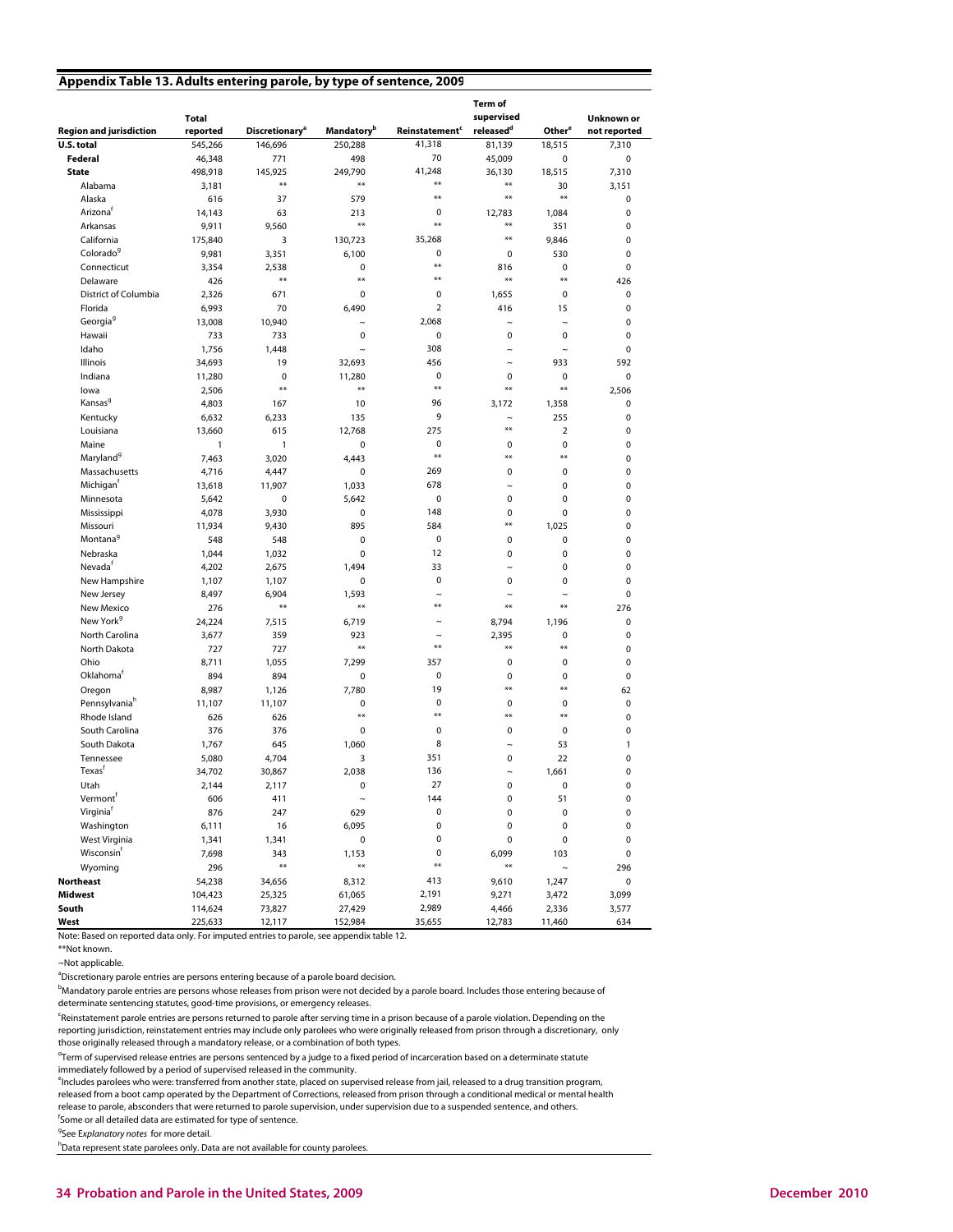#### **Appendix Table 13. Adults entering parole, by type of sentence, 2009**

|                                 | Total         |                                   |                               |                                  | Term of<br>supervised |                    | Unknown or   |
|---------------------------------|---------------|-----------------------------------|-------------------------------|----------------------------------|-----------------------|--------------------|--------------|
| <b>Region and jurisdiction</b>  | reported      | <b>Discretionary</b> <sup>a</sup> | <b>Mandatory</b> <sup>b</sup> | <b>Reinstatement<sup>c</sup></b> | released <sup>d</sup> | Other <sup>e</sup> | not reported |
| U.S. total                      | 545,266       | 146,696                           | 250,288                       | 41,318                           | 81,139                | 18,515             | 7,310        |
| Federal                         | 46,348        | 771                               | 498                           | 70                               | 45,009                | 0                  | $\pmb{0}$    |
| <b>State</b>                    | 498,918       | 145,925                           | 249,790                       | 41,248                           | 36,130                | 18.515             | 7.310        |
| Alabama                         | 3,181         | $**$                              | $**$                          | $**$                             | $***$                 | 30                 | 3,151        |
| Alaska                          | 616           | 37                                | 579                           | $**$                             | $**$                  | $**$               | 0            |
| Arizona <sup>t</sup>            | 14,143        | 63                                | 213                           | $\mathbf 0$                      | 12,783                | 1,084              | 0            |
| Arkansas                        | 9,911         | 9,560                             | $**$                          | $**$                             | $**$                  | 351                | 0            |
| California                      | 175,840       | 3                                 | 130,723                       | 35,268                           | $**$                  | 9,846              | 0            |
| Colorado <sup>9</sup>           | 9,981         | 3,351                             | 6,100                         | $\mathbf 0$                      | 0                     | 530                | $\mathbf 0$  |
| Connecticut                     | 3,354         | 2,538                             | $\pmb{0}$                     | $***$                            | 816                   | 0                  | 0            |
| Delaware                        | 426           | $**$                              | $**$                          | $***$                            | $**$                  | $***$              | 426          |
| District of Columbia            | 2,326         | 671                               | 0                             | $\mathbf 0$                      | 1,655                 | $\mathbf 0$        | 0            |
| Florida                         | 6,993         | 70                                | 6,490                         | $\overline{2}$                   | 416                   | 15                 | 0            |
| Georgia <sup>9</sup>            | 13,008        | 10,940                            | $\tilde{}$                    | 2,068                            | $\tilde{}$            | $\tilde{}$         | 0            |
| Hawaii                          | 733           | 733                               | $\mathbf 0$                   | $\pmb{0}$                        | 0                     | 0                  | 0            |
| Idaho                           | 1,756         | 1,448                             | $\sim$                        | 308                              | $\tilde{ }$           | $\sim$             | 0            |
| Illinois                        | 34,693        | 19                                | 32,693                        | 456                              | $\sim$                | 933                | 592          |
| Indiana                         | 11,280        | $\mathbf 0$                       | 11,280                        | $\mathbf 0$                      | 0                     | 0                  | $\mathbf 0$  |
| lowa                            | 2,506         | $**$                              | $**$                          | $***$                            | $**$                  | $**$               | 2,506        |
| Kansas <sup>9</sup>             | 4,803         | 167                               | 10                            | 96                               | 3,172                 | 1,358              | $\mathbf 0$  |
| Kentucky                        | 6,632         | 6,233                             | 135                           | 9                                | $\tilde{}$            | 255                | 0            |
| Louisiana                       | 13,660        | 615                               | 12,768                        | 275                              | **                    | $\overline{2}$     | 0            |
| Maine                           | $\mathbf{1}$  | 1                                 | $\mathbf 0$                   | $\mathbf 0$                      | $\pmb{0}$             | 0                  | 0            |
| Maryland <sup>9</sup>           | 7,463         | 3,020                             | 4,443                         | $**$                             | $***$                 | $***$              | 0            |
| Massachusetts                   | 4,716         | 4,447                             | 0                             | 269                              | 0                     | $\mathbf 0$        | 0            |
| Michigan <sup>f</sup>           | 13,618        | 11,907                            | 1,033                         | 678                              | $\tilde{ }$           | 0                  | 0            |
| Minnesota                       | 5,642         | 0                                 | 5,642                         | $\pmb{0}$                        | 0                     | 0                  | 0            |
| Mississippi                     | 4,078         | 3,930                             | $\mathbf 0$                   | 148                              | 0                     | 0                  | 0            |
| Missouri                        | 11,934        | 9,430                             | 895                           | 584                              | **                    | 1,025              | 0            |
| Montana <sup>9</sup>            | 548           | 548                               | $\mathbf 0$                   | $\pmb{0}$                        | $\pmb{0}$             | 0                  | 0            |
| Nebraska                        | 1,044         | 1,032                             | 0                             | 12                               | $\mathbf 0$           | 0                  | 0            |
| Nevada <sup>†</sup>             | 4,202         | 2,675                             | 1,494                         | 33                               | $\sim$                | 0                  | 0            |
| New Hampshire                   | 1,107         | 1,107                             | 0                             | $\mathbf 0$                      | 0                     | 0                  | 0            |
| New Jersey                      | 8,497         | 6,904                             | 1,593                         | $\sim$                           | $\tilde{ }$           | $\tilde{ }$        | 0            |
| New Mexico                      | 276           | $**$                              | $**$                          | $**$                             | $**$                  | $***$              | 276          |
| New York <sup>9</sup>           | 24,224        | 7,515                             | 6,719                         | $\tilde{}$                       | 8,794                 | 1,196              | 0            |
| North Carolina                  | 3,677         | 359                               | 923                           | $\sim$                           | 2,395                 | 0                  | 0            |
| North Dakota                    | 727           | 727                               | $**$                          | $**$                             | $**$                  | $***$              | 0            |
| Ohio                            | 8,711         | 1,055                             | 7,299                         | 357                              | 0                     | 0                  | 0            |
| Oklahomaf                       | 894           | 894                               | 0                             | $\pmb{0}$                        | $\mathbf 0$           | 0                  | $\mathbf 0$  |
| Oregon                          | 8,987         | 1,126                             | 7,780                         | 19                               | $**$                  | $***$              | 62           |
| Pennsylvania <sup>h</sup>       |               | 11,107                            | 0                             | $\mathbf 0$                      | $\mathbf 0$           | 0                  | 0            |
| Rhode Island                    | 11,107<br>626 | 626                               | $**$                          | $**$                             | $***$                 | $***$              | 0            |
| South Carolina                  |               |                                   |                               | $\mathbf 0$                      | $\mathbf 0$           |                    | 0            |
| South Dakota                    | 376           | 376                               | 0                             | 8                                | $\sim$                | 0                  | 1            |
|                                 | 1,767         | 645                               | 1,060                         | 351                              |                       | 53<br>22           | 0            |
| Tennessee<br>Texas <sup>t</sup> | 5,080         | 4,704                             | 3                             |                                  | 0                     |                    |              |
|                                 | 34.702        | 30,867                            | 2,038                         | 136                              | $\tilde{ }$           | 1,661              | 0            |
| Utah                            | 2,144         | 2,117                             | $\mathbf 0$                   | 27                               | 0                     | 0                  | 0            |
| Vermontf                        | 606           | 411                               | $\tilde{}$                    | 144                              | $\pmb{0}$             | 51                 | 0            |
| Virginia <sup>f</sup>           | 876           | 247                               | 629                           | $\pmb{0}$                        | 0                     | 0                  | 0            |
| Washington                      | 6,111         | 16                                | 6,095                         | 0                                | 0                     | 0                  | 0            |
| West Virginia                   | 1,341         | 1,341                             | $\pmb{0}$                     | $\pmb{0}$                        | 0                     | 0                  | $\pmb{0}$    |
| Wisconsin <sup>t</sup>          | 7,698         | 343                               | 1,153                         | 0                                | 6,099                 | 103                | $\pmb{0}$    |
| Wyoming                         | 296           | $***$                             | $**$                          | **                               | **                    | $\sim$             | 296          |
| <b>Northeast</b>                | 54,238        | 34,656                            | 8,312                         | 413                              | 9,610                 | 1,247              | 0            |
| <b>Midwest</b>                  | 104,423       | 25,325                            | 61,065                        | 2,191                            | 9,271                 | 3,472              | 3,099        |
| South                           | 114,624       | 73,827                            | 27,429                        | 2,989                            | 4,466                 | 2,336              | 3,577        |
| West                            | 225,633       | 12,117                            | 152,984                       | 35,655                           | 12,783                | 11,460             | 634          |

Note: Based on reported data only. For imputed entries to parole, see appendix table 12.

\*\*Not known.

~Not applicable.

<sup>a</sup>Discretionary parole entries are persons entering because of a parole board decision.

**bMandatory parole entries are persons whose releases from prison were not decided by a parole board. Includes those entering because of** determinate sentencing statutes, good-time provisions, or emergency releases.

c Reinstatement parole entries are persons returned to parole after serving time in a prison because of a parole violation. Depending on the reporting jurisdiction, reinstatement entries may include only parolees who were originally released from prison through a discretionary, only

<sup>d</sup>Term of supervised release entries are persons sentenced by a judge to a fixed period of incarceration based on a determinate statute those originally released through a mandatory release, or a combination of both types.

immediately followed by a period of supervised released in the community. <sup>e</sup>lncludes parolees who were: transferred from another state, placed on supervised release from jail, released to a drug transition program,

released from a boot camp operated by the Department of Corrections, released from prison through a conditional medical or mental health release to parole, absconders that were returned to parole supervision, under supervision due to a suspended sentence, and others.

<sup>f</sup>Some or all detailed data are estimated for type of sentence.

<sup>9</sup>See Explanatory notes for more detail.

<sup>h</sup>Data represent state parolees only. Data are not available for county parolees.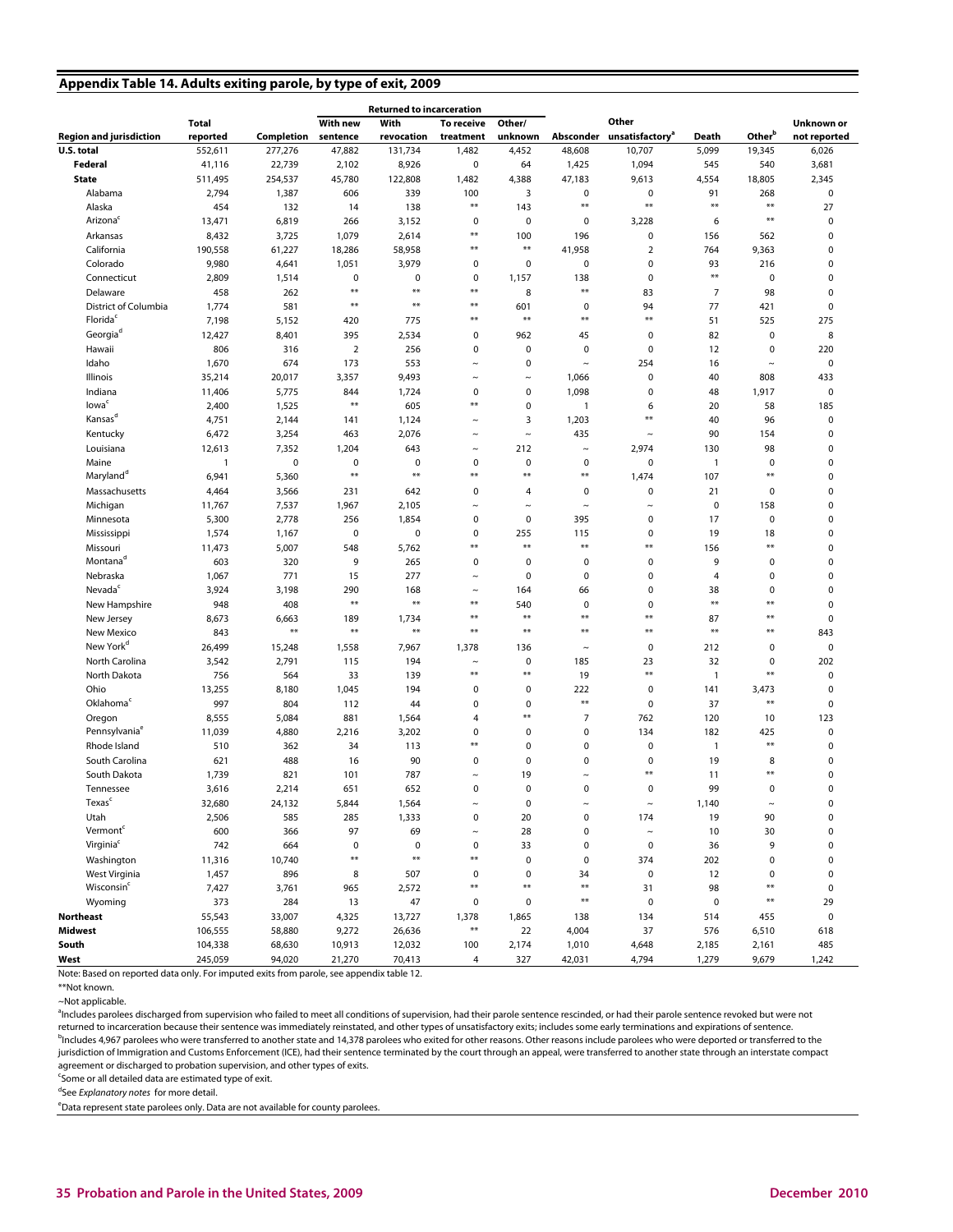## **Appendix Table 14. Adults exiting parole, by type of exit, 2009**

|                                |              |             |                        | <b>Returned to incarceration</b> |             |                        |                           |                                       |                |                        |              |
|--------------------------------|--------------|-------------|------------------------|----------------------------------|-------------|------------------------|---------------------------|---------------------------------------|----------------|------------------------|--------------|
|                                | <b>Total</b> |             | <b>With new</b>        | With                             | To receive  | Other/                 |                           | Other                                 |                |                        | Unknown or   |
| <b>Region and jurisdiction</b> | reported     | Completion  | sentence               | revocation                       | treatment   | unknown                |                           | Absconder unsatisfactory <sup>®</sup> | Death          | Other <sup>b</sup>     | not reported |
| U.S. total                     | 552,611      | 277,276     | 47,882                 | 131,734                          | 1,482       | 4,452                  | 48,608                    | 10,707                                | 5,099          | 19,345                 | 6,026        |
| Federal                        | 41,116       | 22,739      | 2,102                  | 8,926                            | 0           | 64                     | 1,425                     | 1,094                                 | 545            | 540                    | 3,681        |
| <b>State</b>                   | 511,495      | 254,537     | 45,780                 | 122,808                          | 1,482       | 4,388                  | 47,183                    | 9,613                                 | 4,554          | 18,805                 | 2,345        |
| Alabama                        | 2,794        | 1,387       | 606                    | 339                              | 100         | 3                      | 0                         | 0                                     | 91             | 268                    | 0            |
| Alaska                         | 454          | 132         | 14                     | 138                              | $**$        | 143                    | $**$                      | $**$                                  | $***$          | $\ast\ast$             | 27           |
| Arizona <sup>c</sup>           | 13,471       | 6,819       | 266                    | 3,152                            | 0           | $\mathbf 0$            | 0                         | 3,228                                 | 6              | $***$                  | 0            |
| Arkansas                       | 8,432        | 3,725       | 1,079                  | 2,614                            | $***$       | 100                    | 196                       | 0                                     | 156            | 562                    | 0            |
| California                     | 190,558      | 61,227      | 18,286                 | 58,958                           | $**$        | $\ast\ast$             | 41,958                    | 2                                     | 764            | 9,363                  | 0            |
| Colorado                       | 9,980        | 4,641       | 1,051                  | 3,979                            | 0           | $\mathbf 0$            | $\pmb{0}$                 | 0                                     | 93             | 216                    | 0            |
| Connecticut                    | 2,809        | 1,514       | 0                      | 0                                | 0           | 1,157                  | 138                       | 0                                     | $***$          | $\mathbf 0$            | 0            |
| Delaware                       | 458          | 262         | $\pmb{\ast}\pmb{\ast}$ | $**$                             | $***$       | 8                      | **                        | 83                                    | $\overline{7}$ | 98                     | 0            |
| District of Columbia           | 1,774        | 581         | $**$                   | $**$                             | $***$       | 601                    | 0                         | 94                                    | 77             | 421                    | $\Omega$     |
| Florida <sup>c</sup>           | 7,198        | 5,152       | 420                    | 775                              | $***$       | $***$                  | **                        | $**$                                  | 51             | 525                    | 275          |
| Georgia <sup>d</sup>           | 12,427       | 8,401       | 395                    | 2,534                            | 0           | 962                    | 45                        | 0                                     | 82             | $\mathbf 0$            | 8            |
| Hawaii                         | 806          | 316         | $\overline{2}$         | 256                              | 0           | $\mathbf 0$            | $\pmb{0}$                 | 0                                     | 12             | $\mathbf 0$            | 220          |
| Idaho                          | 1,670        | 674         | 173                    | 553                              | $\tilde{}$  | $\mathbf 0$            | $\widetilde{\phantom{m}}$ | 254                                   | 16             | $\tilde{}$             | 0            |
| Illinois                       | 35,214       | 20,017      | 3,357                  | 9,493                            | $\tilde{}$  | $\thicksim$            | 1,066                     | 0                                     | 40             | 808                    | 433          |
| Indiana                        | 11,406       | 5,775       | 844                    | 1,724                            | 0           | 0                      | 1,098                     | $\mathbf 0$                           | 48             | 1,917                  | 0            |
| lowa <sup>c</sup>              | 2,400        | 1,525       | $\ast\ast$             | 605                              | $**$        | $\mathbf 0$            | 1                         | 6                                     | 20             | 58                     | 185          |
| Kansas <sup>d</sup>            | 4,751        | 2,144       | 141                    | 1,124                            | $\tilde{ }$ | 3                      | 1,203                     | **                                    | 40             | 96                     | 0            |
| Kentucky                       | 6,472        | 3,254       | 463                    | 2,076                            | $\tilde{ }$ | $\sim$                 | 435                       | $\sim$                                | 90             | 154                    | 0            |
| Louisiana                      | 12,613       | 7,352       | 1,204                  | 643                              | $\tilde{}$  | 212                    | $\thicksim$               | 2,974                                 | 130            | 98                     | 0            |
| Maine                          | $\mathbf{1}$ | $\mathbf 0$ | $\pmb{0}$              | $\mathbf 0$                      | 0           | $\mathbf 0$            | 0                         | 0                                     | $\overline{1}$ | $\mathbf 0$            | 0            |
| Maryland <sup>a</sup>          | 6,941        | 5,360       | $**$                   | $**$                             | $**$        | $\pmb{\ast}\pmb{\ast}$ | **                        | 1,474                                 | 107            | $**$                   | 0            |
| Massachusetts                  | 4,464        | 3,566       | 231                    | 642                              | 0           | 4                      | 0                         | 0                                     | 21             | $\mathbf 0$            | 0            |
| Michigan                       | 11,767       | 7,537       | 1,967                  | 2,105                            | $\tilde{}$  | $\thicksim$            | $\thicksim$               | $\tilde{ }$                           | $\mathbf 0$    | 158                    | 0            |
| Minnesota                      | 5,300        | 2,778       | 256                    | 1,854                            | 0           | 0                      | 395                       | 0                                     | 17             | $\pmb{0}$              | 0            |
| Mississippi                    | 1,574        | 1,167       | $\mathbf 0$            | $\mathbf 0$                      | 0           | 255                    | 115                       | $\mathbf 0$                           | 19             | 18                     | 0            |
| Missouri                       | 11,473       | 5,007       | 548                    | 5,762                            | $**$        | $***$                  | $**$                      | $**$                                  | 156            | $**$                   | $\pmb{0}$    |
| Montana <sup>d</sup>           | 603          | 320         | 9                      | 265                              | 0           | 0                      | 0                         | $\mathbf 0$                           | 9              | $\mathbf 0$            | $\mathbf 0$  |
| Nebraska                       | 1,067        | 771         | 15                     | 277                              | $\tilde{ }$ | $\mathbf 0$            | $\pmb{0}$                 | 0                                     | $\overline{4}$ | $\mathbf 0$            | 0            |
| Nevada <sup>c</sup>            | 3,924        | 3,198       | 290                    | 168                              | $\sim$      | 164                    | 66                        | 0                                     | 38             | $\mathbf 0$            | 0            |
| New Hampshire                  | 948          | 408         | $**$                   | $**$                             | $***$       | 540                    | 0                         | 0                                     | $***$          | $\pmb{\ast}\pmb{\ast}$ | 0            |
| New Jersey                     | 8,673        | 6,663       | 189                    | 1,734                            | $***$       | $**$                   | $**$                      | $**$                                  | 87             | $\pmb{\ast}\pmb{\ast}$ | $\pmb{0}$    |
| New Mexico                     | 843          | $***$       | $\ast\ast$             | $**$                             | $**$        | $**$                   | $**$                      | **                                    | $***$          | $**$                   | 843          |
| New York <sup>d</sup>          | 26,499       | 15,248      | 1,558                  | 7,967                            | 1,378       | 136                    | $\tilde{}$                | 0                                     | 212            | $\mathbf 0$            | 0            |
| North Carolina                 | 3,542        | 2,791       | 115                    | 194                              | $\tilde{}$  | 0                      | 185                       | 23                                    | 32             | 0                      | 202          |
| North Dakota                   | 756          | 564         | 33                     | 139                              | $***$       | $\pmb{\ast}\pmb{\ast}$ | 19                        | $**$                                  | $\overline{1}$ | $**$                   | $\Omega$     |
| Ohio                           | 13,255       | 8,180       | 1,045                  | 194                              | 0           | 0                      | 222                       | 0                                     | 141            | 3,473                  | $\Omega$     |
| Oklahoma <sup>c</sup>          | 997          | 804         | 112                    | 44                               | 0           | $\pmb{0}$              | $**$                      | 0                                     | 37             | $**$                   | 0            |
| Oregon                         | 8,555        | 5,084       | 881                    | 1,564                            | 4           | $**$                   | $\overline{7}$            | 762                                   | 120            | 10                     | 123          |
| Pennsylvania <sup>e</sup>      | 11,039       | 4,880       | 2,216                  | 3,202                            | $\mathbf 0$ | 0                      | $\mathbf 0$               | 134                                   | 182            | 425                    | 0            |
| Rhode Island                   | 510          | 362         | 34                     | 113                              | $**$        | 0                      | 0                         | 0                                     | $\mathbf{1}$   | $**$                   | $\Omega$     |
| South Carolina                 | 621          | 488         | 16                     | 90                               | 0           | $\mathbf 0$            | 0                         | 0                                     | 19             | 8                      | 0            |
| South Dakota                   | 1,739        | 821         | 101                    | 787                              | $\tilde{}$  | 19                     | $\tilde{ }$               | $**$                                  | 11             | $**$                   | 0            |
| Tennessee                      | 3,616        | 2,214       | 651                    | 652                              | 0           | $\mathbf 0$            | $\mathbf 0$               | $\mathbf 0$                           | 99             | $\mathbf 0$            | 0            |
| Texas <sup>c</sup>             | 32,680       | 24,132      | 5,844                  | 1,564                            | $\tilde{}$  | $\pmb{0}$              | $\tilde{}$                | $\sim$                                | 1,140          | $\sim$                 | $\pmb{0}$    |
| Utah                           | 2,506        | 585         | 285                    | 1,333                            | 0           | 20                     | $\pmb{0}$                 | 174                                   | 19             | 90                     | $\pmb{0}$    |
| Vermont <sup>c</sup>           | 600          | 366         | 97                     | 69                               | $\sim$      | 28                     | 0                         | $\sim$                                | 10             | 30                     | $\pmb{0}$    |
| Virginia <sup>c</sup>          | 742          | 664         | $\pmb{0}$              | $\pmb{0}$                        | 0           | 33                     | $\mathbf 0$               | 0                                     | 36             | 9                      | $\pmb{0}$    |
| Washington                     | 11,316       | 10,740      | $\ast\ast$             | $**$                             | $***$       | $\pmb{0}$              | $\mathbf 0$               | 374                                   | 202            | $\pmb{0}$              | $\pmb{0}$    |
| West Virginia                  | 1,457        | 896         | 8                      | 507                              | 0           | $\pmb{0}$              | 34                        | $\pmb{0}$                             | 12             | 0                      | $\pmb{0}$    |
| Wisconsin <sup>c</sup>         | 7,427        | 3,761       | 965                    | 2,572                            | $**$        | $\ast\ast$             | $**$                      | 31                                    | 98             | $**$                   | $\pmb{0}$    |
| Wyoming                        | 373          | 284         | 13                     | 47                               | 0           | 0                      | $**$                      | $\pmb{0}$                             | $\pmb{0}$      | $**$                   | 29           |
| <b>Northeast</b>               | 55,543       | 33,007      | 4,325                  | 13,727                           | 1,378       | 1,865                  | 138                       | 134                                   | 514            | 455                    | $\pmb{0}$    |
| <b>Midwest</b>                 | 106,555      | 58,880      | 9,272                  | 26,636                           | $***$       | 22                     | 4,004                     | 37                                    | 576            | 6,510                  | 618          |
| South                          | 104,338      | 68,630      | 10,913                 | 12,032                           | 100         | 2,174                  | 1,010                     | 4,648                                 | 2,185          | 2,161                  | 485          |
| West                           | 245,059      | 94,020      | 21,270                 | 70,413                           | 4           | 327                    | 42,031                    | 4,794                                 | 1,279          | 9,679                  | 1,242        |

Note: Based on reported data only. For imputed exits from parole, see appendix table 12.

~Not applicable.

<sup>a</sup>Includes parolees discharged from supervision who failed to meet all conditions of supervision, had their parole sentence rescinded, or had their parole sentence revoked but were not returned to incarceration because their sentence was immediately reinstated, and other types of unsatisfactory exits; includes some early terminations and expirations of sentence. <sup>b</sup>Includes 4,967 parolees who were transferred to another state and 14,378 parolees who exited for other reasons. Other reasons include parolees who were deported or transferred to the jurisdiction of Immigration and Customs Enforcement (ICE), had their sentence terminated by the court through an appeal, were transferred to another state through an interstate compact

agreement or discharged to probation supervision, and other types of exits.

<sup>c</sup>Some or all detailed data are estimated type of exit.

<sup>d</sup>See Explanatory notes for more detail.

<sup>e</sup>Data represent state parolees only. Data are not available for county parolees.

<sup>\*\*</sup>Not known.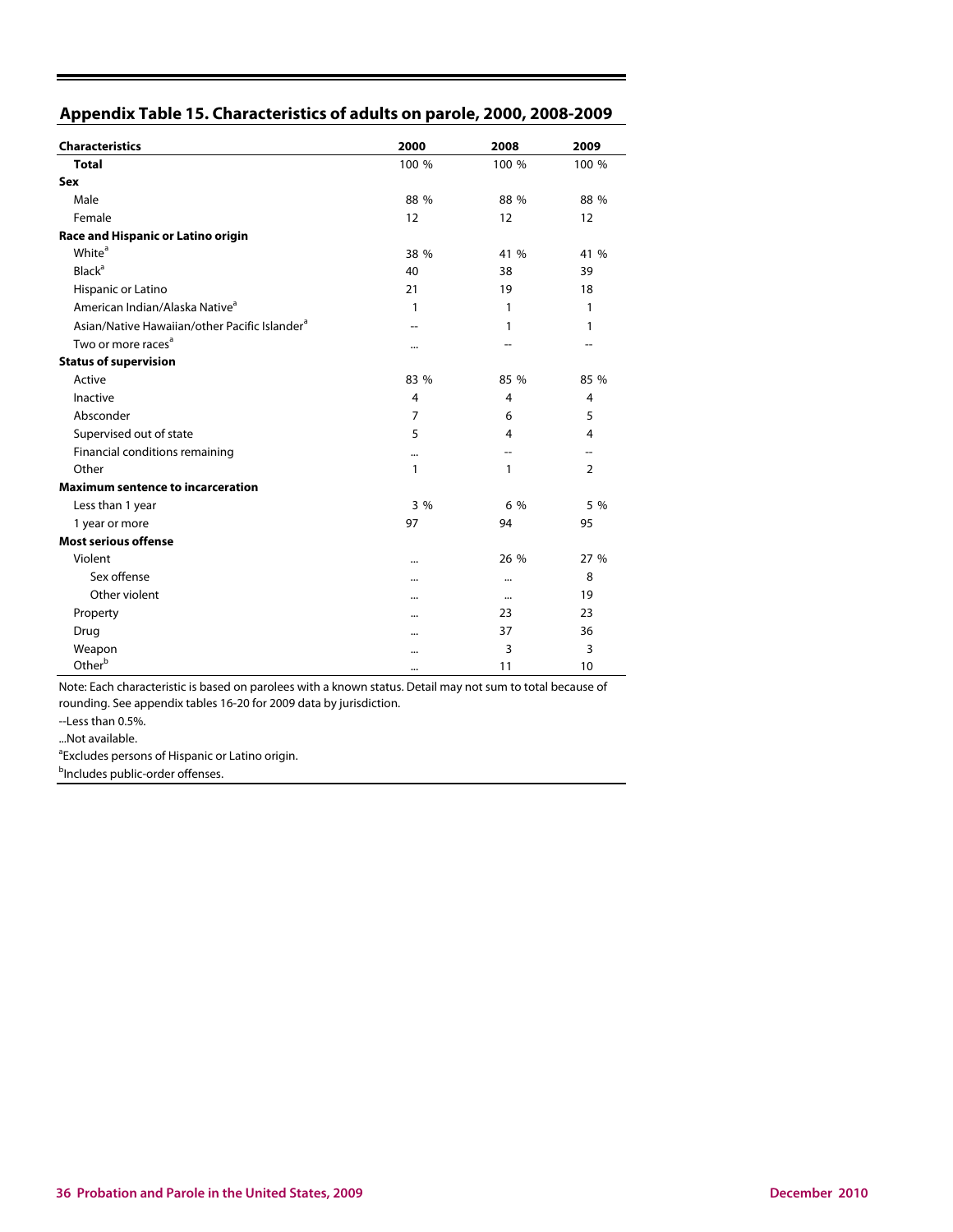| Appendix Table 15. Characteristics of adults on parole, 2000, 2008-2009 |  |  |  |
|-------------------------------------------------------------------------|--|--|--|
|-------------------------------------------------------------------------|--|--|--|

| <b>Characteristics</b>                                    | 2000           | 2008      | 2009           |
|-----------------------------------------------------------|----------------|-----------|----------------|
| <b>Total</b>                                              | 100 %          | 100 %     | 100 %          |
| Sex                                                       |                |           |                |
| Male                                                      | 88 %           | 88 %      | 88 %           |
| Female                                                    | 12             | 12        | 12             |
| Race and Hispanic or Latino origin                        |                |           |                |
| White <sup>a</sup>                                        | 38 %           | 41 %      | 41 %           |
| <b>Black<sup>a</sup></b>                                  | 40             | 38        | 39             |
| Hispanic or Latino                                        | 21             | 19        | 18             |
| American Indian/Alaska Native <sup>a</sup>                | 1              | 1         | 1              |
| Asian/Native Hawaiian/other Pacific Islander <sup>a</sup> | --             | 1         | 1              |
| Two or more races <sup>a</sup>                            |                | --        | --             |
| <b>Status of supervision</b>                              |                |           |                |
| Active                                                    | 83 %           | 85 %      | 85 %           |
| Inactive                                                  | $\overline{4}$ | 4         | $\overline{4}$ |
| Absconder                                                 | $\overline{7}$ | 6         | 5              |
| Supervised out of state                                   | 5              | 4         | $\overline{4}$ |
| Financial conditions remaining                            |                | --        |                |
| Other                                                     | 1              | 1         | $\overline{2}$ |
| <b>Maximum sentence to incarceration</b>                  |                |           |                |
| Less than 1 year                                          | 3%             | 6 %       | 5 %            |
| 1 year or more                                            | 97             | 94        | 95             |
| <b>Most serious offense</b>                               |                |           |                |
| Violent                                                   |                | 26 %      | 27 %           |
| Sex offense                                               |                | $\ddotsc$ | 8              |
| Other violent                                             |                | $\ddotsc$ | 19             |
| Property                                                  |                | 23        | 23             |
| Drug                                                      |                | 37        | 36             |
| Weapon                                                    |                | 3         | 3              |
| Other <sup>b</sup>                                        |                | 11        | 10             |

Note: Each characteristic is based on parolees with a known status. Detail may not sum to total because of rounding. See appendix tables 16-20 for 2009 data by jurisdiction.

--Less than 0.5%.

...Not available.

<sup>a</sup> Excludes persons of Hispanic or Latino origin.

<sup>b</sup>Includes public-order offenses.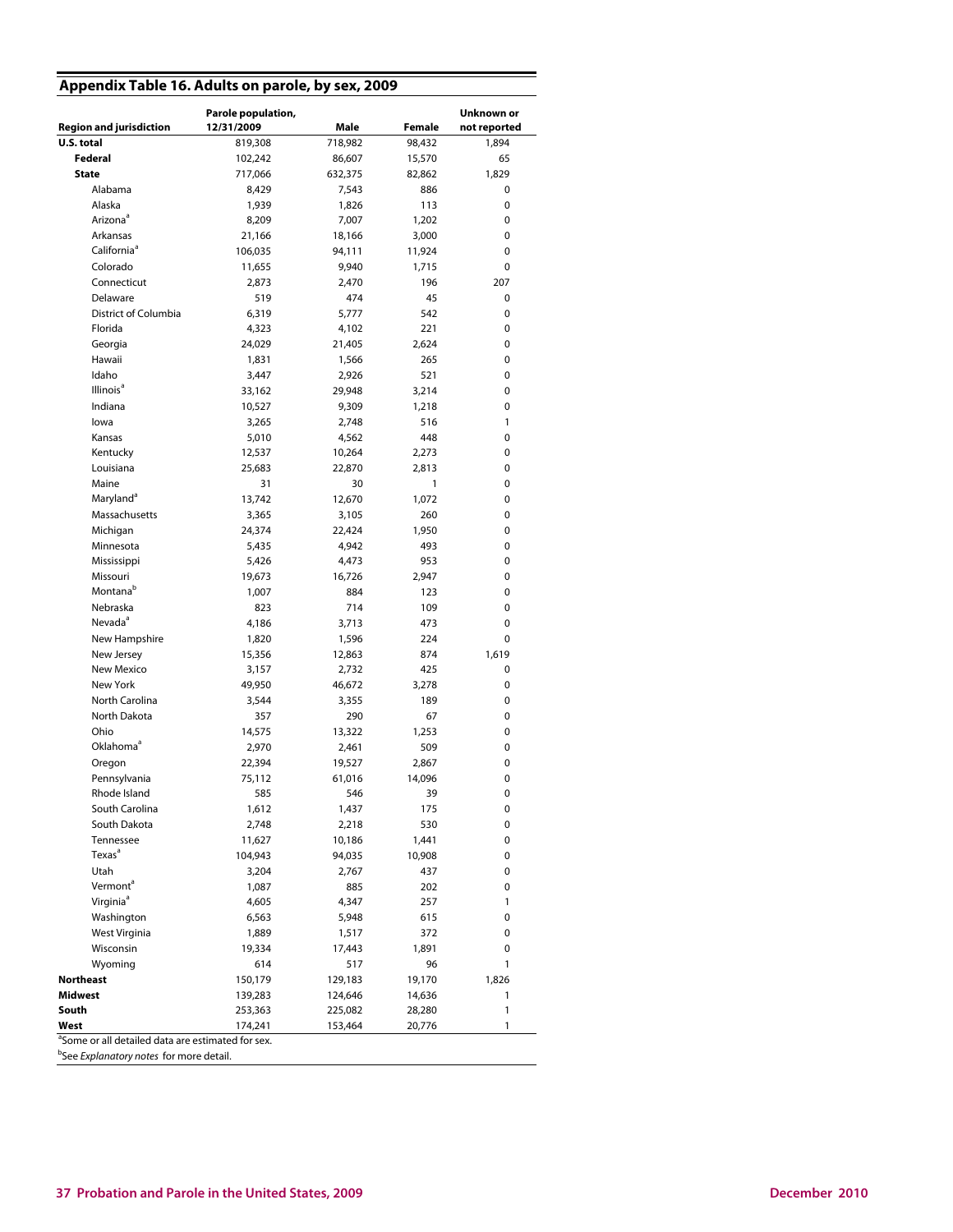## **Appendix Table 16. Adults on parole, by sex, 2009**

|                                                               | Parole population, |                 |                  | Unknown or   |
|---------------------------------------------------------------|--------------------|-----------------|------------------|--------------|
| <b>Region and jurisdiction</b>                                | 12/31/2009         | Male            | <b>Female</b>    | not reported |
| U.S. total                                                    | 819,308            | 718,982         | 98,432<br>15,570 | 1,894        |
| Federal                                                       | 102,242            | 86,607          |                  | 65           |
| <b>State</b>                                                  | 717,066            | 632,375         | 82,862           | 1,829        |
| Alabama                                                       | 8,429              | 7,543           | 886              | 0            |
| Alaska                                                        | 1,939              | 1,826           | 113              | 0            |
| Arizona <sup>a</sup>                                          | 8,209              | 7,007           | 1,202            | 0            |
| Arkansas                                                      | 21,166             | 18,166          | 3,000            | 0            |
| California <sup>ª</sup>                                       | 106,035            | 94,111          | 11,924           | 0            |
| Colorado                                                      | 11,655             | 9,940           | 1,715            | 0            |
| Connecticut                                                   | 2,873              | 2,470           | 196              | 207          |
| Delaware                                                      | 519                | 474             | 45               | 0            |
| District of Columbia                                          | 6,319              | 5,777           | 542              | 0            |
| Florida                                                       | 4,323              | 4,102           | 221              | 0            |
| Georgia                                                       | 24,029             | 21,405          | 2,624            | 0            |
| Hawaii                                                        | 1,831              | 1,566           | 265              | 0            |
| Idaho                                                         | 3,447              | 2,926           | 521              | 0            |
| Illinois <sup>a</sup>                                         | 33,162             | 29,948          | 3,214            | 0            |
| Indiana                                                       | 10,527             | 9,309           | 1,218            | 0            |
| lowa                                                          | 3,265              | 2,748           | 516              | 1            |
| Kansas                                                        | 5,010              | 4,562           | 448              | 0            |
| Kentucky                                                      | 12,537             | 10,264          | 2,273            | 0            |
| Louisiana                                                     | 25,683             | 22,870          | 2,813            | 0            |
| Maine                                                         | 31                 | 30              | 1                | 0            |
| Maryland <sup>a</sup>                                         | 13,742             | 12,670          | 1,072            | 0            |
| Massachusetts                                                 | 3,365              | 3,105           | 260              | 0            |
| Michigan                                                      | 24,374             | 22,424          | 1,950            | 0            |
| Minnesota                                                     | 5,435              | 4,942           | 493              | 0            |
| Mississippi                                                   | 5,426              | 4,473           | 953              | 0            |
| Missouri                                                      | 19,673             | 16,726          | 2,947            | 0            |
| Montana <sup>b</sup>                                          | 1,007              | 884             | 123              | 0            |
| Nebraska                                                      | 823                | 714             | 109              | 0            |
| Nevada <sup>a</sup>                                           | 4,186              | 3,713           | 473              | 0            |
| New Hampshire                                                 | 1,820              | 1,596           | 224              | 0            |
| New Jersey                                                    | 15,356             | 12,863          | 874              | 1,619        |
| New Mexico                                                    | 3,157              | 2,732           | 425              | 0            |
| New York                                                      | 49,950             | 46,672          | 3,278            | 0            |
| North Carolina                                                | 3,544              | 3,355           | 189              | 0            |
| North Dakota                                                  | 357                | 290             | 67               | 0            |
| Ohio                                                          | 14,575             | 13,322          | 1,253            | 0            |
| Oklahoma <sup>a</sup>                                         | 2,970              | 2,461           | 509              | 0            |
| Oregon                                                        | 22,394             | 19,527          | 2,867            | 0            |
| Pennsylvania                                                  | 75,112             | 61,016          | 14,096           | 0            |
| Rhode Island                                                  | 585                | 546             | 39               | 0            |
| South Carolina                                                | 1,612              | 1,437           | 175              | 0            |
| South Dakota<br>Tennessee                                     | 2,748<br>11,627    | 2,218           | 530              | 0            |
| Texas <sup>a</sup>                                            |                    | 10,186          | 1,441            | 0            |
| Utah                                                          | 104,943            | 94,035<br>2,767 | 10,908<br>437    | 0<br>0       |
| Vermont <sup>a</sup>                                          | 3,204              | 885             | 202              | 0            |
| Virginia <sup>ª</sup>                                         | 1,087<br>4,605     | 4,347           | 257              | 1            |
| Washington                                                    | 6,563              | 5,948           | 615              | 0            |
| West Virginia                                                 | 1,889              | 1,517           | 372              | 0            |
| Wisconsin                                                     | 19,334             | 17,443          | 1,891            | 0            |
| Wyoming                                                       | 614                | 517             | 96               | 1            |
| Northeast                                                     | 150,179            | 129,183         | 19,170           | 1,826        |
| Midwest                                                       | 139,283            | 124,646         | 14,636           | 1            |
| South                                                         | 253,363            | 225,082         | 28,280           | $\mathbf{1}$ |
| West                                                          | 174,241            | 153,464         | 20,776           | 1            |
| <sup>a</sup> Some or all detailed data are estimated for sex. |                    |                 |                  |              |

<sup>b</sup>See *Explanatory notes* for more detail.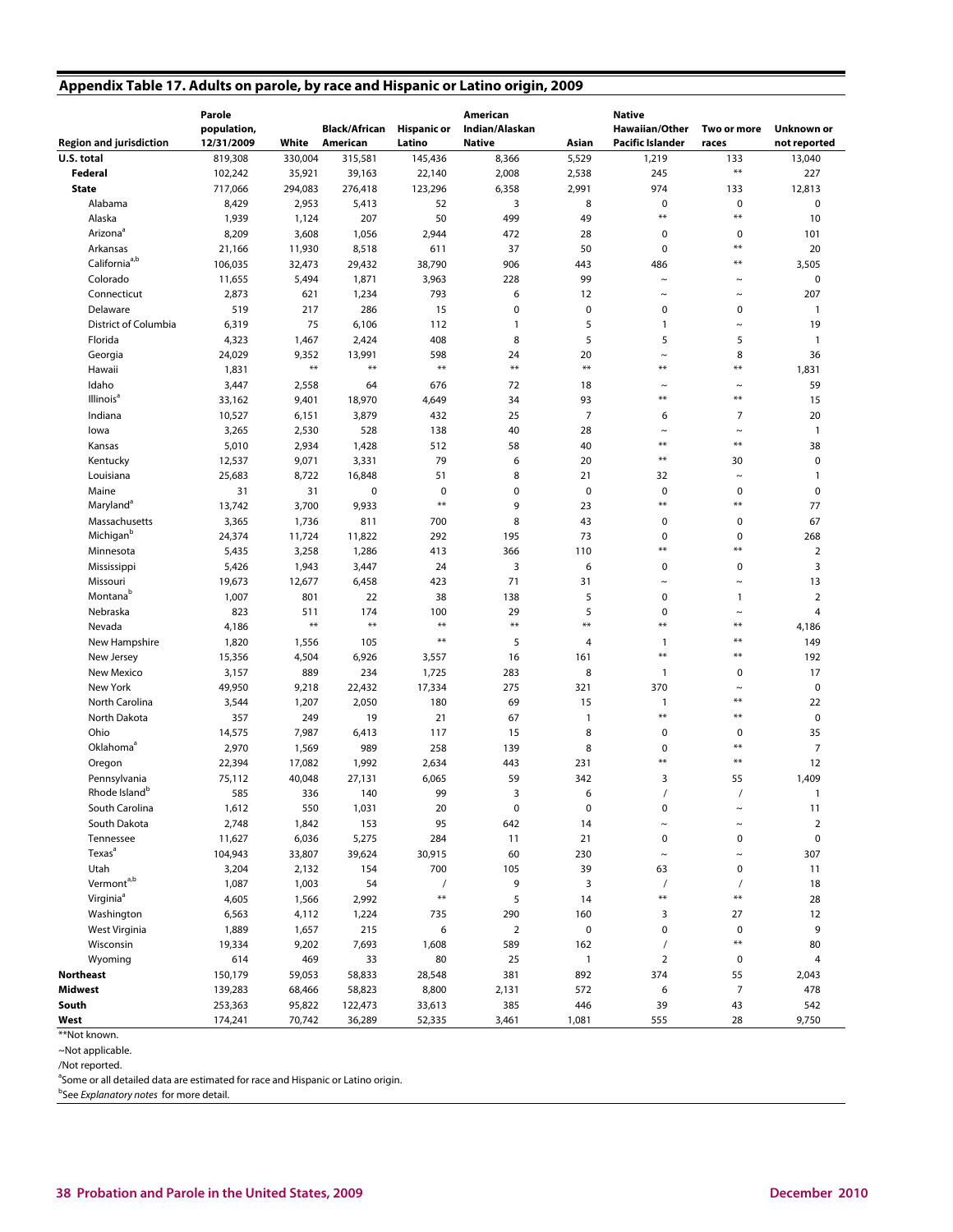## **Appendix Table 17. Adults on parole, by race and Hispanic or Latino origin, 2009**

| <b>Region and jurisdiction</b> | Parole<br>population,<br>12/31/2009 | White            | Black/African<br>American | <b>Hispanic or</b><br>Latino | American<br>Indian/Alaskan<br><b>Native</b> | Asian          | <b>Native</b><br><b>Hawaiian/Other</b><br><b>Pacific Islander</b> | Two or more<br>races | Unknown or<br>not reported |
|--------------------------------|-------------------------------------|------------------|---------------------------|------------------------------|---------------------------------------------|----------------|-------------------------------------------------------------------|----------------------|----------------------------|
| U.S. total                     | 819,308                             | 330,004          | 315,581                   | 145,436                      | 8,366                                       | 5,529          | 1,219                                                             | 133                  | 13,040                     |
| Federal                        | 102,242                             | 35,921           | 39,163                    | 22,140                       | 2,008                                       | 2,538          | 245                                                               | $\ast\ast$           | 227                        |
| <b>State</b>                   | 717,066                             | 294,083          | 276,418                   | 123,296                      | 6,358                                       | 2,991          | 974                                                               | 133                  | 12,813                     |
| Alabama                        | 8,429                               | 2,953            | 5,413                     | 52                           | 3                                           | 8              | 0                                                                 | $\mathbf 0$          | $\mathbf 0$                |
| Alaska                         | 1,939                               | 1,124            | 207                       | 50                           | 499                                         | 49             | $**$                                                              | $***$                | 10                         |
| Arizona <sup>ª</sup>           | 8,209                               | 3,608            | 1,056                     | 2,944                        | 472                                         | 28             | $\pmb{0}$                                                         | $\mathbf 0$          | 101                        |
| Arkansas                       | 21,166                              | 11,930           | 8,518                     | 611                          | 37                                          | 50             | 0                                                                 | $**$                 | 20                         |
| California <sup>a,b</sup>      | 106,035                             | 32,473           | 29,432                    | 38,790                       | 906                                         | 443            | 486                                                               | $**$                 | 3,505                      |
| Colorado                       | 11,655                              | 5,494            | 1,871                     | 3,963                        | 228                                         | 99             | $\sim$                                                            | $\tilde{}$           | $\mathbf 0$                |
| Connecticut                    | 2,873                               | 621              | 1,234                     | 793                          | 6                                           | 12             | $\sim$                                                            | $\tilde{}$           | 207                        |
| Delaware                       | 519                                 | 217              | 286                       | 15                           | 0                                           | $\pmb{0}$      | 0                                                                 | 0                    | $\mathbf{1}$               |
| <b>District of Columbia</b>    | 6,319                               | 75               | 6,106                     | 112                          | $\mathbf{1}$                                | 5              | 1                                                                 | $\thicksim$          | 19                         |
| Florida                        | 4,323                               | 1,467            | 2,424                     | 408                          | 8                                           | 5              | 5                                                                 | 5                    | $\mathbf{1}$               |
| Georgia                        | 24,029                              | 9,352            | 13,991                    | 598                          | 24                                          | 20             | $\thicksim$                                                       | 8                    | 36                         |
| Hawaii                         | 1,831                               | $***$            | $***$                     | $***$                        | $**$                                        | $***$          | **                                                                | $***$                | 1,831                      |
| Idaho                          | 3,447                               | 2,558            | 64                        | 676                          | 72                                          | 18             | $\thicksim$                                                       | $\thicksim$          | 59                         |
| Illinois <sup>a</sup>          | 33,162                              | 9,401            | 18,970                    | 4,649                        | 34                                          | 93             | **                                                                | $**$                 | 15                         |
| Indiana                        | 10,527                              | 6,151            | 3,879                     | 432                          | 25                                          | $\overline{7}$ | 6                                                                 | 7                    | 20                         |
| lowa                           | 3,265                               | 2,530            | 528                       | 138                          | 40                                          | 28             | $\tilde{}$                                                        | $\tilde{}$           | $\overline{1}$             |
| Kansas                         | 5,010                               | 2,934            | 1,428                     | 512                          | 58                                          | 40             | $**$                                                              | $***$                | 38                         |
| Kentucky                       | 12,537                              | 9,071            | 3,331                     | 79                           | 6                                           | 20             | **                                                                | 30                   | $\mathbf 0$                |
| Louisiana                      | 25,683                              | 8,722            | 16,848                    | 51                           | 8                                           | 21             | 32                                                                | $\tilde{}$           | $\mathbf{1}$               |
| Maine                          | 31                                  | 31               | $\pmb{0}$                 | $\mathbf 0$                  | 0                                           | $\pmb{0}$      | $\mathbf 0$                                                       | $\mathbf 0$          | $\mathbf 0$                |
| Maryland <sup>a</sup>          | 13,742                              | 3,700            | 9,933                     | $**$                         | 9                                           | 23             | $**$                                                              | $***$                | 77                         |
| Massachusetts                  | 3,365                               | 1,736            | 811                       | 700                          | 8                                           | 43             | 0                                                                 | $\mathbf 0$          | 67                         |
| Michigan <sup>b</sup>          | 24,374                              | 11,724           | 11,822                    | 292                          | 195                                         | 73             | 0                                                                 | $\mathbf 0$          | 268                        |
| Minnesota                      | 5,435                               | 3,258            | 1,286                     | 413                          | 366                                         | 110            | $**$                                                              | $***$                | $\overline{2}$             |
| Mississippi                    | 5,426                               | 1,943            | 3,447                     | 24                           | 3                                           | 6              | 0                                                                 | $\mathbf 0$          | 3                          |
| Missouri                       | 19,673                              | 12,677           | 6,458                     | 423                          | 71                                          | 31             | $\tilde{}$                                                        | $\thicksim$          | 13                         |
| Montana <sup>b</sup>           | 1,007                               | 801              | 22                        | 38                           | 138                                         | 5              | 0                                                                 | $\mathbf{1}$         | $\overline{2}$             |
| Nebraska                       | 823                                 | 511              | 174                       | 100                          | 29                                          | 5              | 0                                                                 | $\thicksim$          | $\overline{4}$             |
| Nevada                         | 4,186                               | $***$            | $***$                     | $***$                        | $**$                                        | $**$           | $***$                                                             | $***$                | 4,186                      |
| New Hampshire                  | 1,820                               | 1,556            | 105                       | $**$                         | 5                                           | $\overline{4}$ | 1                                                                 | $**$                 | 149                        |
| New Jersey                     | 15,356                              | 4,504            | 6,926                     | 3,557                        | 16                                          | 161            | $**$                                                              | $***$                | 192                        |
| New Mexico                     | 3,157                               | 889              | 234                       | 1,725                        | 283                                         | 8              | $\mathbf{1}$                                                      | $\mathbf 0$          | 17                         |
| New York                       | 49,950                              | 9,218            | 22,432                    | 17,334                       | 275                                         | 321            | 370                                                               | $\tilde{}$           | $\pmb{0}$                  |
| North Carolina                 | 3,544                               | 1,207            | 2,050                     | 180                          | 69                                          | 15             | 1                                                                 | $***$                | 22                         |
| North Dakota                   | 357                                 | 249              | 19                        | 21                           | 67                                          | $\mathbf{1}$   | $***$                                                             | $***$                | $\mathbf 0$                |
| Ohio                           | 14,575                              | 7,987            | 6,413                     | 117                          | 15                                          | 8              | $\pmb{0}$                                                         | $\mathbf 0$          | 35                         |
| Oklahoma <sup>a</sup>          | 2,970                               | 1,569            | 989                       | 258                          | 139                                         | 8              | 0                                                                 | $***$                | $\overline{7}$             |
| Oregon                         | 22,394                              | 17,082           | 1,992                     | 2,634                        | 443                                         | 231            | $**$                                                              | $**$                 | 12                         |
| Pennsylvania                   | 75,112                              | 40,048           | 27,131                    | 6,065                        | 59                                          | 342            | 3                                                                 | 55                   | 1,409                      |
| Rhode Island <sup>b</sup>      | 585                                 | 336              | 140                       | 99                           | 3                                           | 6              | $\prime$                                                          | $\prime$             | $\overline{1}$             |
| South Carolina                 | 1,612                               | 550              | 1,031                     | 20                           | $\pmb{0}$                                   | $\pmb{0}$      | 0                                                                 |                      | 11                         |
| South Dakota                   | 2,748                               | 1,842            | 153                       | 95                           | 642                                         | 14             | $\tilde{ }$                                                       | $\tilde{ }$          | $\overline{2}$             |
| Tennessee                      | 11,627                              | 6,036            | 5,275                     | 284                          | 11                                          | 21             | 0                                                                 | $\mathbf 0$          | $\pmb{0}$                  |
| Texas <sup>a</sup>             | 104,943                             | 33,807           | 39,624                    | 30,915                       | 60                                          | 230            | $\thicksim$                                                       | $\tilde{}$           | 307                        |
| Utah                           | 3,204                               | 2,132            | 154                       | 700                          | 105                                         | 39             | 63                                                                | 0                    | 11                         |
| Vermont <sup>a,b</sup>         | 1,087                               | 1,003            | 54                        | $\prime$                     | 9                                           | 3              | $\prime$                                                          | $\prime$             | 18                         |
| Virginia <sup>ª</sup>          | 4,605                               | 1,566            | 2,992                     | $\pmb{\ast}\pmb{\ast}$       | 5                                           | 14             | $**$                                                              | $***$                | 28                         |
| Washington                     | 6,563                               | 4,112            | 1,224                     | 735                          | 290                                         | 160            | 3                                                                 | 27                   | 12                         |
| West Virginia                  | 1,889                               | 1,657            | 215                       | 6                            | $\overline{2}$                              | 0              | 0                                                                 | $\mathbf 0$          | 9                          |
|                                |                                     |                  |                           |                              |                                             |                |                                                                   | $***$                |                            |
| Wisconsin                      | 19,334                              | 9,202            | 7,693                     | 1,608                        | 589                                         | 162            | $\prime$                                                          |                      | 80                         |
| Wyoming                        | 614                                 | 469              | 33                        | 80                           | 25                                          | $\mathbf{1}$   | $\overline{2}$                                                    | 0                    | $\overline{4}$             |
| Northeast                      | 150,179                             | 59,053           | 58,833                    | 28,548                       | 381                                         | 892            | 374                                                               | 55                   | 2,043                      |
| Midwest                        | 139,283                             | 68,466           | 58,823                    | 8,800                        | 2,131                                       | 572            | 6                                                                 | $\overline{7}$       | 478                        |
| South<br>West                  | 253,363<br>174,241                  | 95,822<br>70,742 | 122,473                   | 33,613                       | 385                                         | 446            | 39<br>555                                                         | 43<br>28             | 542                        |
|                                |                                     |                  | 36,289                    | 52,335                       | 3,461                                       | 1,081          |                                                                   |                      | 9,750                      |

<sup>\*\*</sup>Not known.

~Not applicable.

/Not reported.

<sup>a</sup>Some or all detailed data are estimated for race and Hispanic or Latino origin.

<sup>b</sup>See Explanatory notes for more detail.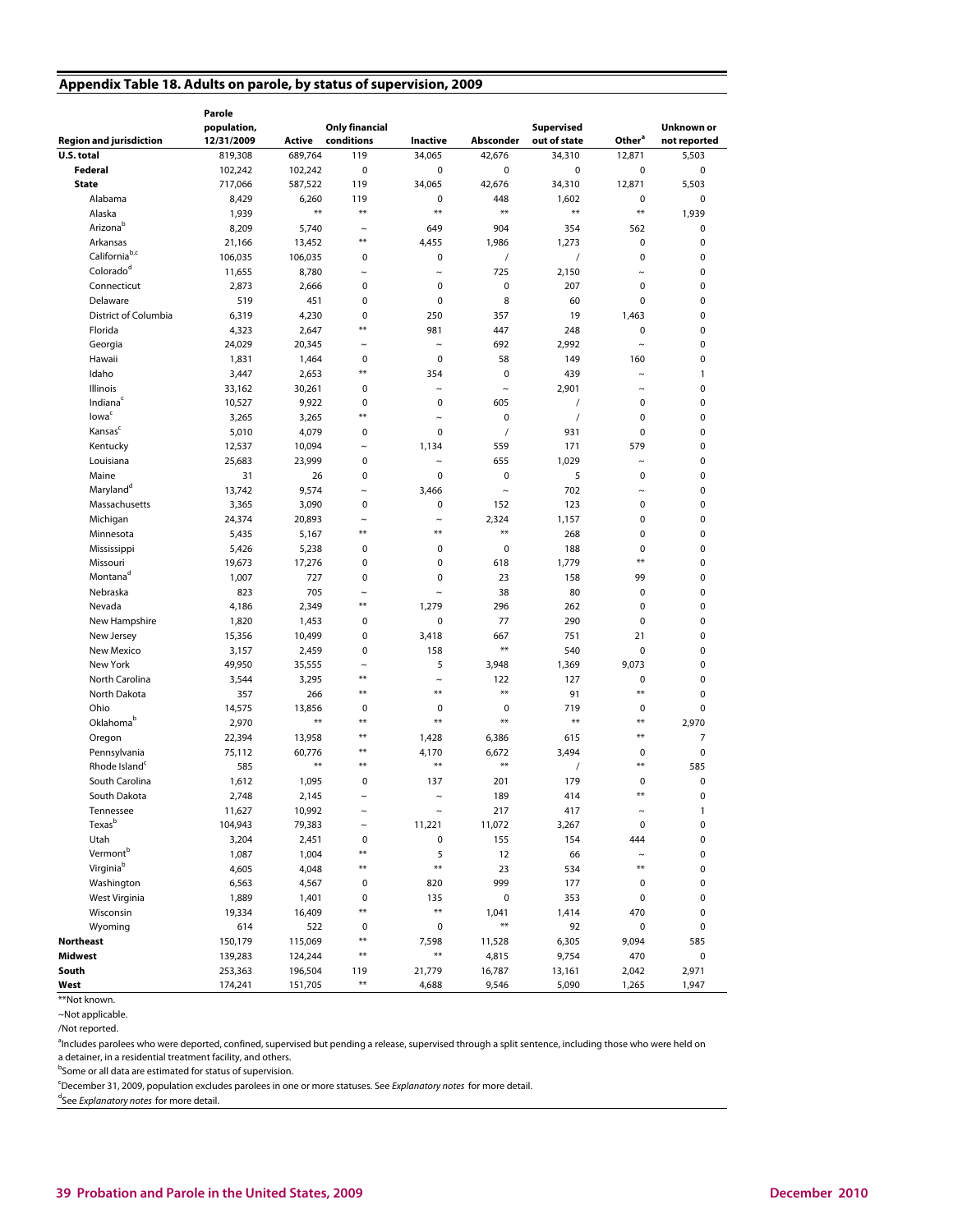## **Appendix Table 18. Adults on parole, by status of supervision, 2009**

|                                   | Parole      |         |                       |             |             |                   |                           |                |
|-----------------------------------|-------------|---------|-----------------------|-------------|-------------|-------------------|---------------------------|----------------|
|                                   | population, |         | <b>Only financial</b> |             |             | <b>Supervised</b> |                           | Unknown or     |
| <b>Region and jurisdiction</b>    | 12/31/2009  | Active  | conditions            | Inactive    | Absconder   | out of state      | Other <sup>a</sup>        | not reported   |
| U.S. total                        | 819,308     | 689,764 | 119                   | 34,065      | 42,676      | 34,310            | 12,871                    | 5,503          |
| Federal                           | 102,242     | 102,242 | $\mathbf 0$           | 0           | $\mathbf 0$ | 0                 | $\pmb{0}$                 | $\pmb{0}$      |
| <b>State</b>                      | 717,066     | 587,522 | 119                   | 34,065      | 42,676      | 34,310            | 12,871                    | 5,503          |
| Alabama                           | 8,429       | 6,260   | 119                   | 0           | 448         | 1,602             | $\mathbf 0$               | $\mathbf 0$    |
| Alaska                            | 1,939       | $***$   | $**$                  | $**$        | $**$        | $**$              | $\pmb{\ast}\pmb{\ast}$    | 1,939          |
| Arizonab                          | 8,209       | 5,740   | $\tilde{ }$           | 649         | 904         | 354               | 562                       | $\mathbf 0$    |
| Arkansas                          | 21,166      | 13,452  | $**$                  | 4,455       | 1,986       | 1,273             | $\mathbf 0$               | $\mathbf 0$    |
| California <sup>b,c</sup>         | 106,035     | 106,035 | 0                     | 0           | $\prime$    | $\sqrt{2}$        | $\mathbf 0$               | $\mathbf 0$    |
| Colorado <sup>d</sup>             | 11,655      | 8,780   | $\sim$                | $\sim$      | 725         | 2,150             | $\tilde{\phantom{a}}$     | $\mathbf 0$    |
| Connecticut                       | 2,873       | 2,666   | 0                     | 0           | $\mathbf 0$ | 207               | $\mathbf 0$               | $\pmb{0}$      |
| Delaware                          | 519         | 451     | $\mathbf 0$           | $\mathbf 0$ | 8           | 60                | $\mathbf 0$               | $\mathbf 0$    |
| District of Columbia              | 6,319       | 4,230   | $\mathbf 0$           | 250         | 357         | 19                | 1,463                     | $\mathbf 0$    |
| Florida                           | 4,323       | 2,647   | $**$                  | 981         | 447         | 248               | $\pmb{0}$                 | $\mathbf 0$    |
| Georgia                           | 24,029      | 20,345  | $\tilde{}$            | $\tilde{ }$ | 692         | 2,992             | $\widetilde{\phantom{m}}$ | $\mathbf 0$    |
| Hawaii                            | 1,831       | 1,464   | 0                     | 0           | 58          | 149               | 160                       | 0              |
| Idaho                             | 3,447       | 2,653   | $**$                  | 354         | $\mathbf 0$ | 439               | $\tilde{}$                | $\mathbf{1}$   |
| Illinois                          | 33,162      | 30,261  | 0                     | $\sim$      | $\sim$      | 2,901             | $\sim$                    | $\pmb{0}$      |
| Indiana                           | 10,527      | 9,922   | 0                     | $\mathbf 0$ | 605         | $\prime$          | $\pmb{0}$                 | $\mathbf 0$    |
| lowa <sup>c</sup>                 | 3,265       | 3,265   | **                    | $\tilde{}$  | $\mathbf 0$ | $\prime$          | $\mathbf 0$               | $\mathbf 0$    |
| Kansas <sup>c</sup>               | 5,010       | 4,079   | 0                     | 0           | $\prime$    | 931               | $\mathbf 0$               | $\mathbf 0$    |
| Kentucky                          | 12,537      | 10,094  | $\sim$                | 1,134       | 559         | 171               | 579                       | $\mathbf 0$    |
| Louisiana                         | 25,683      | 23,999  | 0                     | $\sim$      | 655         | 1,029             | $\tilde{}$                | $\mathbf 0$    |
| Maine                             | 31          | 26      | $\mathbf 0$           | $\mathbf 0$ | $\mathbf 0$ | 5                 | $\mathbf 0$               | $\mathbf 0$    |
| Maryland <sup>d</sup>             | 13,742      | 9,574   | $\ddot{\phantom{1}}$  | 3,466       | $\sim$      | 702               | $\tilde{}$                | 0              |
| Massachusetts                     | 3,365       | 3,090   | 0                     | 0           | 152         | 123               | $\mathbf 0$               | $\mathbf 0$    |
| Michigan                          | 24,374      | 20,893  | $\sim$                | $\sim$      | 2,324       | 1,157             | $\pmb{0}$                 | $\pmb{0}$      |
| Minnesota                         | 5,435       | 5,167   | **                    | $**$        | $**$        | 268               | $\pmb{0}$                 | $\mathbf 0$    |
| Mississippi                       | 5,426       | 5,238   | $\mathbf 0$           | 0           | $\mathbf 0$ | 188               | $\mathbf 0$               | $\mathbf 0$    |
| Missouri                          | 19,673      | 17,276  | 0                     | $\mathbf 0$ | 618         | 1,779             | $**$                      | $\mathbf 0$    |
| Montana <sup>d</sup>              | 1,007       | 727     | $\mathbf 0$           | $\mathbf 0$ | 23          | 158               | 99                        | $\mathbf 0$    |
| Nebraska                          | 823         | 705     | $\ddot{\phantom{1}}$  | $\sim$      | 38          | 80                | $\mathbf 0$               | $\mathbf 0$    |
| Nevada                            | 4,186       | 2,349   | $**$                  | 1,279       | 296         | 262               | $\mathbf 0$               | $\mathbf 0$    |
| New Hampshire                     | 1,820       | 1,453   | 0                     | 0           | 77          | 290               | $\mathbf 0$               | $\mathbf 0$    |
| New Jersey                        | 15,356      | 10,499  | 0                     | 3,418       | 667         | 751               | 21                        | $\mathbf 0$    |
| New Mexico                        | 3,157       | 2,459   | $\mathbf 0$           | 158         | $**$        | 540               | $\pmb{0}$                 | $\mathbf 0$    |
| New York                          | 49,950      | 35,555  | $\tilde{ }$           | 5           | 3,948       | 1,369             | 9,073                     | $\mathbf 0$    |
| North Carolina                    | 3,544       | 3,295   | $**$                  | $\sim$      | 122         | 127               | 0                         | $\mathbf 0$    |
| North Dakota                      | 357         | 266     | $**$                  | $**$        | $**$        | 91                | $***$                     | $\mathbf 0$    |
| Ohio                              | 14,575      | 13,856  | 0                     | 0           | $\mathbf 0$ | 719               | 0                         | $\mathbf 0$    |
| Oklahoma <sup>b</sup>             | 2,970       | $**$    | $**$                  | $**$        | $**$        | **                | $***$                     | 2,970          |
| Oregon                            | 22,394      | 13,958  | $**$                  | 1,428       | 6,386       | 615               | $***$                     | $\overline{7}$ |
| Pennsylvania                      | 75,112      | 60,776  | $**$                  | 4,170       | 6,672       | 3,494             | 0                         | 0              |
| Rhode Island <sup>c</sup>         | 585         | **      | **                    | ⋇⋇          | $**$        | $\prime$          | **                        | 585            |
| South Carolina                    | 1,612       | 1,095   | 0                     | 137         | 201         | 179               | 0<br>$**$                 | $\mathbf 0$    |
| South Dakota                      | 2,748       | 2,145   | $\sim$                | $\tilde{ }$ | 189         | 414               |                           | $\mathbf 0$    |
| Tennessee                         | 11,627      | 10,992  | $\ddot{\phantom{0}}$  |             | 217         | 417               | $\ddot{\phantom{1}}$      | $\mathbf{1}$   |
| Texas <sup>b</sup>                | 104,943     | 79,383  | $\tilde{ }$           | 11,221      | 11,072      | 3,267             | $\mathbf 0$               | 0              |
| Utah                              | 3,204       | 2,451   | 0<br>**               | $\pmb{0}$   | 155         | 154               | 444                       | $\pmb{0}$      |
| Vermont <sup>b</sup><br>Virginiab | 1,087       | 1,004   | **                    | 5<br>$**$   | 12          | 66                | $\tilde{}$<br>$**$        | 0              |
|                                   | 4,605       | 4,048   |                       |             | 23          | 534               |                           | $\mathbf 0$    |
| Washington                        | 6,563       | 4,567   | 0                     | 820         | 999         | 177               | 0                         | 0              |
| West Virginia                     | 1,889       | 1,401   | 0<br>**               | 135<br>$**$ | $\pmb{0}$   | 353               | 0                         | $\pmb{0}$      |
| Wisconsin                         | 19,334      | 16,409  |                       |             | 1,041<br>** | 1,414             | 470                       | $\pmb{0}$      |
| Wyoming                           | 614         | 522     | 0<br>**               | $\pmb{0}$   |             | 92                | $\pmb{0}$                 | 0              |
| Northeast                         | 150,179     | 115,069 | $***$                 | 7,598<br>** | 11,528      | 6,305             | 9,094                     | 585            |
| Midwest                           | 139,283     | 124,244 |                       |             | 4,815       | 9,754             | 470                       | 0              |
| South                             | 253,363     | 196,504 | 119<br>$***$          | 21,779      | 16,787      | 13,161            | 2,042                     | 2,971          |
| West                              | 174,241     | 151,705 |                       | 4,688       | 9,546       | 5,090             | 1,265                     | 1,947          |

<sup>\*\*</sup>Not known.

~Not applicable.

/Not reported.

<sup>a</sup>Includes parolees who were deported, confined, supervised but pending a release, supervised through a split sentence, including those who were held on a detainer, in a residential treatment facility, and others.

<sup>b</sup>Some or all data are estimated for status of supervision.

<sup>c</sup>December 31, 2009, population excludes parolees in one or more statuses. See Explanatory notes for more detail.

<sup>d</sup>See Explanatory notes for more detail.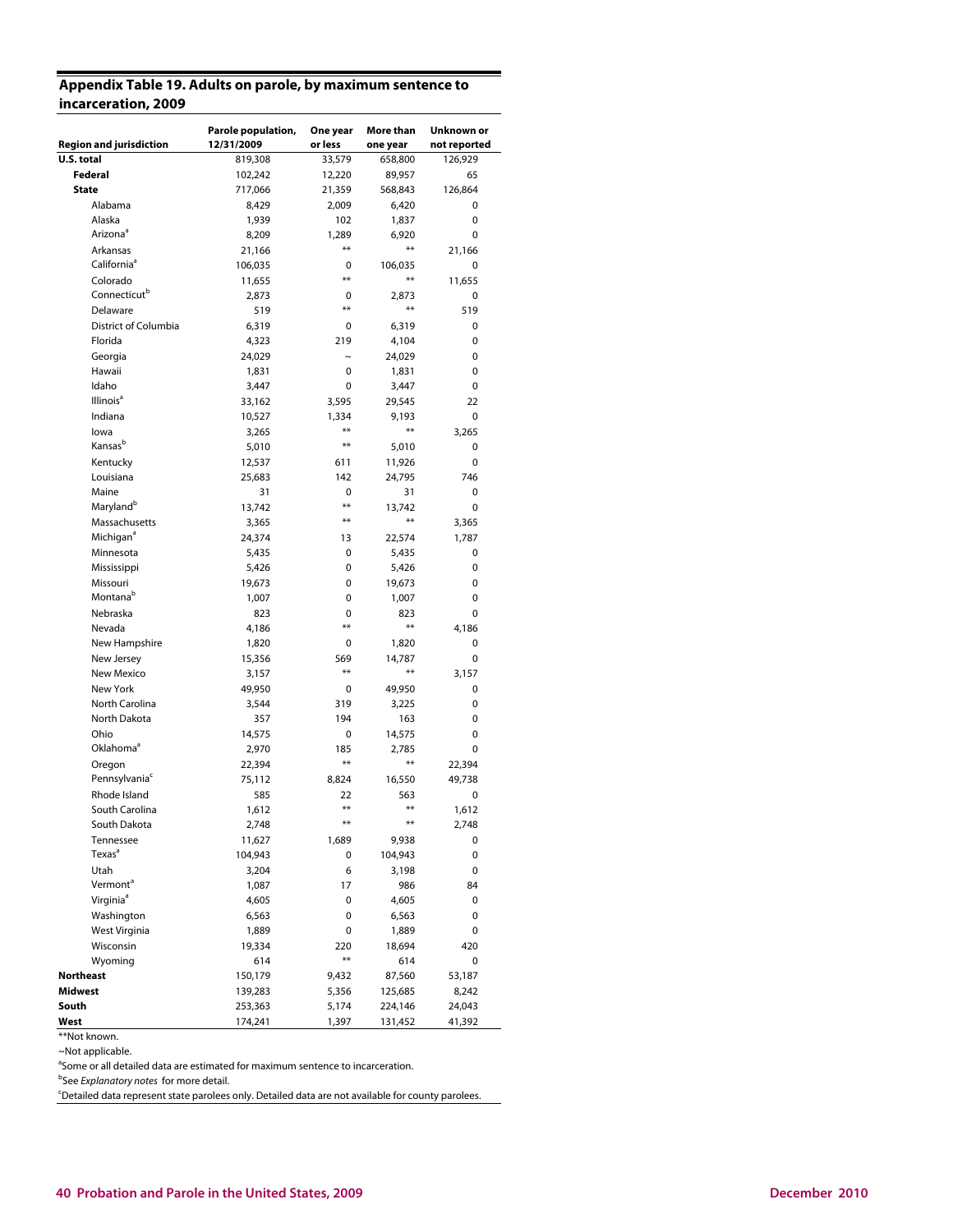## **Appendix Table 19. Adults on parole, by maximum sentence to incarceration, 2009**

|                                | Parole population, | One year   | More than | Unknown or   |
|--------------------------------|--------------------|------------|-----------|--------------|
| <b>Region and jurisdiction</b> | 12/31/2009         | or less    | one year  | not reported |
| U.S. total                     | 819,308            | 33,579     | 658,800   | 126,929      |
| Federal                        | 102,242            | 12,220     | 89,957    | 65           |
| <b>State</b>                   | 717,066            | 21,359     | 568,843   | 126,864      |
| Alabama                        | 8,429              | 2,009      | 6,420     | 0            |
| Alaska                         | 1,939              | 102        | 1,837     | 0            |
| Arizona <sup>a</sup>           | 8,209              | 1,289      | 6,920     | 0            |
| Arkansas                       | 21,166             | $***$      | $***$     | 21,166       |
| California <sup>ª</sup>        | 106,035            | 0          | 106,035   | 0            |
| Colorado                       | 11,655             | $***$      | $***$     | 11,655       |
| Connecticut <sup>b</sup>       | 2,873              | 0          | 2,873     | 0            |
| Delaware                       | 519                | $***$      | $***$     | 519          |
| District of Columbia           | 6,319              | 0          | 6,319     | 0            |
| Florida                        | 4,323              | 219        | 4,104     | 0            |
| Georgia                        | 24,029             | $\tilde{}$ | 24,029    | 0            |
| Hawaii                         | 1,831              | 0          | 1,831     | 0            |
| Idaho                          | 3,447              | 0          | 3,447     | 0            |
| Illinois <sup>a</sup>          | 33,162             | 3,595      | 29,545    | 22           |
| Indiana                        | 10,527             | 1,334      | 9,193     | 0            |
| lowa                           | 3,265              | $***$      | $***$     | 3.265        |
| Kansas <sup>b</sup>            | 5,010              | **         | 5,010     | 0            |
| Kentucky                       | 12,537             | 611        | 11,926    | 0            |
| Louisiana                      | 25,683             | 142        | 24,795    | 746          |
| Maine                          | 31                 | 0          | 31        | 0            |
| Maryland <sup>b</sup>          | 13,742             | **         | 13.742    | 0            |
| Massachusetts                  | 3,365              | $***$      | $***$     | 3,365        |
| Michigan <sup>a</sup>          | 24,374             | 13         | 22,574    | 1,787        |
| Minnesota                      | 5,435              | 0          | 5,435     | 0            |
| Mississippi                    | 5,426              | 0          | 5,426     | 0            |
| Missouri                       | 19,673             | 0          | 19,673    | 0            |
| Montana <sup>b</sup>           | 1,007              | 0          | 1,007     | 0            |
| Nebraska                       | 823                | 0          | 823       | 0            |
| Nevada                         | 4,186              | $***$      | $***$     | 4,186        |
| New Hampshire                  | 1,820              | 0          | 1,820     | 0            |
| New Jersey                     | 15,356             | 569        | 14,787    | 0            |
| New Mexico                     | 3,157              | **         | $**$      | 3,157        |
| New York                       | 49,950             | 0          | 49,950    | 0            |
| North Carolina                 | 3,544              | 319        | 3,225     | 0            |
| North Dakota                   | 357                | 194        | 163       | 0            |
| Ohio                           | 14,575             | 0          | 14,575    | 0            |
| Oklahoma <sup>a</sup>          | 2,970              | 185        | 2,785     | 0            |
| Oregon                         | 22,394             | **         | $**$      | 22,394       |
| Pennsylvania <sup>c</sup>      | 75,112             | 8,824      | 16,550    | 49,738       |
| Rhode Island                   | 585                | 22         | 563       | 0            |
| South Carolina                 | 1,612              | $**$       | **        | 1,612        |
| South Dakota                   | 2,748              | $***$      | $***$     | 2,748        |
| Tennessee                      | 11,627             | 1,689      | 9,938     | 0            |
| Texas <sup>a</sup>             | 104,943            | 0          | 104,943   | 0            |
| Utah                           | 3,204              | 6          | 3,198     | 0            |
| Vermont <sup>a</sup>           | 1,087              | 17         | 986       | 84           |
| Virginia <sup>a</sup>          | 4,605              | 0          | 4,605     | 0            |
| Washington                     | 6,563              | 0          | 6,563     | 0            |
| West Virginia                  | 1,889              | 0          | 1,889     | 0            |
| Wisconsin                      | 19,334             | 220        | 18,694    | 420          |
| Wyoming                        | 614                | **         | 614       | 0            |
| <b>Northeast</b>               | 150,179            | 9,432      | 87,560    | 53,187       |
| Midwest                        | 139,283            | 5,356      | 125,685   | 8,242        |
| South                          | 253,363            | 5,174      | 224,146   | 24,043       |
| West                           | 174,241            | 1,397      | 131,452   | 41,392       |

<sup>\*\*</sup>Not known.

~Not applicable.

<sup>a</sup>Some or all detailed data are estimated for maximum sentence to incarceration.

<sup>b</sup>See Explanatory notes for more detail.

<sup>c</sup>Detailed data represent state parolees only. Detailed data are not available for county parolees.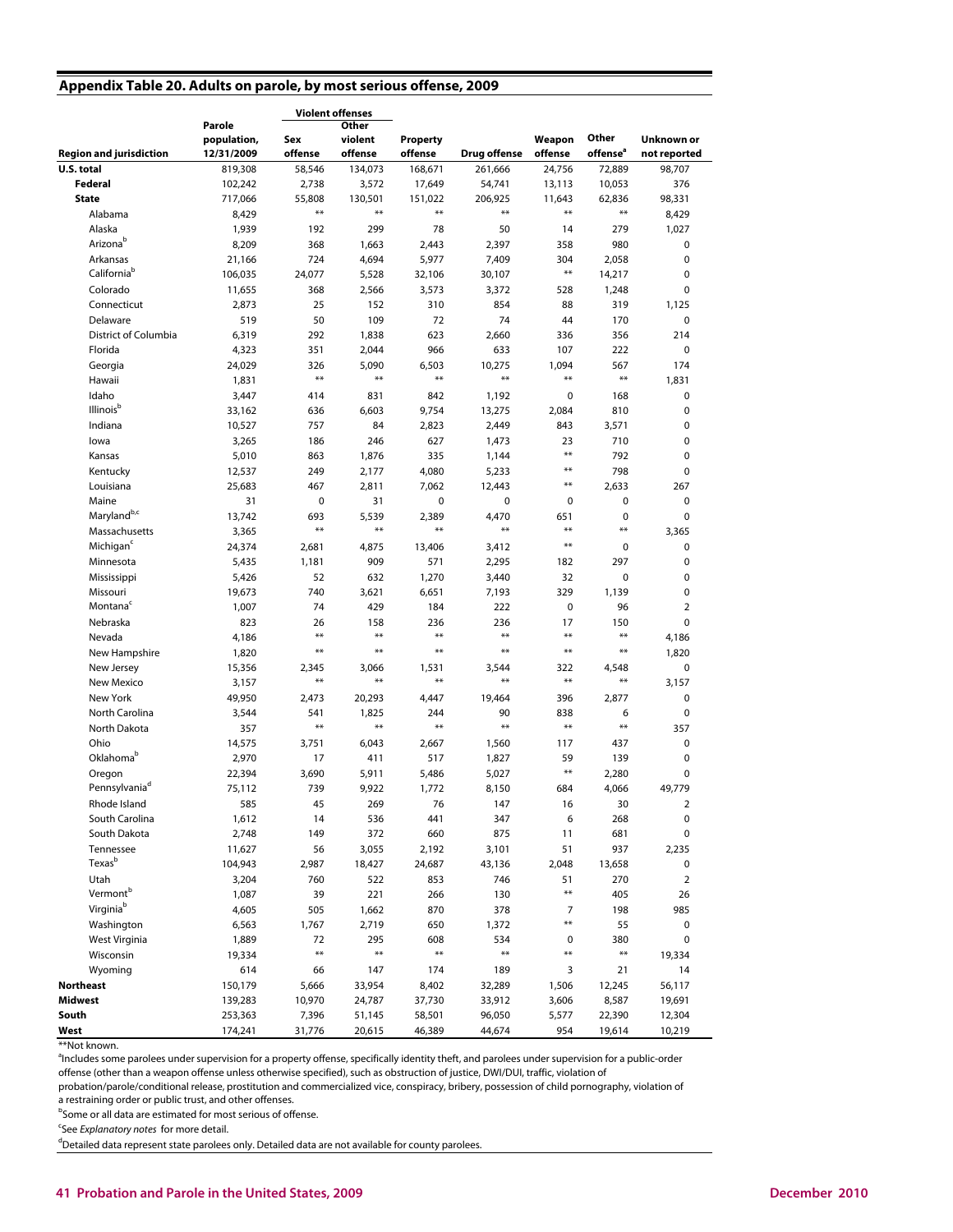#### **Appendix Table 20. Adults on parole, by most serious offense, 2009**

|                                |               | <b>Violent offenses</b> |                  |                  |                     |                |                      |                |
|--------------------------------|---------------|-------------------------|------------------|------------------|---------------------|----------------|----------------------|----------------|
|                                | Parole        |                         | Other            |                  |                     |                |                      |                |
|                                | population,   | Sex                     | violent          | Property         |                     | Weapon         | Other                | Unknown or     |
| <b>Region and jurisdiction</b> | 12/31/2009    | offense                 | offense          | offense          | <b>Drug offense</b> | offense        | offense <sup>a</sup> | not reported   |
| U.S. total                     | 819,308       | 58,546                  | 134,073          | 168,671          | 261,666             | 24,756         | 72,889               | 98,707         |
| Federal                        | 102,242       | 2,738                   | 3,572            | 17,649           | 54,741              | 13,113         | 10,053               | 376            |
| <b>State</b>                   | 717,066       | 55,808<br>$***$         | 130,501<br>$***$ | 151,022<br>$***$ | 206,925<br>$***$    | 11,643<br>$**$ | 62,836<br>$**$       | 98,331         |
| Alabama                        | 8,429         |                         |                  |                  |                     |                |                      | 8,429          |
| Alaska                         | 1,939         | 192                     | 299              | 78               | 50                  | 14             | 279                  | 1,027          |
| Arizona <sup>b</sup>           | 8,209         | 368                     | 1,663            | 2,443            | 2,397               | 358            | 980                  | 0              |
| Arkansas                       | 21,166        | 724                     | 4,694            | 5,977            | 7,409               | 304            | 2,058                | 0              |
| California <sup>b</sup>        | 106,035       | 24,077                  | 5,528            | 32,106           | 30,107              | $**$           | 14,217               | 0              |
| Colorado                       | 11,655        | 368                     | 2,566            | 3,573            | 3,372               | 528            | 1,248                | 0              |
| Connecticut                    | 2,873         | 25                      | 152              | 310              | 854                 | 88             | 319                  | 1,125          |
| Delaware                       | 519           | 50                      | 109              | 72               | 74                  | 44             | 170                  | 0              |
| District of Columbia           | 6,319         | 292                     | 1,838            | 623              | 2,660               | 336            | 356                  | 214            |
| Florida                        | 4,323         | 351                     | 2,044            | 966              | 633                 | 107            | 222                  | 0              |
| Georgia                        | 24,029        | 326                     | 5,090            | 6,503            | 10,275              | 1,094          | 567                  | 174            |
| Hawaii                         | 1,831         | $***$                   | $***$            | $***$            | $**$                | $**$           | $**$                 | 1,831          |
| Idaho                          | 3,447         | 414                     | 831              | 842              | 1,192               | 0              | 168                  | 0              |
| Illinois <sup>b</sup>          | 33,162        | 636                     | 6,603            | 9,754            | 13,275              | 2,084          | 810                  | 0              |
| Indiana                        | 10,527        | 757                     | 84               | 2,823            | 2,449               | 843            | 3,571                | 0              |
| lowa                           | 3,265         | 186                     | 246              | 627              | 1,473               | 23             | 710                  | 0              |
| Kansas                         | 5,010         | 863                     | 1,876            | 335              | 1,144               | $**$           | 792                  | 0              |
| Kentucky                       | 12,537        | 249                     | 2,177            | 4,080            | 5,233               | **             | 798                  | 0              |
| Louisiana                      | 25,683        | 467                     | 2,811            | 7,062            | 12,443              | $**$           | 2,633                | 267            |
| Maine                          | 31            | 0                       | 31               | 0                | 0                   | 0              | $\mathbf 0$          | 0              |
| Maryland <sup>b,c</sup>        | 13,742        | 693                     | 5,539            | 2,389            | 4,470               | 651            | 0                    | 0              |
| Massachusetts                  | 3,365         | $**$                    | $***$            | $***$            | $***$               | **             | $**$                 | 3,365          |
| Michigan <sup>c</sup>          | 24,374        | 2,681                   | 4,875            | 13,406           | 3,412               | $**$           | 0                    | 0              |
| Minnesota                      | 5,435         | 1,181                   | 909              | 571              | 2,295               | 182            | 297                  | 0              |
| Mississippi                    | 5,426         | 52                      | 632              | 1,270            | 3,440               | 32             | $\pmb{0}$            | 0              |
| Missouri                       | 19,673        | 740                     | 3,621            | 6,651            | 7,193               | 329            | 1,139                | 0              |
| Montana <sup>c</sup>           | 1,007         | 74                      | 429              | 184              | 222                 | $\pmb{0}$      | 96                   | $\overline{2}$ |
| Nebraska                       | 823           | 26                      | 158              | 236              | 236                 | 17             | 150                  | 0              |
| Nevada                         | 4,186         | $**$                    | $**$             | $***$            | $***$               | $**$           | $**$                 | 4,186          |
| New Hampshire                  | 1,820         | $***$                   | $**$             | $***$            | $**$                | $**$           | $**$                 | 1,820          |
| New Jersey                     | 15,356        | 2,345                   | 3,066            | 1,531            | 3,544               | 322            | 4,548                | 0              |
| New Mexico                     | 3,157         | $***$                   | $**$             | $**$             | $***$               | $**$           | $**$                 | 3,157          |
| New York                       | 49,950        | 2,473                   | 20,293           | 4,447            | 19,464              | 396            | 2,877                | 0              |
| North Carolina                 | 3,544         | 541                     | 1,825            | 244              | 90                  | 838            | 6                    | 0              |
| North Dakota                   | 357           | $**$                    | $***$            | $***$            | $***$               | $**$           | $**$                 | 357            |
| Ohio                           | 14,575        | 3,751                   | 6,043            | 2,667            | 1,560               | 117            | 437                  | 0              |
| Oklahoma <sup>b</sup>          | 2,970         | 17                      | 411              | 517              | 1,827               | 59             | 139                  | 0              |
| Oregon                         | 22,394        | 3,690                   | 5,911            | 5,486            | 5,027               | $**$           | 2,280                | 0              |
| Pennsylvaniad                  | 75,112        | 739                     | 9,922            | 1,772            | 8,150               | 684            | 4,066                | 49,779         |
| Rhode Island                   | 585           | 45                      | 269              | 76               | 147                 | 16             | 30                   | 2              |
| South Carolina                 | 1,612         | 14                      | 536              | 441              | 347                 | 6              | 268                  | 0              |
| South Dakota                   | 2,748         | 149                     | 372              | 660              | 875                 | 11             | 681                  | 0              |
| Tennessee                      | 11,627        | 56                      | 3,055            | 2,192            | 3,101               | 51             | 937                  | 2,235          |
| Texas <sup>b</sup>             | 104,943       | 2,987                   | 18,427           | 24,687           | 43,136              | 2,048          | 13,658               | 0              |
| Utah                           | 3,204         | 760                     | 522              | 853              | 746                 | 51             | 270                  | $\overline{2}$ |
| Vermont <sup>b</sup>           | 1,087         | 39                      | 221              | 266              | 130                 | $**$           | 405                  | 26             |
| Virginiab                      | 4,605         | 505                     | 1,662            | 870              | 378                 | 7              | 198                  | 985            |
| Washington                     | 6,563         | 1,767                   | 2,719            | 650              | 1,372               | $**$           | 55                   | 0              |
| West Virginia                  | 1,889         |                         | 295              | 608              | 534                 |                | 380                  | 0              |
|                                |               | 72<br>$***$             | $***$            | $***$            | $**$                | 0<br>$**$      | $***$                |                |
| Wisconsin<br>Wyoming           | 19,334<br>614 |                         |                  |                  |                     |                |                      | 19,334         |
|                                |               | 66                      | 147              | 174              | 189                 | 3              | 21                   | 14             |
| <b>Northeast</b>               | 150,179       | 5,666                   | 33,954           | 8,402            | 32,289              | 1,506          | 12,245               | 56,117         |
| Midwest                        | 139,283       | 10,970                  | 24,787           | 37,730           | 33,912              | 3,606          | 8,587                | 19,691         |
| South                          | 253,363       | 7,396                   | 51,145           | 58,501           | 96,050              | 5,577          | 22,390               | 12,304         |
| West                           | 174,241       | 31,776                  | 20,615           | 46,389           | 44,674              | 954            | 19,614               | 10,219         |

\*\*Not known.

<sup>a</sup>Includes some parolees under supervision for a property offense, specifically identity theft, and parolees under supervision for a public-order offense (other than a weapon offense unless otherwise specified), such as obstruction of justice, DWI/DUI, traffic, violation of

probation/parole/conditional release, prostitution and commercialized vice, conspiracy, bribery, possession of child pornography, violation of a restraining order or public trust, and other offenses.

<sup>b</sup>Some or all data are estimated for most serious of offense.

<sup>c</sup>See Explanatory notes for more detail.

<sup>d</sup>Detailed data represent state parolees only. Detailed data are not available for county parolees.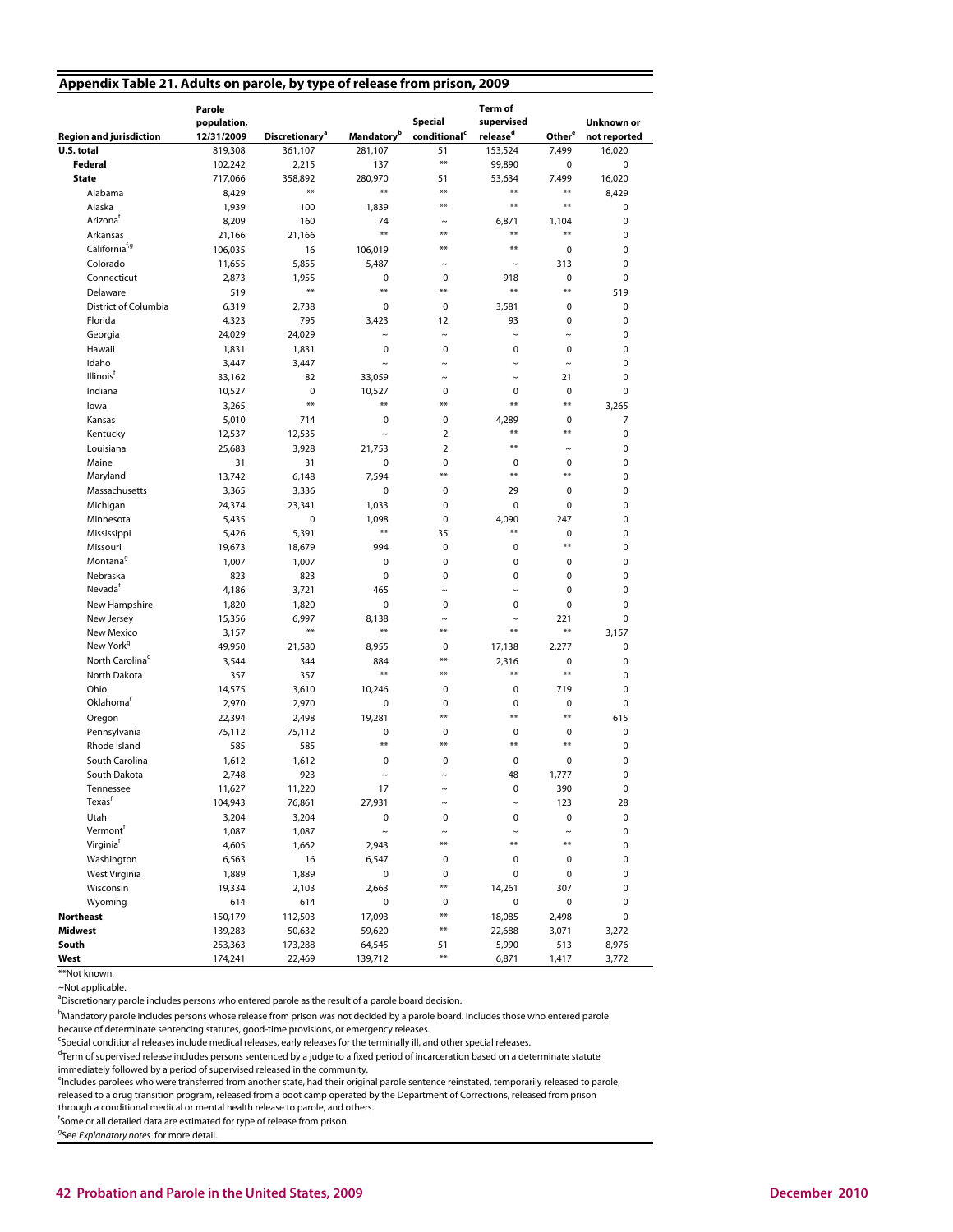|  | Appendix Table 21. Adults on parole, by type of release from prison, 2009 |  |  |  |
|--|---------------------------------------------------------------------------|--|--|--|
|  |                                                                           |  |  |  |

| U.S. total<br>361,107<br>51<br>153,524<br>7,499<br>819,308<br>281,107<br>16,020<br>$***$<br>Federal<br>102,242<br>2,215<br>137<br>99,890<br>0<br>0<br><b>State</b><br>717,066<br>358,892<br>280,970<br>51<br>53,634<br>7,499<br>16,020<br>$***$<br>$***$<br>$**$<br>$**$<br>$**$<br>Alabama<br>8,429<br>8,429<br>$***$<br>$**$<br>$**$<br>Alaska<br>100<br>1,939<br>1,839<br>0<br>Arizona <sup>t</sup><br>8,209<br>160<br>0<br>74<br>6,871<br>1,104<br>$\tilde{}$<br>$**$<br>$***$<br>$**$<br>$**$<br>Arkansas<br>21,166<br>0<br>21,166<br>California <sup>f,g</sup><br>**<br>$**$<br>16<br>106,019<br>0<br>0<br>106,035<br>Colorado<br>5,855<br>5,487<br>313<br>0<br>11,655<br>$\tilde{}$<br>$\tilde{}$<br>Connecticut<br>$\mathbf 0$<br>0<br>2,873<br>1,955<br>0<br>918<br>0<br>$**$<br>$***$<br>$***$<br>$**$<br>$**$<br>519<br>Delaware<br>519<br>District of Columbia<br>2,738<br>0<br>0<br>0<br>6,319<br>0<br>3,581<br>Florida<br>795<br>0<br>0<br>4,323<br>3.423<br>12<br>93<br>Georgia<br>24,029<br>0<br>24,029<br>$\widetilde{\phantom{m}}$<br>$\sim$<br>$\sim$<br>$\tilde{}$<br>Hawaii<br>0<br>1,831<br>1,831<br>$\mathbf 0$<br>0<br>0<br>0<br>Idaho<br>3,447<br>3,447<br>$\sim$<br>$\tilde{\phantom{a}}$<br>$\tilde{}$<br>0<br>$\tilde{}$<br>Illinois <sup>†</sup><br>82<br>0<br>33,162<br>33,059<br>$\tilde{}$<br>21<br>$\sim$<br>Indiana<br>$\mathbf 0$<br>0<br>0<br>0<br>0<br>10,527<br>10,527<br>$***$<br>$**$<br>$**$<br>$**$<br>$***$<br>lowa<br>3,265<br>3,265<br>Kansas<br>714<br>$\mathbf 0$<br>0<br>0<br>7<br>5,010<br>4,289<br>$**$<br>$**$<br>Kentucky<br>$\overline{2}$<br>0<br>12,537<br>12,535<br>$\tilde{}$<br>$\overline{2}$<br>$\ast\ast$<br>Louisiana<br>3,928<br>0<br>25,683<br>21,753<br>$\sim$<br>0<br>Maine<br>31<br>$\mathbf 0$<br>0<br>31<br>0<br>0<br>**<br>$**$<br>$**$<br>Maryland <sup>®</sup><br>6,148<br>0<br>13,742<br>7,594<br>Massachusetts<br>0<br>0<br>0<br>3,365<br>3.336<br>0<br>29<br>0<br>0<br>0<br>0<br>Michigan<br>24,374<br>23,341<br>1,033<br>Minnesota<br>$\mathbf 0$<br>0<br>4,090<br>247<br>5,435<br>1,098<br>0<br>$***$<br>$**$<br>5,391<br>35<br>0<br>0<br>Mississippi<br>5,426<br>$**$<br>Missouri<br>18,679<br>994<br>0<br>0<br>0<br>19,673<br>Montana <sup>9</sup><br>1,007<br>1,007<br>$\mathbf 0$<br>0<br>0<br>0<br>0<br>Nebraska<br>823<br>823<br>$\mathbf 0$<br>0<br>0<br>0<br>0<br>Nevadaf<br>465<br>0<br>0<br>4,186<br>3,721<br>$\tilde{ }$<br>$\tilde{ }$<br>New Hampshire<br>0<br>0<br>0<br>0<br>0<br>1,820<br>1,820<br>6,997<br>221<br>0<br>New Jersey<br>15,356<br>8,138<br>$\sim$<br>$\tilde{ }$<br>$**$<br>$**$<br>$**$<br>$**$<br>$**$<br>New Mexico<br>3,157<br>3,157<br>New York <sup>9</sup><br>0<br>49,950<br>21,580<br>8,955<br>0<br>17,138<br>2,277<br>North Carolina <sup>9</sup><br>**<br>884<br>0<br>0<br>3,544<br>344<br>2,316<br>$***$<br>$***$<br>$**$<br>$**$<br>North Dakota<br>357<br>357<br>0<br>Ohio<br>719<br>14,575<br>3,610<br>10,246<br>0<br>0<br>0<br>Oklahoma <sup>r</sup><br>0<br>0<br>2,970<br>2,970<br>0<br>0<br>0<br>$***$<br>$***$<br>$**$<br>Oregon<br>22,394<br>2,498<br>19,281<br>615<br>$\mathbf 0$<br>0<br>0<br>0<br>Pennsylvania<br>75,112<br>75,112<br>0<br>$**$<br>$**$<br>$***$<br>$**$<br>Rhode Island<br>585<br>0<br>585<br>South Carolina<br>0<br>0<br>1,612<br>1,612<br>0<br>0<br>0<br>South Dakota<br>923<br>48<br>0<br>2,748<br>1,777<br>$\sim$<br>$\tilde{ }$<br>11,220<br>17<br>0<br>390<br>0<br>Tennessee<br>11,627<br>$\sim$<br>Texas <sup>t</sup><br>104,943<br>76,861<br>27,931<br>123<br>28<br>$\tilde{}$<br>$\tilde{}$<br>Utah<br>$\pmb{0}$<br>3,204<br>3,204<br>0<br>0<br>0<br>0<br>Vermont <sup>†</sup><br>1,087<br>$\pmb{0}$<br>1,087<br>$\ddot{\phantom{1}}$<br>$\tilde{}$<br>$\tilde{}$<br>$\tilde{}$<br>Virginia <sup>f</sup><br>**<br>**<br>**<br>4,605<br>1,662<br>2,943<br>0<br>Washington<br>0<br>6,563<br>16<br>6,547<br>0<br>0<br>0<br>West Virginia<br>1,889<br>1,889<br>0<br>0<br>0<br>0<br>0<br>**<br>Wisconsin<br>19,334<br>2,103<br>2,663<br>14,261<br>307<br>0<br>Wyoming<br>614<br>614<br>0<br>$\pmb{0}$<br>0<br>0<br>0<br>**<br><b>Northeast</b><br>150,179<br>112,503<br>17,093<br>18,085<br>2,498<br>0<br>**<br>Midwest<br>139,283<br>50,632<br>59,620<br>22,688<br>3,071<br>3,272<br>South<br>8,976<br>253,363<br>173,288<br>64,545<br>51<br>5,990<br>513<br>**<br>West<br>174,241<br>22,469<br>139,712<br>6,871<br>3,772<br>1,417<br>**Not known. | <b>Region and jurisdiction</b> | Parole<br>population,<br>12/31/2009 | <b>Discretionary<sup>a</sup></b> | <b>Mandatory</b> <sup>b</sup> | <b>Special</b><br>conditional <sup>c</sup> | <b>Term of</b><br>supervised<br>release <sup>d</sup> | Other <sup>e</sup> | <b>Unknown or</b><br>not reported |
|----------------------------------------------------------------------------------------------------------------------------------------------------------------------------------------------------------------------------------------------------------------------------------------------------------------------------------------------------------------------------------------------------------------------------------------------------------------------------------------------------------------------------------------------------------------------------------------------------------------------------------------------------------------------------------------------------------------------------------------------------------------------------------------------------------------------------------------------------------------------------------------------------------------------------------------------------------------------------------------------------------------------------------------------------------------------------------------------------------------------------------------------------------------------------------------------------------------------------------------------------------------------------------------------------------------------------------------------------------------------------------------------------------------------------------------------------------------------------------------------------------------------------------------------------------------------------------------------------------------------------------------------------------------------------------------------------------------------------------------------------------------------------------------------------------------------------------------------------------------------------------------------------------------------------------------------------------------------------------------------------------------------------------------------------------------------------------------------------------------------------------------------------------------------------------------------------------------------------------------------------------------------------------------------------------------------------------------------------------------------------------------------------------------------------------------------------------------------------------------------------------------------------------------------------------------------------------------------------------------------------------------------------------------------------------------------------------------------------------------------------------------------------------------------------------------------------------------------------------------------------------------------------------------------------------------------------------------------------------------------------------------------------------------------------------------------------------------------------------------------------------------------------------------------------------------------------------------------------------------------------------------------------------------------------------------------------------------------------------------------------------------------------------------------------------------------------------------------------------------------------------------------------------------------------------------------------------------------------------------------------------------------------------------------------------------------------------------------------------------------------------------------------------------------------------------------------------------------------------------------------------------------------------------------------------------------------------------------------------------------------------------------------------------------------------------------------------------------------------------------------------------------------------------------------------------------------------------------------------------------------------------------------------------------------------------------------------------------------------------------------------------------------------|--------------------------------|-------------------------------------|----------------------------------|-------------------------------|--------------------------------------------|------------------------------------------------------|--------------------|-----------------------------------|
|                                                                                                                                                                                                                                                                                                                                                                                                                                                                                                                                                                                                                                                                                                                                                                                                                                                                                                                                                                                                                                                                                                                                                                                                                                                                                                                                                                                                                                                                                                                                                                                                                                                                                                                                                                                                                                                                                                                                                                                                                                                                                                                                                                                                                                                                                                                                                                                                                                                                                                                                                                                                                                                                                                                                                                                                                                                                                                                                                                                                                                                                                                                                                                                                                                                                                                                                                                                                                                                                                                                                                                                                                                                                                                                                                                                                                                                                                                                                                                                                                                                                                                                                                                                                                                                                                                                                                                                                          |                                |                                     |                                  |                               |                                            |                                                      |                    |                                   |
|                                                                                                                                                                                                                                                                                                                                                                                                                                                                                                                                                                                                                                                                                                                                                                                                                                                                                                                                                                                                                                                                                                                                                                                                                                                                                                                                                                                                                                                                                                                                                                                                                                                                                                                                                                                                                                                                                                                                                                                                                                                                                                                                                                                                                                                                                                                                                                                                                                                                                                                                                                                                                                                                                                                                                                                                                                                                                                                                                                                                                                                                                                                                                                                                                                                                                                                                                                                                                                                                                                                                                                                                                                                                                                                                                                                                                                                                                                                                                                                                                                                                                                                                                                                                                                                                                                                                                                                                          |                                |                                     |                                  |                               |                                            |                                                      |                    |                                   |
|                                                                                                                                                                                                                                                                                                                                                                                                                                                                                                                                                                                                                                                                                                                                                                                                                                                                                                                                                                                                                                                                                                                                                                                                                                                                                                                                                                                                                                                                                                                                                                                                                                                                                                                                                                                                                                                                                                                                                                                                                                                                                                                                                                                                                                                                                                                                                                                                                                                                                                                                                                                                                                                                                                                                                                                                                                                                                                                                                                                                                                                                                                                                                                                                                                                                                                                                                                                                                                                                                                                                                                                                                                                                                                                                                                                                                                                                                                                                                                                                                                                                                                                                                                                                                                                                                                                                                                                                          |                                |                                     |                                  |                               |                                            |                                                      |                    |                                   |
|                                                                                                                                                                                                                                                                                                                                                                                                                                                                                                                                                                                                                                                                                                                                                                                                                                                                                                                                                                                                                                                                                                                                                                                                                                                                                                                                                                                                                                                                                                                                                                                                                                                                                                                                                                                                                                                                                                                                                                                                                                                                                                                                                                                                                                                                                                                                                                                                                                                                                                                                                                                                                                                                                                                                                                                                                                                                                                                                                                                                                                                                                                                                                                                                                                                                                                                                                                                                                                                                                                                                                                                                                                                                                                                                                                                                                                                                                                                                                                                                                                                                                                                                                                                                                                                                                                                                                                                                          |                                |                                     |                                  |                               |                                            |                                                      |                    |                                   |
|                                                                                                                                                                                                                                                                                                                                                                                                                                                                                                                                                                                                                                                                                                                                                                                                                                                                                                                                                                                                                                                                                                                                                                                                                                                                                                                                                                                                                                                                                                                                                                                                                                                                                                                                                                                                                                                                                                                                                                                                                                                                                                                                                                                                                                                                                                                                                                                                                                                                                                                                                                                                                                                                                                                                                                                                                                                                                                                                                                                                                                                                                                                                                                                                                                                                                                                                                                                                                                                                                                                                                                                                                                                                                                                                                                                                                                                                                                                                                                                                                                                                                                                                                                                                                                                                                                                                                                                                          |                                |                                     |                                  |                               |                                            |                                                      |                    |                                   |
|                                                                                                                                                                                                                                                                                                                                                                                                                                                                                                                                                                                                                                                                                                                                                                                                                                                                                                                                                                                                                                                                                                                                                                                                                                                                                                                                                                                                                                                                                                                                                                                                                                                                                                                                                                                                                                                                                                                                                                                                                                                                                                                                                                                                                                                                                                                                                                                                                                                                                                                                                                                                                                                                                                                                                                                                                                                                                                                                                                                                                                                                                                                                                                                                                                                                                                                                                                                                                                                                                                                                                                                                                                                                                                                                                                                                                                                                                                                                                                                                                                                                                                                                                                                                                                                                                                                                                                                                          |                                |                                     |                                  |                               |                                            |                                                      |                    |                                   |
|                                                                                                                                                                                                                                                                                                                                                                                                                                                                                                                                                                                                                                                                                                                                                                                                                                                                                                                                                                                                                                                                                                                                                                                                                                                                                                                                                                                                                                                                                                                                                                                                                                                                                                                                                                                                                                                                                                                                                                                                                                                                                                                                                                                                                                                                                                                                                                                                                                                                                                                                                                                                                                                                                                                                                                                                                                                                                                                                                                                                                                                                                                                                                                                                                                                                                                                                                                                                                                                                                                                                                                                                                                                                                                                                                                                                                                                                                                                                                                                                                                                                                                                                                                                                                                                                                                                                                                                                          |                                |                                     |                                  |                               |                                            |                                                      |                    |                                   |
|                                                                                                                                                                                                                                                                                                                                                                                                                                                                                                                                                                                                                                                                                                                                                                                                                                                                                                                                                                                                                                                                                                                                                                                                                                                                                                                                                                                                                                                                                                                                                                                                                                                                                                                                                                                                                                                                                                                                                                                                                                                                                                                                                                                                                                                                                                                                                                                                                                                                                                                                                                                                                                                                                                                                                                                                                                                                                                                                                                                                                                                                                                                                                                                                                                                                                                                                                                                                                                                                                                                                                                                                                                                                                                                                                                                                                                                                                                                                                                                                                                                                                                                                                                                                                                                                                                                                                                                                          |                                |                                     |                                  |                               |                                            |                                                      |                    |                                   |
|                                                                                                                                                                                                                                                                                                                                                                                                                                                                                                                                                                                                                                                                                                                                                                                                                                                                                                                                                                                                                                                                                                                                                                                                                                                                                                                                                                                                                                                                                                                                                                                                                                                                                                                                                                                                                                                                                                                                                                                                                                                                                                                                                                                                                                                                                                                                                                                                                                                                                                                                                                                                                                                                                                                                                                                                                                                                                                                                                                                                                                                                                                                                                                                                                                                                                                                                                                                                                                                                                                                                                                                                                                                                                                                                                                                                                                                                                                                                                                                                                                                                                                                                                                                                                                                                                                                                                                                                          |                                |                                     |                                  |                               |                                            |                                                      |                    |                                   |
|                                                                                                                                                                                                                                                                                                                                                                                                                                                                                                                                                                                                                                                                                                                                                                                                                                                                                                                                                                                                                                                                                                                                                                                                                                                                                                                                                                                                                                                                                                                                                                                                                                                                                                                                                                                                                                                                                                                                                                                                                                                                                                                                                                                                                                                                                                                                                                                                                                                                                                                                                                                                                                                                                                                                                                                                                                                                                                                                                                                                                                                                                                                                                                                                                                                                                                                                                                                                                                                                                                                                                                                                                                                                                                                                                                                                                                                                                                                                                                                                                                                                                                                                                                                                                                                                                                                                                                                                          |                                |                                     |                                  |                               |                                            |                                                      |                    |                                   |
|                                                                                                                                                                                                                                                                                                                                                                                                                                                                                                                                                                                                                                                                                                                                                                                                                                                                                                                                                                                                                                                                                                                                                                                                                                                                                                                                                                                                                                                                                                                                                                                                                                                                                                                                                                                                                                                                                                                                                                                                                                                                                                                                                                                                                                                                                                                                                                                                                                                                                                                                                                                                                                                                                                                                                                                                                                                                                                                                                                                                                                                                                                                                                                                                                                                                                                                                                                                                                                                                                                                                                                                                                                                                                                                                                                                                                                                                                                                                                                                                                                                                                                                                                                                                                                                                                                                                                                                                          |                                |                                     |                                  |                               |                                            |                                                      |                    |                                   |
|                                                                                                                                                                                                                                                                                                                                                                                                                                                                                                                                                                                                                                                                                                                                                                                                                                                                                                                                                                                                                                                                                                                                                                                                                                                                                                                                                                                                                                                                                                                                                                                                                                                                                                                                                                                                                                                                                                                                                                                                                                                                                                                                                                                                                                                                                                                                                                                                                                                                                                                                                                                                                                                                                                                                                                                                                                                                                                                                                                                                                                                                                                                                                                                                                                                                                                                                                                                                                                                                                                                                                                                                                                                                                                                                                                                                                                                                                                                                                                                                                                                                                                                                                                                                                                                                                                                                                                                                          |                                |                                     |                                  |                               |                                            |                                                      |                    |                                   |
|                                                                                                                                                                                                                                                                                                                                                                                                                                                                                                                                                                                                                                                                                                                                                                                                                                                                                                                                                                                                                                                                                                                                                                                                                                                                                                                                                                                                                                                                                                                                                                                                                                                                                                                                                                                                                                                                                                                                                                                                                                                                                                                                                                                                                                                                                                                                                                                                                                                                                                                                                                                                                                                                                                                                                                                                                                                                                                                                                                                                                                                                                                                                                                                                                                                                                                                                                                                                                                                                                                                                                                                                                                                                                                                                                                                                                                                                                                                                                                                                                                                                                                                                                                                                                                                                                                                                                                                                          |                                |                                     |                                  |                               |                                            |                                                      |                    |                                   |
|                                                                                                                                                                                                                                                                                                                                                                                                                                                                                                                                                                                                                                                                                                                                                                                                                                                                                                                                                                                                                                                                                                                                                                                                                                                                                                                                                                                                                                                                                                                                                                                                                                                                                                                                                                                                                                                                                                                                                                                                                                                                                                                                                                                                                                                                                                                                                                                                                                                                                                                                                                                                                                                                                                                                                                                                                                                                                                                                                                                                                                                                                                                                                                                                                                                                                                                                                                                                                                                                                                                                                                                                                                                                                                                                                                                                                                                                                                                                                                                                                                                                                                                                                                                                                                                                                                                                                                                                          |                                |                                     |                                  |                               |                                            |                                                      |                    |                                   |
|                                                                                                                                                                                                                                                                                                                                                                                                                                                                                                                                                                                                                                                                                                                                                                                                                                                                                                                                                                                                                                                                                                                                                                                                                                                                                                                                                                                                                                                                                                                                                                                                                                                                                                                                                                                                                                                                                                                                                                                                                                                                                                                                                                                                                                                                                                                                                                                                                                                                                                                                                                                                                                                                                                                                                                                                                                                                                                                                                                                                                                                                                                                                                                                                                                                                                                                                                                                                                                                                                                                                                                                                                                                                                                                                                                                                                                                                                                                                                                                                                                                                                                                                                                                                                                                                                                                                                                                                          |                                |                                     |                                  |                               |                                            |                                                      |                    |                                   |
|                                                                                                                                                                                                                                                                                                                                                                                                                                                                                                                                                                                                                                                                                                                                                                                                                                                                                                                                                                                                                                                                                                                                                                                                                                                                                                                                                                                                                                                                                                                                                                                                                                                                                                                                                                                                                                                                                                                                                                                                                                                                                                                                                                                                                                                                                                                                                                                                                                                                                                                                                                                                                                                                                                                                                                                                                                                                                                                                                                                                                                                                                                                                                                                                                                                                                                                                                                                                                                                                                                                                                                                                                                                                                                                                                                                                                                                                                                                                                                                                                                                                                                                                                                                                                                                                                                                                                                                                          |                                |                                     |                                  |                               |                                            |                                                      |                    |                                   |
|                                                                                                                                                                                                                                                                                                                                                                                                                                                                                                                                                                                                                                                                                                                                                                                                                                                                                                                                                                                                                                                                                                                                                                                                                                                                                                                                                                                                                                                                                                                                                                                                                                                                                                                                                                                                                                                                                                                                                                                                                                                                                                                                                                                                                                                                                                                                                                                                                                                                                                                                                                                                                                                                                                                                                                                                                                                                                                                                                                                                                                                                                                                                                                                                                                                                                                                                                                                                                                                                                                                                                                                                                                                                                                                                                                                                                                                                                                                                                                                                                                                                                                                                                                                                                                                                                                                                                                                                          |                                |                                     |                                  |                               |                                            |                                                      |                    |                                   |
|                                                                                                                                                                                                                                                                                                                                                                                                                                                                                                                                                                                                                                                                                                                                                                                                                                                                                                                                                                                                                                                                                                                                                                                                                                                                                                                                                                                                                                                                                                                                                                                                                                                                                                                                                                                                                                                                                                                                                                                                                                                                                                                                                                                                                                                                                                                                                                                                                                                                                                                                                                                                                                                                                                                                                                                                                                                                                                                                                                                                                                                                                                                                                                                                                                                                                                                                                                                                                                                                                                                                                                                                                                                                                                                                                                                                                                                                                                                                                                                                                                                                                                                                                                                                                                                                                                                                                                                                          |                                |                                     |                                  |                               |                                            |                                                      |                    |                                   |
|                                                                                                                                                                                                                                                                                                                                                                                                                                                                                                                                                                                                                                                                                                                                                                                                                                                                                                                                                                                                                                                                                                                                                                                                                                                                                                                                                                                                                                                                                                                                                                                                                                                                                                                                                                                                                                                                                                                                                                                                                                                                                                                                                                                                                                                                                                                                                                                                                                                                                                                                                                                                                                                                                                                                                                                                                                                                                                                                                                                                                                                                                                                                                                                                                                                                                                                                                                                                                                                                                                                                                                                                                                                                                                                                                                                                                                                                                                                                                                                                                                                                                                                                                                                                                                                                                                                                                                                                          |                                |                                     |                                  |                               |                                            |                                                      |                    |                                   |
|                                                                                                                                                                                                                                                                                                                                                                                                                                                                                                                                                                                                                                                                                                                                                                                                                                                                                                                                                                                                                                                                                                                                                                                                                                                                                                                                                                                                                                                                                                                                                                                                                                                                                                                                                                                                                                                                                                                                                                                                                                                                                                                                                                                                                                                                                                                                                                                                                                                                                                                                                                                                                                                                                                                                                                                                                                                                                                                                                                                                                                                                                                                                                                                                                                                                                                                                                                                                                                                                                                                                                                                                                                                                                                                                                                                                                                                                                                                                                                                                                                                                                                                                                                                                                                                                                                                                                                                                          |                                |                                     |                                  |                               |                                            |                                                      |                    |                                   |
|                                                                                                                                                                                                                                                                                                                                                                                                                                                                                                                                                                                                                                                                                                                                                                                                                                                                                                                                                                                                                                                                                                                                                                                                                                                                                                                                                                                                                                                                                                                                                                                                                                                                                                                                                                                                                                                                                                                                                                                                                                                                                                                                                                                                                                                                                                                                                                                                                                                                                                                                                                                                                                                                                                                                                                                                                                                                                                                                                                                                                                                                                                                                                                                                                                                                                                                                                                                                                                                                                                                                                                                                                                                                                                                                                                                                                                                                                                                                                                                                                                                                                                                                                                                                                                                                                                                                                                                                          |                                |                                     |                                  |                               |                                            |                                                      |                    |                                   |
|                                                                                                                                                                                                                                                                                                                                                                                                                                                                                                                                                                                                                                                                                                                                                                                                                                                                                                                                                                                                                                                                                                                                                                                                                                                                                                                                                                                                                                                                                                                                                                                                                                                                                                                                                                                                                                                                                                                                                                                                                                                                                                                                                                                                                                                                                                                                                                                                                                                                                                                                                                                                                                                                                                                                                                                                                                                                                                                                                                                                                                                                                                                                                                                                                                                                                                                                                                                                                                                                                                                                                                                                                                                                                                                                                                                                                                                                                                                                                                                                                                                                                                                                                                                                                                                                                                                                                                                                          |                                |                                     |                                  |                               |                                            |                                                      |                    |                                   |
|                                                                                                                                                                                                                                                                                                                                                                                                                                                                                                                                                                                                                                                                                                                                                                                                                                                                                                                                                                                                                                                                                                                                                                                                                                                                                                                                                                                                                                                                                                                                                                                                                                                                                                                                                                                                                                                                                                                                                                                                                                                                                                                                                                                                                                                                                                                                                                                                                                                                                                                                                                                                                                                                                                                                                                                                                                                                                                                                                                                                                                                                                                                                                                                                                                                                                                                                                                                                                                                                                                                                                                                                                                                                                                                                                                                                                                                                                                                                                                                                                                                                                                                                                                                                                                                                                                                                                                                                          |                                |                                     |                                  |                               |                                            |                                                      |                    |                                   |
|                                                                                                                                                                                                                                                                                                                                                                                                                                                                                                                                                                                                                                                                                                                                                                                                                                                                                                                                                                                                                                                                                                                                                                                                                                                                                                                                                                                                                                                                                                                                                                                                                                                                                                                                                                                                                                                                                                                                                                                                                                                                                                                                                                                                                                                                                                                                                                                                                                                                                                                                                                                                                                                                                                                                                                                                                                                                                                                                                                                                                                                                                                                                                                                                                                                                                                                                                                                                                                                                                                                                                                                                                                                                                                                                                                                                                                                                                                                                                                                                                                                                                                                                                                                                                                                                                                                                                                                                          |                                |                                     |                                  |                               |                                            |                                                      |                    |                                   |
|                                                                                                                                                                                                                                                                                                                                                                                                                                                                                                                                                                                                                                                                                                                                                                                                                                                                                                                                                                                                                                                                                                                                                                                                                                                                                                                                                                                                                                                                                                                                                                                                                                                                                                                                                                                                                                                                                                                                                                                                                                                                                                                                                                                                                                                                                                                                                                                                                                                                                                                                                                                                                                                                                                                                                                                                                                                                                                                                                                                                                                                                                                                                                                                                                                                                                                                                                                                                                                                                                                                                                                                                                                                                                                                                                                                                                                                                                                                                                                                                                                                                                                                                                                                                                                                                                                                                                                                                          |                                |                                     |                                  |                               |                                            |                                                      |                    |                                   |
|                                                                                                                                                                                                                                                                                                                                                                                                                                                                                                                                                                                                                                                                                                                                                                                                                                                                                                                                                                                                                                                                                                                                                                                                                                                                                                                                                                                                                                                                                                                                                                                                                                                                                                                                                                                                                                                                                                                                                                                                                                                                                                                                                                                                                                                                                                                                                                                                                                                                                                                                                                                                                                                                                                                                                                                                                                                                                                                                                                                                                                                                                                                                                                                                                                                                                                                                                                                                                                                                                                                                                                                                                                                                                                                                                                                                                                                                                                                                                                                                                                                                                                                                                                                                                                                                                                                                                                                                          |                                |                                     |                                  |                               |                                            |                                                      |                    |                                   |
|                                                                                                                                                                                                                                                                                                                                                                                                                                                                                                                                                                                                                                                                                                                                                                                                                                                                                                                                                                                                                                                                                                                                                                                                                                                                                                                                                                                                                                                                                                                                                                                                                                                                                                                                                                                                                                                                                                                                                                                                                                                                                                                                                                                                                                                                                                                                                                                                                                                                                                                                                                                                                                                                                                                                                                                                                                                                                                                                                                                                                                                                                                                                                                                                                                                                                                                                                                                                                                                                                                                                                                                                                                                                                                                                                                                                                                                                                                                                                                                                                                                                                                                                                                                                                                                                                                                                                                                                          |                                |                                     |                                  |                               |                                            |                                                      |                    |                                   |
|                                                                                                                                                                                                                                                                                                                                                                                                                                                                                                                                                                                                                                                                                                                                                                                                                                                                                                                                                                                                                                                                                                                                                                                                                                                                                                                                                                                                                                                                                                                                                                                                                                                                                                                                                                                                                                                                                                                                                                                                                                                                                                                                                                                                                                                                                                                                                                                                                                                                                                                                                                                                                                                                                                                                                                                                                                                                                                                                                                                                                                                                                                                                                                                                                                                                                                                                                                                                                                                                                                                                                                                                                                                                                                                                                                                                                                                                                                                                                                                                                                                                                                                                                                                                                                                                                                                                                                                                          |                                |                                     |                                  |                               |                                            |                                                      |                    |                                   |
|                                                                                                                                                                                                                                                                                                                                                                                                                                                                                                                                                                                                                                                                                                                                                                                                                                                                                                                                                                                                                                                                                                                                                                                                                                                                                                                                                                                                                                                                                                                                                                                                                                                                                                                                                                                                                                                                                                                                                                                                                                                                                                                                                                                                                                                                                                                                                                                                                                                                                                                                                                                                                                                                                                                                                                                                                                                                                                                                                                                                                                                                                                                                                                                                                                                                                                                                                                                                                                                                                                                                                                                                                                                                                                                                                                                                                                                                                                                                                                                                                                                                                                                                                                                                                                                                                                                                                                                                          |                                |                                     |                                  |                               |                                            |                                                      |                    |                                   |
|                                                                                                                                                                                                                                                                                                                                                                                                                                                                                                                                                                                                                                                                                                                                                                                                                                                                                                                                                                                                                                                                                                                                                                                                                                                                                                                                                                                                                                                                                                                                                                                                                                                                                                                                                                                                                                                                                                                                                                                                                                                                                                                                                                                                                                                                                                                                                                                                                                                                                                                                                                                                                                                                                                                                                                                                                                                                                                                                                                                                                                                                                                                                                                                                                                                                                                                                                                                                                                                                                                                                                                                                                                                                                                                                                                                                                                                                                                                                                                                                                                                                                                                                                                                                                                                                                                                                                                                                          |                                |                                     |                                  |                               |                                            |                                                      |                    |                                   |
|                                                                                                                                                                                                                                                                                                                                                                                                                                                                                                                                                                                                                                                                                                                                                                                                                                                                                                                                                                                                                                                                                                                                                                                                                                                                                                                                                                                                                                                                                                                                                                                                                                                                                                                                                                                                                                                                                                                                                                                                                                                                                                                                                                                                                                                                                                                                                                                                                                                                                                                                                                                                                                                                                                                                                                                                                                                                                                                                                                                                                                                                                                                                                                                                                                                                                                                                                                                                                                                                                                                                                                                                                                                                                                                                                                                                                                                                                                                                                                                                                                                                                                                                                                                                                                                                                                                                                                                                          |                                |                                     |                                  |                               |                                            |                                                      |                    |                                   |
|                                                                                                                                                                                                                                                                                                                                                                                                                                                                                                                                                                                                                                                                                                                                                                                                                                                                                                                                                                                                                                                                                                                                                                                                                                                                                                                                                                                                                                                                                                                                                                                                                                                                                                                                                                                                                                                                                                                                                                                                                                                                                                                                                                                                                                                                                                                                                                                                                                                                                                                                                                                                                                                                                                                                                                                                                                                                                                                                                                                                                                                                                                                                                                                                                                                                                                                                                                                                                                                                                                                                                                                                                                                                                                                                                                                                                                                                                                                                                                                                                                                                                                                                                                                                                                                                                                                                                                                                          |                                |                                     |                                  |                               |                                            |                                                      |                    |                                   |
|                                                                                                                                                                                                                                                                                                                                                                                                                                                                                                                                                                                                                                                                                                                                                                                                                                                                                                                                                                                                                                                                                                                                                                                                                                                                                                                                                                                                                                                                                                                                                                                                                                                                                                                                                                                                                                                                                                                                                                                                                                                                                                                                                                                                                                                                                                                                                                                                                                                                                                                                                                                                                                                                                                                                                                                                                                                                                                                                                                                                                                                                                                                                                                                                                                                                                                                                                                                                                                                                                                                                                                                                                                                                                                                                                                                                                                                                                                                                                                                                                                                                                                                                                                                                                                                                                                                                                                                                          |                                |                                     |                                  |                               |                                            |                                                      |                    |                                   |
|                                                                                                                                                                                                                                                                                                                                                                                                                                                                                                                                                                                                                                                                                                                                                                                                                                                                                                                                                                                                                                                                                                                                                                                                                                                                                                                                                                                                                                                                                                                                                                                                                                                                                                                                                                                                                                                                                                                                                                                                                                                                                                                                                                                                                                                                                                                                                                                                                                                                                                                                                                                                                                                                                                                                                                                                                                                                                                                                                                                                                                                                                                                                                                                                                                                                                                                                                                                                                                                                                                                                                                                                                                                                                                                                                                                                                                                                                                                                                                                                                                                                                                                                                                                                                                                                                                                                                                                                          |                                |                                     |                                  |                               |                                            |                                                      |                    |                                   |
|                                                                                                                                                                                                                                                                                                                                                                                                                                                                                                                                                                                                                                                                                                                                                                                                                                                                                                                                                                                                                                                                                                                                                                                                                                                                                                                                                                                                                                                                                                                                                                                                                                                                                                                                                                                                                                                                                                                                                                                                                                                                                                                                                                                                                                                                                                                                                                                                                                                                                                                                                                                                                                                                                                                                                                                                                                                                                                                                                                                                                                                                                                                                                                                                                                                                                                                                                                                                                                                                                                                                                                                                                                                                                                                                                                                                                                                                                                                                                                                                                                                                                                                                                                                                                                                                                                                                                                                                          |                                |                                     |                                  |                               |                                            |                                                      |                    |                                   |
|                                                                                                                                                                                                                                                                                                                                                                                                                                                                                                                                                                                                                                                                                                                                                                                                                                                                                                                                                                                                                                                                                                                                                                                                                                                                                                                                                                                                                                                                                                                                                                                                                                                                                                                                                                                                                                                                                                                                                                                                                                                                                                                                                                                                                                                                                                                                                                                                                                                                                                                                                                                                                                                                                                                                                                                                                                                                                                                                                                                                                                                                                                                                                                                                                                                                                                                                                                                                                                                                                                                                                                                                                                                                                                                                                                                                                                                                                                                                                                                                                                                                                                                                                                                                                                                                                                                                                                                                          |                                |                                     |                                  |                               |                                            |                                                      |                    |                                   |
|                                                                                                                                                                                                                                                                                                                                                                                                                                                                                                                                                                                                                                                                                                                                                                                                                                                                                                                                                                                                                                                                                                                                                                                                                                                                                                                                                                                                                                                                                                                                                                                                                                                                                                                                                                                                                                                                                                                                                                                                                                                                                                                                                                                                                                                                                                                                                                                                                                                                                                                                                                                                                                                                                                                                                                                                                                                                                                                                                                                                                                                                                                                                                                                                                                                                                                                                                                                                                                                                                                                                                                                                                                                                                                                                                                                                                                                                                                                                                                                                                                                                                                                                                                                                                                                                                                                                                                                                          |                                |                                     |                                  |                               |                                            |                                                      |                    |                                   |
|                                                                                                                                                                                                                                                                                                                                                                                                                                                                                                                                                                                                                                                                                                                                                                                                                                                                                                                                                                                                                                                                                                                                                                                                                                                                                                                                                                                                                                                                                                                                                                                                                                                                                                                                                                                                                                                                                                                                                                                                                                                                                                                                                                                                                                                                                                                                                                                                                                                                                                                                                                                                                                                                                                                                                                                                                                                                                                                                                                                                                                                                                                                                                                                                                                                                                                                                                                                                                                                                                                                                                                                                                                                                                                                                                                                                                                                                                                                                                                                                                                                                                                                                                                                                                                                                                                                                                                                                          |                                |                                     |                                  |                               |                                            |                                                      |                    |                                   |
|                                                                                                                                                                                                                                                                                                                                                                                                                                                                                                                                                                                                                                                                                                                                                                                                                                                                                                                                                                                                                                                                                                                                                                                                                                                                                                                                                                                                                                                                                                                                                                                                                                                                                                                                                                                                                                                                                                                                                                                                                                                                                                                                                                                                                                                                                                                                                                                                                                                                                                                                                                                                                                                                                                                                                                                                                                                                                                                                                                                                                                                                                                                                                                                                                                                                                                                                                                                                                                                                                                                                                                                                                                                                                                                                                                                                                                                                                                                                                                                                                                                                                                                                                                                                                                                                                                                                                                                                          |                                |                                     |                                  |                               |                                            |                                                      |                    |                                   |
|                                                                                                                                                                                                                                                                                                                                                                                                                                                                                                                                                                                                                                                                                                                                                                                                                                                                                                                                                                                                                                                                                                                                                                                                                                                                                                                                                                                                                                                                                                                                                                                                                                                                                                                                                                                                                                                                                                                                                                                                                                                                                                                                                                                                                                                                                                                                                                                                                                                                                                                                                                                                                                                                                                                                                                                                                                                                                                                                                                                                                                                                                                                                                                                                                                                                                                                                                                                                                                                                                                                                                                                                                                                                                                                                                                                                                                                                                                                                                                                                                                                                                                                                                                                                                                                                                                                                                                                                          |                                |                                     |                                  |                               |                                            |                                                      |                    |                                   |
|                                                                                                                                                                                                                                                                                                                                                                                                                                                                                                                                                                                                                                                                                                                                                                                                                                                                                                                                                                                                                                                                                                                                                                                                                                                                                                                                                                                                                                                                                                                                                                                                                                                                                                                                                                                                                                                                                                                                                                                                                                                                                                                                                                                                                                                                                                                                                                                                                                                                                                                                                                                                                                                                                                                                                                                                                                                                                                                                                                                                                                                                                                                                                                                                                                                                                                                                                                                                                                                                                                                                                                                                                                                                                                                                                                                                                                                                                                                                                                                                                                                                                                                                                                                                                                                                                                                                                                                                          |                                |                                     |                                  |                               |                                            |                                                      |                    |                                   |
|                                                                                                                                                                                                                                                                                                                                                                                                                                                                                                                                                                                                                                                                                                                                                                                                                                                                                                                                                                                                                                                                                                                                                                                                                                                                                                                                                                                                                                                                                                                                                                                                                                                                                                                                                                                                                                                                                                                                                                                                                                                                                                                                                                                                                                                                                                                                                                                                                                                                                                                                                                                                                                                                                                                                                                                                                                                                                                                                                                                                                                                                                                                                                                                                                                                                                                                                                                                                                                                                                                                                                                                                                                                                                                                                                                                                                                                                                                                                                                                                                                                                                                                                                                                                                                                                                                                                                                                                          |                                |                                     |                                  |                               |                                            |                                                      |                    |                                   |
|                                                                                                                                                                                                                                                                                                                                                                                                                                                                                                                                                                                                                                                                                                                                                                                                                                                                                                                                                                                                                                                                                                                                                                                                                                                                                                                                                                                                                                                                                                                                                                                                                                                                                                                                                                                                                                                                                                                                                                                                                                                                                                                                                                                                                                                                                                                                                                                                                                                                                                                                                                                                                                                                                                                                                                                                                                                                                                                                                                                                                                                                                                                                                                                                                                                                                                                                                                                                                                                                                                                                                                                                                                                                                                                                                                                                                                                                                                                                                                                                                                                                                                                                                                                                                                                                                                                                                                                                          |                                |                                     |                                  |                               |                                            |                                                      |                    |                                   |
|                                                                                                                                                                                                                                                                                                                                                                                                                                                                                                                                                                                                                                                                                                                                                                                                                                                                                                                                                                                                                                                                                                                                                                                                                                                                                                                                                                                                                                                                                                                                                                                                                                                                                                                                                                                                                                                                                                                                                                                                                                                                                                                                                                                                                                                                                                                                                                                                                                                                                                                                                                                                                                                                                                                                                                                                                                                                                                                                                                                                                                                                                                                                                                                                                                                                                                                                                                                                                                                                                                                                                                                                                                                                                                                                                                                                                                                                                                                                                                                                                                                                                                                                                                                                                                                                                                                                                                                                          |                                |                                     |                                  |                               |                                            |                                                      |                    |                                   |
|                                                                                                                                                                                                                                                                                                                                                                                                                                                                                                                                                                                                                                                                                                                                                                                                                                                                                                                                                                                                                                                                                                                                                                                                                                                                                                                                                                                                                                                                                                                                                                                                                                                                                                                                                                                                                                                                                                                                                                                                                                                                                                                                                                                                                                                                                                                                                                                                                                                                                                                                                                                                                                                                                                                                                                                                                                                                                                                                                                                                                                                                                                                                                                                                                                                                                                                                                                                                                                                                                                                                                                                                                                                                                                                                                                                                                                                                                                                                                                                                                                                                                                                                                                                                                                                                                                                                                                                                          |                                |                                     |                                  |                               |                                            |                                                      |                    |                                   |
|                                                                                                                                                                                                                                                                                                                                                                                                                                                                                                                                                                                                                                                                                                                                                                                                                                                                                                                                                                                                                                                                                                                                                                                                                                                                                                                                                                                                                                                                                                                                                                                                                                                                                                                                                                                                                                                                                                                                                                                                                                                                                                                                                                                                                                                                                                                                                                                                                                                                                                                                                                                                                                                                                                                                                                                                                                                                                                                                                                                                                                                                                                                                                                                                                                                                                                                                                                                                                                                                                                                                                                                                                                                                                                                                                                                                                                                                                                                                                                                                                                                                                                                                                                                                                                                                                                                                                                                                          |                                |                                     |                                  |                               |                                            |                                                      |                    |                                   |
|                                                                                                                                                                                                                                                                                                                                                                                                                                                                                                                                                                                                                                                                                                                                                                                                                                                                                                                                                                                                                                                                                                                                                                                                                                                                                                                                                                                                                                                                                                                                                                                                                                                                                                                                                                                                                                                                                                                                                                                                                                                                                                                                                                                                                                                                                                                                                                                                                                                                                                                                                                                                                                                                                                                                                                                                                                                                                                                                                                                                                                                                                                                                                                                                                                                                                                                                                                                                                                                                                                                                                                                                                                                                                                                                                                                                                                                                                                                                                                                                                                                                                                                                                                                                                                                                                                                                                                                                          |                                |                                     |                                  |                               |                                            |                                                      |                    |                                   |
|                                                                                                                                                                                                                                                                                                                                                                                                                                                                                                                                                                                                                                                                                                                                                                                                                                                                                                                                                                                                                                                                                                                                                                                                                                                                                                                                                                                                                                                                                                                                                                                                                                                                                                                                                                                                                                                                                                                                                                                                                                                                                                                                                                                                                                                                                                                                                                                                                                                                                                                                                                                                                                                                                                                                                                                                                                                                                                                                                                                                                                                                                                                                                                                                                                                                                                                                                                                                                                                                                                                                                                                                                                                                                                                                                                                                                                                                                                                                                                                                                                                                                                                                                                                                                                                                                                                                                                                                          |                                |                                     |                                  |                               |                                            |                                                      |                    |                                   |
|                                                                                                                                                                                                                                                                                                                                                                                                                                                                                                                                                                                                                                                                                                                                                                                                                                                                                                                                                                                                                                                                                                                                                                                                                                                                                                                                                                                                                                                                                                                                                                                                                                                                                                                                                                                                                                                                                                                                                                                                                                                                                                                                                                                                                                                                                                                                                                                                                                                                                                                                                                                                                                                                                                                                                                                                                                                                                                                                                                                                                                                                                                                                                                                                                                                                                                                                                                                                                                                                                                                                                                                                                                                                                                                                                                                                                                                                                                                                                                                                                                                                                                                                                                                                                                                                                                                                                                                                          |                                |                                     |                                  |                               |                                            |                                                      |                    |                                   |
|                                                                                                                                                                                                                                                                                                                                                                                                                                                                                                                                                                                                                                                                                                                                                                                                                                                                                                                                                                                                                                                                                                                                                                                                                                                                                                                                                                                                                                                                                                                                                                                                                                                                                                                                                                                                                                                                                                                                                                                                                                                                                                                                                                                                                                                                                                                                                                                                                                                                                                                                                                                                                                                                                                                                                                                                                                                                                                                                                                                                                                                                                                                                                                                                                                                                                                                                                                                                                                                                                                                                                                                                                                                                                                                                                                                                                                                                                                                                                                                                                                                                                                                                                                                                                                                                                                                                                                                                          |                                |                                     |                                  |                               |                                            |                                                      |                    |                                   |
|                                                                                                                                                                                                                                                                                                                                                                                                                                                                                                                                                                                                                                                                                                                                                                                                                                                                                                                                                                                                                                                                                                                                                                                                                                                                                                                                                                                                                                                                                                                                                                                                                                                                                                                                                                                                                                                                                                                                                                                                                                                                                                                                                                                                                                                                                                                                                                                                                                                                                                                                                                                                                                                                                                                                                                                                                                                                                                                                                                                                                                                                                                                                                                                                                                                                                                                                                                                                                                                                                                                                                                                                                                                                                                                                                                                                                                                                                                                                                                                                                                                                                                                                                                                                                                                                                                                                                                                                          |                                |                                     |                                  |                               |                                            |                                                      |                    |                                   |
|                                                                                                                                                                                                                                                                                                                                                                                                                                                                                                                                                                                                                                                                                                                                                                                                                                                                                                                                                                                                                                                                                                                                                                                                                                                                                                                                                                                                                                                                                                                                                                                                                                                                                                                                                                                                                                                                                                                                                                                                                                                                                                                                                                                                                                                                                                                                                                                                                                                                                                                                                                                                                                                                                                                                                                                                                                                                                                                                                                                                                                                                                                                                                                                                                                                                                                                                                                                                                                                                                                                                                                                                                                                                                                                                                                                                                                                                                                                                                                                                                                                                                                                                                                                                                                                                                                                                                                                                          |                                |                                     |                                  |                               |                                            |                                                      |                    |                                   |
|                                                                                                                                                                                                                                                                                                                                                                                                                                                                                                                                                                                                                                                                                                                                                                                                                                                                                                                                                                                                                                                                                                                                                                                                                                                                                                                                                                                                                                                                                                                                                                                                                                                                                                                                                                                                                                                                                                                                                                                                                                                                                                                                                                                                                                                                                                                                                                                                                                                                                                                                                                                                                                                                                                                                                                                                                                                                                                                                                                                                                                                                                                                                                                                                                                                                                                                                                                                                                                                                                                                                                                                                                                                                                                                                                                                                                                                                                                                                                                                                                                                                                                                                                                                                                                                                                                                                                                                                          |                                |                                     |                                  |                               |                                            |                                                      |                    |                                   |
|                                                                                                                                                                                                                                                                                                                                                                                                                                                                                                                                                                                                                                                                                                                                                                                                                                                                                                                                                                                                                                                                                                                                                                                                                                                                                                                                                                                                                                                                                                                                                                                                                                                                                                                                                                                                                                                                                                                                                                                                                                                                                                                                                                                                                                                                                                                                                                                                                                                                                                                                                                                                                                                                                                                                                                                                                                                                                                                                                                                                                                                                                                                                                                                                                                                                                                                                                                                                                                                                                                                                                                                                                                                                                                                                                                                                                                                                                                                                                                                                                                                                                                                                                                                                                                                                                                                                                                                                          |                                |                                     |                                  |                               |                                            |                                                      |                    |                                   |
|                                                                                                                                                                                                                                                                                                                                                                                                                                                                                                                                                                                                                                                                                                                                                                                                                                                                                                                                                                                                                                                                                                                                                                                                                                                                                                                                                                                                                                                                                                                                                                                                                                                                                                                                                                                                                                                                                                                                                                                                                                                                                                                                                                                                                                                                                                                                                                                                                                                                                                                                                                                                                                                                                                                                                                                                                                                                                                                                                                                                                                                                                                                                                                                                                                                                                                                                                                                                                                                                                                                                                                                                                                                                                                                                                                                                                                                                                                                                                                                                                                                                                                                                                                                                                                                                                                                                                                                                          |                                |                                     |                                  |                               |                                            |                                                      |                    |                                   |
|                                                                                                                                                                                                                                                                                                                                                                                                                                                                                                                                                                                                                                                                                                                                                                                                                                                                                                                                                                                                                                                                                                                                                                                                                                                                                                                                                                                                                                                                                                                                                                                                                                                                                                                                                                                                                                                                                                                                                                                                                                                                                                                                                                                                                                                                                                                                                                                                                                                                                                                                                                                                                                                                                                                                                                                                                                                                                                                                                                                                                                                                                                                                                                                                                                                                                                                                                                                                                                                                                                                                                                                                                                                                                                                                                                                                                                                                                                                                                                                                                                                                                                                                                                                                                                                                                                                                                                                                          |                                |                                     |                                  |                               |                                            |                                                      |                    |                                   |
|                                                                                                                                                                                                                                                                                                                                                                                                                                                                                                                                                                                                                                                                                                                                                                                                                                                                                                                                                                                                                                                                                                                                                                                                                                                                                                                                                                                                                                                                                                                                                                                                                                                                                                                                                                                                                                                                                                                                                                                                                                                                                                                                                                                                                                                                                                                                                                                                                                                                                                                                                                                                                                                                                                                                                                                                                                                                                                                                                                                                                                                                                                                                                                                                                                                                                                                                                                                                                                                                                                                                                                                                                                                                                                                                                                                                                                                                                                                                                                                                                                                                                                                                                                                                                                                                                                                                                                                                          |                                |                                     |                                  |                               |                                            |                                                      |                    |                                   |
|                                                                                                                                                                                                                                                                                                                                                                                                                                                                                                                                                                                                                                                                                                                                                                                                                                                                                                                                                                                                                                                                                                                                                                                                                                                                                                                                                                                                                                                                                                                                                                                                                                                                                                                                                                                                                                                                                                                                                                                                                                                                                                                                                                                                                                                                                                                                                                                                                                                                                                                                                                                                                                                                                                                                                                                                                                                                                                                                                                                                                                                                                                                                                                                                                                                                                                                                                                                                                                                                                                                                                                                                                                                                                                                                                                                                                                                                                                                                                                                                                                                                                                                                                                                                                                                                                                                                                                                                          |                                |                                     |                                  |                               |                                            |                                                      |                    |                                   |

~Not applicable.

<sup>a</sup>Discretionary parole includes persons who entered parole as the result of a parole board decision.

<sup>b</sup>Mandatory parole includes persons whose release from prison was not decided by a parole board. Includes those who entered parole

because of determinate sentencing statutes, good-time provisions, or emergency releases.

c Special conditional releases include medical releases, early releases for the terminally ill, and other special releases.

<sup>d</sup>Term of supervised release includes persons sentenced by a judge to a fixed period of incarceration based on a determinate statute

immediately followed by a period of supervised released in the community.<br><sup>e</sup>Includes parolees who were transferred from another state, had their original parole sentence reinstated, temporarily released to parole, released to a drug transition program, released from a boot camp operated by the Department of Corrections, released from prison

through a conditional medical or mental health release to parole, and others.

<sup>f</sup>Some or all detailed data are estimated for type of release from prison.

<sup>9</sup>See Explanatory notes for more detail.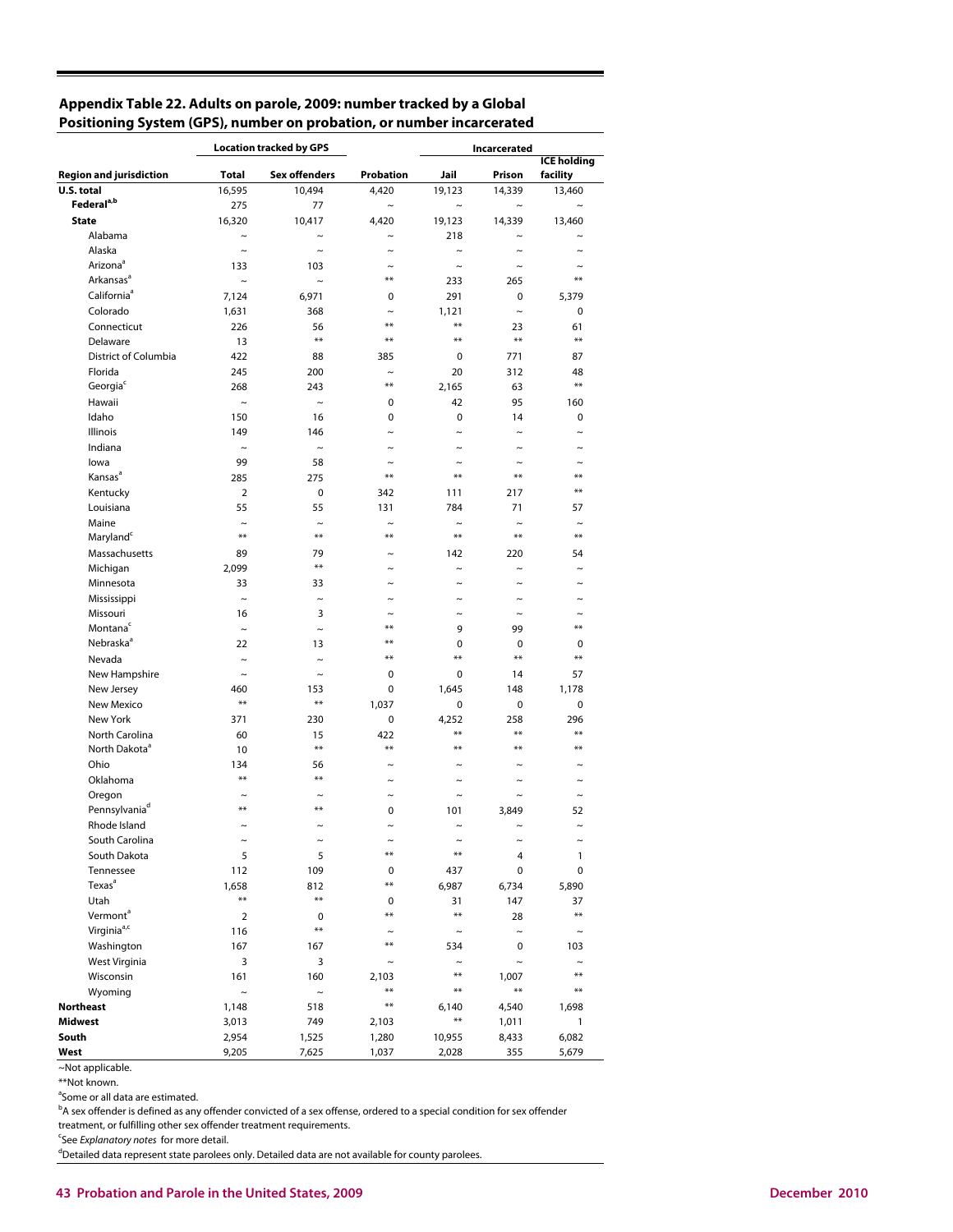## **Appendix Table 22. Adults on parole, 2009: number tracked by a Global Positioning System (GPS), number on probation, or number incarcerated**

|                                |                      | <b>Location tracked by GPS</b> |                                | Incarcerated         |                     |                                |  |  |
|--------------------------------|----------------------|--------------------------------|--------------------------------|----------------------|---------------------|--------------------------------|--|--|
| <b>Region and jurisdiction</b> | Total                | <b>Sex offenders</b>           | Probation                      | Jail                 | Prison              | <b>ICE holding</b><br>facility |  |  |
| U.S. total                     | 16,595               | 10,494                         | 4.420                          | 19,123               | 14,339              | 13,460                         |  |  |
| Federal <sup>a,b</sup>         | 275                  | 77                             | $\tilde{}$                     | $\tilde{}$           | $\sim$              | $\tilde{\phantom{a}}$          |  |  |
| <b>State</b>                   | 16,320               | 10,417                         | 4,420                          | 19,123               | 14,339              | 13,460                         |  |  |
| Alabama                        | $\sim$               | $\sim$                         | $\tilde{ }$                    | 218                  | $\tilde{ }$         |                                |  |  |
| Alaska                         | $\sim$               | $\sim$                         | $\sim$                         | $\tilde{}$           | $\sim$              | ∼                              |  |  |
| Arizona <sup>ª</sup>           | 133                  | 103                            | $\tilde{\phantom{a}}$          | $\sim$               | $\sim$              |                                |  |  |
| Arkansas <sup>a</sup>          | $\tilde{}$           | $\sim$                         | **                             | 233                  | 265                 | $**$                           |  |  |
| California <sup>ª</sup>        | 7,124                | 6,971                          | 0                              | 291                  | 0                   | 5,379                          |  |  |
| Colorado                       | 1,631                | 368                            | $\tilde{}$                     | 1,121                | $\sim$              | 0                              |  |  |
| Connecticut                    | 226                  | 56                             | $***$                          | $***$                | 23                  | 61                             |  |  |
| Delaware                       | 13                   | $***$                          | **                             | $***$                | $***$               | $***$                          |  |  |
| District of Columbia           | 422                  | 88                             | 385                            | 0                    | 771                 | 87                             |  |  |
| Florida                        | 245                  | 200                            | $\tilde{}$                     | 20                   | 312                 | 48                             |  |  |
| Georgia <sup>c</sup>           | 268                  | 243                            | $***$                          | 2,165                | 63                  | $***$                          |  |  |
| Hawaii                         | $\tilde{}$           | $\sim$                         | 0                              | 42                   | 95                  | 160                            |  |  |
| Idaho                          | 150                  | 16                             | 0                              | 0                    | 14                  | 0                              |  |  |
| Illinois                       | 149                  | 146                            | $\sim$                         | $\sim$               | $\sim$              | $\tilde{ }$                    |  |  |
| Indiana                        | $\tilde{}$           | $\sim$                         | $\tilde{}$                     | $\tilde{}$           | $\sim$              | $\sim$                         |  |  |
|                                | 99                   |                                |                                |                      |                     |                                |  |  |
| lowa<br>Kansas <sup>a</sup>    |                      | 58                             | $\tilde{\phantom{a}}$<br>$* *$ | $\sim$<br>$***$      | **                  | **                             |  |  |
|                                | 285                  | 275                            |                                |                      |                     | $**$                           |  |  |
| Kentucky                       | $\overline{2}$       | 0                              | 342                            | 111                  | 217                 |                                |  |  |
| Louisiana                      | 55                   | 55                             | 131                            | 784                  | 71                  | 57                             |  |  |
| Maine                          | $\tilde{ }$<br>$***$ | $\sim$<br>$***$                | $\tilde{ }$<br>**              | $\tilde{ }$<br>$***$ | $\tilde{ }$<br>$**$ | **                             |  |  |
| Maryland <sup>c</sup>          |                      |                                |                                |                      |                     |                                |  |  |
| Massachusetts                  | 89                   | 79<br>$**$                     |                                | 142                  | 220                 | 54                             |  |  |
| Michigan                       | 2,099                |                                | $\tilde{}$                     | $\sim$               | $\sim$              | $\tilde{ }$                    |  |  |
| Minnesota                      | 33                   | 33                             | $\tilde{\phantom{a}}$          | $\tilde{ }$          | $\tilde{ }$         |                                |  |  |
| Mississippi                    | $\sim$               | $\sim$                         | $\tilde{}$                     | $\tilde{}$           | $\tilde{}$          | $\sim$                         |  |  |
| Missouri                       | 16                   | 3                              | **                             | $\tilde{ }$          | $\sim$              | $**$                           |  |  |
| Montana <sup>c</sup>           | $\tilde{}$           | $\tilde{}$                     |                                | 9                    | 99                  |                                |  |  |
| Nebraska <sup>a</sup>          | 22                   | 13                             | $***$                          | 0                    | 0                   | 0                              |  |  |
| Nevada                         | $\tilde{}$           | $\tilde{}$                     | $**$                           | $***$                | $**$                | $**$                           |  |  |
| New Hampshire                  | $\sim$               | $\sim$                         | 0                              | 0                    | 14                  | 57                             |  |  |
| New Jersey                     | 460                  | 153                            | 0                              | 1,645                | 148                 | 1,178                          |  |  |
| New Mexico                     | $***$                | $***$                          | 1,037                          | 0                    | 0                   | 0                              |  |  |
| New York                       | 371                  | 230                            | 0                              | 4,252                | 258                 | 296                            |  |  |
| North Carolina                 | 60                   | 15                             | 422                            | $***$                | $***$               | $**$                           |  |  |
| North Dakota <sup>a</sup>      | 10                   | $***$                          | $**$                           | $***$                | $**$                | **                             |  |  |
| Ohio                           | 134                  | 56                             | $\sim$                         | $\sim$               |                     |                                |  |  |
| Oklahoma                       | $**$                 | $**$                           | $\tilde{}$                     | $\tilde{}$           | $\tilde{}$          | $\tilde{}$                     |  |  |
| Oregon                         | $\sim$               | $\sim$                         | $\sim$                         | $\sim$               | $\sim$              | $\sim$                         |  |  |
| Pennsylvaniad                  | $**$                 | $**$                           | 0                              | 101                  | 3,849               | 52                             |  |  |
| Rhode Island                   | $\sim$               | $\sim$                         | $\tilde{}$                     | $\sim$               | $\tilde{}$          | $\sim$                         |  |  |
| South Carolina                 | $\thicksim$          | $\tilde{}$                     |                                | $\thicksim$          | $\thicksim$         | $\tilde{}$                     |  |  |
| South Dakota                   | 5                    | 5                              | **                             | $***$                | 4                   | 1                              |  |  |
| Tennessee                      | 112                  | 109                            | 0                              | 437                  | 0                   | 0                              |  |  |
| Texas <sup>a</sup>             | 1,658                | 812                            | $**$                           | 6,987                | 6,734               | 5,890                          |  |  |
| Utah                           | $***$                | $***$                          | 0                              | 31                   | 147                 | 37                             |  |  |
| Vermont <sup>a</sup>           | $\overline{2}$       | 0                              | $**$                           | $***$                | 28                  | $***$                          |  |  |
| Virginia <sup>a,c</sup>        | 116                  | $***$                          | $\tilde{}$                     | $\thicksim$          | $\thicksim$         | $\tilde{}$                     |  |  |
| Washington                     | 167                  | 167                            | $***$                          | 534                  | 0                   | 103                            |  |  |
| West Virginia                  | 3                    | 3                              | $\thicksim$                    | $\thicksim$          | $\thicksim$         | $\tilde{\phantom{a}}$          |  |  |
| Wisconsin                      | 161                  | 160                            | 2,103                          | $***$                | 1,007               | $***$                          |  |  |
| Wyoming                        | $\tilde{}$           | $\thicksim$                    | $***$                          | $***$                | $***$               | $***$                          |  |  |
| <b>Northeast</b>               | 1,148                | 518                            | $***$                          | 6,140                | 4,540               | 1,698                          |  |  |
| Midwest                        | 3,013                | 749                            | 2,103                          | $***$                | 1,011               | 1                              |  |  |
| South                          | 2,954                | 1,525                          | 1,280                          | 10,955               | 8,433               | 6,082                          |  |  |
| West                           | 9,205                | 7,625                          | 1,037                          | 2,028                | 355                 | 5,679                          |  |  |

~Not applicable.

\*\*Not known.

<sup>a</sup>Some or all data are estimated.

<sup>b</sup>A sex offender is defined as any offender convicted of a sex offense, ordered to a special condition for sex offender

treatment, or fulfilling other sex offender treatment requirements.

<sup>c</sup>See Explanatory notes for more detail.

<sup>d</sup>Detailed data represent state parolees only. Detailed data are not available for county parolees.